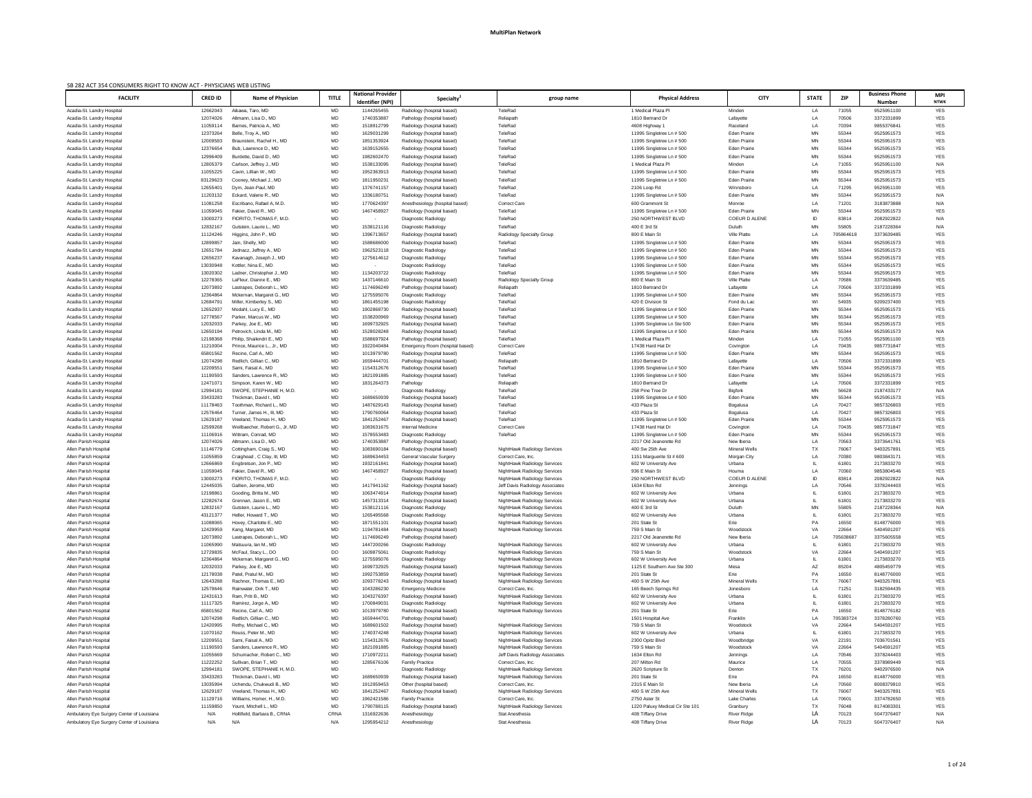| SB 282 ACT 354 CONSUMERS RIGHT TO KNOW ACT - PHYSICIANS WEB LISTING |                      |                                                       |              |                          |                                                          |                                                              |                                              |                      |              |                |                          |                          |
|---------------------------------------------------------------------|----------------------|-------------------------------------------------------|--------------|--------------------------|----------------------------------------------------------|--------------------------------------------------------------|----------------------------------------------|----------------------|--------------|----------------|--------------------------|--------------------------|
| <b>FACILITY</b>                                                     | <b>CRED ID</b>       | <b>Name of Physician</b>                              | <b>TITLE</b> | <b>National Provider</b> | Specialty                                                | group name                                                   | <b>Physical Address</b>                      | <b>CITY</b>          | <b>STATE</b> | ZIP            | <b>Business Phone</b>    | <b>MPI</b>               |
|                                                                     |                      |                                                       |              | Identifier (NPI)         |                                                          |                                                              |                                              |                      |              |                | <b>Number</b>            | <b>NTWK</b>              |
| Acadia-St. Landry Hospital                                          | 12662043             | Aikawa, Taro, MD                                      | MD           | 1144265455               | Radiology (hospital based)                               | TeleRad                                                      | 1 Medical Plaza Pl                           | Minden               | LA           | 71055          | 9525951100               | <b>YES</b>               |
| Acadia-St. Landry Hospital                                          | 12074026             | Altmann, Lisa D., MD                                  | MD           | 1740353887               | Pathology (hospital based)                               | Reliapath                                                    | 1810 Bertrand Dr                             | Lafayette            | LA           | 70506          | 3372331899               | YES                      |
| Acadia-St. Landry Hospital                                          | 11059114             | Barnes, Patricia A., MD                               | MD           | 1518912799               | Radiology (hospital based)                               | TeleRad                                                      | 4608 Highway 1                               | Raceland             | LA           | 70394          | 9855376841               | <b>YES</b>               |
| Acadia-St. Landry Hospital                                          | 12373264             | Belle, Troy A., MD                                    | MD           | 1629031299               | Radiology (hospital based)                               | TeleRad                                                      | 11995 Singletree Ln # 500                    | <b>Eden Prairie</b>  | MN           | 55344          | 9525951573               | <b>YES</b>               |
| Acadia-St. Landry Hospital                                          | 12009583             | Braunstein, Rachel H., MD                             | MD           | 1851353924               | Radiology (hospital based)                               | TeleRad                                                      | 11995 Singletree Ln # 500                    | <b>Eden Prairie</b>  | MN           | 55344          | 9525951573               | <b>YES</b>               |
| Acadia-St. Landry Hospital                                          | 12376654             | Bub, Lawrence D., MD                                  | MD           | 1639152655               | Radiology (hospital based)                               | TeleRad                                                      | 11995 Singletree Ln # 500                    | <b>Eden Prairie</b>  | MN           | 55344          | 9525951573               | <b>YES</b>               |
| Acadia-St. Landry Hospital                                          | 12996409             | Burdette, David D., MD                                | MD           | 1982602470               | Radiology (hospital based)                               | TeleRad                                                      | 11995 Singletree Ln # 500                    | <b>Eden Prairie</b>  | MN           | 55344          | 9525951573               | <b>YES</b>               |
| Acadia-St. Landry Hospital                                          | 12805379             | Carlson, Jeffrey J., MD                               | MD           | 1538133095               | Radiology (hospital based)                               | TeleRad                                                      | 1 Medical Plaza Pl                           | Minden               | LA           | 71055          | 9525951100               | N/A                      |
| Acadia-St. Landry Hospital                                          | 11055225             | Cavin, Lillian W., MD                                 | MD           | 1952363913               | Radiology (hospital based)                               | TeleRad                                                      | 11995 Singletree Ln # 500                    | <b>Eden Prairie</b>  | MN           | 55344          | 9525951573               | <b>YES</b>               |
| Acadia-St. Landry Hospital                                          | 83129623             | Cooney, Michael J., MD                                | MD           | 1811950231               | Radiology (hospital based)                               | TeleRad                                                      | 11995 Singletree Ln # 500                    | <b>Eden Prairie</b>  | MN           | 55344          | 9525951573               | <b>YES</b>               |
| Acadia-St. Landry Hospital                                          | 12655401             | Dym, Jean-Paul, MD                                    | MD           | 1376741157               | Radiology (hospital based)                               | TeleRad                                                      | 2106 Loop Rd                                 | Winnsboro            | LA           | 71295          | 9525951100               | <b>YES</b>               |
| Acadia-St. Landry Hospital                                          | 11203132             | Eckard, Valerie R., MD                                | MD           | 133618075                | Radiology (hospital based)                               | TeleRad                                                      | 11995 Singletree Ln # 500                    | <b>Eden Prairie</b>  | MN           | 55344          | 9525951573               | N/A                      |
| Acadia-St. Landry Hospital                                          | 11081258             | Escribano, Rafael A, M.D.                             | MD           | 1770624397               | Anesthesiology (hospital based)                          | <b>Correct Care</b>                                          | 600 Grammont St                              | Monroe               | LA           | 71201          | 3183873888               | N/A                      |
| Acadia-St. Landry Hospital                                          | 11059045             | Fakier, David R., MD                                  | MD           | 1467458927               | Radiology (hospital based)                               | TeleRad                                                      | 11995 Singletree Ln # 500                    | <b>Eden Prairie</b>  | MN           | 55344          | 9525951573               | <b>YES</b>               |
| Acadia-St. Landry Hospital                                          | 13000273             | FIORITO. THOMAS F. M.D.                               | MD           |                          | Diagnostic Radiology                                     | TeleRad                                                      | 250 NORTHWEST BLVD                           | COEUR D ALENE        | ID           | 83814          | 2082922822               | N/A                      |
| Acadia-St. Landry Hospital                                          | 12832167             | Gutstein, Laurie L., MD                               | MD           | 1538121116               | Diagnostic Radiology                                     | TeleRad                                                      | 400 E 3rd St                                 | Duluth               | MN           | 55805          | 2187228364               | N/A                      |
| Acadia-St. Landry Hospital                                          | 11124246             | Higgins, John P., MD                                  | MD           | 1396713657               | Radiology (hospital based)                               | Radiology Specialty Group                                    | 800 E Main St                                | Ville Platte         | LA           | 70586461       | 3373639485               | <b>YES</b>               |
| Acadia-St. Landry Hospital                                          | 12899857             | Jain, Shelly, MD                                      | MD           | 1588686000               | Radiology (hospital based)                               | TeleRad                                                      | 11995 Singletree Ln # 500                    | <b>Eden Prairie</b>  | MN           | 55344          | 9525951573               | <b>YES</b>               |
| Acadia-St. Landry Hospital                                          | 12651784             | Jednacz, Jeffrey A., MD                               | MD           | 1962523118               | Diagnostic Radiology                                     | TeleRad                                                      | 11995 Singletree Ln # 500                    | <b>Eden Prairie</b>  | MN           | 55344          | 9525951573               | <b>YES</b>               |
| Acadia-St. Landry Hospital                                          | 12656237             | Kavanagh, Joseph J., MD                               | MD           | 1275614612               | Diagnostic Radiology                                     | TeleRad                                                      | 11995 Singletree Ln # 500                    | <b>Eden Prairie</b>  | MN           | 55344          | 9525951573               | <b>YES</b>               |
| Acadia-St. Landry Hospital                                          | 13030948             | Kottler, Nina E., MD                                  | MD           |                          | Diagnostic Radiology                                     | TeleRad                                                      | 11995 Singletree Ln # 500                    | <b>Eden Prairie</b>  | MN           | 55344          | 9525951573               | <b>YES</b>               |
| Acadia-St. Landry Hospital                                          | 13020302             | Ladner, Christopher J., MD                            | MD           | 1134203722               | Diagnostic Radiology                                     | TeleRad                                                      | 11995 Singletree Ln # 500                    | <b>Eden Prairie</b>  | MN           | 55344          | 9525951573               | <b>YES</b>               |
| Acadia-St. Landry Hospital                                          | 12278365             | LaFleur, Dianne E., MD                                | MD           | 1437146610               | Radiology (hospital based)                               | <b>Radiology Specialty Group</b>                             | 800 E Main St                                | Ville Platte         | LA           | 70586          | 3373639485               | <b>YES</b>               |
| Acadia-St. Landry Hospital                                          | 12073892             | Lastrapes, Deborah L., MD                             | MD           | 1174696249               | Pathology (hospital based)                               | Reliapath                                                    | 1810 Bertrand Dr                             | Lafayette            | LA           | 70506          | 3372331899               | <b>YES</b>               |
| Acadia-St. Landry Hospital                                          | 12364864             | Mckernan, Margaret G., MD                             | MD           | 1275595076               | Diagnostic Radiology                                     | TeleRad                                                      | 11995 Singletree Ln # 500                    | <b>Eden Prairie</b>  | MN           | 55344          | 9525951573               | <b>YES</b>               |
| Acadia-St. Landry Hospital                                          | 12684791             | Miller, Kimberley S., MD                              | MD           | 1861455198               | Diagnostic Radiology                                     | TeleRad                                                      | 420 E Division St                            | Fond du Lac          | WI           | 54935          | 9209237400               | <b>YES</b>               |
| Acadia-St. Landry Hospital                                          | 12652937             | Modahl, Lucy E., MD                                   | MD           | 1902868730               | Radiology (hospital based)                               | TeleRad                                                      | 11995 Singletree Ln # 500                    | <b>Eden Prairie</b>  | MN           | 55344          | 9525951573               | <b>YES</b>               |
| Acadia-St. Landry Hospital                                          | 12778567             | Parker, Marcus W., MD                                 | MD           | 1538200969               | Radiology (hospital based)                               | TeleRad                                                      | 11995 Singletree Ln # 500                    | <b>Eden Prairie</b>  | MN           | 55344          | 9525951573               | <b>YES</b>               |
| Acadia-St. Landry Hospital                                          | 12032033             | Parkey, Joe E., MD                                    | MD           | 1699732925               | Radiology (hospital based)                               | TeleRad                                                      | 11995 Singletree Ln Ste 500                  | <b>Eden Prairie</b>  | MN           | 55344          | 9525951573               | <b>YES</b>               |
| Acadia-St. Landry Hospital                                          | 12650194             | Petrovich, Linda M., MD                               | MD           | 1528028248               | Radiology (hospital based)                               | TeleRad                                                      | 11995 Singletree Ln # 500                    | <b>Eden Prairie</b>  | MN           | 55344          | 9525951573               | N/A                      |
| Acadia-St. Landry Hospital                                          | 12198368             | Philip, Shailendri E., MD                             | MD           | 1588697924               | Pathology (hospital based)                               | TeleRad                                                      | 1 Medical Plaza Pl                           | Minden               | LA           | 71055          | 9525951100               | <b>YES</b>               |
| Acadia-St. Landry Hospital                                          | 11210004             | Prince, Maurice L., Jr., MD                           | MD           | 1922040484               | Emergency Room (hospital based)                          | <b>Correct Care</b>                                          | 17438 Hard Hat Dr                            | Covington            |              | 70435          | 9857731847               | <b>VEC</b><br>⊝⊐ו        |
| Acadia-St. Landry Hospital                                          | 65801562             | Recine, Carl A., MD                                   | MD           | 1013979780               | Radiology (hospital based)                               | TeleRad                                                      | 11995 Singletree Ln # 500                    | <b>Eden Prairie</b>  | MN           | 55344          | 9525951573               | <b>YES</b>               |
| Acadia-St. Landry Hospital                                          | 12074298             | Redlich, Gillian C., MD                               | MD           | 1659444701               | Pathology (hospital based)                               | Reliapath                                                    | 1810 Bertrand Dr                             | Lafayette            | LA           | 70506          | 3372331899               | <b>YES</b>               |
| Acadia-St. Landry Hospital                                          | 12209551             | Sami, Faisal A., MD                                   | MD           | 1154312676               | Radiology (hospital based)                               | TeleRad                                                      | 11995 Singletree Ln # 500                    | <b>Eden Prairie</b>  | MN           | 55344          | 9525951573               | <b>YES</b>               |
| Acadia-St. Landry Hospital                                          | 11190593             | Sanders, Lawrence R., MD                              | MD           | 1821091885               | Radiology (hospital based)                               | TeleRad                                                      | 11995 Singletree Ln # 500                    | <b>Eden Prairie</b>  | MN           | 55344          | 9525951573               | <b>YES</b>               |
| Acadia-St. Landry Hospital                                          | 12471071             | Simpson, Karen W., MD                                 | MD           | 1831264373               | Pathology                                                | Reliapath                                                    | 1810 Bertrand Dr                             | Lafayette            | LA           | 70506          | 3372331899               | <b>YES</b>               |
| Acadia-St. Landry Hospital                                          | 12994181             | SWOPE, STEPHANIE H, M.D.                              | MD           |                          | Diagnostic Radiology                                     | TeleRad                                                      | 258 Pine Tree Dr                             | <b>Bigfork</b>       | ΜN           | 56628          | 2187433177               | N/A                      |
| Acadia-St. Landry Hospital                                          | 33433283             | Thickman, David I., MD                                | MD           | 1689650939               | Radiology (hospital based)                               | TeleRad<br>TeleRad                                           | 11995 Singletree Ln # 500                    | <b>Eden Prairie</b>  | MN           | 55344          | 9525951573               | <b>YES</b>               |
| Acadia-St. Landry Hospital<br>Acadia-St. Landry Hospital            | 11178463<br>12576464 | Toothman, Richard L., MD<br>Turner, James H., III, MD | MD<br>MD     | 1487629143<br>1790760064 | Radiology (hospital based)<br>Radiology (hospital based) | TeleRad                                                      | 433 Plaza St<br>433 Plaza St                 | Bogalusa<br>Bogalusa | LA<br>LA     | 70427<br>70427 | 9857326803<br>9857326803 | <b>YES</b><br><b>YES</b> |
| Acadia-St. Landry Hospital                                          | 12629187             | Vreeland, Thomas H., MD                               | MD           | 1841252467               | Radiology (hospital based)                               | TeleRad                                                      | 11995 Singletree Ln # 500                    | <b>Eden Prairie</b>  | MN           | 55344          | 9525951573               | <b>YES</b>               |
| Acadia-St. Landry Hospital                                          | 12599268             | Weilbaecher, Robert G., Jr, MD                        | MD           | 1083631675               | <b>Internal Medicine</b>                                 | <b>Correct Care</b>                                          | 17438 Hard Hat Dr                            | Covington            | LA           | 70435          | 9857731847               | <b>YES</b>               |
| Acadia-St. Landry Hospital                                          | 11106916             | Wittram, Conrad, MD                                   | MD           | 1578553483               | Diagnostic Radiology                                     | TeleRad                                                      | 11995 Singletree Ln # 500                    | <b>Eden Prairie</b>  | <b>MN</b>    | 55344          | 9525951573               | <b>YES</b>               |
| Allen Parish Hospital                                               | 12074026             | Altmann, Lisa D., MD                                  | MD           | 1740353887               | Pathology (hospital based)                               |                                                              | 2217 Old Jeanerette Rd                       | New Iberia           | LA           | 70563          | 3373641761               | <b>YES</b>               |
| Allen Parish Hospital                                               | 11146779             | Cottingham, Craig S., MD                              | MD           | 1083690184               | Radiology (hospital based)                               | NightHawk Radiology Services                                 | 400 Sw 25th Ave                              | <b>Mineral Wells</b> | TX           | 76067          | 9403257891               | <b>YES</b>               |
| Allen Parish Hospital                                               | 11055859             | Craighead, C Clay, III, MD                            | MD           | 1689634453               | <b>General Vascular Surgery</b>                          | Correct Care, Inc.                                           | 1151 Marguerite St # 600                     | Morgan City          | LA           | 70380          | 9803843171               | <b>YES</b>               |
| Allen Parish Hospital                                               | 12666869             | Engbretson, Jon P., MD                                | MD           | 1932161841               | Radiology (hospital based)                               | NightHawk Radiology Services                                 | 602 W University Ave                         | Urbana               |              | 61801          | 2173833270               | <b>YES</b>               |
| Allen Parish Hospital                                               | 11059045             | Fakier, David R., MD                                  | MD           | 1467458927               | Radiology (hospital based)                               | NightHawk Radiology Services                                 | 936 E Main St                                | Houma                | LA           | 70360          | 9853804546               | <b>YES</b>               |
| Allen Parish Hospital                                               | 13000273             | FIORITO, THOMAS F, M.D.                               | MD           |                          | Diagnostic Radiology                                     | NightHawk Radiology Services                                 | 250 NORTHWEST BLVD                           | <b>COEUR D ALENE</b> | ID           | 83814          | 2082922822               | N/A                      |
| Allen Parish Hospital                                               | 12445035             | Gallien, Jerome, MD                                   | MD           | 1417941162               | Radiology (hospital based)                               | Jeff Davis Radiology Associates                              | 1634 Elton Rd                                | Jennings             | LA           | 70546          | 3378244403               | <b>YES</b>               |
| Allen Parish Hospital                                               | 1219886              | Gooding, Britta M., MD                                | MD           | 1063474914               | Radiology (hospital based)                               | NightHawk Radiology Services                                 | 602 W University Ave                         | Urbana               |              | 61801          | 2173833270               | <b>YES</b>               |
| Allen Parish Hospital                                               | 12282674             | Grennan, Jason E., MD                                 | MD           | 1457313314               | Radiology (hospital based)                               | NightHawk Radiology Services                                 | 602 W University Ave                         | Urbana               |              | 61801          | 2173833270               | <b>YES</b>               |
| Allen Parish Hospital                                               | 12832167             | Gutstein, Laurie L., MD                               | MD           | 1538121116               | Diagnostic Radiology                                     | NightHawk Radiology Services                                 | 400 E 3rd St                                 | Duluth               |              | 55805          | 2187228364               | N/A                      |
| Allen Parish Hospital                                               | 43121377             | Heller, Howard T., MD                                 | MD           | 1265495568               | Diagnostic Radiology                                     | NightHawk Radiology Services                                 | 602 W University Ave                         | Urbana               |              | 61801          | 2173833270               | <b>YES</b>               |
| Allen Parish Hospital                                               | 11088065             | Hovey, Charlotte E., MD                               | MD           | 1871551101               | Radiology (hospital based)                               | NightHawk Radiology Services                                 | 201 State St                                 | Erie                 | PA           | 16550          | 8148776000               | <b>YES</b>               |
| Allen Parish Hospital                                               | 12429959             | Kang, Margaret, MD                                    | MD           | 1194781484               | Radiology (hospital based)                               | NightHawk Radiology Services                                 | 759 S Main St                                | Woodstock            | VA           | 22664          | 5404591207               | <b>YES</b>               |
| Allen Parish Hospital                                               | 12073892             | Lastrapes, Deborah L., MD                             | MD           | 1174696249               | Pathology (hospital based)                               |                                                              | 2217 Old Jeanerette Rd                       | New Iberia           | LA           | 705638687      | 3375605558               | <b>YES</b>               |
| Allen Parish Hospital                                               | 11065990             | Matsuura, lan M., MD                                  | MD           | 1447200266               | Diagnostic Radiology                                     | NightHawk Radiology Services                                 | 602 W University Ave                         | Urbana               |              | 61801          | 2173833270               | <b>YES</b>               |
| Allen Parish Hospital                                               | 12729835             | McFaul, Stacy L., DO                                  | DO           | 1609875061               | Diagnostic Radiology                                     | NightHawk Radiology Services                                 | 759 S Main St                                | Woodstock            | VA           | 22664          | 5404591207               | <b>YES</b>               |
| Allen Parish Hospital                                               | 12364864             | Mckernan, Margaret G., MD                             | MD           | 1275595076               | Diagnostic Radiology                                     | NightHawk Radiology Services                                 | 602 W University Ave                         | Urbana               |              | 61801          | 2173833270               | <b>YES</b>               |
| Allen Parish Hospital                                               | 12032033             | Parkey, Joe E., MD                                    | MD           | 1699732925               | Radiology (hospital based)                               | NightHawk Radiology Services                                 | 1125 E Southern Ave Ste 300                  | Mesa                 | AZ           | 85204          | 4805459779               | <b>YES</b>               |
| Allen Parish Hospital                                               | 12178038             | Patel, Pratul M., MD                                  | MD           | 1992753859               | Radiology (hospital based)                               | NightHawk Radiology Services                                 | 201 State St                                 | Erie                 | PA           | 16550          | 8148776000               | <b>YES</b>               |
| Allen Parish Hospital                                               | 12643288             | Rachner, Thomas E., MD                                | MD           | 1093778243               | Radiology (hospital based)                               | NightHawk Radiology Services                                 | 400 S W 25th Ave                             | <b>Mineral Wells</b> | TX           | 76067          | 9403257891               | <b>YES</b>               |
| Allen Parish Hospital                                               | 12579646             | Rainwater, Dirk T., MD                                | MD           | 1043286230               | <b>Emergency Medicine</b>                                | Correct Care, Inc.                                           | 165 Beech Springs Rd                         | Jonesboro            | LA           | 71251          | 3182594435               | <b>YES</b>               |
| Allen Parish Hospital<br>Allen Parish Hospital                      | 12431613<br>11117325 | Ram. Priti B., MD<br>Ramirez, Jorge A., MD            | MD<br>MD     | 1043276397<br>1700849031 | Radiology (hospital based)<br>Diagnostic Radiology       | NightHawk Radiology Services<br>NightHawk Radiology Services | 602 W University Ave<br>602 W University Ave | Urbana<br>Urbana     |              | 61801<br>61801 | 2173833270<br>2173833270 | <b>YES</b><br><b>YES</b> |
| Allen Parish Hospital                                               | 65801562             | Recine, Carl A., MD                                   |              | 1013979780               | Radiology (hospital based)                               | NightHawk Radiology Services                                 | 201 State St                                 | Erie                 |              | 16550          | 8148776182               | YES                      |
| Allen Parish Hospital                                               | 12074298             | Redlich, Gillian C., MD                               | MD<br>MD     | 165944470                | Pathology (hospital based)                               |                                                              | 1501 Hospital Ave                            | Franklin             | PA<br>LA     | 705383724      | 3378280760               | YES                      |
| Allen Parish Hospital                                               | 12420995             | Rethy, Michael C., MD                                 | MD           | 1689601502               | Radiology (hospital based)                               | NightHawk Radiology Services                                 | 759 S Main St                                | Woodstock            | VA           | 22664          | 5404591207               | YES                      |
| Allen Parish Hospital                                               | 11070162             | Reuss, Peter M., MD                                   | MD           | 1740374248               | Radiology (hospital based)                               | NightHawk Radiology Services                                 | 602 W University Ave                         | Urbana               |              | 61801          | 2173833270               | <b>YES</b>               |
| Allen Parish Hospital                                               | 12209551             | Sami, Faisal A., MD                                   | MD           | 1154312676               | Radiology (hospital based)                               | NightHawk Radiology Services                                 | 2300 Opitz Blvd                              | Woodbridge           | VA           | 22191          | 7036701561               | <b>YES</b>               |
| Allen Parish Hospital                                               | 11190593             | Sanders, Lawrence R., MD                              | MD           | 1821091885               | Radiology (hospital based)                               | NightHawk Radiology Services                                 | 759 S Main St                                | Woodstock            | VA           | 22664          | 5404591207               | <b>YES</b>               |
| Allen Parish Hospital                                               | 11055669             | Schumacher, Robert C., MD                             | MD           | 171097221                | Radiology (hospital based)                               | Jeff Davis Radiology Associates                              | 1634 Elton Rd                                | Jennings             | LA           | 70546          | 3378244403               | YES                      |
| Allen Parish Hospital                                               | 11222252             | Sullivan, Brian T., MD                                | MD           | 1285676106               | <b>Family Practice</b>                                   | Correct Care, Inc.                                           | 207 Milton Rd                                | Maurice              | LA           | 70555          | 3378989449               | <b>YES</b>               |
| Allen Parish Hospital                                               | 12994181             | SWOPE, STEPHANIE H, M.D.                              | MD           |                          | Diagnostic Radiology                                     | NightHawk Radiology Services                                 | 2620 Scripture St                            | Denton               | TX           | 76201          | 9402976500               | N/A                      |
| Allen Parish Hospital                                               | 33433283             | Thickman, David I., MD                                | MD           | 1689650939               | Radiology (hospital based)                               | NightHawk Radiology Services                                 | 201 State St                                 | Erie                 | PA           | 16550          | 8148776000               | <b>YES</b>               |
| Allen Parish Hospital                                               | 13035994             | Uchendu, Chukwudi B., MD                              | MD           | 1912959453               | Other (hospital based)                                   | Correct Care, Inc.                                           | 2315 E Main St                               | New Iberia           | LA           | 70560          | 8008379910               | YES                      |
| Allen Parish Hospital                                               | 12629187             | Vreeland, Thomas H., MD                               | MD           | 1841252467               | Radiology (hospital based)                               | NightHawk Radiology Services                                 | 400 S W 25th Ave                             | <b>Mineral Wells</b> | TX           | 76067          | 9403257891               | YES                      |
| Allen Parish Hospital                                               | 11129716             | Williams, Homer, H., M.D.                             | MD           | 1962421586               | <b>Family Practice</b>                                   | Correct Care, Inc.                                           | 2750 Aster St                                | Lake Charles         | LA           | 70601          | 3374782650               | YES                      |
| Allen Parish Hospital                                               | 11159850             | Yount, Mitchell L., MD                                | MD           | 1790788115               | Radiology (hospital based)                               | NightHawk Radiology Services                                 | 1220 Paluxy Medical Cir Ste 101              | Granbury             | TX           | 76048          | 8174083301               | <b>YES</b>               |
| Ambulatory Eye Surgery Center of Louisiana                          | N/A                  | Hollifield, Barbara B., CRNA                          | CRNA         | 1316922636               | Anesthesiology                                           | Stat Anesthesia                                              | 408 Tiffany Drive                            | <b>River Ridge</b>   | LA           | 70123          | 5047376407               | N/A                      |
| Ambulatory Eye Surgery Center of Louisiana                          | N/A                  | N/A                                                   | N/A          | 1295954212               | Anesthesiology                                           | Stat Anesthesia                                              | 408 Tiffany Drive                            | <b>River Ridge</b>   | LA           | 70123          | 5047376407               | N/A                      |
|                                                                     |                      |                                                       |              |                          |                                                          |                                                              |                                              |                      |              |                |                          |                          |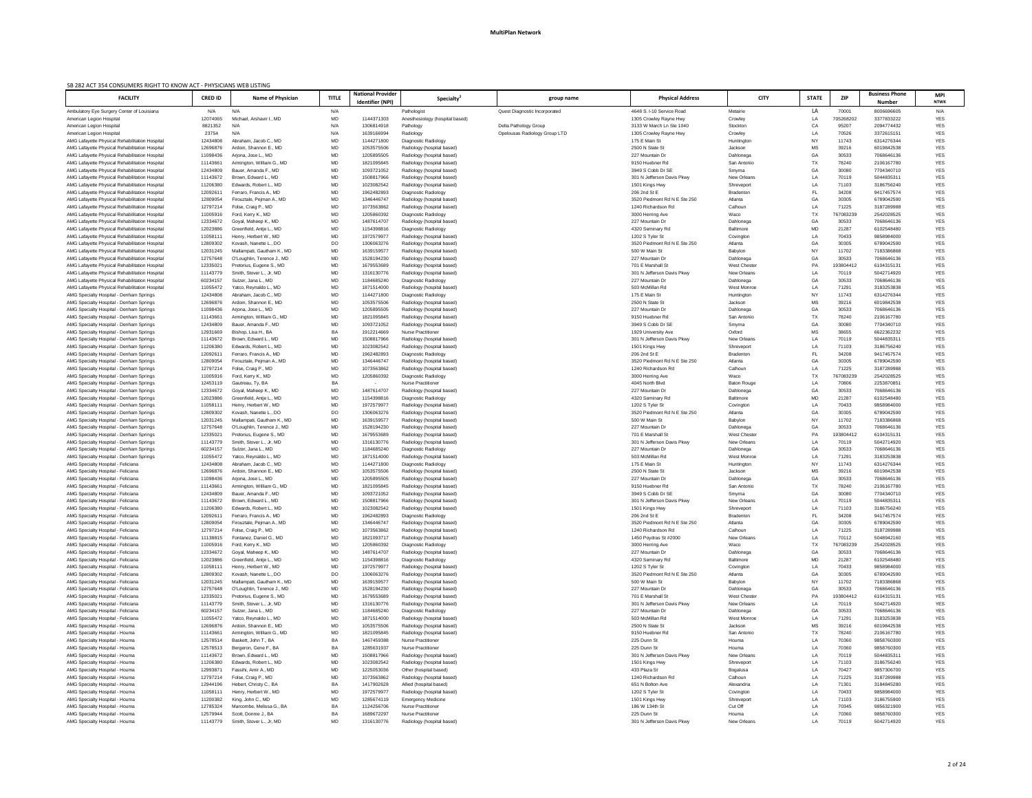| SB 282 ACT 354 CONSUMERS RIGHT TO KNOW ACT - PHYSICIANS WEB LISTING<br><b>FACILITY</b>           | <b>CRED ID</b>                   | <b>Name of Physician</b>                         | <b>TITLE</b> | <b>National Provider</b><br>Identifier (NPI) | <b>Specialty</b>                                         | group name                    | <b>Physical Address</b>                   | <b>CITY</b>              | <b>STATE</b>    | <b>ZIP</b>         | <b>Business Phone</b><br><b>Number</b> | <b>MPI</b><br>NTWK       |
|--------------------------------------------------------------------------------------------------|----------------------------------|--------------------------------------------------|--------------|----------------------------------------------|----------------------------------------------------------|-------------------------------|-------------------------------------------|--------------------------|-----------------|--------------------|----------------------------------------|--------------------------|
| Ambulatory Eye Surgery Center of Louisiana                                                       | N/A                              | N/A                                              | N/A          |                                              | Pathologist                                              | Quest Diagnostic Incorporated | 4648 S. I-10 Service Road                 | Metairie                 | LA              | 70001              | 8006696605                             | N/A                      |
| American Legion Hospital                                                                         | 12074065                         | Michael, Arshavir I., MD                         | MD           | 1144371303                                   | Anesthesiology (hospital based)                          |                               | 1305 Crowley Rayne Hwy                    | Crowley                  | LA              | 705268202          | 3377833222                             | <b>YES</b>               |
| American Legion Hospital                                                                         | 8821352                          | N/A                                              | N/A          | 1306814918                                   | Pathology                                                | Delta Pathology Group         | 3133 W March Ln Ste 1040                  | Stockton                 | CA              | 95207              | 2094774432                             | <b>YES</b>               |
| American Legion Hospital                                                                         | 23754                            | N/A                                              | N/A          | 1639166994                                   | Radiology                                                | Opelousas Radiology Group LTD | 1305 Crowley Rayne Hwy                    | Crowley                  | LA              | 70526              | 3372615151                             | YES                      |
| AMG Lafayette Physical Rehabilitation Hospital                                                   | 12434808                         | Abraham, Jacob C., MD                            | MD           | 1144271800                                   | Diagnostic Radiology                                     |                               | 175 E Main St                             | Huntington               | NΥ              | 11743              | 6314276344                             | <b>YES</b>               |
| AMG Lafayette Physical Rehabilitation Hospital                                                   | 12696876                         | Ardoin, Shannon E., MD                           | MD           | 1053575506                                   | Radiology (hospital based)                               |                               | 2500 N State St                           | Jackson                  | <b>MS</b>       | 39216              | 6019842538                             | <b>YES</b>               |
| AMG Lafayette Physical Rehabilitation Hospital<br>AMG Lafayette Physical Rehabilitation Hospital | 11098436<br>1114366 <sup>-</sup> | Ariona, Jose L., MD<br>Armington, William G., MD | MD<br>MD     | 1205895505<br>1821095845                     | Radiology (hospital based)<br>Radiology (hospital based) |                               | 227 Mountain Dr<br>9150 Huebner Rd        | Dahlonega<br>San Antonio | GA<br>TX        | 30533<br>78240     | 7068646136<br>2106167780               | <b>YES</b><br><b>YES</b> |
| AMG Lafayette Physical Rehabilitation Hospital                                                   | 12434809                         | Bauer, Amanda F., MD                             | MD           | 1093721052                                   | Radiology (hospital based)                               |                               | 3949 S Cobb Dr SE                         | Smyrna                   | GA              | 30080              | 7704340710                             | YES                      |
| AMG Lafayette Physical Rehabilitation Hospital                                                   | 11143672                         | Brown, Edward L., MD                             | MD           | 1508817966                                   | Radiology (hospital based)                               |                               | 301 N Jefferson Davis Pkwy                | <b>New Orleans</b>       | LA              | 70119              | 5044835311                             | <b>YES</b>               |
| AMG Lafayette Physical Rehabilitation Hospital                                                   | 11206380                         | Edwards, Robert L., MD                           | MD           | 1023082542                                   | Radiology (hospital based)                               |                               | 1501 Kings Hwy                            | Shreveport               | LA              | 71103              | 3186756240                             | <b>YES</b>               |
| AMG Lafayette Physical Rehabilitation Hospital                                                   | 1209261 <sup>-</sup>             | Ferraro, Francis A., MD                          | MD           | 1962482893                                   | Diagnostic Radiology                                     |                               | 206 2nd St E                              | <b>Bradenton</b>         | <b>FL</b>       | 34208              | 9417457574                             | <b>YES</b>               |
| AMG Lafayette Physical Rehabilitation Hospital                                                   | 12809054                         | Firouztale, Pejman A., MD                        | MD           | 1346446747                                   | Radiology (hospital based)                               |                               | 3520 Piedmont Rd N E Ste 250              | Atlanta                  | GA              | 30305              | 6789042590                             | <b>YES</b>               |
| AMG Lafayette Physical Rehabilitation Hospital                                                   | 12797214                         | Folse, Craig P., MD                              | MD           | 1073563862                                   | Radiology (hospital based)                               |                               | 1240 Richardson Rd                        | Calhoun                  | LA              | 71225              | 3187289988                             | <b>YES</b>               |
| AMG Lafayette Physical Rehabilitation Hospital                                                   | 11005916                         | Ford, Kerry K., MD                               | MD           | 1205860392                                   | Diagnostic Radiology                                     |                               | 3000 Herring Ave                          | Waco                     | ТX              | 767083239          | 2542028525                             | <b>YES</b>               |
| AMG Lafayette Physical Rehabilitation Hospital                                                   | 12334672<br>12023886             | Goyal, Maheep K., MD<br>Greenfield, Antje L., MD | MD<br>MD     | 1487614707<br>1154398816                     | Radiology (hospital based)<br>Diagnostic Radiology       |                               | 227 Mountain Dr<br>4320 Seminary Rd       | Dahlonega<br>Baltimore   | GA<br>MD        | 30533<br>21287     | 7068646136<br>6102548480               | <b>YES</b><br><b>YES</b> |
| AMG Lafayette Physical Rehabilitation Hospital<br>AMG Lafayette Physical Rehabilitation Hospital | 1105811                          | Henry, Herbert W., MD                            | MD           | 1972579977                                   | Radiology (hospital based)                               |                               | 1202 S Tyler St                           | Covington                | LA              | 70433              | 9858984000                             | YES                      |
| AMG Lafayette Physical Rehabilitation Hospital                                                   | 12809302                         | Kovash, Nanette L., DO                           | DO           | 1306063276                                   | Radiology (hospital based)                               |                               | 3520 Piedmont Rd N E Ste 250              | Atlanta                  | GA              | 30305              | 6789042590                             | YES                      |
| AMG Lafayette Physical Rehabilitation Hospital                                                   | 12031245                         | Mallampati, Gautham K., MD                       | MD           | 1639159577                                   | Radiology (hospital based)                               |                               | 500 W Main St                             | Babylon                  | <b>NY</b>       | 11702              | 7183386868                             | <b>YES</b>               |
| AMG Lafayette Physical Rehabilitation Hospital                                                   | 12757648                         | O'Loughlin, Terence J., MD                       | MD           | 1528194230                                   | Radiology (hospital based)                               |                               | 227 Mountain Dr                           | Dahlonega                | GA              | 30533              | 7068646136                             | YES                      |
| AMG Lafayette Physical Rehabilitation Hospital                                                   | 12335021                         | Pretorius, Eugene S., MD                         | MD           | 1679553689                                   | Radiology (hospital based)                               |                               | 701 E Marshall St                         | <b>West Chester</b>      | PA              | 193804412          | 6104315131                             | <b>YES</b>               |
| AMG Lafayette Physical Rehabilitation Hospital                                                   | 11143779                         | Smith, Stover L., Jr, MD                         | MD           | 1316130776                                   | Radiology (hospital based)                               |                               | 301 N Jefferson Davis Pkwy                | New Orleans              | LA              | 70119              | 5042714920                             | YES                      |
| AMG Lafayette Physical Rehabilitation Hospital                                                   | 60234157                         | Sulzer, Jana L., MD                              | MD           | 1184685240                                   | Diagnostic Radiology                                     |                               | 227 Mountain Dr                           | Dahlonega                | GA              | 30533              | 7068646136                             | YES                      |
| AMG Lafayette Physical Rehabilitation Hospital                                                   | 11055472                         | Yatco, Reynaldo L., MD                           | MD           | 1871514000                                   | Radiology (hospital based)                               |                               | 503 McMillan Rd                           | West Monroe              | LA              | 71291              | 3183253838                             | <b>YES</b>               |
| AMG Specialty Hospital - Denham Springs                                                          | 12434808                         | Abraham, Jacob C., MD                            | MD           | 1144271800                                   | Diagnostic Radiology                                     |                               | 175 E Main St                             | Huntington               | N١              | 11743              | 6314276344                             | <b>YES</b>               |
| AMG Specialty Hospital - Denham Springs                                                          | 12696876                         | Ardoin, Shannon E., MD                           | MD           | 1053575506<br>1205895505                     | Radiology (hospital based)                               |                               | 2500 N State St<br>227 Mountain Dr        | Jackson<br>Dahlonega     | <b>MS</b><br>GA | 39216<br>30533     | 6019842538                             | <b>YES</b><br><b>YES</b> |
| AMG Specialty Hospital - Denham Springs<br>AMG Specialty Hospital - Denham Springs               | 11098436<br>1114366              | Arjona, Jose L., MD<br>Armington, William G., MD | MD<br>MD     | 1821095845                                   | Radiology (hospital based)<br>Radiology (hospital based) |                               | 9150 Huebner Rd                           | San Antonio              | TX              | 78240              | 7068646136<br>2106167780               | <b>YES</b>               |
| AMG Specialty Hospital - Denham Springs                                                          | 12434809                         | Bauer, Amanda F., MD                             | MD           | 1093721052                                   | Radiology (hospital based)                               |                               | 3949 S Cobb Dr SE                         | Smyrna                   | GA              | 30080              | 7704340710                             | <b>YES</b>               |
| AMG Specialty Hospital - Denham Springs                                                          | 12931669                         | Bishop, Lisa H., BA                              | BA           | 1912214669                                   | <b>Nurse Practitioner</b>                                |                               | 1929 University Ave                       | Oxford                   | <b>MS</b>       | 38655              | 6622362232                             | YES                      |
| AMG Specialty Hospital - Denham Springs                                                          | 11143672                         | Brown, Edward L., MD                             | MD           | 1508817966                                   | Radiology (hospital based)                               |                               | 301 N Jefferson Davis Pkwy                | <b>New Orleans</b>       | LA              | 70119              | 5044835311                             | <b>YES</b>               |
| AMG Specialty Hospital - Denham Springs                                                          | 11206380                         | Edwards, Robert L., MD                           | <b>MD</b>    | 1023082542                                   | Radiology (hospital based)                               |                               | 1501 Kings Hwy                            | Shreveport               | I A             | 71103              | 3186756240                             | <b>YES</b>               |
| AMG Specialty Hospital - Denham Springs                                                          | 1209261 <sup>-</sup>             | Ferraro, Francis A., MD                          | MD           | 1962482893                                   | Diagnostic Radiology                                     |                               | 206 2nd St E                              | Bradenton                |                 | 34208              | 9417457574                             | YES                      |
| AMG Specialty Hospital - Denham Springs                                                          | 12809054                         | Firouztale, Pejman A., MD                        | MD           | 1346446747                                   | Radiology (hospital based)                               |                               | 3520 Piedmont Rd N E Ste 250              | Atlanta                  | GA              | 30305              | 6789042590                             | <b>YES</b>               |
| AMG Specialty Hospital - Denham Springs                                                          | 12797214                         | Folse, Craig P., MD                              | MD           | 1073563862                                   | Radiology (hospital based)                               |                               | 1240 Richardson Rd                        | Calhoun                  | LA              | 71225              | 3187289988                             | <b>YES</b>               |
| AMG Specialty Hospital - Denham Springs                                                          | 11005916                         | Ford, Kerry K., MD                               | MD           | 1205860392                                   | Diagnostic Radiology                                     |                               | 3000 Herring Ave                          | Waco                     | ТX              | 767083239          | 2542028525                             | YES                      |
| AMG Specialty Hospital - Denham Springs                                                          | 12453119                         | Gautreau, Ty, BA                                 | BA           |                                              | <b>Nurse Practitioner</b>                                |                               | 4045 North Blvd                           | <b>Baton Rouge</b>       | LA              | 70806              | 2253870851                             | YES                      |
| AMG Specialty Hospital - Denham Springs<br>AMG Specialty Hospital - Denham Springs               | 12334672<br>12023886             | Goyal, Maheep K., MD<br>Greenfield, Antie L., MD | MD<br>MD     | 1487614707<br>1154398816                     | Radiology (hospital based)                               |                               | 227 Mountain Dr<br>4320 Seminary Rd       | Dahlonega<br>Baltimore   | GA<br>MD        | 30533<br>21287     | 7068646136<br>6102548480               | <b>YES</b><br><b>YES</b> |
| AMG Specialty Hospital - Denham Springs                                                          | 110581                           | Henry, Herbert W., MD                            | MD           | 197257997                                    | Diagnostic Radiology<br>Radiology (hospital based)       |                               | 1202 S Tyler St                           | Covington                | LA              | 70433              | 9858984000                             | YES                      |
| AMG Specialty Hospital - Denham Springs                                                          | 12809302                         | Kovash, Nanette L., DO                           | DO           | 1306063276                                   | Radiology (hospital based)                               |                               | 3520 Piedmont Rd N E Ste 250              | Atlanta                  | GA              | 30305              | 6789042590                             | <b>YES</b>               |
| AMG Specialty Hospital - Denham Springs                                                          | 12031245                         | Mallampati, Gautham K., MD                       | MD           | 1639159577                                   | Radiology (hospital based)                               |                               | 500 W Main St                             | Babylon                  | N١              | 11702              | 7183386868                             | YES                      |
| AMG Specialty Hospital - Denham Springs                                                          | 12757648                         | O'Loughlin, Terence J., MD                       | MD           | 1528194230                                   | Radiology (hospital based)                               |                               | 227 Mountain Dr                           | Dahlonega                | GA              | 30533              | 7068646136                             | <b>YES</b>               |
| AMG Specialty Hospital - Denham Springs                                                          | 12335021                         | Pretorius, Eugene S., MD                         | MD           | 1679553689                                   | Radiology (hospital based)                               |                               | 701 E Marshall St                         | <b>West Chester</b>      | PA              | 193804412          | 6104315131                             | <b>YES</b>               |
| AMG Specialty Hospital - Denham Springs                                                          | 11143779                         | Smith, Stover L., Jr, MD                         | MD           | 1316130776                                   | Radiology (hospital based)                               |                               | 301 N Jefferson Davis Pkwy                | New Orleans              | LA              | 70119              | 5042714920                             | YES                      |
| AMG Specialty Hospital - Denham Springs                                                          | 60234157                         | Sulzer, Jana L., MD                              | MD           | 1184685240                                   | Diagnostic Radiology                                     |                               | 227 Mountain Dr                           | Dahlonega                | GA              | 30533              | 7068646136                             | YES                      |
| AMG Specialty Hospital - Denham Springs                                                          | 11055472                         | Yatco, Reynaldo L., MD                           | MD           | 1871514000                                   | Radiology (hospital based)                               |                               | 503 McMillan Rd                           | West Monroe              | LA              | 71291              | 3183253838                             | YES                      |
| AMG Specialty Hospital - Feliciana<br>AMG Specialty Hospital - Feliciana                         | 12434808<br>12696876             | Abraham, Jacob C., MD<br>Ardoin, Shannon E., MD  | MD<br>MD     | 1144271800<br>1053575506                     | Diagnostic Radiology<br>Radiology (hospital based)       |                               | 175 E Main St<br>2500 N State St          | Huntington<br>Jackson    | N١<br>МS        | 11743<br>39216     | 6314276344<br>6019842538               | YES<br><b>YES</b>        |
| AMG Specialty Hospital - Feliciana                                                               | 11098436                         | Arjona, Jose L., MD                              | MD           | 1205895505                                   | Radiology (hospital based)                               |                               | 227 Mountain Dr                           | Dahlonega                | GA              | 30533              | 7068646136                             | <b>YES</b>               |
| AMG Specialty Hospital - Feliciana                                                               | 11143661                         | Armington, William G., MD                        | MD           | 1821095845                                   | Radiology (hospital based)                               |                               | 9150 Huebner Rd                           | San Antonio              | TX              | 78240              | 2106167780                             | <b>YES</b>               |
| AMG Specialty Hospital - Feliciana                                                               | 12434809                         | Bauer, Amanda F., MD                             | MD           | 1093721052                                   | Radiology (hospital based)                               |                               | 3949 S Cobb Dr SE                         | Smyrna                   | GA              | 30080              | 7704340710                             | <b>YES</b>               |
| AMG Specialty Hospital - Feliciana                                                               | 11143672                         | Brown, Edward L., MD                             | MD           | 1508817966                                   | Radiology (hospital based)                               |                               | 301 N Jefferson Davis Pkwy                | <b>New Orleans</b>       | LA              | 70119              | 504483531                              | YES                      |
| AMG Specialty Hospital - Feliciana                                                               | 11206380                         | Edwards, Robert L., MD                           | MD           | 1023082542                                   | Radiology (hospital based)                               |                               | 1501 Kings Hwy                            | Shreveport               | LA              | 71103              | 3186756240                             | YES                      |
| AMG Specialty Hospital - Feliciana                                                               | 1209261 <sup>-</sup>             | Ferraro, Francis A., MD                          | MD           | 1962482893                                   | Diagnostic Radiology                                     |                               | 206 2nd St E                              | Bradenton                | .FL             | 34208              | 9417457574                             | YES                      |
| AMG Specialty Hospital - Feliciana                                                               | 12809054                         | Firouztale, Pejman A., MD                        | MD           | 1346446747                                   | Radiology (hospital based)                               |                               | 3520 Piedmont Rd N E Ste 250              | Atlanta                  | GA              | 30305              | 6789042590                             | YES                      |
| AMG Specialty Hospital - Feliciana                                                               | 12797214                         | Folse, Craig P., MD                              | MD           | 1073563862                                   | Radiology (hospital based)                               |                               | 1240 Richardson Rd                        | Calhoun                  | LA              | 71225              | 3187289988                             | <b>YES</b>               |
| AMG Specialty Hospital - Feliciana<br>AMG Specialty Hospital - Feliciana                         | 11138815<br>11005916             | Fontanez, Daniel G., MD<br>Ford, Kerry K., MD    | MD<br>MD     | 182109371<br>1205860392                      | Radiology (hospital based)<br>Diagnostic Radiology       |                               | 1450 Poydras St #2000<br>3000 Herring Ave | New Orleans<br>Waco      | LA<br>ТX        | 70112<br>767083239 | 5048942160<br>2542028525               | YES<br>YES               |
| AMG Specialty Hospital - Feliciana                                                               | 12334672                         | Goyal, Maheep K., MD                             | MD           | 1487614707                                   | Radiology (hospital based)                               |                               | 227 Mountain Dr                           | Dahlonega                | GA              | 30533              | 7068646136                             | <b>YES</b>               |
| AMG Specialty Hospital - Feliciana                                                               | 12023886                         | Greenfield, Antie L., MD                         | MD           | 1154398816                                   | Diagnostic Radiology                                     |                               | 4320 Seminary Rd                          | Baltimore                | MD              | 21287              | 6102548480                             | <b>YES</b>               |
| AMG Specialty Hospital - Feliciana                                                               | 1105811                          | Henry, Herbert W., MD                            | MD           | 1972579977                                   | Radiology (hospital based)                               |                               | 1202 S Tyler St                           | Covington                | LA              | 70433              | 9858984000                             | <b>YES</b>               |
| AMG Specialty Hospital - Feliciana                                                               | 12809302                         | Kovash, Nanette L., DO                           | DO           | 1306063276                                   | Radiology (hospital based)                               |                               | 3520 Piedmont Rd N E Ste 250              | Atlanta                  | GA              | 30305              | 6789042590                             | YES                      |
| AMG Specialty Hospital - Feliciana                                                               | 12031245                         | Mallampati, Gautham K., MD                       | MD           | 1639159577                                   | Radiology (hospital based)                               |                               | 500 W Main St                             | Babylon                  | N١              | 11702              | 7183386868                             | YES                      |
| AMG Specialty Hospital - Feliciana                                                               | 12757648                         | O'Loughlin, Terence J., MD                       | MD           | 1528194230                                   | Radiology (hospital based)                               |                               | 227 Mountain Dr                           | Dahlonega                | GA              | 30533              | 7068646136                             | YES                      |
| AMG Specialty Hospital - Feliciana                                                               | 12335021                         | Pretorius, Eugene S., MD                         | MD           | 1679553689                                   | Radiology (hospital based)                               |                               | 701 E Marshall St                         | <b>West Chester</b>      | PA              | 193804412          | 6104315131                             | <b>YES</b>               |
| AMG Specialty Hospital - Feliciana                                                               | 11143779                         | Smith, Stover L., Jr, MD                         | MD           | 1316130776                                   | Radiology (hospital based)                               |                               | 301 N Jefferson Davis Pkwy                | New Orleans              | LA              | 70119              | 5042714920                             | <b>YES</b>               |
| AMG Specialty Hospital - Feliciana                                                               | 60234157<br>11055472             | Sulzer, Jana L., MD<br>Yatco, Reynaldo L., MD    | MD<br>MD     | 1184685240<br>1871514000                     | Diagnostic Radiology                                     |                               | 227 Mountain Dr<br>503 McMillan Rd        | Dahlonega<br>West Monroe | LA              | 30533<br>71291     | 7068646136<br>3183253838               | YES<br><b>YES</b>        |
| AMG Specialty Hospital - Feliciana<br>AMG Specialty Hospital - Houma                             | 12696876                         | Ardoin, Shannon E., MD                           | MD           | 1053575506                                   | Radiology (hospital based)<br>Radiology (hospital based) |                               | 2500 N State St                           | Jackson                  | <b>MS</b>       | 39216              | 6019842538                             | <b>YES</b>               |
| AMG Specialty Hospital - Houma                                                                   | 11143661                         | Armington, William G., MD                        | MD           | 1821095845                                   | Radiology (hospital based)                               |                               | 9150 Huebner Rd                           | San Antonio              | TX              | 78240              | 2106167780                             | YES                      |
| AMG Specialty Hospital - Houma                                                                   | 12578514                         | Baskett, John T., BA                             | BA           | 1467459388                                   | <b>Nurse Practitioner</b>                                |                               | 225 Dunn St                               | Houma                    | LA              | 70360              | 9858760300                             | <b>YES</b>               |
| AMG Specialty Hospital - Houma                                                                   | 12578513                         | Bergeron, Gene F., BA                            | BA           | 1285631937                                   | <b>Nurse Practitioner</b>                                |                               | 225 Dunn St                               | Houma                    | LA              | 70360              | 9858760300                             | <b>YES</b>               |
| AMG Specialty Hospital - Houma                                                                   | 11143672                         | Brown, Edward L., MD                             | MD           | 1508817966                                   | Radiology (hospital based)                               |                               | 301 N Jefferson Davis Pkwy                | <b>New Orleans</b>       | LA              | 70119              | 5044835311                             | YES                      |
| AMG Specialty Hospital - Houma                                                                   | 11206380                         | Edwards, Robert L., MD                           | MD           | 1023082542                                   | Radiology (hospital based)                               |                               | 1501 Kings Hwy                            | Shreveport               | LA              | 71103              | 3186756240                             | YES                      |
| AMG Specialty Hospital - Houma                                                                   | 12993871                         | Fassihi, Amir A., MD                             | MD           | 1225053036                                   | Other (hospital based)                                   |                               | 433 Plaza St                              | Bogalusa                 | LA              | 70427              | 9857306700                             | YES                      |
| AMG Specialty Hospital - Houma                                                                   | 12797214                         | Folse, Craig P., MD                              | MD           | 1073563862                                   | Radiology (hospital based)                               |                               | 1240 Richardson Rd                        | Calhoun                  | LA              | 71225              | 3187289988                             | YES                      |
| AMG Specialty Hospital - Houma                                                                   | 12944196                         | Hebert, Christy C., BA                           | BA           | 1417902628                                   | Allied (hospital based)                                  |                               | 651 N Bolton Ave                          | Alexandria               | LA              | 71301              | 3184845280                             | <b>YES</b>               |
| AMG Specialty Hospital - Houma                                                                   | 11058111                         | Henry, Herbert W., MD                            | MD           | 1972579977                                   | Radiology (hospital based)                               |                               | 1202 S Tyler St                           | Covington                | LA              | 70433              | 9858984000                             | YES                      |
| AMG Specialty Hospital - Houma<br>AMG Specialty Hospital - Houma                                 | 11200382<br>12785324             | King, John C., MD<br>Marcombe, Melissa G., BA    | MD<br>BA     | 1285674119<br>1124256706                     | <b>Emergency Medicine</b><br><b>Nurse Practitioner</b>   |                               | 1501 Kings Hwy<br>186 W 134th St          | Shreveport<br>Cut Off    | LA<br>LA        | 71103<br>70345     | 3186755900<br>9856321900               | YES<br><b>YES</b>        |
| AMG Specialty Hospital - Houma                                                                   | 12579944                         | Scott, Donnie J., BA                             | BA           | 1689672297                                   | <b>Nurse Practitioner</b>                                |                               | 225 Dunn St                               | Houma                    | LA              | 70360              | 9858760300                             | <b>YES</b>               |
| AMG Specialty Hospital - Houma                                                                   | 11143779                         | Smith, Stover L., Jr, MD                         | MD           | 1316130776                                   | Radiology (hospital based)                               |                               | 301 N Jefferson Davis Pkwy                | New Orleans              | LA              | 70119              | 5042714920                             | <b>YES</b>               |
|                                                                                                  |                                  |                                                  |              |                                              |                                                          |                               |                                           |                          |                 |                    |                                        |                          |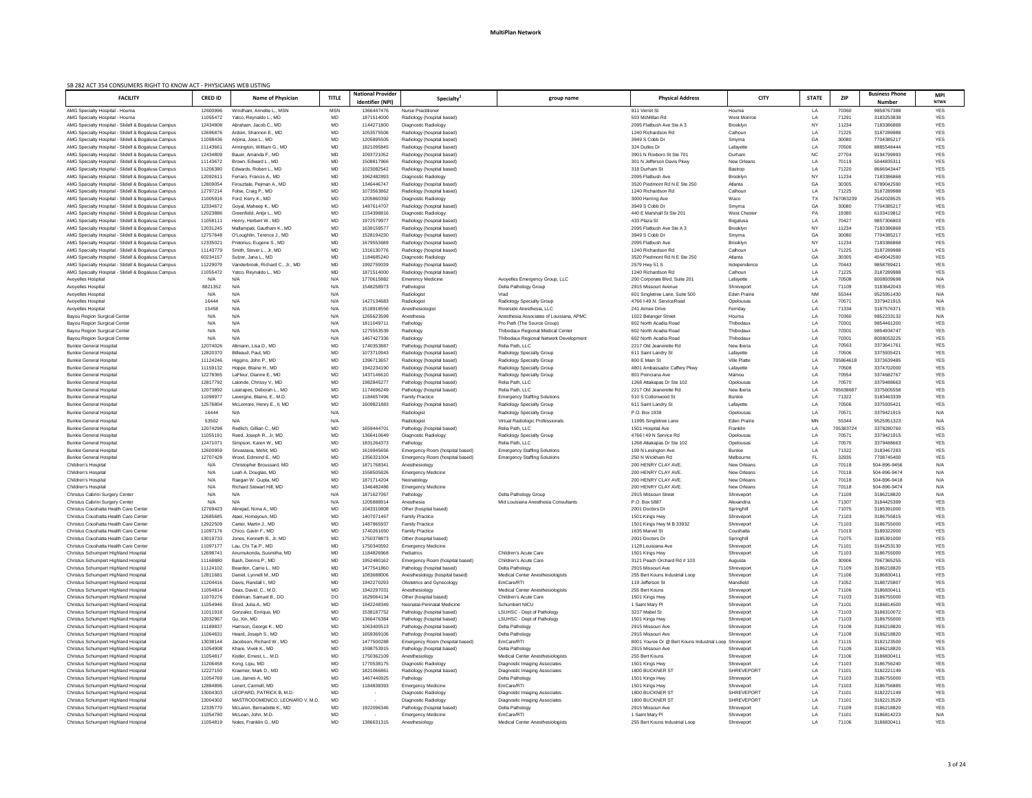| SB 282 ACT 354 CONSUMERS RIGHT TO KNOW ACT - PHYSICIANS WEB LISTING                                      |                      |                                                   |                 |                                              |                                                               |                                                        |                                                                  |                                  |                             |                    |                                        |                           |
|----------------------------------------------------------------------------------------------------------|----------------------|---------------------------------------------------|-----------------|----------------------------------------------|---------------------------------------------------------------|--------------------------------------------------------|------------------------------------------------------------------|----------------------------------|-----------------------------|--------------------|----------------------------------------|---------------------------|
| <b>FACILITY</b>                                                                                          | <b>CRED ID</b>       | Name of Physician                                 | <b>TITLE</b>    | <b>National Provider</b><br>Identifier (NPI) | <b>Specialty</b>                                              | group name                                             | <b>Physical Address</b>                                          |                                  | <b>STATE</b><br><b>CITY</b> | <b>ZIP</b>         | <b>Business Phone</b><br><b>Number</b> | <b>MPI</b><br><b>NTWK</b> |
| AMG Specialty Hospital - Houma                                                                           | 12600996             | Windham, Annette L., MSN                          | <b>MSN</b>      | 1366447476                                   | <b>Nurse Practitioner</b>                                     |                                                        | 911 Verret St                                                    | Houma                            | LA                          | 70360              | 9858767388                             | <b>YES</b>                |
| AMG Specialty Hospital - Houma                                                                           | 11055472             | Yatco, Reynaldo L., MD                            | MD              | 1871514000                                   | Radiology (hospital based)                                    |                                                        | 503 McMillan Rd                                                  | <b>West Monroe</b>               | LA                          | 71291              | 3183253838                             | <b>YES</b>                |
| AMG Specialty Hospital - Slidell & Bogalusa Campus                                                       | 12434808             | Abraham, Jacob C., MD                             | MD              | 1144271800                                   | Diagnostic Radiology                                          |                                                        | 2095 Flatbush Ave Ste A 3                                        | <b>Brooklyn</b>                  | NY                          | 11234              | 7183386868                             | <b>YES</b>                |
| AMG Specialty Hospital - Slidell & Bogalusa Campus                                                       | 12696876             | Ardoin, Shannon E., MD                            | MD              | 1053575506                                   | Radiology (hospital based)                                    |                                                        | 1240 Richardson Rd                                               | Calhoun                          | LA                          | 71225              | 3187289988                             | <b>YES</b>                |
| AMG Specialty Hospital - Slidell & Bogalusa Campus                                                       | 11098436             | Arjona, Jose L., MD                               | MD              | 1205895505                                   | Radiology (hospital based)                                    |                                                        | 3949 S Cobb Dr                                                   | Smyrna                           | GA                          | 30080              | 7704385217                             | <b>YES</b>                |
| AMG Specialty Hospital - Slidell & Bogalusa Campus                                                       | 11143661             | Armington, William G., MD                         | MD              | 1821095845                                   | Radiology (hospital based)                                    |                                                        | 324 Dulles Dr                                                    | Lafayette                        | LA                          | 70506              | 8885548444                             | <b>YES</b>                |
| AMG Specialty Hospital - Slidell & Bogalusa Campus                                                       | 12434809             | Bauer, Amanda F., MD                              | MD              | 1093721052                                   | Radiology (hospital based)                                    |                                                        | 3901 N Roxboro St Ste 701                                        | Durham                           | <b>NC</b>                   | 27704              | 9194799993                             | <b>YES</b>                |
| AMG Specialty Hospital - Slidell & Bogalusa Campus                                                       | 11143672             | Brown, Edward L., MD                              | MD              | 1508817966                                   | Radiology (hospital based)                                    |                                                        | 301 N Jefferson Davis Pkwy                                       | New Orleans                      | LA                          | 70119              | 5044835311                             | <b>YES</b>                |
| AMG Specialty Hospital - Slidell & Bogalusa Campus<br>AMG Specialty Hospital - Slidell & Bogalusa Campus | 11206380<br>1209261  | Edwards, Robert L., MD<br>Ferraro, Francis A., MD | MD<br>MD        | 1023082542<br>1962482893                     | Radiology (hospital based)<br>Diagnostic Radiology            |                                                        | 318 Durham St<br>2095 Flatbush Ave                               | <b>Bastrop</b><br>Brooklyn       | LA<br><b>NY</b>             | 71220<br>11234     | 8666943447<br>7183386868               | <b>YES</b><br><b>YES</b>  |
| AMG Specialty Hospital - Slidell & Bogalusa Campus                                                       | 12809054             | Firouztale, Pejman A., MD                         | MD              | 1346446747                                   | Radiology (hospital based)                                    |                                                        | 3520 Piedmont Rd N E Ste 250                                     | Atlanta                          | GA                          | 30305              | 6789042590                             | <b>YES</b>                |
| AMG Specialty Hospital - Slidell & Bogalusa Campus                                                       | 12797214             | Folse, Craig P., MD                               | MD              | 1073563862                                   | Radiology (hospital based)                                    |                                                        | 1240 Richardson Rd                                               | Calhoun                          | LA                          | 71225              | 3187289988                             | <b>YES</b>                |
| AMG Specialty Hospital - Slidell & Bogalusa Campus                                                       | 11005916             | Ford, Kerry K., MD                                | MD              | 1205860392                                   | Diagnostic Radiology                                          |                                                        | 3000 Herring Ave                                                 | Waco                             | <b>TX</b>                   | 767083239          | 2542028525                             | <b>YES</b>                |
| AMG Specialty Hospital - Slidell & Bogalusa Campus                                                       | 12334672             | Goyal, Maheep K., MD                              | MD              | 1487614707                                   | Radiology (hospital based)                                    |                                                        | 3949 S Cobb Dr                                                   | Smyrna                           | GA                          | 30080              | 7704385217                             | <b>YES</b>                |
| AMG Specialty Hospital - Slidell & Bogalusa Campus                                                       | 12023886             | Greenfield, Antie L., MD                          | MD              | 1154398816                                   | Diagnostic Radiology                                          |                                                        | 440 E Marshall St Ste 201                                        | <b>West Chester</b>              | PA                          | 19380              | 6103419812                             | <b>YES</b>                |
| AMG Specialty Hospital - Slidell & Bogalusa Campus                                                       | 11058111             | Henry, Herbert W., MD                             | MD              | 1972579977                                   | Radiology (hospital based)                                    |                                                        | 433 Plaza St                                                     | Bogalusa                         | LA                          | 70427              | 9857306803                             | <b>YES</b>                |
| AMG Specialty Hospital - Slidell & Bogalusa Campus                                                       | 12031245             | Mallampati, Gautham K., MD                        | MD              | 1639159577                                   | Radiology (hospital based)                                    |                                                        | 2095 Flatbush Ave Ste A 3                                        | Brooklyn                         | <b>NY</b>                   | 11234              | 7183386868                             | <b>YES</b>                |
| AMG Specialty Hospital - Slidell & Bogalusa Campus                                                       | 12757648             | O'Loughlin, Terence J., MD                        | MD              | 1528194230                                   | Radiology (hospital based)                                    |                                                        | 3949 S Cobb Dr                                                   | Smyrna                           | GA                          | 30080              | 7704385217                             | <b>YES</b>                |
| AMG Specialty Hospital - Slidell & Bogalusa Campus                                                       | 1233502              | Pretorius, Eugene S., MD                          | ${\sf MD}$      | 1679553689                                   | Radiology (hospital based)                                    |                                                        | 2095 Flatbush Ave                                                | Brooklyn                         | <b>NY</b>                   | 11234              | 7183386868                             | <b>YES</b>                |
| AMG Specialty Hospital - Slidell & Bogalusa Campus<br>AMG Specialty Hospital - Slidell & Bogalusa Campus | 11143779<br>60234157 | Smith, Stover L., Jr, MD<br>Sulzer, Jana L., MD   | MD<br>MD        | 1316130776<br>1184685240                     | Radiology (hospital based)<br>Diagnostic Radiology            |                                                        | 1240 Richardson Rd<br>3520 Piedmont Rd N E Ste 250               | Calhoun<br>Atlanta               | LA<br>GA                    | 71225<br>30305     | 3187289988<br>4049042590               | <b>YES</b><br><b>YES</b>  |
| AMG Specialty Hospital - Slidell & Bogalusa Campus                                                       | 11229079             | Vanderbrook, Richard C., Jr., MD                  | MD              | 1992759039                                   | Radiology (hospital based)                                    |                                                        | 2579 Hwy 51 S                                                    | Independence                     | LA                          | 70443              | 9858789421                             | <b>YES</b>                |
| AMG Specialty Hospital - Slidell & Bogalusa Campus                                                       | 11055472             | Yatco, Reynaldo L., MD                            | MD              | 1871514000                                   | Radiology (hospital based)                                    |                                                        | 1240 Richardson Rd                                               | Calhoun                          | LA                          | 71225              | 3187289988                             | <b>YES</b>                |
| Avoyelles Hospital                                                                                       | N/A                  | N/A                                               | N/A             | 1770615882                                   | <b>Emerency Medicine</b>                                      | Avoyelles Emergency Group, LLC                         | 200 Corporate Blvd, Suite 201                                    | Lafayette                        | LA                          | 70508              | 8008939698                             | N/A                       |
| Avoyelles Hospital                                                                                       | 8821352              | N/A                                               | N/A             | 1548258973                                   | Pathologist                                                   | Delta Pathology Group                                  | 2915 Missouri Avenue                                             | Shreveport                       | LA                          | 71109              | 3183642043                             | <b>YES</b>                |
| Avoyelles Hospital                                                                                       | N/A                  | N/A                                               | N/A             |                                              | Radiologist                                                   | Vrad                                                   | 601 Singletree Lane, Suite 500                                   | <b>Eden Prairie</b>              | <b>NM</b>                   | 55344              | 9525951430                             | N/A                       |
| Avoyelles Hospital                                                                                       | 16444                | N/A                                               | N/A             | 1427134683                                   | Radiologist                                                   | Radiology Specialty Group                              | 4766 I-49 N. ServiceRoad                                         | Opelousas                        | LA                          | 70571              | 3379421915                             | N/A                       |
| Avoyelles Hospital                                                                                       | 15458                | N/A                                               | N/A             | 1518918556                                   | Anesthesiologist                                              | Riverside Anesthesia, LLC                              | 241 Aimee Drive                                                  | Ferriday                         | LA                          | 71334              | 3187576371                             | <b>YES</b>                |
| <b>Bayou Region Surgical Center</b>                                                                      | N/A                  | N/A                                               | N/A             | 1265623599                                   | Anesthesia                                                    | Anesthesia Associates of Louisiana, APMC               | 1022 Belanger Street                                             | Houma                            | LA                          | 70360              | 9852233132                             | N/A                       |
| Bayou Region Surgical Center                                                                             | N/A                  | N/A                                               | N/A             | 181104971                                    | Pathology                                                     | Pro Path (The Source Group)                            | 602 North Acadia Road                                            | Thibodaux                        | LA                          | 70301              | 9854461200                             | <b>YES</b>                |
| <b>Bayou Region Surgical Center</b>                                                                      | N/A                  | N/A                                               | N/A             | 1275553539                                   | Radiology                                                     | Thibodaux Regional Medical Center                      | 602 North Acadia Road                                            | Thibodaux                        | LA                          | 70301              | 9854934747                             | <b>YES</b>                |
| Bayou Region Surgical Center                                                                             | N/A                  | N/A                                               | N/A             | 1467427336                                   | Radiology                                                     | Thibodaux Regional Network Development                 | 602 North Acadia Road                                            | Thibodaux                        | LA                          | 70301              | 8008053225                             | <b>YES</b>                |
| <b>Bunkie General Hospital</b>                                                                           | 12074026<br>12820370 | Altmann, Lisa D., MD<br>Billeaud, Paul, MD        | <b>MD</b><br>MD | 1740353887<br>1073710943                     | Pathology (hospital based)                                    | Relia Path, LLC                                        | 2217 Old Jeanerette Rd<br>611 Saint Landry St                    | New Iberia                       | LA<br>LA                    | 70563              | 3373641761                             | <b>YES</b>                |
| <b>Bunkie General Hospital</b><br><b>Bunkie General Hospital</b>                                         | 11124246             | Higgins, John P., MD                              | MD              | 1396713657                                   | Radiology (hospital based)<br>Radiology (hospital based)      | Radiology Specialty Group<br>Radiology Specialty Group | 800 E Main St                                                    | Lafayette<br><b>Ville Platte</b> | LA                          | 70506<br>705864618 | 3375935421<br>3373639485               | <b>YES</b><br><b>YES</b>  |
| <b>Bunkie General Hospital</b>                                                                           | 11159132             | Hoppe, Blaine H., MD                              | MD              | 1942234190                                   | Radiology (hospital based)                                    | Radiology Specialty Group                              | 4801 Ambassador Caffery Pkwy                                     | Lafayette                        | LA                          | 70508              | 3374702000                             | <b>YES</b>                |
| <b>Bunkie General Hospital</b>                                                                           | 12278365             | LaFleur, Dianne E., MD                            | MD              | 1437146610                                   | Radiology (hospital based)                                    | Radiology Specialty Group                              | 801 Poinciana Ave                                                | Mamou                            | LA                          | 70554              | 3374682767                             | YES                       |
| <b>Bunkie General Hospital</b>                                                                           | 12817792             | Lalonde, Chrissy V., MD                           | MD              | 198284527                                    | Pathology (hospital based)                                    | Relia Path, LLC                                        | 1268 Attakapas Dr Ste 102                                        | Opelousas                        | LA                          | 70570              | 3379488663                             | <b>YES</b>                |
| <b>Bunkie General Hospital</b>                                                                           | 12073892             | Lastrapes, Deborah L., MD                         | MD              | 1174696249                                   | Pathology (hospital based)                                    | Relia Path, LLC                                        | 2217 Old Jeanerette Rd                                           | New Iberia                       | LA                          | 705638687          | 3375605558                             | <b>YES</b>                |
| <b>Bunkie General Hospital</b>                                                                           | 11098977             | Lavergne, Blaine, E., M.D                         | MD              | 1184657496                                   | <b>Family Practice</b>                                        | <b>Emergency Staffing Solutions</b>                    | 510 S Cottonwood St                                              | Bunkie                           | LA                          | 71322              | 3183463339                             | <b>YES</b>                |
| <b>Bunkie General Hospital</b>                                                                           | 12576804             | McLemore, Henry E., II, MD                        | MD              | 1609821883                                   | Radiology (hospital based)                                    | Radiology Specialty Group                              | 611 Saint Landry St                                              | Lafayette                        | LA                          | 70506              | 3375935421                             | <b>YES</b>                |
| <b>Bunkie General Hospital</b>                                                                           | 16444                | N/A                                               | N/A             |                                              | Radiologist                                                   | Radiology Specialty Group                              | P.O. Box 1939                                                    | Opelousas                        | LA                          | 70571              | 3379421915                             | N/A                       |
| <b>Bunkie General Hospital</b>                                                                           | 53502                | N/A                                               | N/A             |                                              | Radiologist                                                   | Virtual Radiologic Professionals                       | 11995 Singletree Lane                                            | Eden Prairie                     | ΜN                          | 55344              | 9525951323                             | N/A                       |
| <b>Bunkie General Hospital</b>                                                                           | 12074298             | Redlich, Gillian C., MD                           | MD              | 1659444701                                   | Pathology (hospital based)                                    | Relia Path, LLC                                        | 1501 Hospital Ave                                                | Franklin                         | LA                          | 70538372           | 3378280760                             | <b>YES</b>                |
| <b>Bunkie General Hospital</b>                                                                           | 1105519              | Reed, Joseph R., Jr, MD                           | MD              | 1366410649                                   | Diagnostic Radiology                                          | Radiology Specialty Group                              | 4766 I 49 N Service Rd                                           | Opelousas                        | LA                          | 70571              | 3379421915                             | <b>YES</b>                |
| <b>Bunkie General Hospital</b>                                                                           | 1247107              | Simpson, Karen W., MD                             | MD              | 1831264373                                   | Pathology                                                     | Relia Path, LLC                                        | 1268 Attakapas Dr Ste 102                                        | Opelousas                        | LA                          | 70570              | 3379488663                             | <b>YES</b>                |
| <b>Bunkie General Hospital</b>                                                                           | 12600959             | Srivastava, Mohit, MD                             | MD              | 1619945656                                   | Emergency Room (hospital based)                               | <b>Emergency Staffing Solutions</b>                    | 109 N Lexington Ave                                              | <b>Bunkie</b>                    | LA                          | 71322              | 3183467283                             | <b>YES</b>                |
| <b>Bunkie General Hospital</b>                                                                           | 12707428             | Wood, Edmond E., MD                               | MD              | 1356321004                                   | Emergency Room (hospital based)                               | <b>Emergency Staffing Solutions</b>                    | 250 N Wickham Rd<br>200 HENRY CLAY AVE.                          | Melbourne<br><b>New Orleans</b>  | FL.                         | 32935<br>70118     | 7708745400                             | YES                       |
| Children's Hospital<br><b>Children's Hospital</b>                                                        | N/A<br>N/A           | Christopher Broussard, MD<br>Leah A. Douglas, MD  | MD<br>MD        | 187176834<br>1558505826                      | Anesthesiology<br><b>Emergency Medicine</b>                   |                                                        | 200 HENRY CLAY AVE.                                              | New Orleans                      | LA<br>LA                    | 70118              | 504-896-9456<br>504-896-9474           | N/A<br>N/A                |
| <b>Children's Hospital</b>                                                                               | N/A                  | Raegan W. Gupta, MD                               | MD              | 1871714204                                   | Neonatology                                                   |                                                        | 200 HENRY CLAY AVE.                                              | New Orleans                      | LA                          | 70118              | 504-896-9418                           | N/A                       |
| <b>Children's Hospital</b>                                                                               | N/A                  | <b>Richard Stewart Hill, MD</b>                   | MD              | 1346482486                                   | <b>Emergency Medicine</b>                                     |                                                        | 200 HENRY CLAY AVE.                                              | <b>New Orleans</b>               | LA                          | 70118              | 504-896-9474                           | N/A                       |
| Christus Cabrini Surgery Center                                                                          | N/A                  | N/A                                               | N/A             | 1871627067                                   | Pathology                                                     | Delta Pathology Group                                  | 2915 Missouri Street                                             | Shreveport                       | LA                          | 71109              | 3186218820                             | N/A                       |
| Christus Cabrini Surgery Center                                                                          | N/A                  | N/A                                               | N/A             | 120588891                                    | Anesthesia                                                    | Mid Louisiana Anesthesia Consultants                   | P.O. Box 5887                                                    | Alexandria                       | LA                          | 71307              | 3184425399                             | YES                       |
| Christus Coushatta Health Care Center                                                                    | 12769423             | Alinejad, Nima A., MD                             | MD              | 1043310808                                   | Other (hospital based)                                        |                                                        | 2001 Doctors Dr                                                  | Springhill                       | LA                          | 71075              | 3185391000                             | <b>YES</b>                |
| Christus Coushatta Health Care Center                                                                    | 12685685             | Ataei, Homayoun, MD                               | MD              | 1407071467                                   | <b>Family Practice</b>                                        |                                                        | 1501 Kings Hwy                                                   | Shreveport                       | LA                          | 71103              | 3186755815                             | <b>YES</b>                |
| Christus Coushatta Health Care Center                                                                    | 12922509             | Carter, Martin J., MD                             | MD              | 1487865937                                   | <b>Family Practice</b>                                        |                                                        | 1501 Kings Hwy M B 33932                                         | Shreveport                       | LA                          | 71103              | 3186755000                             | <b>YES</b>                |
| Christus Coushatta Health Care Center                                                                    | 11097176             | Chico, Gavin F., MD                               | MD              | 1740261650                                   | <b>Family Practice</b>                                        |                                                        | 1635 Marvel St                                                   | Coushatta                        | LA                          | 71019              | 3189322000                             | <b>YES</b>                |
| Christus Coushatta Health Care Center                                                                    | 13019733             | Jones, Kenneth B., Jr, MD                         | MD              | 1750378873                                   | Other (hospital based)                                        |                                                        | 2001 Doctors Dr                                                  | Springhill                       | LA                          | 71075              | 3185391000                             | YES                       |
| Christus Coushatta Health Care Center<br>Christus Schumpert Highland Hospital                            | 11097177<br>1269874  | Lau, Chi Tai P., MD<br>Anumukonda, Susmitha, MD   | MD<br>MD        | 1750340592<br>1184826968                     | <b>Emergency Medicine</b><br>Pediatrics                       | Children's Acute Care                                  | 1128 Louisiana Ave<br>1501 Kings Hwy                             | Shreveport<br>Shreveport         | LA<br>LA                    | 71101<br>71103     | 3184253130<br>3186755000               | <b>YES</b><br><b>YES</b>  |
| Christus Schumpert Highland Hospital                                                                     | 11168880             | Bash, Dennis P., MD                               | MD              | 1952480162                                   | Emergency Room (hospital based)                               | <b>Children's Acute Care</b>                           | 3121 Peach Orchard Rd # 103                                      | Augusta                          | GA                          | 30906              | 7067365255                             | <b>YES</b>                |
| <b>Christus Schumpert Highland Hospital</b>                                                              | 11124102             | Bearden, Carrie L., MD                            | MD              | 1477541860                                   | Pathology (hospital based)                                    | Delta Pathology                                        | 2915 Missouri Ave                                                | Shreveport                       | LA                          | 71109              | 3186218820                             | <b>YES</b>                |
| Christus Schumpert Highland Hospital                                                                     | 12811681             | Daniel, Lynnell M., MD                            | MD              | 1083688006                                   | Anesthesiology (hospital based)                               | <b>Medical Center Anesthesiologists</b>                | 255 Bert Kouns Industrial Loop                                   | Shreveport                       | LA                          | 71106              | 3186830411                             | YES                       |
| Christus Schumpert Highland Hospital                                                                     | 11204416             | Davis, Randall I., MD                             | MD              | 1942270293                                   | Obstetrics and Gynecology                                     | EmCare/RTI                                             | 119 Jefferson St                                                 | Mansfield                        | LA                          | 71052              | 3188725807                             | <b>YES</b>                |
| Christus Schumpert Highland Hospital                                                                     | 11054814             | Deas, David, C., M.D.                             | MD              | 1942297031                                   | Anesthesiology                                                | <b>Medical Center Anesthesiologists</b>                | 255 Bert Kouns                                                   | Shreveport                       | LA                          | 71106              | 3186830411                             | <b>YES</b>                |
| <b>Christus Schumpert Highland Hospital</b>                                                              | 11070276             | Edelman, Samuel B., DO                            | DO              | 1629064134                                   | Other (hospital based)                                        | <b>Children's Acute Care</b>                           | 1501 Kings Hwy                                                   | Shreveport                       | LA                          | 71103              | 3186755000                             | <b>YES</b>                |
| Christus Schumpert Highland Hospital                                                                     | 11054946             | Elrod, Julia A., MD                               | MD              | 1942248349                                   | Neonatal-Perinatal Medicine                                   | Schumbert NICU                                         | 1 Saint Mary Pl                                                  | Shreveport                       | LA                          | 71101              | 3186814500                             | <b>YES</b>                |
| Christus Schumpert Highland Hospital                                                                     | 11011918             | Gonzalez, Enrique, MD                             | MD              | 1538187752                                   | Pathology (hospital based)                                    | LSUHSC - Dept of Pathology                             | 3217 Mabel St                                                    | Shreveport                       | LA                          | 71103              | 3186310072                             | <b>YES</b>                |
| Christus Schumpert Highland Hospital                                                                     | 12032967             | Gu, Xin, MD                                       | MD              | 1366476384                                   | Pathology (hospital based)                                    | LSUHSC - Dept of Pathology                             | 1501 Kings Hwy                                                   | Shreveport                       | LA                          | 71103              | 3186755000                             | YES                       |
| Christus Schumpert Highland Hospital                                                                     | 11189837             | Harrison, George K., MD                           | MD              | 1063400513                                   | Pathology (hospital based)                                    | Delta Pathology                                        | 2915 Missouri Ave                                                | Shreveport                       | LA                          | 71109              | 3186218820                             | <b>YES</b>                |
| Christus Schumpert Highland Hospital                                                                     | 11064631<br>13038144 | Heard, Joseph S., MD<br>Jacobson, Richard W., MD  | MD<br>MD        | 1659369106<br>1477500288                     | Pathology (hospital based)                                    | Delta Pathology<br>EmCare/RTI                          | 2915 Missouri Ave<br>8001 Youree Dr @ Bert Kouns Industrial Loop | Shreveport<br>Shreveport         | LA                          | 71109<br>71115     | 3186218820<br>3182123500               | <b>YES</b><br><b>YES</b>  |
| Christus Schumpert Highland Hospital<br>Christus Schumpert Highland Hospital                             | 11054908             | Khare, Vivek K., MD                               | MD              | 1598753915                                   | Emergency Room (hospital based)<br>Pathology (hospital based) | Delta Pathology                                        | 2915 Missouri Ave                                                | Shreveport                       | LA<br>LA                    | 71109              | 3186218820                             | YES                       |
| Christus Schumpert Highland Hospital                                                                     | 11054817             | Kistler, Ernest, L., M.D.                         | MD              | 1750362109                                   | Anesthesiology                                                | <b>Medical Center Anesthesiologists</b>                | 255 Bert Kouns                                                   | Shreveport                       | LA                          | 71106              | 3186830411                             | YES                       |
| Christus Schumpert Highland Hospital                                                                     | 11206458             | Kong, Lipu, MD                                    | MD              | 1770538175                                   | Diagnostic Radiology                                          | Diagnostic Imaging Associates                          | 1501 Kings Hwy                                                   | Shreveport                       | LA                          | 71103              | 3186756240                             | YES                       |
| Christus Schumpert Highland Hospital                                                                     | 12227150             | Kraemer, Mark D., MD                              | MD              | 182106686                                    | Radiology (hospital based)                                    | Diagnostic Imaging Associates                          | 1800 BUCKNER ST                                                  | <b>SHREVEPORT</b>                | LA                          | 71101              | 3182221149                             | <b>YES</b>                |
| Christus Schumpert Highland Hospital                                                                     | 11054769             | Lee, James A., MD                                 | MD              | 1467440925                                   | Pathology                                                     | Delta Pathology                                        | 1501 Kings Hwy                                                   | Shreveport                       | LA                          | 71103              | 3186755000                             | <b>YES</b>                |
| Christus Schumpert Highland Hospital                                                                     | 12884896             | Lenert, Carmell, MD                               | MD              | 1184838393                                   | <b>Emergency Medicine</b>                                     | EmCare/RTI                                             | 1501 Kings Hwy                                                   | Shreveport                       | LA                          | 71103              | 3186756885                             | YES                       |
| Christus Schumpert Highland Hospital                                                                     | 13004303             | LEOPARD, PATRICK B, M.D.                          | MD              |                                              | Diagnostic Radiology                                          | Diagnostic Imaging Associates                          | <b>1800 BUCKNER ST</b>                                           | <b>SHREVEPORT</b>                | LA                          | 71101              | 3182221149                             | <b>YES</b>                |
| Christus Schumpert Highland Hospital                                                                     | 13004302             | MASTRODOMENICO, LEONARD V, M.D                    | MD              |                                              | Diagnostic Radiology                                          | Diagnostic Imaging Associates                          | 1800 BUCKNER ST                                                  | SHREVEPORT                       | LA                          | 71101              | 3182213529                             | <b>YES</b>                |
| Christus Schumpert Highland Hospital                                                                     | 12335770             | McLaren, Bernadette K., MD                        | MD              | 1922096346                                   | Pathology (hospital based)                                    | Delta Pathology                                        | 2915 Missouri Ave                                                | Shreveport                       | LA                          | 71109              | 3186218820                             | YES                       |
| Christus Schumpert Highland Hospital                                                                     | 11054780             | McLean, John, M.D.                                | MD              |                                              | <b>Emergency Medicine</b>                                     | EmCare/RTI                                             | 1 Saint Mary Pl                                                  | Shreveport                       | LA                          | 71101              | 3186814223                             | N/A                       |
| Christus Schumpert Highland Hospital                                                                     | 11054819             | Noles, Franklin G., MD                            | MD              | 1386631315                                   | Anesthesiology                                                | <b>Medical Center Anesthesiologists</b>                | 255 Bert Kouns Industrial Loop                                   | Shreveport                       | LA                          | 71106              | 3186830411                             | <b>YES</b>                |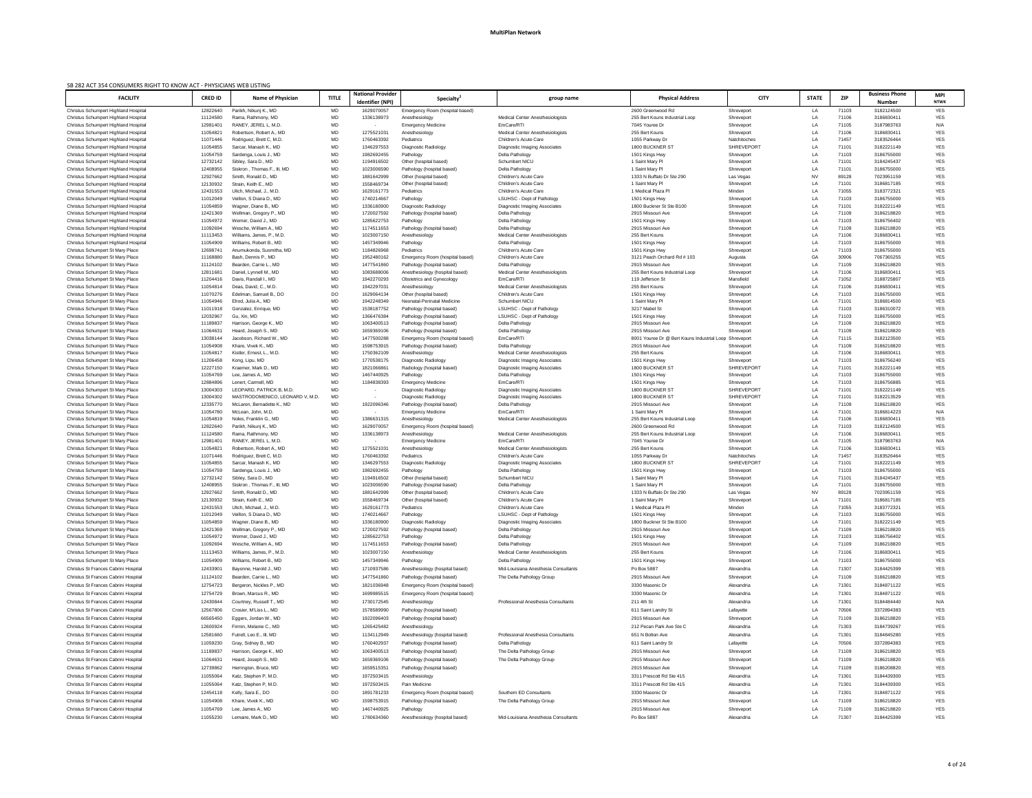| SB 282 ACT 354 CONSUMERS RIGHT TO KNOW ACT - PHYSICIANS WEB LISTING<br><b>FACILITY</b> | <b>CRED ID</b>       | <b>Name of Physician</b>                                      | <b>TITLE</b>           | <b>National Provider</b> | Specialty                                                           | group name                                                               | <b>Physical Address</b>                             | <b>CITY</b>                     | <b>STATE</b> | <b>ZIP</b>     | <b>Business Phone</b>    | <b>MPI</b>               |
|----------------------------------------------------------------------------------------|----------------------|---------------------------------------------------------------|------------------------|--------------------------|---------------------------------------------------------------------|--------------------------------------------------------------------------|-----------------------------------------------------|---------------------------------|--------------|----------------|--------------------------|--------------------------|
|                                                                                        |                      |                                                               |                        | <b>Identifier (NPI)</b>  |                                                                     |                                                                          |                                                     |                                 |              |                | Number                   | <b>NTWK</b>              |
| Christus Schumpert Highland Hospital<br>Christus Schumpert Highland Hospital           | 12822640<br>11124580 | Parikh, Nikuni K., MD<br>Rama, Rathmony, MD                   | MD<br><b>MD</b>        | 1629070057<br>1336138973 | Emergency Room (hospital based)<br>Anesthesiology                   | <b>Medical Center Anesthesiologists</b>                                  | 2600 Greenwood Rd<br>255 Bert Kouns Industrial Loop | Shreveport<br>Shreveport        | LA<br>LA     | 71103<br>71106 | 3182124500<br>3186830411 | <b>YES</b><br><b>YES</b> |
| Christus Schumpert Highland Hospital                                                   | 12981401             | RANEY, JEREL L. M.D.                                          | MD                     |                          | <b>Emergency Medicine</b>                                           | EmCare/RTI                                                               | 7045 Youree Dr                                      | Shreveport                      | LA           | 71105          | 3187983763               | N/A                      |
| Christus Schumpert Highland Hospital                                                   | 11054821             | Robertson, Robert A., MD                                      | <b>MD</b>              | 1275521031               | Anesthesiology                                                      | <b>Medical Center Anesthesiologists</b>                                  | 255 Bert Kouns                                      | Shreveport                      | LA           | 71106          | 3186830411               | <b>YES</b>               |
| Christus Schumpert Highland Hospital                                                   | 11071446             | Rodriguez, Brett C, M.D.                                      | <b>MD</b>              | 1760463392               | Pediatrics                                                          | Children's Acute Care                                                    | 1055 Parkway Dr                                     | Natchitoches                    | LA           | 71457          | 3183526464               | <b>YES</b>               |
| Christus Schumpert Highland Hospital<br>Christus Schumpert Highland Hospital           | 11054855<br>11054759 | Sarcar, Manash K., MD<br>Sardenga, Louis J., MD               | <b>MD</b><br>MD        | 1346297553<br>1982692455 | Diagnostic Radiology<br>Pathology                                   | Diagnostic Imaging Associates<br>Delta Pathology                         | 1800 BUCKNER ST<br>1501 Kings Hwy                   | <b>SHREVEPORT</b><br>Shreveport | LA<br>LA     | 71101<br>71103 | 3182221149<br>3186755000 | <b>YES</b><br><b>YES</b> |
| Christus Schumpert Highland Hospital                                                   | 12732142             | Sibley, Sara D., MD                                           | MD                     | 1194916502               | Other (hospital based)                                              | <b>Schumbert NICU</b>                                                    | 1 Saint Mary Pl                                     | Shreveport                      | LA           | 71101          | 3184245437               | <b>YES</b>               |
| Christus Schumpert Highland Hospital                                                   | 12408955             | Siskron, Thomas F., III, MD                                   | <b>MD</b>              | 1023006590               | Pathology (hospital based)                                          | Delta Pathology                                                          | 1 Saint Mary Pl                                     | Shreveport                      | LA           | 71101          | 3186755000               | <b>YES</b>               |
| Christus Schumpert Highland Hospital                                                   | 12927662             | Smith, Ronald D., MD                                          | <b>MD</b>              | 1881642999               | Other (hospital based)                                              | Children's Acute Care                                                    | 1333 N Buffalo Dr Ste 290                           | Las Vegas                       | <b>NV</b>    | 89128          | 7023951159               | <b>YES</b>               |
| Christus Schumpert Highland Hospital                                                   | 12130932             | Strain. Keith E., MD                                          | <b>MD</b>              | 1558469734<br>1629161773 | Other (hospital based)                                              | Children's Acute Care<br>Children's Acute Care                           | 1 Saint Mary Pl                                     | Shreveport                      | LA<br>LA     | 71101          | 3186817185               | <b>YES</b><br><b>YES</b> |
| Christus Schumpert Highland Hospital<br>Christus Schumpert Highland Hospital           | 12431553<br>11012049 | Ulich, Michael, J., M.D.<br>Veillon, S Diana D., MD           | <b>MD</b><br><b>MD</b> | 1740214667               | Pediatrics<br>Pathology                                             | <b>LSUHSC - Dept of Pathology</b>                                        | 1 Medical Plaza Pl<br>1501 Kings Hwy                | Minden<br>Shreveport            | LA           | 71055<br>71103 | 3183772321<br>3186755000 | <b>YES</b>               |
| Christus Schumpert Highland Hospital                                                   | 11054859             | Wagner, Diane B., MD                                          | MD                     | 1336180900               | Diagnostic Radiology                                                | Diagnostic Imaging Associates                                            | 1800 Buckner St Ste B100                            | Shreveport                      | LA           | 71101          | 3182221149               | <b>YES</b>               |
| Christus Schumpert Highland Hospital                                                   | 12421369             | Wellman, Gregory P., MD                                       | MD                     | 1720027592               | Pathology (hospital based)                                          | Delta Pathology                                                          | 2915 Missouri Ave                                   | Shreveport                      | LA           | 71109          | 3186218820               | <b>YES</b>               |
| Christus Schumpert Highland Hospital                                                   | 11054972             | Werner, David J., MD                                          | <b>MD</b>              | 1285622753               | Pathology                                                           | Delta Pathology                                                          | 1501 Kings Hwy                                      | Shreveport                      | LA           | 71103          | 3186756402               | <b>YES</b>               |
| Christus Schumpert Highland Hospital<br>Christus Schumpert Highland Hospital           | 11092694<br>11113453 | Wesche, William A., MD<br>Williams, James, P., M.D.           | MD<br><b>MD</b>        | 1174511653<br>1023007150 | Pathology (hospital based)<br>Anesthesiology                        | Delta Pathology<br><b>Medical Center Anesthesiologists</b>               | 2915 Missouri Ave<br>255 Bert Kouns                 | Shreveport<br>Shreveport        | LA<br>LA     | 71109<br>71106 | 3186218820<br>3186830411 | <b>YES</b><br><b>YES</b> |
| Christus Schumpert Highland Hospital                                                   | 11054909             | Williams, Robert B., MD                                       | $\sf MD$               | 1457349946               | Pathology                                                           | Delta Pathology                                                          | 1501 Kings Hwy                                      | Shreveport                      | LA           | 71103          | 3186755000               | <b>YES</b>               |
| Christus Schumpert St Mary Place                                                       | 12698741             | Anumukonda, Susmitha, MD                                      | $\sf MD$               | 1184826968               | Pediatrics                                                          | Children's Acute Care                                                    | 1501 Kings Hwy                                      | Shreveport                      | LA           | 71103          | 3186755000               | <b>YES</b>               |
| Christus Schumpert St Mary Place                                                       | 11168880             | Bash, Dennis P., MD                                           | MD                     | 1952480162               | Emergency Room (hospital based)                                     | Children's Acute Care                                                    | 3121 Peach Orchard Rd # 103                         | Augusta                         | GA           | 30906          | 7067365255               | <b>YES</b>               |
| <b>Christus Schumpert St Mary Place</b>                                                | 11124102             | Bearden, Carrie L., MD                                        | <b>MD</b>              | 1477541860               | Pathology (hospital based)                                          | Delta Pathology                                                          | 2915 Missouri Ave                                   | Shreveport                      | LA           | 71109          | 3186218820               | <b>YES</b>               |
| Christus Schumpert St Mary Place<br>Christus Schumpert St Mary Place                   | 12811681<br>11204416 | Daniel, Lynnell M., MD<br>Davis, Randall I., MD               | <b>MD</b><br><b>MD</b> | 1083688006<br>1942270293 | Anesthesiology (hospital based)<br><b>Obstetrics and Gynecology</b> | <b>Medical Center Anesthesiologists</b><br>EmCare/RTI                    | 255 Bert Kouns Industrial Loop<br>119 Jefferson St  | Shreveport<br>Mansfield         | LA<br>LA     | 71106<br>71052 | 3186830411<br>3188725807 | <b>YES</b><br><b>YES</b> |
| Christus Schumpert St Mary Place                                                       | 11054814             | Deas. David. C., M.D.                                         | <b>MD</b>              | 1942297031               | Anesthesiology                                                      | <b>Medical Center Anesthesiologists</b>                                  | 255 Bert Kouns                                      | Shreveport                      | LA           | 71106          | 3186830411               | <b>YES</b>               |
| Christus Schumpert St Mary Place                                                       | 11070276             | Edelman, Samuel B., DO                                        | DO                     | 1629064134               | Other (hospital based)                                              | Children's Acute Care                                                    | 1501 Kings Hwy                                      | Shreveport                      | LA           | 71103          | 3186755000               | <b>YES</b>               |
| <b>Christus Schumpert St Mary Place</b>                                                | 11054946             | Elrod, Julia A., MD                                           | <b>MD</b>              | 1942248349               | Neonatal-Perinatal Medicine                                         | Schumbert NICU                                                           | 1 Saint Mary Pl                                     | Shreveport                      | LA           | 71101          | 3186814500               | <b>YES</b>               |
| <b>Christus Schumpert St Mary Place</b>                                                | 11011918             | Gonzalez, Enrique, MD<br>Gu, Xin, MD                          | <b>MD</b>              | 1538187752<br>1366476384 | Pathology (hospital based)                                          | <b>LSUHSC - Dept of Pathology</b><br><b>LSUHSC - Dept of Pathology</b>   | 3217 Mabel St                                       | Shreveport                      | LA           | 71103          | 3186310072               | <b>YES</b>               |
| <b>Christus Schumpert St Mary Place</b><br><b>Christus Schumpert St Mary Place</b>     | 12032967<br>11189837 | Harrison, George K., MD                                       | <b>MD</b><br><b>MD</b> | 1063400513               | Pathology (hospital based)<br>Pathology (hospital based)            | Delta Pathology                                                          | 1501 Kings Hwy<br>2915 Missouri Ave                 | Shreveport<br>Shreveport        | LA<br>LA     | 71103<br>71109 | 3186755000<br>3186218820 | <b>YES</b><br><b>YES</b> |
| <b>Christus Schumpert St Mary Place</b>                                                | 11064631             | Heard, Joseph S., MD                                          | <b>MD</b>              | 1659369106               | Pathology (hospital based)                                          | Delta Pathology                                                          | 2915 Missouri Ave                                   | Shreveport                      | LA           | 71109          | 3186218820               | <b>YES</b>               |
| <b>Christus Schumpert St Mary Place</b>                                                | 13038144             | Jacobson, Richard W., MD                                      | <b>MD</b>              | 1477500288               | Emergency Room (hospital based)                                     | EmCare/RTI                                                               | 8001 Youree Dr @ Bert Kouns Industrial Loop         | Shreveport                      | LA           | 71115          | 3182123500               | <b>YES</b>               |
| <b>Christus Schumpert St Mary Place</b>                                                | 11054908             | Khare, Vivek K., MD                                           | MD.                    | 1598753915               | Pathology (hospital based)                                          | Delta Pathology                                                          | 2915 Missouri Ave                                   | Shreveport                      | LA           | 71109          | 3186218820               | <b>YES</b>               |
| <b>Christus Schumpert St Mary Place</b><br>Christus Schumpert St Mary Place            | 11054817<br>11206458 | Kistler, Ernest, L., M.D<br>Kong, Lipu, MD                    | <b>MD</b><br><b>MD</b> | 1750362109<br>1770538175 | Anesthesiology<br>Diagnostic Radiology                              | <b>Medical Center Anesthesiologists</b><br>Diagnostic Imaging Associates | 255 Bert Kouns<br>1501 Kings Hwy                    | Shreveport<br>Shreveport        | LA<br>LA     | 71106<br>71103 | 3186830411<br>3186756240 | <b>YES</b><br><b>YES</b> |
| <b>Christus Schumpert St Mary Place</b>                                                | 12227150             | Kraemer, Mark D., MD                                          | <b>MD</b>              | 182106686                | Radiology (hospital based)                                          | Diagnostic Imaging Associates                                            | 1800 BUCKNER ST                                     | SHREVEPORT                      | LA           | 71101          | 3182221149               | <b>YES</b>               |
| <b>Christus Schumpert St Mary Place</b>                                                | 11054769             | Lee. James A., MD                                             | <b>MD</b>              | 1467440925               | Pathology                                                           | Delta Pathology                                                          | 1501 Kings Hwy                                      | Shreveport                      | LA           | 71103          | 3186755000               | <b>YES</b>               |
| Christus Schumpert St Mary Place                                                       | 12884896             | Lenert, Carmell, MD                                           | <b>MD</b>              | 1184838393               | <b>Emergency Medicine</b>                                           | EmCare/RTI                                                               | 1501 Kings Hwy                                      | Shreveport                      | LA           | 71103          | 3186756885               | <b>YES</b>               |
| <b>Christus Schumpert St Mary Place</b>                                                | 13004303             | LEOPARD, PATRICK B, M.D.                                      | <b>MD</b>              | $\sim$                   | Diagnostic Radiology                                                | Diagnostic Imaging Associates                                            | 1800 BUCKNER ST                                     | <b>SHREVEPORT</b>               | LA           | 71101          | 3182221149               | <b>YES</b>               |
| Christus Schumpert St Mary Place<br>Christus Schumpert St Mary Place                   | 13004302<br>12335770 | MASTRODOMENICO, LEONARD V, M.D.<br>McLaren, Bernadette K., MD | MD<br><b>MD</b>        | $\sim$<br>1922096346     | Diagnostic Radiology<br>Pathology (hospital based)                  | Diagnostic Imaging Associates<br>Delta Pathology                         | 1800 BUCKNER ST<br>2915 Missouri Ave                | SHREVEPORT<br>Shreveport        | LA<br>LA     | 71101<br>71109 | 3182213529<br>3186218820 | <b>YES</b><br><b>YES</b> |
| Christus Schumpert St Mary Place                                                       | 11054780             | McLean, John, M.D                                             | <b>MD</b>              |                          | <b>Emergency Medicine</b>                                           | EmCare/RTI                                                               | 1 Saint Mary Pl                                     | Shreveport                      | LA           | 71101          | 3186814223               | N/A                      |
| <b>Christus Schumpert St Mary Place</b>                                                | 11054819             | Noles. Franklin G., MD                                        | <b>MD</b>              | 1386631315               | Anesthesiology                                                      | <b>Medical Center Anesthesiologists</b>                                  | 255 Bert Kouns Industrial Loop                      | Shreveport                      | LA           | 71106          | 3186830411               | <b>YES</b>               |
| <b>Christus Schumpert St Mary Place</b>                                                | 12822640             | Parikh, Nikunj K., MD                                         | <b>MD</b>              | 1629070057               | Emergency Room (hospital based)                                     |                                                                          | 2600 Greenwood Rd                                   | Shreveport                      | LA           | 71103          | 3182124500               | <b>YES</b>               |
| Christus Schumpert St Mary Place<br><b>Christus Schumpert St Mary Place</b>            | 11124580<br>12981401 | Rama, Rathmony, MD<br>RANEY, JEREL L, M.D.                    | <b>MD</b>              | 1336138973               | Anesthesiology                                                      | <b>Medical Center Anesthesiologists</b><br>EmCare/RTI                    | 255 Bert Kouns Industrial Loop<br>7045 Youree Dr    | Shreveport                      | LA<br>LA     | 71106<br>71105 | 3186830411<br>3187983763 | <b>YES</b><br>N/A        |
| <b>Christus Schumpert St Mary Place</b>                                                | 11054821             | Robertson, Robert A., MD                                      | <b>MD</b><br><b>MD</b> | $\sim$<br>1275521031     | Emergency Medicine<br>Anesthesiology                                | <b>Medical Center Anesthesiologists</b>                                  | 255 Bert Kouns                                      | Shreveport<br>Shreveport        | LA           | 71106          | 3186830411               | <b>YES</b>               |
| <b>Christus Schumpert St Mary Place</b>                                                | 11071446             | Rodriguez, Brett C, M.D.                                      | <b>MD</b>              | 1760463392               | Pediatrics                                                          | Children's Acute Care                                                    | 1055 Parkway Dr                                     | Natchitoches                    | LA           | 71457          | 3183526464               | <b>YES</b>               |
| <b>Christus Schumpert St Mary Place</b>                                                | 11054855             | Sarcar, Manash K., MD                                         | <b>MD</b>              | 1346297553               | Diagnostic Radiology                                                | Diagnostic Imaging Associates                                            | 1800 BUCKNER ST                                     | <b>SHREVEPORT</b>               | LA           | 71101          | 3182221149               | <b>YES</b>               |
| <b>Christus Schumpert St Mary Place</b>                                                | 11054759             | Sardenga, Louis J., MD                                        | <b>MD</b>              | 1982692455               | Pathology                                                           | Delta Pathology                                                          | 1501 Kings Hwy                                      | Shreveport                      | LA           | 71103          | 3186755000               | <b>YES</b>               |
| <b>Christus Schumpert St Mary Place</b><br>Christus Schumpert St Mary Place            | 12732142<br>12408955 | Sibley, Sara D., MD<br>Siskron, Thomas F., III, MD            | <b>MD</b><br>MD        | 1194916502<br>1023006590 | Other (hospital based)<br>Pathology (hospital based)                | Schumbert NICU<br>Delta Pathology                                        | 1 Saint Mary Pl<br>1 Saint Mary Pl                  | Shreveport<br>Shreveport        | LA<br>LA     | 71101<br>71101 | 3184245437<br>3186755000 | <b>YES</b><br><b>YES</b> |
| Christus Schumpert St Mary Place                                                       | 12927662             | Smith, Ronald D., MD                                          | <b>MD</b>              | 1881642999               | Other (hospital based)                                              | Children's Acute Care                                                    | 1333 N Buffalo Dr Ste 290                           | Las Vegas                       | <b>NV</b>    | 89128          | 7023951159               | <b>YES</b>               |
| Christus Schumpert St Mary Place                                                       | 12130932             | Strain, Keith E., MD                                          | MD                     | 1558469734               | Other (hospital based)                                              | Children's Acute Care                                                    | 1 Saint Mary Pl                                     | Shreveport                      | LA           | 71101          | 3186817185               | <b>YES</b>               |
| <b>Christus Schumpert St Mary Place</b>                                                | 12431553             | Ulich, Michael, J., M.D.                                      | <b>MD</b>              | 1629161773               | Pediatrics                                                          | Children's Acute Care                                                    | 1 Medical Plaza Pl                                  | Minden                          | LA           | 71055          | 3183772321               | <b>YES</b>               |
| Christus Schumpert St Mary Place                                                       | 11012049<br>11054859 | Veillon, S Diana D., MD<br>Wagner, Diane B., MD               | <b>MD</b><br><b>MD</b> | 1740214667<br>1336180900 | Pathology                                                           | <b>LSUHSC - Dept of Pathology</b>                                        | 1501 Kings Hwy<br>1800 Buckner St Ste B100          | Shreveport                      | LA<br>LA     | 71103<br>71101 | 3186755000<br>3182221149 | <b>YES</b><br><b>YES</b> |
| Christus Schumpert St Mary Place<br>Christus Schumpert St Mary Place                   | 12421369             | Wellman, Gregory P., MD                                       | MD                     | 1720027592               | Diagnostic Radiology<br>Pathology (hospital based)                  | Diagnostic Imaging Associates<br>Delta Pathology                         | 2915 Missouri Ave                                   | Shreveport<br>Shreveport        | LA           | 71109          | 3186218820               | <b>YES</b>               |
| Christus Schumpert St Mary Place                                                       | 11054972             | Werner, David J., MD                                          | <b>MD</b>              | 1285622753               | Pathology                                                           | Delta Pathology                                                          | 1501 Kings Hwy                                      | Shreveport                      | LA           | 71103          | 3186756402               | <b>YES</b>               |
| Christus Schumpert St Mary Place                                                       | 11092694             | Wesche, William A., MD                                        | <b>MD</b>              | 1174511653               | Pathology (hospital based)                                          | Delta Pathology                                                          | 2915 Missouri Ave                                   | Shreveport                      | LA           | 71109          | 3186218820               | <b>YES</b>               |
| Christus Schumpert St Mary Place                                                       | 11113453             | Williams, James, P., M.D.                                     | <b>MD</b>              | 1023007150               | Anesthesiology                                                      | <b>Medical Center Anesthesiologists</b>                                  | 255 Bert Kouns                                      | Shreveport                      | LA           | 71106          | 3186830411               | <b>YES</b>               |
| <b>Christus Schumpert St Mary Place</b>                                                | 11054909             | Williams, Robert B., MD                                       | MD                     | 1457349946               | Pathology                                                           | Delta Pathology                                                          | 1501 Kings Hwy                                      | Shreveport                      | LA           | 71103          | 3186755000               | <b>YES</b>               |
| Christus St Frances Cabrini Hospital                                                   | 12433901             | Bayonne, Harold J., MD                                        | MD                     | 1710937586               | Anesthesiology (hospital based)                                     | Mid-Louisiana Anesthesia Consultants                                     | Po Box 5887                                         | Alexandria                      | LA           | 71307          | 3184425399               | <b>YES</b>               |
| Christus St Frances Cabrini Hospital                                                   | 11124102             | Bearden, Carrie L., MD                                        | $\sf MD$               | 1477541860               | Pathology (hospital based)                                          | The Delta Pathology Group                                                | 2915 Missouri Ave                                   | Shreveport                      | LA           | 71109          | 3186218820               | <b>YES</b>               |
| Christus St Frances Cabrini Hospital<br>Christus St Frances Cabrini Hospital           | 12754723<br>12754729 | Bergeron, Nickles P., MD<br>Brown, Marcus R., MD              | MD<br><b>MD</b>        | 1821036948<br>1699985515 | Emergency Room (hospital based)<br>Emergency Room (hospital based)  |                                                                          | 3330 Masonic Dr<br>3330 Masonic Dr                  | Alexandria<br>Alexandria        | LA<br>LA     | 71301<br>71301 | 3184871122<br>3184871122 | <b>YES</b><br><b>YES</b> |
| Christus St Frances Cabrini Hospital                                                   | 12430844             | Courtney, Russell T., MD                                      | MD                     | 1730172545               | Anesthesiology                                                      | Professional Anesthesia Consultants                                      | 211 4th St                                          | Alexandria                      | LA           | 71301          | 3184484440               | N/A                      |
| Christus St Frances Cabrini Hospital                                                   | 12567806             | Crosier, M'Liss L., MD                                        | MD                     | 1578589990               | Pathology (hospital based)                                          |                                                                          | 611 Saint Landry St                                 | Lafayette                       | IΔ           | 70506          | 3372894383               | <b>YES</b>               |
| Christus St Frances Cabrini Hospital                                                   | 66565450             | Eggers, Jordan W., MD                                         | MD                     | 1922096403               | Pathology (hospital based)                                          |                                                                          | 2915 Missouri Ave                                   | Shreveport                      | LA           | 71109          | 3186218820               | YES                      |
| Christus St Frances Cabrini Hospital                                                   | 12600924             | Firmin, Melanie C., MD                                        | MD                     | 1265425482               | Anesthesiology                                                      |                                                                          | 212 Pecan Park Ave Ste C                            | Alexandria                      | LA           | 71303          | 3184739267               | YES                      |
| Christus St Frances Cabrini Hospital                                                   | 12581660             | Futrell, Leo E., III, MD                                      | <b>MD</b>              | 1134112949               | Anesthesiology (hospital based)                                     | Professional Anesthesia Consultants                                      | 651 N Bolton Ave                                    | Alexandria                      | LA           | 71301          | 3184845280               | <b>YES</b>               |
| Christus St Frances Cabrini Hospital                                                   | 11059230             | Gray, Sidney B., MD                                           | MD                     | 1760402937               | Pathology (hospital based)                                          | Delta Pathology                                                          | 611 Saint Landry St                                 | Lafayette                       | LA           | 70506          | 3372894383               | YES                      |
| Christus St Frances Cabrini Hospital                                                   | 11189837             | Harrison, George K., MD                                       | MD                     | 1063400513               | Pathology (hospital based)                                          | The Delta Pathology Group                                                | 2915 Missouri Ave                                   | Shreveport                      | LA           | 71109          | 3186218820               | <b>YES</b>               |
| Christus St Frances Cabrini Hospital                                                   | 11064631             | Heard, Joseph S., MD                                          | <b>MD</b>              | 1659369106               | Pathology (hospital based)                                          | The Delta Pathology Group                                                | 2915 Missouri Ave                                   | Shreveport                      | LA           | 71109          | 3186218820               | <b>YES</b>               |
| Christus St Frances Cabrini Hospital                                                   | 12739862             | Herrington, Bruce, MD                                         | <b>MD</b>              | 1659515351               | Pathology (hospital based)                                          |                                                                          | 2915 Missouri Ave                                   | Shreveport                      | LA           | 71109          | 3186208820               | YES                      |
| Christus St Frances Cabrini Hospital                                                   | 11055064             | Katz, Stephen P, M.D.                                         | MD                     | 1972503415               | Anesthesiology                                                      |                                                                          | 3311 Prescott Rd Ste 415                            | Alexandria                      | LA           | 71301          | 3184439300               | YES                      |
| Christus St Frances Cabrini Hospital                                                   | 11055064             | Katz, Stephen P, M.D.                                         | MD                     | 1972503415               | Pain Medicine                                                       |                                                                          | 3311 Prescott Rd Ste 415                            | Alexandria                      | LA           | 71301          | 3184439300               | YES                      |
| Christus St Frances Cabrini Hospital                                                   | 12454118             | Kelly, Sara E., DO                                            | DO                     | 1891781233               | Emergency Room (hospital based)                                     | Southern ED Consultants                                                  | 3330 Masonic Dr                                     | Alexandria                      | LA           | 71301          | 3184871122               | YES                      |
| Christus St Frances Cabrini Hospital                                                   | 11054908             | Khare, Vivek K., MD                                           | MD                     | 1598753915               | Pathology (hospital based)                                          | The Delta Pathology Group                                                | 2915 Missouri Ave                                   | Shreveport                      | LA           | 71109          | 3186218820               | <b>YES</b>               |
| Christus St Frances Cabrini Hospital<br>Christus St Frances Cabrini Hospital           | 11054769<br>11055230 | Lee, James A., MD<br>Lemaire, Mark D., MD                     | <b>MD</b><br>MD        | 1467440925<br>1780634360 | Pathology<br>Anesthesiology (hospital based)                        | Mid-Louisiana Anesthesia Consultants                                     | 2915 Missouri Ave<br>Po Box 5887                    | Shreveport<br>Alexandria        | LA<br>LA     | 71109<br>71307 | 3186218820<br>3184425399 | YES<br>YES               |
|                                                                                        |                      |                                                               |                        |                          |                                                                     |                                                                          |                                                     |                                 |              |                |                          |                          |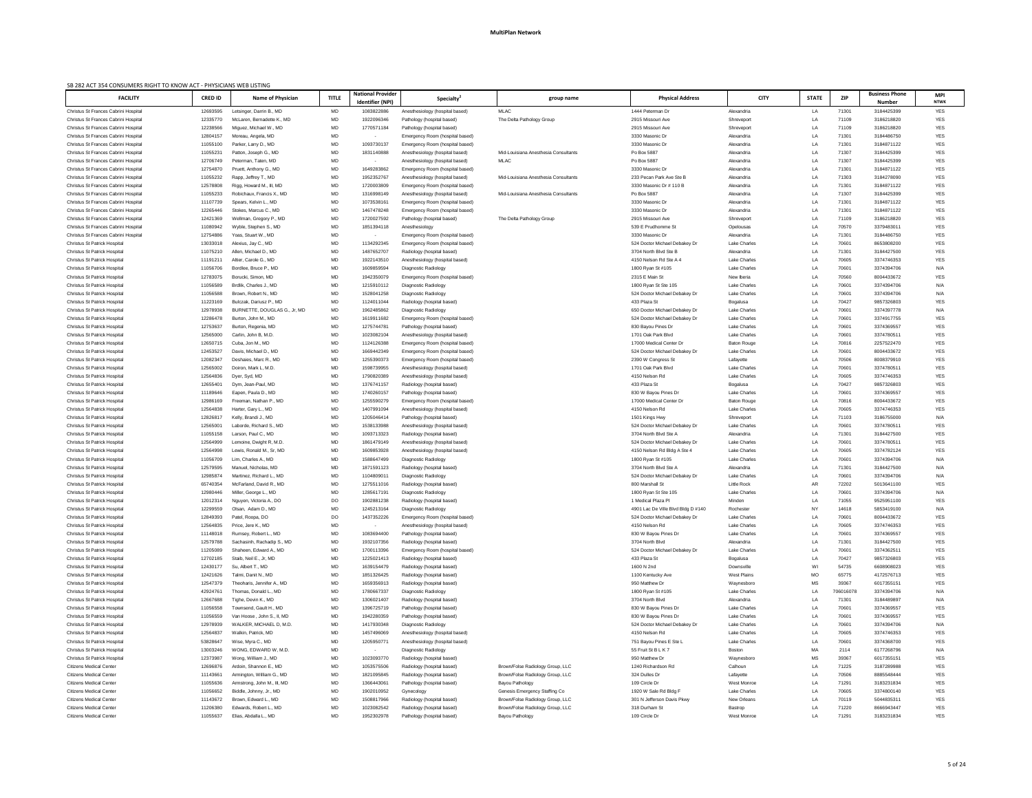| <b>FACILITY</b>                                                              | <b>CRED ID</b>       | <b>Name of Physician</b>                         | <b>TITLE</b>    | <b>National Provider</b><br>Identifier (NPI) | Specialty <sup>2</sup>                                             | group name                           | <b>Physical Address</b>                             | <b>CITY</b>                         | <b>STATE</b> | ZIP                | <b>Business Phone</b><br><b>Number</b> | <b>MPI</b><br><b>NTWK</b> |
|------------------------------------------------------------------------------|----------------------|--------------------------------------------------|-----------------|----------------------------------------------|--------------------------------------------------------------------|--------------------------------------|-----------------------------------------------------|-------------------------------------|--------------|--------------------|----------------------------------------|---------------------------|
| Christus St Frances Cabrini Hospital                                         | 12693595             | Letsinger, Darrin B., MD                         | MD              | 1083822886                                   | Anesthesiology (hospital based)                                    | MLAC                                 | 1444 Peterman Dr                                    | Alexandria                          | LA           | 71301              | 3184425399                             | YES                       |
| Christus St Frances Cabrini Hospital                                         | 12335770             | McLaren, Bernadette K., MD                       | MD              | 1922096346                                   | Pathology (hospital based)                                         | The Delta Pathology Group            | 2915 Missouri Ave                                   | Shreveport                          | LA           | 71109              | 3186218820                             | <b>YES</b>                |
| Christus St Frances Cabrini Hospital                                         | 12238566             | Miguez, Michael W., MD                           | MD              | 1770571184                                   | Pathology (hospital based)                                         |                                      | 2915 Missouri Ave                                   | Shreveport                          | LA           | 71109              | 3186218820                             | <b>YES</b>                |
| Christus St Frances Cabrini Hospital                                         | 12804157             | Moreau, Angela, MD                               | MD              | $\sim$                                       | Emergency Room (hospital based)                                    |                                      | 3330 Masonic Dr                                     | Alexandria                          | LA           | 71301              | 3184486750                             | <b>YES</b>                |
| Christus St Frances Cabrini Hospital                                         | 11055100             | Parker, Larry D., MD                             | MD              | 1093730137                                   | Emergency Room (hospital based)                                    |                                      | 3330 Masonic Dr                                     | Alexandria                          | LA           | 71301              | 3184871122                             | YES                       |
| Christus St Frances Cabrini Hospital                                         | 11055231             | Patton, Joseph G., MD                            | MD              | 1831140888                                   | Anesthesiology (hospital based)                                    | Mid-Louisiana Anesthesia Consultants | Po Box 5887                                         | Alexandria                          | LA           | 71307              | 3184425399                             | YES                       |
| Christus St Frances Cabrini Hospital                                         | 12706749             | Peterman, Taten, MD                              | MD              | $\sim$                                       | Anesthesiology (hospital based)                                    | MLAC                                 | Po Box 5887                                         | Alexandria                          | LA           | 71307              | 3184425399                             | YES                       |
| Christus St Frances Cabrini Hospital                                         | 12754870             | Pruett, Anthony G., MD                           | MD              | 1649283862                                   | Emergency Room (hospital based)                                    |                                      | 3330 Masonic Dr                                     | Alexandria                          | LA           | 71301              | 3184871122                             | YES                       |
| Christus St Frances Cabrini Hospital<br>Christus St Frances Cabrini Hospital | 11055232<br>12578808 | Rapp, Jeffrey T., MD<br>Rigg, Howard M., III, MD | MD<br>MD        | 1952352767<br>1720003809                     | Anesthesiology (hospital based)<br>Emergency Room (hospital based) | Mid-Louisiana Anesthesia Consultants | 233 Pecan Park Ave Ste B<br>3330 Masonic Dr # 110 B | Alexandria<br>Alexandria            | LA<br>LA     | 71303<br>71301     | 3184278090<br>3184871122               | YES<br>YES                |
| Christus St Frances Cabrini Hospital                                         | 11055233             | Robichaux, Francis X., MD                        | MD              | 1316998149                                   | Anesthesiology (hospital based)                                    | Mid-Louisiana Anesthesia Consultants | Po Box 5887                                         | Alexandria                          | LA           | 71307              | 3184425399                             | <b>YES</b>                |
| Christus St Frances Cabrini Hospital                                         | 11107739             | Spears, Kelvin L., MD                            | MD              | 107353816                                    | Emergency Room (hospital based)                                    |                                      | 3330 Masonic Dr                                     | Alexandria                          | LA           | 71301              | 3184871122                             | YES                       |
| Christus St Frances Cabrini Hospital                                         | 12265446             | Stokes, Marcus C., MD                            | MD              | 1467478248                                   | Emergency Room (hospital based)                                    |                                      | 3330 Masonic Dr                                     | Alexandria                          | LA           | 71301              | 3184871122                             | YES                       |
| Christus St Frances Cabrini Hospital                                         | 12421369             | Wellman, Gregory P., MD                          | MD              | 1720027592                                   | Pathology (hospital based)                                         | The Delta Pathology Group            | 2915 Missouri Ave                                   | Shreveport                          | LA           | 71109              | 3186218820                             | YES                       |
| Christus St Frances Cabrini Hospital                                         | 11080942             | Wyble, Stephen S., MD                            | MD              | 1851394118                                   | Anesthesiology                                                     |                                      | 539 E Prudhomme St                                  | Opelousas                           | LA           | 70570              | 3379483011                             | YES                       |
| Christus St Frances Cabrini Hospital                                         | 12754886             | Yoas, Stuart W., MD                              | MD              |                                              | Emergency Room (hospital based)                                    |                                      | 3330 Masonic Dr                                     | Alexandria                          | LA           | 71301              | 3184486750                             | YES                       |
| <b>Christus St Patrick Hospital</b>                                          | 13033018             | Alexius, Jay C., MD                              | MD              | 1134292345                                   | Emergency Room (hospital based)                                    |                                      | 524 Doctor Michael Debakey Dr                       | <b>Lake Charles</b>                 | LA           | 70601              | 8653808200                             | YES                       |
| <b>Christus St Patrick Hospital</b>                                          | 11075210             | Allen, Michael D., MD                            | MD              | 148765270                                    | Radiology (hospital based)                                         |                                      | 3704 North Blvd Ste B                               | Alexandria                          | LA           | 71301              | 3184427500                             | YES                       |
| <b>Christus St Patrick Hospital</b>                                          | 11191211             | Altier, Carole G., MD                            | MD              | 1922143510                                   | Anesthesiology (hospital based)                                    |                                      | 4150 Nelson Rd Ste A 4                              | Lake Charles                        | LA           | 70605              | 3374746353                             | YES                       |
| <b>Christus St Patrick Hospital</b>                                          | 11056706             | Bordlee, Bruce P., MD                            | <b>MD</b>       | 160985959                                    | Diagnostic Radiology                                               |                                      | 1800 Ryan St #105                                   | <b>Lake Charles</b>                 | LA           | 70601              | 3374394706                             | N/A                       |
| <b>Christus St Patrick Hospital</b>                                          | 12783075             | Borucki, Simon, MD                               | MD              | 1942350079                                   | Emergency Room (hospital based)                                    |                                      | 2315 E Main St                                      | New Iberia                          | LA           | 70560              | 8004433672                             | YES                       |
| <b>Christus St Patrick Hospital</b>                                          | 11056589             | Brdlik, Charles J., MD                           | MD              | 1215910112                                   | Diagnostic Radiology                                               |                                      | 1800 Ryan St Ste 105                                | Lake Charles                        | LA           | 70601              | 3374394706                             | N/A                       |
| <b>Christus St Patrick Hospital</b>                                          | 11056588             | Brown, Robert N., MD                             | MD              | 1528041258                                   | Diagnostic Radiology                                               |                                      | 524 Doctor Michael Debakey Dr                       | Lake Charles                        | LA           | 70601              | 3374394706                             | N/A                       |
| <b>Christus St Patrick Hospital</b>                                          | 11223169             | Bulczak, Dariusz P., MD                          | MD              | 1124011044                                   | Radiology (hospital based)                                         |                                      | 433 Plaza St                                        | Bogalusa                            | LA           | 70427              | 9857326803                             | YES                       |
| <b>Christus St Patrick Hospital</b>                                          | 12978938             | BURNETTE, DOUGLAS G., Jr, MD                     | MD              | 1962485862                                   | Diagnostic Radiology                                               |                                      | 650 Doctor Michael Debakey Dr                       | <b>Lake Charles</b>                 | LA           | 70601              | 3374397778                             | N/A                       |
| <b>Christus St Patrick Hospital</b>                                          | 12286478             | Burton, John M., MD                              | MD              | 1619911682                                   | Emergency Room (hospital based)                                    |                                      | 524 Doctor Michael Debakey Dr                       | <b>Lake Charles</b>                 | LA           | 70601              | 3374917755                             | YES                       |
| <b>Christus St Patrick Hospital</b>                                          | 12753637             | Burton, Regenia, MD                              | MD              | 127574478                                    | Pathology (hospital based)                                         |                                      | 830 Bayou Pines Dr                                  | <b>Lake Charles</b>                 | LA           | 70601              | 3374369557                             | YES                       |
| <b>Christus St Patrick Hospital</b><br><b>Christus St Patrick Hospital</b>   | 12565000<br>12650715 | Carlin, John B, M.D.<br>Cuba, Jon M., MD         | MD<br>MD        | 1023082104<br>1124126388                     | Anesthesiology (hospital based)<br>Emergency Room (hospital based) |                                      | 1701 Oak Park Blvd<br>17000 Medical Center Dr       | <b>Lake Charles</b><br>Baton Rouge  | LA<br>LA     | 70601<br>70816     | 3374780511<br>2257522470               | YES<br><b>YES</b>         |
| <b>Christus St Patrick Hospital</b>                                          | 12453527             | Davis, Michael D., MD                            | MD              | 1669442349                                   | Emergency Room (hospital based)                                    |                                      | 524 Doctor Michael Debakey Dr                       | Lake Charles                        | LA           | 70601              | 8004433672                             | <b>YES</b>                |
| <b>Christus St Patrick Hospital</b>                                          | 12082347             | Deshaies, Marc R., MD                            | MD              | 1255390373                                   | Emergency Room (hospital based)                                    |                                      | 2390 W Congress St                                  | Lafayette                           | LA           | 70506              | 8008379910                             | <b>YES</b>                |
| <b>Christus St Patrick Hospital</b>                                          | 12565002             | Doiron, Mark L, M.D.                             | MD              | 1598739955                                   | Anesthesiology (hospital based)                                    |                                      | 1701 Oak Park Blyd                                  | Lake Charles                        | LA           | 70601              | 3374780511                             | YES                       |
| <b>Christus St Patrick Hospital</b>                                          | 12564836             | Dyer, Syd, MD                                    | MD              | 1790820389                                   | Anesthesiology (hospital based)                                    |                                      | 4150 Nelson Rd                                      | Lake Charles                        | LA           | 70605              | 3374746353                             | YES                       |
| <b>Christus St Patrick Hospital</b>                                          | 12655401             | Dym, Jean-Paul, MD                               | MD              | 1376741157                                   | Radiology (hospital based)                                         |                                      | 433 Plaza St                                        | Bogalusa                            | LA           | 70427              | 9857326803                             | YES                       |
| <b>Christus St Patrick Hospital</b>                                          | 11189646             | Eapen, Paula D., MD                              | MD              | 1740260157                                   | Pathology (hospital based)                                         |                                      | 830 W Bayou Pines Dr                                | Lake Charles                        | LA           | 70601              | 3374369557                             | YES                       |
| <b>Christus St Patrick Hospital</b>                                          | 12986169             | Freeman, Nathan P., MD                           | MD              | 1255590279                                   | Emergency Room (hospital based)                                    |                                      | 17000 Medical Center Dr                             | <b>Baton Rouge</b>                  | LA           | 70816              | 8004433672                             | YES                       |
| <b>Christus St Patrick Hospital</b>                                          | 12564838             | Harter, Gary L., MD                              | MD              | 1407991094                                   | Anesthesiology (hospital based)                                    |                                      | 4150 Nelson Rd                                      | <b>Lake Charles</b>                 | LA           | 70605              | 3374746353                             | <b>YES</b>                |
| <b>Christus St Patrick Hospital</b>                                          | 12826817             | Kelly, Brandi J., MD                             | MD              | 1205046414                                   | Pathology (hospital based)                                         |                                      | 1501 Kings Hwy                                      | Shreveport                          | LA           | 71103              | 3186755000                             | N/A                       |
| <b>Christus St Patrick Hospital</b>                                          | 12565001             | Laborde, Richard S., MD                          | MD              | 1538133988                                   | Anesthesiology (hospital based)                                    |                                      | 524 Doctor Michael Debakey Dr                       | Lake Charles                        | LA           | 70601              | 3374780511                             | YES                       |
| <b>Christus St Patrick Hospital</b>                                          | 11055158             | Larson, Paul C., MD                              | MD              | 1093713323                                   | Radiology (hospital based)                                         |                                      | 3704 North Blvd Ste A                               | Alexandria                          | LA           | 71301              | 3184427500                             | YES                       |
| <b>Christus St Patrick Hospital</b>                                          | 12564999             | Lemoine, Dwight R, M.D.                          | MD              | 1861479149                                   | Anesthesiology (hospital based)                                    |                                      | 524 Doctor Michael Debakey Dr                       | <b>Lake Charles</b>                 | LA           | 70601              | 3374780511                             | YES                       |
| Christus St Patrick Hospital<br><b>Christus St Patrick Hospital</b>          | 12564998<br>11056709 | Lewis, Ronald M., Sr, MD                         | MD              | 1609853928<br>1588647499                     | Anesthesiology (hospital based)                                    |                                      | 4150 Nelson Rd Bldg A Ste 4<br>1800 Ryan St #105    | Lake Charles<br><b>Lake Charles</b> | LA           | 70605<br>70601     | 3374782124<br>3374394706               | YES                       |
| <b>Christus St Patrick Hospital</b>                                          | 12579595             | Lim, Charles A., MD<br>Manuel, Nicholas, MD      | MD<br>MD        | 1871591123                                   | Diagnostic Radiology<br>Radiology (hospital based)                 |                                      | 3704 North Blvd Ste A                               | Alexandria                          | LA<br>LA     | 71301              | 3184427500                             | N/A<br>N/A                |
| <b>Christus St Patrick Hospital</b>                                          | 12985874             | Martinez, Richard L., MD                         | MD              | 110480901                                    | Diagnostic Radiology                                               |                                      | 524 Doctor Michael Debakey Dr                       | Lake Charles                        | LA           | 70601              | 3374394706                             | N/A                       |
| <b>Christus St Patrick Hospital</b>                                          | 65740354             | McFarland, David R., MD                          | MD              | 1275511016                                   | Radiology (hospital based)                                         |                                      | 800 Marshall St                                     | <b>Little Rock</b>                  | AR           | 72202              | 5013641100                             | YES                       |
| <b>Christus St Patrick Hospital</b>                                          | 12980446             | Miller, George L., MD                            | MD              | 1285617191                                   | Diagnostic Radiology                                               |                                      | 1800 Ryan St Ste 105                                | <b>Lake Charles</b>                 | LA           | 70601              | 3374394706                             | N/A                       |
| <b>Christus St Patrick Hospital</b>                                          | 12012314             | Nguyen, Victoria A., DO                          | DO              | 1902881238                                   | Radiology (hospital based)                                         |                                      | 1 Medical Plaza Pl                                  | Minden                              | LA           | 71055              | 9525951100                             | YES                       |
| <b>Christus St Patrick Hospital</b>                                          | 12299559             | Olsan, Adam D., MD                               | MD              | 1245213164                                   | Diagnostic Radiology                                               |                                      | 4901 Lac De Ville Blvd Bldg D #140                  | Rochester                           | NY           | 14618              | 5853419100                             | N/A                       |
| <b>Christus St Patrick Hospital</b>                                          | 12849393             | Patel, Roopa, DO                                 | DO              | 1437352226                                   | Emergency Room (hospital based)                                    |                                      | 524 Doctor Michael Debakey Dr                       | <b>Lake Charles</b>                 | LA           | 70601              | 8004433672                             | <b>YES</b>                |
| <b>Christus St Patrick Hospital</b>                                          | 12564835             | Price, Jere K., MD                               | MD              | $\sim$                                       | Anesthesiology (hospital based)                                    |                                      | 4150 Nelson Rd                                      | <b>Lake Charles</b>                 | LA           | 70605              | 3374746353                             | <b>YES</b>                |
| <b>Christus St Patrick Hospital</b>                                          | 11148018             | Rumsey, Robert L., MD                            | MD              | 1083694400                                   | Pathology (hospital based)                                         |                                      | 830 W Bayou Pines Dr                                | <b>Lake Charles</b>                 | LA           | 70601              | 3374369557                             | YES                       |
| <b>Christus St Patrick Hospital</b>                                          | 12579788             | Sachasinh, Rachadip S., MD                       | MD              | 1932107356                                   | Radiology (hospital based)                                         |                                      | 3704 North Blvd                                     | Alexandria                          | LA           | 71301              | 3184427500                             | YES                       |
| <b>Christus St Patrick Hospital</b>                                          | 11205089             | Shaheen, Edward A., MD                           | MD              | 1700113396                                   | Emergency Room (hospital based)                                    |                                      | 524 Doctor Michael Debakey Dr                       | <b>Lake Charles</b>                 | LA           | 70601              | 3374362511                             | <b>YES</b>                |
| <b>Christus St Patrick Hospital</b>                                          | 12702185             | Staib, Neil E., Jr, MD                           | <b>MD</b>       | 1225021413                                   | Radiology (hospital based)                                         |                                      | 433 Plaza St                                        | Bogalusa                            | LA           | 70427              | 9857326803                             | YES                       |
| <b>Christus St Patrick Hospital</b>                                          | 12430177             | Su, Albert T., MD                                | MD              | 1639154479                                   | Radiology (hospital based)                                         |                                      | 1600 N 2nd                                          | Downsville                          | WI           | 54735              | 6608908023                             | YES                       |
| <b>Christus St Patrick Hospital</b>                                          | 12421626             | Talmi, Danit N., MD                              | MD              | 1851326425                                   | Radiology (hospital based)                                         |                                      | 1100 Kentucky Ave                                   | <b>West Plains</b>                  | MO           | 65775              | 4172576713                             | YES                       |
| <b>Christus St Patrick Hospital</b>                                          | 12547379             | Theoharis, Jennifer A., MD                       | MD              | 1659356913                                   | Radiology (hospital based)                                         |                                      | 950 Matthew Dr                                      | Waynesboro                          | MS           | 39367              | 6017355151                             | YES                       |
| <b>Christus St Patrick Hospital</b><br><b>Christus St Patrick Hospital</b>   | 42924761<br>12667688 | Thomas, Donald L., MD<br>Tighe, Devin K., MD     | MD<br><b>MD</b> | 1780667337<br>1306021407                     | Diagnostic Radiology<br>Radiology (hospital based)                 |                                      | 1800 Ryan St #105<br>3704 North Blvd                | <b>Lake Charles</b><br>Alexandria   | LA<br>LA     | 706016078<br>71301 | 3374394706<br>3184489897               | N/A<br>N/A                |
| <b>Christus St Patrick Hospital</b>                                          | 11056558             | Townsend. Gault H MD                             | <b>MD</b>       | 1396725719                                   | Pathology (hospital based)                                         |                                      | 830 W Bayou Pines Dr                                | <b>Lake Charles</b>                 | LA           | 70601              | 3374369557                             | <b>YES</b>                |
| <b>Christus St Patrick Hospital</b>                                          | 11056559             | Van Hoose, John S., II, MD                       | MD              | 1942280359                                   | Pathology (hospital based)                                         |                                      | 830 W Bayou Pines Dr                                | Lake Charles                        | LA           | 70601              | 3374369557                             | <b>YES</b>                |
| <b>Christus St Patrick Hospital</b>                                          | 12978939             | WALKER, MICHAEL D, M.D.                          | MD              | 1417930348                                   | Diagnostic Radiology                                               |                                      | 524 Doctor Michael Debakey Dr                       | <b>Lake Charles</b>                 | LA           | 70601              | 3374394706                             | N/A                       |
| <b>Christus St Patrick Hospital</b>                                          | 12564837             | Walkin, Patrick, MD                              | MD              | 1457496069                                   | Anesthesiology (hospital based)                                    |                                      | 4150 Nelson Rd                                      | Lake Charles                        | LA           | 70605              | 3374746353                             | <b>YES</b>                |
| <b>Christus St Patrick Hospital</b>                                          | 53828647             | Wise, Myra C., MD                                | MD              | 120595077                                    | Anesthesiology (hospital based)                                    |                                      | 751 Bayou Pines E Ste L                             | <b>Lake Charles</b>                 | LA           | 70601              | 3374368700                             | <b>YES</b>                |
| <b>Christus St Patrick Hospital</b>                                          | 13003246             | WONG, EDWARD W, M.D.                             | MD              | $\sim$                                       | Diagnostic Radiology                                               |                                      | 55 Fruit St B L K 7                                 | <b>Boston</b>                       | МA           | 2114               | 6177268796                             | N/A                       |
| Christus St Patrick Hospital                                                 | 12373987             | Wong, William J., MD                             | MD              | 1023093770                                   | Radiology (hospital based)                                         |                                      | 950 Matthew Dr                                      | Waynesboro                          | MS           | 39367              | 6017355151                             | <b>YES</b>                |
| <b>Citizens Medical Center</b>                                               | 12696876             | Ardoin, Shannon E., MD                           | MD              | 1053575506                                   | Radiology (hospital based)                                         | Brown/Folse Radiology Group, LLC     | 1240 Richardson Rd                                  | Calhoun                             | LA           | 71225              | 3187289988                             | <b>YES</b>                |
| <b>Citizens Medical Center</b>                                               | 11143661             | Armington, William G., MD                        | MD              | 1821095845                                   | Radiology (hospital based)                                         | Brown/Folse Radiology Group, LLC     | 324 Dulles Dr                                       | Lafayette                           | LA           | 70506              | 8885548444                             | YES                       |
| <b>Citizens Medical Center</b>                                               | 11055636             | Armstrong, John M., III, MD                      | MD              | 1366443061                                   | Pathology (hospital based)                                         | Bayou Pathology                      | 109 Circle Dr                                       | West Monroe                         | LA           | 71291              | 3183231834                             | <b>YES</b>                |
| <b>Citizens Medical Center</b>                                               | 11056652             | Biddle, Johnny, Jr., MD                          | MD              | 1902010952                                   | Gynecology                                                         | Genesis Emergency Staffing Co        | 1920 W Sale Rd Bldg F                               | Lake Charles                        | LA           | 70605              | 3374800140                             | <b>YES</b>                |
| <b>Citizens Medical Center</b>                                               | 11143672             | Brown, Edward L., MD                             | MD              | 1508817966                                   | Radiology (hospital based)                                         | Brown/Folse Radiology Group, LLC     | 301 N Jefferson Davis Pkwy                          | New Orleans                         | LA           | 70119              | 5044835311                             | <b>YES</b>                |
| <b>Citizens Medical Center</b>                                               | 11206380             | Edwards, Robert L., MD                           | MD              | 1023082542                                   | Radiology (hospital based)                                         | Brown/Folse Radiology Group, LLC     | 318 Durham St                                       | Bastrop                             | LA           | 71220              | 8666943447                             | <b>YES</b>                |
| <b>Citizens Medical Center</b>                                               | 11055637             | Elias, Abdalla L., MD                            | MD              | 1952302978                                   | Pathology (hospital based)                                         | Bayou Pathology                      | 109 Circle Dr                                       | West Monroe                         | LA           | 71291              | 3183231834                             | <b>YES</b>                |
|                                                                              |                      |                                                  |                 |                                              |                                                                    |                                      |                                                     |                                     |              |                    |                                        |                           |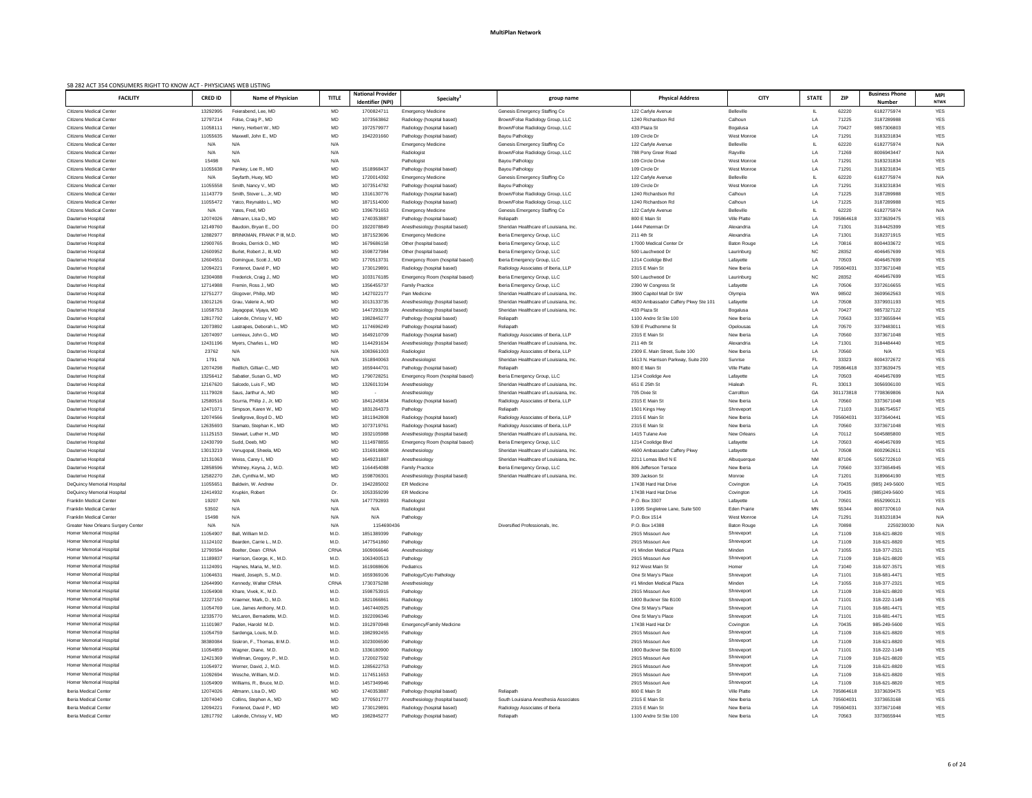| SB 282 ACT 354 CONSUMERS RIGHT TO KNOW ACT - PHYSICIANS WEB LISTING |                      |                                                      |              |                                              |                                                               |                                                                    |                                                   |                                    |                 |                |                                        |                           |
|---------------------------------------------------------------------|----------------------|------------------------------------------------------|--------------|----------------------------------------------|---------------------------------------------------------------|--------------------------------------------------------------------|---------------------------------------------------|------------------------------------|-----------------|----------------|----------------------------------------|---------------------------|
| <b>FACILITY</b>                                                     | <b>CRED ID</b>       | <b>Name of Physician</b>                             | <b>TITLE</b> | <b>National Provider</b><br>Identifier (NPI) | Specialty <sup>2</sup>                                        | group name                                                         | <b>Physical Address</b>                           | <b>CITY</b>                        | <b>STATE</b>    | <b>ZIP</b>     | <b>Business Phone</b><br><b>Number</b> | <b>MPI</b><br><b>NTWK</b> |
| <b>Citizens Medical Center</b>                                      | 13292995             | Feierabend, Lee, MD                                  | MD           | 170082471                                    | <b>Emergency Medicine</b>                                     | Genesis Emergency Staffing Co                                      | 122 Carlyle Avenue                                | <b>Belleville</b>                  |                 | 62220          | 6182775974                             | YES                       |
| <b>Citizens Medical Center</b>                                      | 12797214             | Folse, Craig P., MD                                  | MD           | 1073563862                                   | Radiology (hospital based)                                    | Brown/Folse Radiology Group, LLC                                   | 1240 Richardson Rd                                | Calhoun                            | LA              | 71225          | 3187289988                             | <b>YES</b>                |
| <b>Citizens Medical Center</b>                                      | 11058111             | Henry, Herbert W., MD                                | MD           | 1972579977                                   | Radiology (hospital based)                                    | Brown/Folse Radiology Group, LLC                                   | 433 Plaza St                                      | Bogalusa                           | LA              | 70427          | 9857306803                             | <b>YES</b>                |
| <b>Citizens Medical Center</b>                                      | 11055635             | Maxwell, John E., MD                                 | MD           | 1942201660                                   | Pathology (hospital based)                                    | Bayou Pathology                                                    | 109 Circle Dr                                     | West Monroe                        | LA              | 71291          | 3183231834                             | <b>YES</b>                |
| <b>Citizens Medical Center</b>                                      | N/A                  | N/A                                                  | N/A          |                                              | <b>Emergency Medicine</b>                                     | Genesis Emergency Staffing Co                                      | 122 Carlyle Avenue                                | <b>Belleville</b>                  |                 | 62220          | 6182775974                             | N/A                       |
| <b>Citizens Medical Center</b>                                      | N/A                  | N/A                                                  | N/A          |                                              | Radiologist                                                   | Brown/Folse Radiology Group, LLC                                   | 788 Pony Greer Road                               | Rayville                           | LA              | 71269          | 8006943447                             | N/A                       |
| <b>Citizens Medical Center</b>                                      | 15498                | N/A                                                  | N/A          |                                              | Pathologist                                                   | Bayou Pathology                                                    | 109 Circle Drive                                  | West Monroe                        | LA              | 71291          | 3183231834                             | <b>YES</b>                |
| <b>Citizens Medical Center</b>                                      | 11055638             | Pankey, Lee R., MD                                   | MD           | 1518968437                                   | Pathology (hospital based)                                    | Bayou Pathology                                                    | 109 Circle Dr                                     | West Monroe                        | LA              | 71291          | 3183231834                             | <b>YES</b>                |
| <b>Citizens Medical Center</b>                                      | N/A                  | Seyfarth, Huey, MD                                   | MD           | 1720014392                                   | <b>Emergency Medicine</b>                                     | Genesis Emergency Staffing Co                                      | 122 Carlyle Avenue                                | <b>Belleville</b>                  |                 | 62220          | 6182775974                             | N/A                       |
| <b>Citizens Medical Center</b>                                      | 11055558             | Smith, Nancy V., MD                                  | MD           | 1073514782                                   | Pathology (hospital based)                                    | Bayou Pathology                                                    | 109 Circle Dr                                     | West Monroe                        | LA              | 71291          | 3183231834                             | <b>YES</b>                |
| <b>Citizens Medical Center</b>                                      | 11143779             | Smith, Stover L., Jr, MD                             | MD           | 1316130776                                   | Radiology (hospital based)                                    | Brown/Folse Radiology Group, LLC                                   | 1240 Richardson Rd                                | Calhoun                            | LA              | 71225          | 3187289988                             | <b>YES</b>                |
| <b>Citizens Medical Center</b>                                      | 11055472             | Yatco, Reynaldo L., MD                               | MD           | 1871514000                                   | Radiology (hospital based)                                    | Brown/Folse Radiology Group, LLC                                   | 1240 Richardson Rd                                | Calhoun                            | LA              | 71225          | 3187289988                             | <b>YES</b>                |
| <b>Citizens Medical Center</b>                                      | N/A                  | Yates, Fred, MD                                      | MD           | 1396791653                                   | <b>Emergency Medicine</b>                                     | Genesis Emergency Staffing Co                                      | 122 Carlyle Avenue                                | <b>Belleville</b>                  |                 | 62220          | 6182775974                             | N/A                       |
| Dauterive Hospital                                                  | 12074026             | Altmann, Lisa D., MD                                 | MD           | 1740353887                                   | Pathology (hospital based)                                    | Reliapath                                                          | 800 E Main St                                     | <b>Ville Platte</b>                | LA              | 705864618      | 3373639475                             | <b>YES</b>                |
| Dauterive Hospital                                                  | 12149760             | Baudoin, Bryan E., DO                                | DO           | 1922078849                                   | Anesthesiology (hospital based)                               | Sheridan Healthcare of Louisiana, Inc.                             | 1444 Peterman Dr                                  | Alexandria                         | LA              | 71301          | 3184425399                             | <b>YES</b>                |
| Dauterive Hospital                                                  | 12882977             | BRINKMAN, FRANK P III, M.D.                          | MD           | 1871523696                                   | <b>Emergency Medicine</b>                                     | Iberia Emergency Group, LLC                                        | 211 4th St                                        | Alexandria                         | LA              | 71301          | 3182371915                             | <b>YES</b>                |
| Dauterive Hospital                                                  | 12900765             | Brooks, Derrick D., MD                               | MD           | 1679686158                                   | Other (hospital based)                                        | Iberia Emergency Group, LLC                                        | 17000 Medical Center Dr                           | <b>Baton Rouge</b>                 | LA              | 70816          | 8004433672                             | <b>YES</b>                |
| Dauterive Hospital                                                  | 12600952             | Burlet, Robert J., III, MD<br>Domingue, Scott J., MD | MD<br>MD     | 1598727984                                   | Other (hospital based)                                        | Iberia Emergency Group, LLC                                        | 500 Lauchwood Dr                                  | Laurinburg                         | <b>NC</b><br>LA | 28352<br>70503 | 4046457699<br>4046457699               | <b>YES</b><br><b>YES</b>  |
| Dauterive Hospital<br>Dauterive Hospital                            | 12604551<br>12094221 | Fontenot, David P., MD                               | MD           | 1770513731<br>1730129891                     | Emergency Room (hospital based)<br>Radiology (hospital based) | Iberia Emergency Group, LLC<br>Radiology Associates of Iberia, LLP | 1214 Coolidge Blvd<br>2315 E Main St              | Lafayette<br>New Iberia            | LA              | 705604031      | 3373671048                             | <b>YES</b>                |
| Dauterive Hospital                                                  | 12304088             | Frederick, Craig J., MD                              | MD           | 1033176185                                   | Emergency Room (hospital based)                               | Iberia Emergency Group, LLC                                        | 500 Lauchwood Dr                                  | Laurinburg                         | <b>NC</b>       | 28352          | 4046457699                             | <b>YES</b>                |
| Dauterive Hospital                                                  | 12714988             | Fremin, Ross J., MD                                  | MD           | 1356455737                                   | <b>Family Practice</b>                                        | Iberia Emergency Group, LLC                                        | 2390 W Congress St                                | Lafayette                          | LA              | 70506          | 3372616655                             | <b>YES</b>                |
| <b>Dauterive Hospital</b>                                           | 12751277             | Glogover, Philip, MD                                 | MD           | 1427022177                                   | Pain Medicine                                                 | Sheridan Healthcare of Louisiana, Inc.                             | 3900 Capitol Mall Dr SW                           | Olympia                            | WA              | 98502          | 3609562563                             | <b>YES</b>                |
| Dauterive Hospital                                                  | 13012126             | Grau, Valerie A., MD                                 | MD           | 1013133735                                   | Anesthesiology (hospital based)                               | Sheridan Healthcare of Louisiana, Inc.                             | 4630 Ambassador Caffery Pkwy Ste 101              | Lafayette                          | LA              | 70508          | 3379931193                             | <b>YES</b>                |
| Dauterive Hospital                                                  | 11058753             | Jayagopal, Vijaya, MD                                | MD           | 1447293139                                   | Anesthesiology (hospital based)                               | Sheridan Healthcare of Louisiana, Inc.                             | 433 Plaza St                                      | Bogalusa                           | LA              | 70427          | 9857327122                             | YES                       |
| <b>Dauterive Hospital</b>                                           | 12817792             | Lalonde, Chrissy V., MD                              | MD           | 1982845277                                   | Pathology (hospital based)                                    | Reliapath                                                          | 1100 Andre St Ste 100                             | New Iberia                         | LA              | 70563          | 3373655944                             | <b>YES</b>                |
| <b>Dauterive Hospital</b>                                           | 12073892             | Lastrapes, Deborah L., MD                            | MD           | 1174696249                                   | Pathology (hospital based)                                    | Reliapath                                                          | 539 E Prudhomme St                                | Opelousas                          | LA              | 70570          | 3379483011                             | <b>YES</b>                |
| Dauterive Hospital                                                  | 12074097             | Lemieux, John G., MD                                 | MD           | 1649210709                                   | Radiology (hospital based)                                    | Radiology Associates of Iberia, LLP                                | 2315 E Main St                                    | New Iberia                         | LA              | 70560          | 3373671048                             | <b>YES</b>                |
| Dauterive Hospital                                                  | 12431196             | Myers. Charles L., MD                                | MD           | 1144291634                                   | Anesthesiology (hospital based)                               | Sheridan Healthcare of Louisiana, Inc.                             | 211 4th St                                        | Alexandria                         | $\overline{A}$  | 71301          | 3184484440                             | <b>YES</b>                |
| <b>Dauterive Hospital</b>                                           | 23762                | N/A                                                  | N/A          | 1083661003                                   | Radiologist                                                   | Radiology Associates of Iberia, LLP                                | 2309 E. Main Street, Suite 100                    | New Iberia                         | LA              | 70560          | N/A                                    | <b>YES</b>                |
| <b>Dauterive Hospital</b>                                           | 1791                 | N/A                                                  | N/A          | 1518940063                                   | Anesthesiologist                                              | Sheridan Healthcare of Louisiana, Inc.                             | 1613 N. Harrison Parkway, Suite 200               | Sunrise                            | - FL            | 33323          | 8004372672                             | YES                       |
| Dauterive Hospital                                                  | 12074298             | Redlich, Gillian C., MD                              | MD           | 1659444701                                   | Pathology (hospital based)                                    | Reliapath                                                          | 800 E Main St                                     | <b>Ville Platte</b>                | LA              | 705864618      | 3373639475                             | YES                       |
| <b>Dauterive Hospital</b>                                           | 13256412             | Sabatier, Susan G., MD                               | MD           | 1790728251                                   | Emergency Room (hospital based)                               | Iberia Emergency Group, LLC                                        | 1214 Coolidge Ave                                 | Lafayette                          | LA              | 70503          | 4046457699                             | YES                       |
| Dauterive Hospital                                                  | 12167620             | Salcedo, Luis F., MD                                 | MD           | 1326013194                                   | Anesthesiology                                                | Sheridan Healthcare of Louisiana, Inc.                             | 651 E 25th St                                     | Hialeah                            | - FL            | 33013          | 3056936100                             | YES                       |
| Dauterive Hospital                                                  | 11179028             | Saus, Jarthur A., MD                                 | MD           |                                              | Anesthesiology                                                | Sheridan Healthcare of Louisiana, Inc.                             | 705 Dixie St                                      | Carrollton                         | GA              | 301173818      | 7708369806                             | N/A                       |
| <b>Dauterive Hospital</b>                                           | 12580516             | Scurria, Philip J., Jr, MD                           | MD           | 1841245834                                   | Radiology (hospital based)                                    | Radiology Associates of Iberia, LLP                                | 2315 E Main St                                    | New Iberia                         | LA              | 70560          | 3373671048                             | <b>YES</b>                |
| Dauterive Hospital                                                  | 12471071             | Simpson, Karen W., MD                                | MD           | 1831264373                                   | Pathology                                                     | Reliapath                                                          | 1501 Kings Hwy                                    | Shreveport                         | LA              | 71103          | 3186754557                             | YES                       |
| Dauterive Hospital                                                  | 12074566             | Snellgrove, Boyd D., MD                              | MD           | 1811942808                                   | Radiology (hospital based)                                    | Radiology Associates of Iberia, LLP                                | 2315 E Main St                                    | New Iberia                         | LA              | 705604031      | 3373640441                             | YES                       |
| <b>Dauterive Hospital</b>                                           | 12635693             | Stamato, Stephan K., MD                              | MD           | 1073719761                                   | Radiology (hospital based)                                    | Radiology Associates of Iberia, LLP                                | 2315 E Main St                                    | New Iberia                         | LA              | 70560          | 3373671048                             | <b>YES</b>                |
| <b>Dauterive Hospital</b>                                           | 11125153             | Stewart, Luther H., MD                               | MD           | 1932105988                                   | Anesthesiology (hospital based)                               | Sheridan Healthcare of Louisiana, Inc.                             | 1415 Tulane Ave                                   | <b>New Orleans</b>                 | LA              | 70112          | 5045885800                             | <b>YES</b>                |
| Dauterive Hospital                                                  | 12430799             | Sudd, Deeb, MD                                       | MD           | 1114978855                                   | Emergency Room (hospital based)                               | Iberia Emergency Group, LLC                                        | 1214 Coolidge Blvd                                | Lafayette                          | LA              | 70503          | 4046457699                             | YES                       |
| <b>Dauterive Hospital</b>                                           | 13013219             | Venugopal, Sheela, MD                                | MD           | 1316918808                                   | Anesthesiology                                                | Sheridan Healthcare of Louisiana, Inc.                             | 4600 Ambassador Caffery Pkwy                      | Lafayette                          | LA              | 70508          | 8002962611                             | <b>YES</b>                |
| Dauterive Hospital                                                  | 12131063             | Weiss, Carey I., MD                                  | MD           | 1649231887                                   | Anesthesiology                                                | Sheridan Healthcare of Louisiana, Inc.                             | 2211 Lomas Blvd N E                               | Albuquerque                        | NM              | 87106          | 5052722610                             | <b>YES</b>                |
| Dauterive Hospital                                                  | 12858596             | Whitney, Keyna, J., M.D.                             | MD           | 1164454088                                   | <b>Family Practice</b>                                        | Iberia Emergency Group, LLC                                        | 806 Jefferson Terrace                             | New Iberia                         | LA              | 70560          | 3373654945                             | <b>YES</b>                |
| <b>Dauterive Hospital</b>                                           | 12582270             | Zeh, Cynthia M., MD                                  | MD           | 1598706301                                   | Anesthesiology (hospital based)                               | Sheridan Healthcare of Louisiana, Inc.                             | 309 Jackson St                                    | Monroe                             | LA              | 71201          | 3189664190                             | <b>YES</b>                |
| DeQuincy Memorial Hospital                                          | 11055651             | Baldwin, W. Andrew                                   | Dr.          | 1942285002                                   | <b>ER Medicine</b>                                            |                                                                    | 17438 Hard Hat Drive                              | Covington                          | LA              | 70435          | (985) 249-5600                         | <b>YES</b>                |
| DeQuincy Memorial Hospital                                          | 12414932             | Krupkin, Robert                                      | Dr.          | 1053359299                                   | <b>ER Medicine</b>                                            |                                                                    | 17438 Hard Hat Drive                              | Covington                          | LA              | 70435          | (985)249-5600                          | <b>YES</b>                |
| <b>Franklin Medical Center</b>                                      | 19207                | N/A                                                  | N/A          | 1477792893                                   | Radiologist                                                   |                                                                    | P.O. Box 3307                                     | Lafayette                          | LA              | 70501          | 8552990121                             | YES                       |
| <b>Franklin Medical Center</b><br><b>Franklin Medical Center</b>    | 53502<br>15498       | N/A<br>N/A                                           | N/A<br>N/A   | N/A<br>N/A                                   | Radiologist                                                   |                                                                    | 11995 Singletree Lane, Suite 500<br>P.O. Box 1514 | <b>Eden Prairie</b><br>West Monroe | ΜN<br>LA        | 55344<br>71291 | 8007370610<br>3183231834               | N/A<br>N/A                |
| <b>Greater New Orleans Surgery Center</b>                           | N/A                  | N/A                                                  | N/A          | 1154690436                                   | Pathology                                                     | Diversified Professionals, Inc.                                    | P.O. Box 14388                                    | <b>Baton Rouge</b>                 | LA              | 70898          | 2259230030                             | N/A                       |
| Homer Memorial Hospital                                             | 11054907             | Ball, William M.D                                    | M.D.         | 1851389399                                   | Pathology                                                     |                                                                    | 2915 Missouri Ave                                 | Shreveport                         | LA              | 71109          | 318-621-8820                           | <b>YES</b>                |
| Homer Memorial Hospital                                             | 11124102             | Bearden, Carrie L., M.D.                             | M.D.         | 1477541860                                   | Pathology                                                     |                                                                    | 2915 Missouri Ave                                 | Shreveport                         | LA              | 71109          | 318-621-8820                           | <b>YES</b>                |
| Homer Memorial Hospital                                             | 12790594             | Boelter, Dean CRNA                                   | CRNA         | 1609066646                                   | Anesthesiology                                                |                                                                    | #1 Minden Medical Plaza                           | Minden                             | LA              | 71055          | 318-377-2321                           | <b>YES</b>                |
| Homer Memorial Hospital                                             | 11189837             | Harrison, George, K., M.D.                           | M.D.         | 1063400513                                   | Pathology                                                     |                                                                    | 2915 Missouri Ave                                 | Shreveport                         | LA              | 71109          | 318-621-8820                           | <b>YES</b>                |
| Homer Memorial Hospital                                             | 11124091             | Haynes, Maria, M., M.D.                              | M.D.         | 1619088606                                   | Pediatrics                                                    |                                                                    | 912 West Main St                                  | Homer                              | LA              | 71040          | 318-927-3571                           | YES                       |
| Homer Memorial Hospital                                             | 11064631             | Heard, Joseph, S., M.D.                              | M.D.         | 1659369106                                   | Pathology/Cyto Pathology                                      |                                                                    | One St Mary's Place                               | Shreveport                         | LA              | 71101          | 318-681-4471                           | <b>YES</b>                |
| Homer Memorial Hospital                                             | 12644990             | Kennedy, Walter CRNA                                 | CRNA         | 1730375288                                   | Anesthesiology                                                |                                                                    | #1 Minden Medical Plaza                           | Minden                             | LA              | 71055          | 318-377-2321                           | <b>YES</b>                |
| Homer Memorial Hospital                                             | 11054908             | Khare, Vivek, K., M.D.                               | M.D.         | 159875391                                    | Pathology                                                     |                                                                    | 2915 Missouri Ave                                 | Shreveport                         | LA              | 71109          | 318-621-8820                           | YES                       |
| Homer Memorial Hospital                                             | 12227150             | Kraemer, Mark, D., M.D.                              | M.D.         | 182106686                                    | Radiology                                                     |                                                                    | 1800 Buckner Ste B100                             | Shreveport                         | LA              | 71101          | 318-222-1149                           | <b>YES</b>                |
| Homer Memorial Hospital                                             | 11054769             | Lee, James Anthony, M.D                              | M.D.         | 1467440925                                   | Pathology                                                     |                                                                    | One St Mary's Place                               | Shreveport                         | ΙA              | 71101          | 318-681-4471                           | <b>YES</b>                |
| Homer Memorial Hospital                                             | 12335770             | McLaren, Bernadette, M.D.                            | M.D.         | 1922096346                                   | Pathology                                                     |                                                                    | One St Mary's Place                               | Shreveport                         | LA              | 71101          | 318-681-4471                           | YES                       |
| Homer Memorial Hospital                                             | 11101987             | Paden, Harold M.D.                                   | M.D.         | 1912970948                                   | Emergency/Family Medicine                                     |                                                                    | 17438 Hard Hat Dr                                 | Covington                          | LA              | 70435          | 985-249-5600                           | YES                       |
| Homer Memorial Hospital                                             | 11054759             | Sardenga, Louis, M.D.                                | M.D.         | 1982992455                                   | Pathology                                                     |                                                                    | 2915 Missouri Ave                                 | Shreveport                         | LA              | 71109          | 318-621-8820                           | YES                       |
| Homer Memorial Hospital                                             | 38380084             | Siskron, F., Thomas, III M.D.                        | M.D.         | 1023006590                                   | Pathology                                                     |                                                                    | 2915 Missouri Ave                                 | Shreveport                         | LA              | 71109          | 318-621-8820                           | YES                       |
| Homer Memorial Hospital                                             | 11054859             | Wagner, Diane, M.D.                                  | M.D.         | 1336180900                                   | Radiology                                                     |                                                                    | 1800 Buckner Ste B100                             | Shreveport                         | LA              | 71101          | 318-222-1149                           | YES                       |
| Homer Memorial Hospital                                             | 12421369             | Wellman, Gregory, P., M.D.                           | M.D.         | 1720027592                                   | Pathology                                                     |                                                                    | 2915 Missouri Ave                                 | Shreveport                         | LA              | 71109          | 318-621-8820                           | YES                       |
| Homer Memorial Hospital                                             | 11054972             | Werner, David, J., M.D.                              | M.D.         | 1285622753                                   | Pathology                                                     |                                                                    | 2915 Missouri Ave                                 | Shreveport                         | LA              | 71109          | 318-621-8820                           | YES                       |
| Homer Memorial Hospital                                             | 11092694             | Wesche, William, M.D.                                | M.D.         | 1174511653                                   | Pathology                                                     |                                                                    | 2915 Missouri Ave                                 | Shreveport                         | LA              | 71109          | 318-621-8820                           | YES                       |
| Homer Memorial Hospital                                             | 11054909             | Williams, R., Bruce, M.D.                            | M.D.         | 1457349946                                   | Pathology                                                     |                                                                    | 2915 Missouri Ave                                 | Shreveport                         | LA              | 71109          | 318-621-8820                           | YES                       |
| Iberia Medical Center                                               | 12074026             | Altmann, Lisa D., MD                                 | MD           | 1740353887                                   | Pathology (hospital based)                                    | Reliapath                                                          | 800 E Main St                                     | Ville Platte                       | LA              | 705864618      | 3373639475                             | YES                       |
| Iberia Medical Center                                               | 12074040             | Collins, Stephen A., MD                              | MD           | 1770501777                                   | Anesthesiology (hospital based)                               | South Louisiana Anesthesia Associates                              | 2315 E Main St                                    | New Iberia                         | LA              | 705604031      | 3373653168                             | YES                       |
| Iberia Medical Center                                               | 12094221             | Fontenot, David P., MD                               | MD           | 1730129891                                   | Radiology (hospital based)                                    | Radiology Associates of Iberia                                     | 2315 E Main St                                    | New Iberia                         | LA              | 705604031      | 3373671048                             | YES                       |
| Iberia Medical Center                                               | 12817792             | Lalonde, Chrissy V., MD                              | MD           | 1982845277                                   | Pathology (hospital based)                                    | Reliapath                                                          | 1100 Andre St Ste 100                             | New Iberia                         | LA              | 70563          | 3373655944                             | YES                       |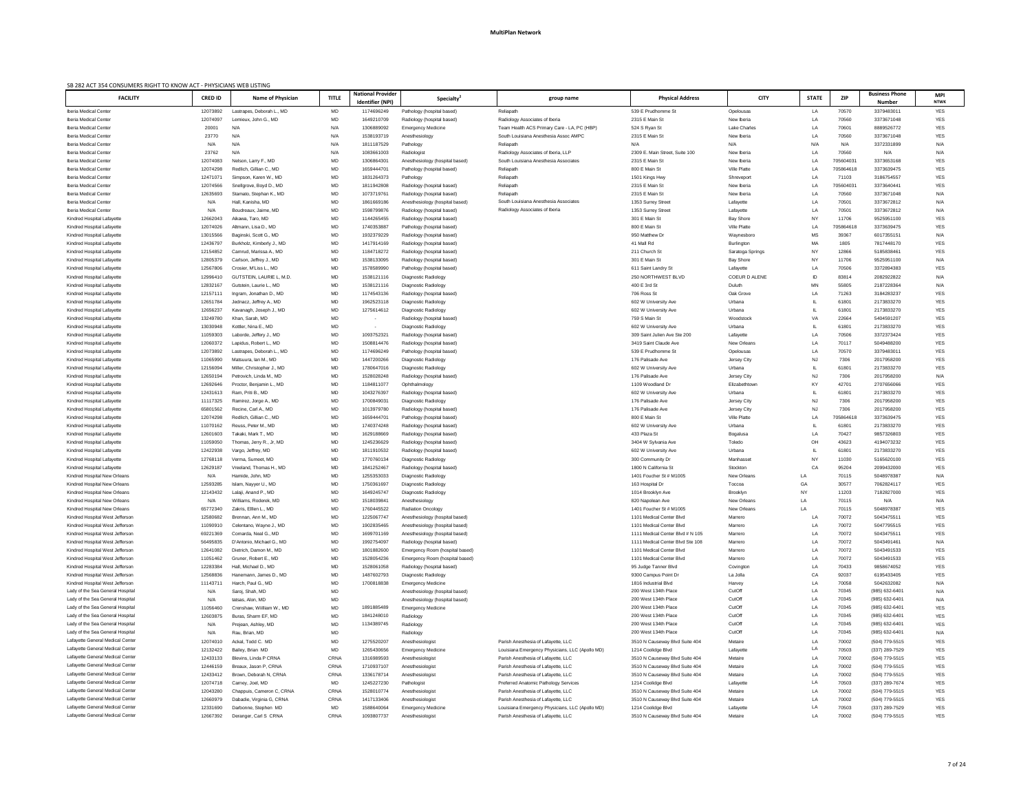| SB 282 ACT 354 CONSUMERS RIGHT TO KNOW ACT - PHYSICIANS WEB LISTING<br><b>FACILITY</b> | <b>CRED ID</b>       | Name of Physician                                   | <b>TITLE</b> | <b>National Provider</b> | <b>Specialty</b>                                                   | group name                                                                    | <b>Physical Address</b>                              | <b>CITY</b>                       | <b>STATE</b> | <b>ZIP</b>         | <b>Business Phone</b>            | <b>MPI</b>               |
|----------------------------------------------------------------------------------------|----------------------|-----------------------------------------------------|--------------|--------------------------|--------------------------------------------------------------------|-------------------------------------------------------------------------------|------------------------------------------------------|-----------------------------------|--------------|--------------------|----------------------------------|--------------------------|
|                                                                                        |                      |                                                     |              | Identifier (NPI)         |                                                                    |                                                                               |                                                      |                                   |              |                    | <b>Number</b>                    | <b>NTWK</b>              |
| Iberia Medical Center                                                                  | 12073892             | Lastrapes, Deborah L., MD                           | MD           | 1174696249               | Pathology (hospital based)                                         | Reliapath                                                                     | 539 E Prudhomme St                                   | Opelousas                         | LA           | 70570              | 3379483011                       | <b>YES</b>               |
| Iberia Medical Center<br>Iberia Medical Center                                         | 12074097<br>20001    | Lemieux, John G., MD<br>N/A                         | MD<br>N/A    | 1649210709<br>1306889092 | Radiology (hospital based)<br><b>Emergency Medicine</b>            | Radiology Associates of Iberia<br>Team Health ACS Primary Care - LA, PC (HBP) | 2315 E Main St<br>524 S Ryan St                      | New Iberia<br><b>Lake Charles</b> | LA<br>LA     | 70560<br>70601     | 3373671048<br>8889526772         | <b>YES</b><br><b>YES</b> |
| Iberia Medical Center                                                                  | 23770                | N/A                                                 | N/A          | 1538193719               | Anesthesiology                                                     | South Louisiana Anesthesia Assoc AMPC                                         | 2315 E Main St                                       | New Iberia                        | LA           | 70560              | 3373671048                       | <b>YES</b>               |
| Iberia Medical Center                                                                  | N/A                  | N/A                                                 | N/A          | 1811187529               | Pathology                                                          | Reliapath                                                                     | N/A                                                  | N/A                               | N/A          | N/A                | 3372331899                       | N/A                      |
| Iberia Medical Center                                                                  | 23762                | N/A                                                 | N/A          | 1083661003               | Radiologist                                                        | Radiology Associates of Iberia, LLP                                           | 2309 E. Main Street, Suite 100                       | New Iberia                        | LA           | 70560              | N/A                              | N/A                      |
| Iberia Medical Center                                                                  | 12074083             | Nelson, Larry F., MD                                | MD           | 1306864301               | Anesthesiology (hospital based)                                    | South Louisiana Anesthesia Associates                                         | 2315 E Main St                                       | New Iberia                        | LA           | 705604031          | 3373653168                       | <b>YES</b>               |
| Iberia Medical Center                                                                  | 12074298             | Redlich, Gillian C., MD                             | MD           | 1659444701               | Pathology (hospital based)                                         | Reliapath                                                                     | 800 E Main St                                        | <b>Ville Platte</b>               | LA           | 705864618          | 3373639475                       | <b>YES</b>               |
| Iberia Medical Center                                                                  | 1247107              | Simpson, Karen W., MD                               | MD           | 1831264373               | Pathology                                                          | Reliapath                                                                     | 1501 Kings Hwy                                       | Shreveport                        | LA           | 71103              | 3186754557                       | <b>YES</b>               |
| Iberia Medical Center<br>Iberia Medical Center                                         | 12074566<br>12635693 | Snellgrove, Boyd D., MD<br>Stamato, Stephan K., MD  | MD<br>MD     | 1811942808<br>1073719761 | Radiology (hospital based)<br>Radiology (hospital based)           | Reliapath<br>Reliapath                                                        | 2315 E Main St<br>2315 E Main St                     | New Iberia<br>New Iberia          | LA<br>LA     | 705604031<br>70560 | 3373640441<br>3373671048         | <b>YES</b><br>N/A        |
| Iberia Medical Center                                                                  | N/A                  | Hall, Kanisha, MD                                   | MD           | 1861669186               | Anesthesiology (hospital based)                                    | South Louisiana Anesthesia Associates                                         | 1353 Surrey Street                                   | Lafayette                         | LA           | 70501              | 3373672812                       | N/A                      |
| Iberia Medical Center                                                                  | N/A                  | Boudreaux, Jaime, MD                                | MD           | 1598799876               | Radiology (hospital based)                                         | Radiology Associates of Iberia                                                | 1353 Surrey Street                                   | Lafayette                         | LA           | 70501              | 3373672812                       | N/A                      |
| Kindred Hospital Lafayette                                                             | 12662043             | Aikawa, Taro, MD                                    | MD           | 1144265455               | Radiology (hospital based)                                         |                                                                               | 301 E Main St                                        | <b>Bay Shore</b>                  | <b>NY</b>    | 11706              | 9525951100                       | <b>YES</b>               |
| Kindred Hospital Lafayette                                                             | 12074026             | Altmann, Lisa D., MD                                | MD           | 1740353887               | Pathology (hospital based)                                         |                                                                               | 800 E Main St                                        | <b>Ville Platte</b>               | LA           | 705864618          | 3373639475                       | <b>YES</b>               |
| Kindred Hospital Lafayette                                                             | 13015566             | Baginski, Scott G., MD                              | MD           | 1932379229               | Radiology (hospital based)                                         |                                                                               | 950 Matthew Dr                                       | Waynesboro                        | MS           | 39367              | 6017355151                       | N/A                      |
| Kindred Hospital Lafayette                                                             | 12436797             | Burkholz, Kimberly J., MD                           | MD           | 1417914169               | Radiology (hospital based)                                         |                                                                               | 41 Mall Rd                                           | Burlington                        | MA           | 1805               | 7817448170                       | <b>YES</b>               |
| Kindred Hospital Lafayette                                                             | 12154852             | Camrud, Marissa A., MD                              | MD           | 1184718272               | Radiology (hospital based)                                         |                                                                               | 211 Church St                                        | Saratoga Springs                  | NY           | 12866              | 5185838461                       | <b>YES</b>               |
| Kindred Hospital Lafayette<br>Kindred Hospital Lafayette                               | 1280537<br>12567806  | Carlson, Jeffrey J., MD<br>Crosier, M'Liss L., MD   | MD<br>MD     | 1538133095<br>1578589990 | Radiology (hospital based)<br>Pathology (hospital based)           |                                                                               | 301 E Main St<br>611 Saint Landry St                 | <b>Bay Shore</b><br>Lafayette     | NY<br>LA     | 11706<br>70506     | 9525951100<br>3372894383         | N/A<br><b>YES</b>        |
| Kindred Hospital Lafayette                                                             | 12996410             | GUTSTEIN, LAURIE L, M.D.                            | MD           | 1538121116               | Diagnostic Radiology                                               |                                                                               | 250 NORTHWEST BLVD                                   | COEUR D ALENE                     | ID           | 83814              | 2082922822                       | N/A                      |
| Kindred Hospital Lafayette                                                             | 12832167             | Gutstein, Laurie L., MD                             | MD           | 1538121116               | Diagnostic Radiology                                               |                                                                               | 400 E 3rd St                                         | Duluth                            | MN           | 55805              | 2187228364                       | N/A                      |
| Kindred Hospital Lafayette                                                             | 12157111             | Ingram, Jonathan D., MD                             | MD           | 1174543136               | Radiology (hospital based)                                         |                                                                               | 706 Ross St                                          | Oak Grove                         | LA           | 71263              | 3184283237                       | <b>YES</b>               |
| Kindred Hospital Lafayette                                                             | 12651784             | Jednacz, Jeffrey A., MD                             | MD           | 1962523118               | Diagnostic Radiology                                               |                                                                               | 602 W University Ave                                 | Urbana                            |              | 61801              | 2173833270                       | <b>YES</b>               |
| Kindred Hospital Lafayette                                                             | 12656237             | Kavanagh, Joseph J., MD                             | MD           | 1275614612               | Diagnostic Radiology                                               |                                                                               | 602 W University Ave                                 | Urbana                            |              | 61801              | 2173833270                       | <b>YES</b>               |
| Kindred Hospital Lafayette                                                             | 13249780             | Khan, Sarah, MD                                     | MD           |                          | Radiology (hospital based)                                         |                                                                               | 759 S Main St                                        | Woodstock                         | VA           | 22664              | 5404591207                       | <b>YES</b>               |
| Kindred Hospital Lafayette                                                             | 13030948             | Kottler, Nina E., MD                                | MD           |                          | Diagnostic Radiology                                               |                                                                               | 602 W University Ave                                 | Urbana                            |              | 61801              | 2173833270                       | <b>YES</b>               |
| Kindred Hospital Lafayette                                                             | 11059303             | Laborde, Jeffery J., MD                             | MD           | 1093752321               | Radiology (hospital based)                                         |                                                                               | 309 Saint Julien Ave Ste 200                         | Lafayette                         | LA           | 70506              | 3372373424                       | <b>YES</b>               |
| Kindred Hospital Lafayette<br>Kindred Hospital Lafayette                               | 12060372<br>12073892 | Lapidus, Robert L., MD<br>Lastrapes, Deborah L., MD | MD<br>MD     | 1508814476<br>1174696249 | Radiology (hospital based)<br>Pathology (hospital based)           |                                                                               | 3419 Saint Claude Ave<br>539 E Prudhomme St          | New Orleans<br>Opelousas          | LA<br>LA     | 70117<br>70570     | 5049488200<br>337948301          | <b>YES</b><br><b>YES</b> |
| Kindred Hospital Lafayette                                                             | 11065990             | Matsuura, Ian M., MD                                | MD           | 1447200266               | Diagnostic Radiology                                               |                                                                               | 176 Palisade Ave                                     | Jersey City                       | NJ           | 7306               | 2017958200                       | <b>YES</b>               |
| Kindred Hospital Lafayette                                                             | 12156094             | Miller, Christopher J., MD                          | MD           | 1780647016               | Diagnostic Radiology                                               |                                                                               | 602 W University Ave                                 | Urbana                            |              | 61801              | 2173833270                       | <b>YES</b>               |
| Kindred Hospital Lafayette                                                             | 12650194             | Petrovich, Linda M., MD                             | MD           | 1528028248               | Radiology (hospital based)                                         |                                                                               | 176 Palisade Ave                                     | Jersey City                       | NJ           | 7306               | 2017958200                       | N/A                      |
| Kindred Hospital Lafayette                                                             | 12692646             | Proctor, Benjamin L., MD                            | MD           | 1184811077               | Ophthalmology                                                      |                                                                               | 1109 Woodland Dr                                     | Elizabethtown                     | KY           | 42701              | 2707656066                       | YES                      |
| Kindred Hospital Lafayette                                                             | 12431613             | Ram, Priti B., MD                                   | MD           | 1043276397               | Radiology (hospital based)                                         |                                                                               | 602 W University Ave                                 | Urbana                            |              | 61801              | 2173833270                       | <b>YES</b>               |
| Kindred Hospital Lafayette                                                             | 11117325             | Ramirez, Jorge A., MD                               | MD           | 1700849031               | Diagnostic Radiology                                               |                                                                               | 176 Palisade Ave                                     | Jersey City                       | NJ           | 7306               | 2017958200                       | <b>YES</b>               |
| Kindred Hospital Lafayette                                                             | 65801562             | Recine, Carl A., MD                                 | MD           | 1013979780               | Radiology (hospital based)                                         |                                                                               | 176 Palisade Ave                                     | Jersey City                       | NJ           | 7306               | 2017958200                       | <b>YES</b>               |
| Kindred Hospital Lafayette                                                             | 12074298             | Redlich, Gillian C., MD                             | MD           | 1659444701               | Pathology (hospital based)                                         |                                                                               | 800 E Main St                                        | <b>Ville Platte</b>               | LA           | 70586461           | 3373639475                       | <b>YES</b>               |
| Kindred Hospital Lafayette                                                             | 11070162             | Reuss, Peter M., MD<br>Takaki, Mark T., MD          | MD           | 1740374248<br>1629188669 | Radiology (hospital based)                                         |                                                                               | 602 W University Ave<br>433 Plaza St                 | Urbana                            | LA           | 61801<br>70427     | 2173833270<br>9857326803         | YES<br><b>YES</b>        |
| Kindred Hospital Lafayette<br>Kindred Hospital Lafayette                               | 12601603<br>11059050 | Thomas, Jerry R., Jr, MD                            | MD<br>MD     | 1245236629               | Radiology (hospital based)<br>Radiology (hospital based)           |                                                                               | 3404 W Sylvania Ave                                  | Bogalusa<br>Toledo                | OH           | 43623              | 4194073232                       | <b>YES</b>               |
| Kindred Hospital Lafayette                                                             | 12422938             | Vargo, Jeffrey, MD                                  | MD           | 1811910532               | Radiology (hospital based)                                         |                                                                               | 602 W University Ave                                 | Urbana                            |              | 61801              | 2173833270                       | <b>YES</b>               |
| Kindred Hospital Lafayette                                                             | 12768118             | Verma, Sumeet, MD                                   | MD           | 1770760134               | Diagnostic Radiology                                               |                                                                               | 300 Community Dr                                     | Manhasset                         | NY           | 11030              | 5165620100                       | <b>YES</b>               |
| Kindred Hospital Lafayette                                                             | 12629187             | Vreeland, Thomas H., MD                             | MD           | 1841252467               | Radiology (hospital based)                                         |                                                                               | 1800 N California St                                 | Stockton                          | -C/          | 95204              | 2099432000                       | <b>YES</b>               |
| Kindred Hospital New Orleans                                                           | N/A                  | Hamide, John, MD                                    | MD           | 1255353033               | Diagnostic Radiology                                               |                                                                               | 1401 Foucher St # M1005                              | New Orleans                       | LA           | 70115              | 5048978387                       | N/A                      |
| Kindred Hospital New Orleans                                                           | 12593285             | Islam, Nayyer U., MD                                | MD           | 1750361697               | Diagnostic Radiology                                               |                                                                               | 163 Hospital Dr                                      | Toccoa                            | GA           | 30577              | 7062824117                       | <b>YES</b>               |
| Kindred Hospital New Orleans                                                           | 12143432             | Lalaji, Anand P., MD                                | MD           | 1649245747               | Diagnostic Radiology                                               |                                                                               | 1014 Brooklyn Ave                                    | <b>Brooklyn</b>                   | NY           | 11203              | 7182827000                       | <b>YES</b>               |
| Kindred Hospital New Orleans                                                           | N/A                  | Williams, Roderek, MD                               | MD           | 1518039841               | Anesthesiology                                                     |                                                                               | 820 Napolean Ave                                     | <b>New Orleans</b>                | LA           | 70115              | N/A                              | N/A                      |
| Kindred Hospital New Orleans                                                           | 65772340<br>12580682 | Zakris, Elllen L., MD                               | MD           | 1760445522<br>1225067747 | <b>Radiation Oncology</b>                                          |                                                                               | 1401 Foucher St # M1005<br>1101 Medical Center Blvd  | New Orleans<br>Marrero            | LA           | 70115<br>70072     | 5048978387<br>5043475511         | <b>YES</b><br><b>YES</b> |
| Kindred Hospital West Jefferson<br>Kindred Hospital West Jefferson                     | 11090910             | Brennan, Ann M., MD<br>Celentano, Wayne J., MD      | MD<br>MD     | 1902835465               | Anesthesiology (hospital based)<br>Anesthesiology (hospital based) |                                                                               | 1101 Medical Center Blvd                             | Marrero                           | LA           | 70072              | 5047795515                       | <b>YES</b>               |
| Kindred Hospital West Jefferson                                                        | 69221369             | Comarda, Neal G., MD                                | MD           | 1699701169               | Anesthesiology (hospital based)                                    |                                                                               | 1111 Medical Center Blvd # N 105                     | Marrero                           | LA           | 70072              | 5043475511                       | <b>YES</b>               |
| Kindred Hospital West Jefferson                                                        | 56495835             | D'Antonio, Michael G., MD                           | MD           | 1992754097               | Radiology (hospital based)                                         |                                                                               | 1111 Medical Center Blvd Ste 108                     | Marrero                           | LA           | 70072              | 5043491461                       | N/A                      |
| Kindred Hospital West Jefferson                                                        | 12641082             | Dietrich, Damon M., MD                              | MD           | 1801882600               | Emergency Room (hospital based)                                    |                                                                               | 1101 Medical Center Blvd                             | Marrero                           | LA           | 70072              | 5043491533                       | <b>YES</b>               |
| Kindred Hospital West Jefferson                                                        | 11051462             | Gruner, Robert E., MD                               | MD           | 1528054236               | Emergency Room (hospital based)                                    |                                                                               | 1101 Medical Center Blvd                             | Marrero                           | LA           | 70072              | 5043491533                       | <b>YES</b>               |
| Kindred Hospital West Jefferson                                                        | 12283384             | Hall, Michael D., MD                                | MD           | 1528061058               | Radiology (hospital based)                                         |                                                                               | 95 Judge Tanner Blvd                                 | Covington                         | LA           | 70433              | 9858674052                       | <b>YES</b>               |
| Kindred Hospital West Jefferson                                                        | 12568836             | Hanemann, James D., MD                              | MD           | 1487602793               | Diagnostic Radiology                                               |                                                                               | 9300 Campus Point Dr                                 | La Jolla                          | СA           | 92037              | 6195433405                       | YES                      |
| Kindred Hospital West Jefferson                                                        | 1114371              | Harch, Paul G., MD                                  | MD           | 1700818838               | <b>Emergency Medicine</b>                                          |                                                                               | 1816 Industrial Blvd                                 | Harvey                            | LA           | 70058              | 5042632082                       | N/A                      |
| Lady of the Sea General Hospital<br>Lady of the Sea General Hospital                   | N/A                  | Saroj, Shah, MD                                     | MD           |                          | Anesthesiology (hospital based)                                    |                                                                               | 200 West 134th Place<br>200 West 134th Place         | CutOff<br>CutOff                  | LA<br>LA     | 70345<br>70345     | (985) 632-6401<br>(985) 632-6401 | N/A                      |
| Lady of the Sea General Hospital                                                       | N/A<br>11056460      | tatsas, Alon, MD<br>Crenshaw, Wiilliam W., MD       | MD<br>MD     | 1891885489               | Anesthesiology (hospital based)<br><b>Emergency Medicine</b>       |                                                                               | 200 West 134th Place                                 | CutOff                            | LA           | 70345              | (985) 632-6401                   | N/A<br><b>YES</b>        |
| Lady of the Sea General Hospital                                                       | 12603875             | Buras, Sharm EF, MD                                 | MD           | 1841248010               | Radiology                                                          |                                                                               | 200 West 134th Place                                 | CutOff                            | LA           | 70345              | (985) 632-6401                   | <b>YES</b>               |
| Lady of the Sea General Hospital                                                       | N/A                  | Prejean, Ashley, MD                                 | MD           | 1134389745               | Radiology                                                          |                                                                               | 200 West 134th Place                                 | CutOff                            | LA           | 70345              | (985) 632-6401                   | YES                      |
| Lady of the Sea General Hospital                                                       | N/A                  | Rau, Brian, MD                                      | MD           |                          | Radiology                                                          |                                                                               | 200 West 134th Place                                 | CutOff                            | LA           | 70345              | (985) 632-6401                   | N/A                      |
| Lafayette General Medical Center                                                       | 12074010             | Ackal, Todd C. MD                                   | MD           | 1275520207               | Anesthesiologist                                                   | Parish Anesthesia of Lafayette, LLC                                           | 3510 N Causeway Blvd Suite 404                       | Metaire                           | LA           | 70002              | (504) 779-5515                   | <b>YES</b>               |
| Lafayette General Medical Center                                                       | 12132422             | Bailey, Brian MD                                    | MD           | 1265430656               | <b>Emergency Medicine</b>                                          | Louisiana Emergency Physicians, LLC (Apollo MD)                               | 1214 Coolidge Blvd                                   | Lafayette                         | LA           | 70503              | (337) 289-7529                   | YES                      |
| Lafayette General Medical Center                                                       | 12433133             | Blevins, Linda P CRNA                               | CRNA         | 1316989593               | Anesthesiologist                                                   | Parish Anesthesia of Lafayette, LLC                                           | 3510 N Causeway Blvd Suite 404                       | Metaire                           | LA           | 70002              | (504) 779-5515                   | <b>YES</b>               |
| Lafayette General Medical Center                                                       | 12446159             | Breaux, Jason P, CRNA                               | CRNA         | 1710937107               | Anesthesiologist                                                   | Parish Anesthesia of Lafayette, LLC                                           | 3510 N Causeway Blvd Suite 404                       | Metaire                           | LA           | 70002              | (504) 779-5515                   | <b>YES</b>               |
| Lafayette General Medical Center                                                       | 12433412             | Brown, Deborah N, CRNA                              | CRNA         | 1336178714               | Anesthesiologist                                                   | Parish Anesthesia of Lafayette, LLC                                           | 3510 N Causeway Blvd Suite 404                       | Metaire                           | LA           | 70002              | (504) 779-5515                   | YES                      |
| Lafayette General Medical Center<br>Lafayette General Medical Center                   | 12074718<br>12043280 | Carney, Joel, MD<br>Chappuis, Cameron C, CRNA       | MD<br>CRNA   | 1245227230<br>1528010774 | Pathologist<br>Anesthesiologist                                    | Preferred Anatomic Pathology Services<br>Parish Anesthesia of Lafayette, LLC  | 1214 Coolidge Blvd<br>3510 N Causeway Blvd Suite 404 | Lafayette<br>Metaire              | LA<br>LA     | 70503<br>70002     | (337) 289-7674<br>(504) 779-5515 | <b>YES</b><br>YES        |
| Lafayette General Medical Center                                                       | 12660979             | Dabadie, Virginia G, CRNA                           | CRNA         | 1417133406               | Anesthesiologist                                                   | Parish Anesthesia of Lafayette, LLC                                           | 3510 N Causeway Blvd Suite 404                       | Metaire                           | LA           | 70002              | (504) 779-5515                   | <b>YES</b>               |
| Lafayette General Medical Center                                                       | 12331690             | Darbonne, Stephen MD                                | MD           | 1588640064               | <b>Emergency Medicine</b>                                          | Louisiana Emergency Physicians, LLC (Apollo MD)                               | 1214 Coolidge Blvd                                   | Lafayette                         | LA           | 70503              | (337) 289-7529                   | YES                      |
| Lafayette General Medical Center                                                       | 12667392             | Deranger, Carl S CRNA                               | CRNA         | 1093807737               | Anesthesiologist                                                   | Parish Anesthesia of Lafayette, LLC                                           | 3510 N Causeway Blvd Suite 404                       | Metaire                           | LA           | 70002              | (504) 779-5515                   | YES                      |
|                                                                                        |                      |                                                     |              |                          |                                                                    |                                                                               |                                                      |                                   |              |                    |                                  |                          |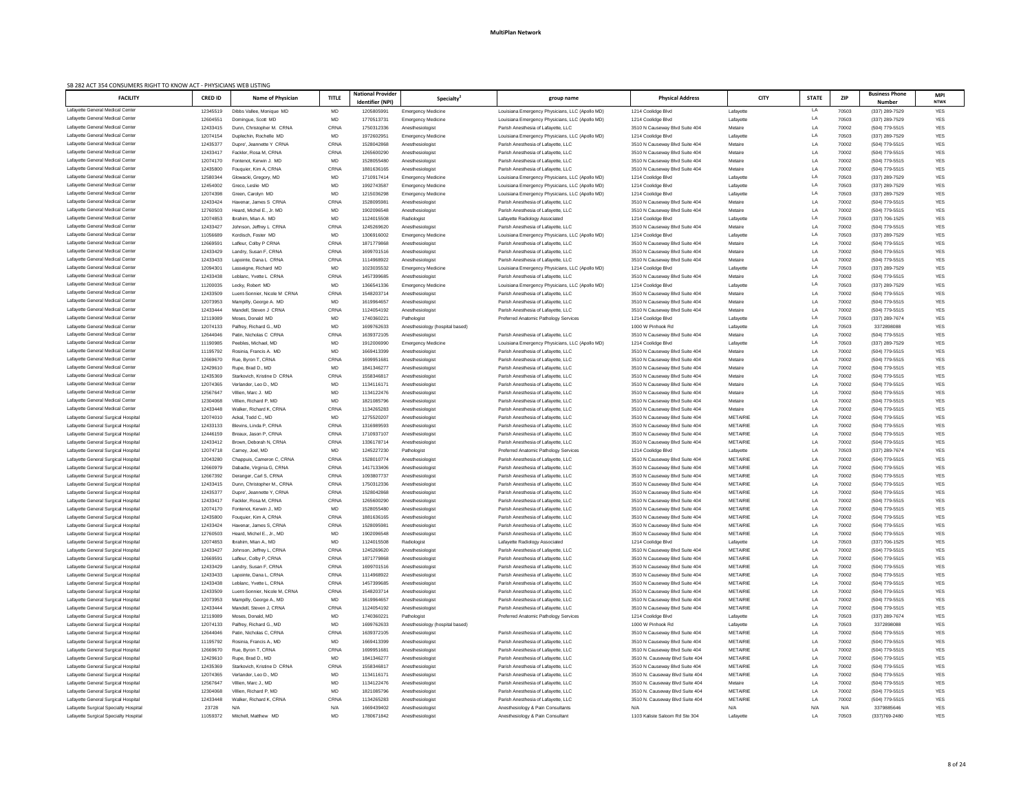| SB 282 ACT 354 CONSUMERS RIGHT TO KNOW ACT - PHYSICIANS WEB LISTING<br><b>FACILITY</b> | <b>CRED ID</b>       | <b>Name of Physician</b>                             | <b>TITLE</b>      | <b>National Provider</b><br><b>Identifier (NPI)</b> | Specialty <sup>2</sup>                        | group name                                                                 | <b>Physical Address</b>                                            | <b>CITY</b>                        | <b>STATE</b> | <b>ZIP</b>     | <b>Business Phone</b><br><b>Number</b> | <b>MPI</b><br><b>NTWK</b> |
|----------------------------------------------------------------------------------------|----------------------|------------------------------------------------------|-------------------|-----------------------------------------------------|-----------------------------------------------|----------------------------------------------------------------------------|--------------------------------------------------------------------|------------------------------------|--------------|----------------|----------------------------------------|---------------------------|
| Lafayette General Medical Center                                                       | 12345519             | Dibbs Vallee, Monique MD                             | MD                | 120580599                                           | <b>Emergency Medicine</b>                     | Louisiana Emergency Physicians, LLC (Apollo MD)                            | 1214 Coolidge Blvd                                                 | Lafayette                          | LA           | 70503          | (337) 289-7529                         | YES                       |
| Lafayette General Medical Center                                                       | 12604551             | Domingue, Scott MD                                   | MD                | 177051373                                           | <b>Emergency Medicine</b>                     | Louisiana Emergency Physicians, LLC (Apollo MD)                            | 1214 Coolidge Blvd                                                 | Lafayette                          | LA           | 70503          | (337) 289-7529                         | <b>YES</b>                |
| Lafayette General Medical Center                                                       | 12433415             | Dunn, Christopher M. CRNA                            | CRNA              | 1750312336                                          | Anesthesiologist                              | Parish Anesthesia of Lafayette, LLC                                        | 3510 N Causeway Blvd Suite 404                                     | Metaire                            | LA           | 70002          | (504) 779-5515                         | <b>YES</b>                |
| Lafayette General Medical Center                                                       | 12074154             | Duplechin, Rochelle MD                               | <b>MD</b>         | 197260295                                           | <b>Emergency Medicine</b>                     | Louisiana Emergency Physicians, LLC (Apollo MD)                            | 1214 Coolidge Blvd                                                 | Lafayette                          | LA           | 70503          | (337) 289-7529                         | <b>YES</b>                |
| Lafayette General Medical Center<br>Lafayette General Medical Center                   | 12435377             | Dupre', Jeannette Y CRNA                             | CRNA              | 1528042868                                          | Anesthesiologist                              | Parish Anesthesia of Lafayette, LLC                                        | 3510 N Causeway Blvd Suite 404                                     | Metaire                            | LA           | 70002          | (504) 779-5515                         | <b>YES</b>                |
| Lafayette General Medical Center                                                       | 12433417<br>12074170 | Fackler, Rosa M. CRNA<br>Fontenot, Kerwin J. MD      | CRNA<br>MD        | 1265600290<br>1528055480                            | Anesthesiologist<br>Anesthesiologist          | Parish Anesthesia of Lafayette, LLC<br>Parish Anesthesia of Lafayette, LLC | 3510 N Causeway Blvd Suite 404                                     | Metaire<br>Metaire                 | LA<br>LA     | 70002<br>70002 | (504) 779-5515<br>(504) 779-5515       | <b>YES</b><br><b>YES</b>  |
| Lafayette General Medical Center                                                       | 12435800             | Fouquier, Kim A, CRNA                                | CRNA              | 1881636165                                          | Anesthesiologist                              | Parish Anesthesia of Lafayette, LLC                                        | 3510 N Causeway Blvd Suite 404<br>3510 N Causeway Blvd Suite 404   | Metaire                            | LA           | 70002          | (504) 779-5515                         | <b>YES</b>                |
| Lafayette General Medical Center                                                       | 12580344             | Glowacki, Gregory, MD                                | MD                | 1710917414                                          | <b>Emergency Medicine</b>                     | Louisiana Emergency Physicians, LLC (Apollo MD)                            | 1214 Coolidge Blvd                                                 | Lafayette                          | LA           | 70503          | (337) 289-7529                         | <b>YES</b>                |
| Lafayette General Medical Center                                                       | 12454002             | Greco, Leslie MD                                     | MD                | 1992743587                                          | <b>Emergency Medicine</b>                     | Louisiana Emergency Physicians, LLC (Apollo MD)                            | 1214 Coolidge Blvd                                                 | Lafayette                          | LA           | 70503          | (337) 289-7529                         | <b>YES</b>                |
| Lafayette General Medical Center                                                       | 12074398             | Green, Carolyn MD                                    | MD                | 1215036298                                          | <b>Emergency Medicine</b>                     | Louisiana Emergency Physicians, LLC (Apollo MD)                            | 1214 Coolidge Blvd                                                 | Lafayette                          | LA           | 70503          | (337) 289-7529                         | <b>YES</b>                |
| Lafayette General Medical Center                                                       | 12433424             | Havenar, James S CRNA                                | CRNA              | 152809598                                           | Anesthesiologist                              | Parish Anesthesia of Lafayette, LLC                                        | 3510 N Causeway Blvd Suite 404                                     | Metaire                            | LA           | 70002          | (504) 779-5515                         | <b>YES</b>                |
| Lafayette General Medical Center                                                       | 12760503             | Heard, Michel E., Jr. MD                             | MD                | 1902096548                                          | Anesthesiologist                              | Parish Anesthesia of Lafayette, LLC                                        | 3510 N Causeway Blvd Suite 404                                     | Metaire                            | LA           | 70002          | (504) 779-5515                         | <b>YES</b>                |
| Lafayette General Medical Center                                                       | 12074853             | Ibrahim, Mian A. MD                                  | MD                | 1124015508                                          | Radiologist                                   | Lafayette Radiology Associated                                             | 1214 Coolidge Blvd                                                 | Lafayette                          | LA           | 70503          | (337) 706-1525                         | <b>YES</b>                |
| Lafayette General Medical Center                                                       | 12433427             | Johnson, Jeffrey L CRNA                              | CRNA              | 1245269620                                          | Anesthesiologist                              | Parish Anesthesia of Lafayette, LLC                                        | 3510 N Causeway Blvd Suite 404                                     | Metaire                            | LA<br>LA     | 70002          | (504) 779-5515                         | <b>YES</b>                |
| Lafayette General Medical Center<br>Lafayette General Medical Center                   | 11056689             | Kordisch, Foster MD                                  | MD<br>CRNA        | 1306916002                                          | <b>Emergency Medicine</b>                     | Louisiana Emergency Physicians, LLC (Apollo MD)                            | 1214 Coolidge Blvd                                                 | Lafayette                          |              | 70503          | (337) 289-7529                         | <b>YES</b>                |
| Lafayette General Medical Center                                                       | 12669591<br>12433429 | Lafleur, Colby P CRNA<br>Landry, Susan F, CRNA       | CRNA              | 1871779868<br>1699701516                            | Anesthesiologist<br>Anesthesiologist          | Parish Anesthesia of Lafayette, LLC<br>Parish Anesthesia of Lafayette, LLC | 3510 N Causeway Blvd Suite 404<br>3510 N Causeway Blvd Suite 404   | Metaire<br>Metaire                 | LA<br>LA     | 70002<br>70002 | (504) 779-5515<br>(504) 779-5515       | <b>YES</b><br><b>YES</b>  |
| Lafayette General Medical Center                                                       | 12433433             | Lapointe, Dana L CRNA                                | CRNA              | 1114968922                                          | Anesthesiologist                              | Parish Anesthesia of Lafayette, LLC                                        | 3510 N Causeway Blvd Suite 404                                     | Metaire                            | LA           | 70002          | (504) 779-5515                         | <b>YES</b>                |
| Lafayette General Medical Center                                                       | 12094301             | Lasseigne, Richard MD                                | <b>MD</b>         | 1023035532                                          | <b>Emergency Medicine</b>                     | Louisiana Emergency Physicians, LLC (Apollo MD)                            | 1214 Coolidge Blvd                                                 | Lafayette                          | LA           | 70503          | (337) 289-7529                         | <b>YES</b>                |
| Lafayette General Medical Center                                                       | 12433438             | Leblanc. Yvette L CRNA                               | CRNA              | 1457399685                                          | Anesthesiologist                              | Parish Anesthesia of Lafayette, LLC                                        | 3510 N Causeway Blvd Suite 404                                     | Metaire                            | LA           | 70002          | (504) 779-5515                         | <b>YES</b>                |
| Lafayette General Medical Center                                                       | 11200035             | Lecky, Robert MD                                     | <b>MD</b>         | 1366541336                                          | <b>Emergency Medicine</b>                     | Louisiana Emergency Physicians, LLC (Apollo MD)                            | 1214 Coolidge Blvd                                                 | Lafayette                          | LA           | 70503          | (337) 289-7529                         | <b>YES</b>                |
| Lafayette General Medical Center                                                       | 12433509             | Luent-Sonnier, Nicole M CRNA                         | CRNA              | 1548203714                                          | Anesthesiologist                              | Parish Anesthesia of Lafayette, LLC                                        | 3510 N Causeway Blvd Suite 404                                     | Metaire                            | LA           | 70002          | (504) 779-5515                         | <b>YES</b>                |
| Lafayette General Medical Center                                                       | 12073953             | Mampilly, George A. MD                               | MD                | 1619964657                                          | Anesthesiologist                              | Parish Anesthesia of Lafayette, LLC                                        | 3510 N Causeway Blvd Suite 404                                     | Metaire                            | LA           | 70002          | (504) 779-5515                         | <b>YES</b>                |
| Lafayette General Medical Center                                                       | 12433444             | Mandell, Steven J CRNA                               | CRNA              | 1124054192                                          | Anesthesiologist                              | Parish Anesthesia of Lafayette, LLC                                        | 3510 N Causeway Blvd Suite 404                                     | Metaire                            | LA           | 70002          | (504) 779-5515                         | <b>YES</b>                |
| Lafayette General Medical Center                                                       | 12119089             | Moses, Donald MD                                     | MD                | 174036022                                           | Pathologist                                   | <b>Preferred Anatomic Pathology Services</b>                               | 1214 Coolidge Blvd                                                 | Lafayette                          | LA           | 70503          | (337) 289-7674                         | <b>YES</b>                |
| Lafayette General Medical Center<br>Lafayette General Medical Center                   | 12074133<br>12644046 | Palfrey, Richard G., MD<br>Patin, Nicholas C CRNA    | MD<br>CRNA        | 1699762633<br>1639372105                            | Anesthesiology (hospital based)               | Parish Anesthesia of Lafayette, LLC                                        | 1000 W Pinhook Rd<br>3510 N Causeway Blvd Suite 404                | Lafayette<br>Metaire               | LA<br>LA     | 70503<br>70002 | 3372898088<br>(504) 779-5515           | <b>YES</b><br><b>YES</b>  |
| Lafayette General Medical Center                                                       | 11190985             | Peebles, Michael. MD                                 | <b>MD</b>         | 1912006990                                          | Anesthesiologist<br><b>Emergency Medicine</b> | Louisiana Emergency Physicians, LLC (Apollo MD)                            | 1214 Coolidge Blvd                                                 | Lafayette                          | I A          | 70503          | (337) 289-7529                         | <b>YES</b>                |
| Lafayette General Medical Center                                                       | 11195792             | Rosinia, Francis A. MD                               | <b>MD</b>         | 1669413399                                          | Anesthesiologist                              | Parish Anesthesia of Lafayette, LLC                                        | 3510 N Causeway Blvd Suite 404                                     | Metaire                            | LA           | 70002          | (504) 779-5515                         | <b>YES</b>                |
| Lafayette General Medical Center                                                       | 12669670             | Rue, Byron T, CRNA                                   | CRNA              | 169995168                                           | Anesthesiologist                              | Parish Anesthesia of Lafayette, LLC                                        | 3510 N Causeway Blvd Suite 404                                     | Metaire                            | LA           | 70002          | (504) 779-5515                         | YES                       |
| Lafayette General Medical Center                                                       | 12429610             | Rupe, Brad D., MD                                    | MD                | 1841346277                                          | Anesthesiologist                              | Parish Anesthesia of Lafayette, LLC                                        | 3510 N Causeway Blvd Suite 404                                     | Metaire                            | LA           | 70002          | (504) 779-5515                         | <b>YES</b>                |
| Lafayette General Medical Center                                                       | 12435369             | Starkovich, Kristine D CRNA                          | CRNA              | 1558346817                                          | Anesthesiologist                              | Parish Anesthesia of Lafayette, LLC                                        | 3510 N Causeway Blvd Suite 404                                     | Metaire                            | LA           | 70002          | (504) 779-5515                         | <b>YES</b>                |
| Lafayette General Medical Center                                                       | 12074365             | Verlander, Leo D., MD                                | MD                | 113411617                                           | Anesthesiologist                              | Parish Anesthesia of Lafayette, LLC                                        | 3510 N Causeway Blvd Suite 404                                     | Metaire                            | LA           | 70002          | (504) 779-5515                         | <b>YES</b>                |
| Lafayette General Medical Center                                                       | 12567647             | Villien, Marc J. MD                                  | <b>MD</b>         | 1134122476                                          | Anesthesiologist                              | Parish Anesthesia of Lafayette, LLC                                        | 3510 N Causeway Blvd Suite 404                                     | Metaire                            | LA           | 70002          | (504) 779-5515                         | <b>YES</b>                |
| Lafayette General Medical Center                                                       | 12304068             | Villien. Richard P. MD                               | MD                | 1821085796                                          | Anesthesiologist                              | Parish Anesthesia of Lafayette, LLC                                        | 3510 N Causeway Blvd Suite 404                                     | Metaire                            | LA           | 70002          | (504) 779-5515                         | <b>YES</b>                |
| Lafayette General Medical Center                                                       | 12433448             | Walker, Richard K, CRNA                              | CRNA              | 1134265283                                          | Anesthesiologist                              | Parish Anesthesia of Lafayette, LLC                                        | 3510 N Causeway Blvd Suite 404                                     | Metaire                            | LA           | 70002          | (504) 779-5515                         | <b>YES</b>                |
| Lafayette General Surgical Hospital<br>Lafayette General Surgical Hospital             | 12074010<br>12433133 | Ackal, Todd C., MD<br>Blevins, Linda P. CRNA         | <b>MD</b><br>CRNA | 1275520207<br>1316989593                            | Anesthesiologist<br>Anesthesiologist          | Parish Anesthesia of Lafayette, LLC<br>Parish Anesthesia of Lafayette, LLC | 3510 N Causeway Blvd Suite 404<br>3510 N Causeway Blvd Suite 404   | <b>METAIRIE</b><br><b>METAIRIE</b> | LA<br>LA     | 70002<br>70002 | (504) 779-5515<br>(504) 779-5515       | YES<br><b>YES</b>         |
| Lafayette General Surgical Hospital                                                    | 12446159             | Breaux, Jason P. CRNA                                | CRNA              | 1710937107                                          | Anesthesiologist                              | Parish Anesthesia of Lafayette, LLC                                        | 3510 N Causeway Blvd Suite 404                                     | <b>METAIRIE</b>                    | LA           | 70002          | (504) 779-5515                         | <b>YES</b>                |
| Lafayette General Surgical Hospital                                                    | 12433412             | Brown, Deborah N, CRNA                               | CRNA              | 1336178714                                          | Anesthesiologist                              | Parish Anesthesia of Lafayette, LLC                                        | 3510 N Causeway Blvd Suite 404                                     | <b>METAIRIE</b>                    | LA           | 70002          | (504) 779-5515                         | <b>YES</b>                |
| Lafayette General Surgical Hospital                                                    | 12074718             | Carney, Joel, MD                                     | MD                | 1245227230                                          | Pathologist                                   | <b>Preferred Anatomic Pathology Services</b>                               | 1214 Coolidge Blvd                                                 | Lafayette                          | LA           | 70503          | (337) 289-7674                         | <b>YES</b>                |
| Lafayette General Surgical Hospital                                                    | 12043280             | Chappuis, Cameron C, CRNA                            | CRNA              | 1528010774                                          | Anesthesiologist                              | Parish Anesthesia of Lafayette, LLC                                        | 3510 N Causeway Blvd Suite 404                                     | <b>METAIRIE</b>                    | LA           | 70002          | (504) 779-5515                         | <b>YES</b>                |
| Lafayette General Surgical Hospital                                                    | 12660979             | Dabadie, Virginia G, CRNA                            | CRNA              | 1417133406                                          | Anesthesiologist                              | Parish Anesthesia of Lafayette, LLC                                        | 3510 N Causeway Blvd Suite 404                                     | <b>METAIRIE</b>                    | LA           | 70002          | (504) 779-5515                         | <b>YES</b>                |
| Lafayette General Surgical Hospital                                                    | 12667392             | Deranger, Carl S, CRNA                               | CRNA              | 1093807737                                          | Anesthesiologist                              | Parish Anesthesia of Lafayette, LLC                                        | 3510 N Causeway Blvd Suite 404                                     | <b>METAIRIE</b>                    | LA           | 70002          | (504) 779-5515                         | <b>YES</b>                |
| Lafayette General Surgical Hospital                                                    | 12433415             | Dunn, Christopher M., CRNA                           | CRNA              | 1750312336                                          | Anesthesiologist                              | Parish Anesthesia of Lafayette, LLC                                        | 3510 N Causeway Blvd Suite 404                                     | <b>METAIRIE</b>                    | LA           | 70002          | (504) 779-5515                         | <b>YES</b>                |
| Lafayette General Surgical Hospital                                                    | 12435377             | Dupre', Jeannette Y, CRNA                            | CRNA              | 1528042868                                          | Anesthesiologist                              | Parish Anesthesia of Lafayette, LLC                                        | 3510 N Causeway Blvd Suite 404                                     | <b>METAIRIE</b><br><b>METAIRIE</b> | LA           | 70002          | (504) 779-5515                         | <b>YES</b>                |
| Lafayette General Surgical Hospital<br>Lafayette General Surgical Hospital             | 12433417<br>12074170 | Fackler, Rosa M, CRNA<br>Fontenot, Kerwin J., MD     | CRNA<br>MD        | 1265600290<br>1528055480                            | Anesthesiologist<br>Anesthesiologist          | Parish Anesthesia of Lafayette, LLC<br>Parish Anesthesia of Lafayette, LLC | 3510 N Causeway Blvd Suite 404<br>3510 N Causeway Blvd Suite 404   | <b>METAIRIE</b>                    | LA<br>LA     | 70002<br>70002 | (504) 779-5515<br>(504) 779-5515       | YES<br><b>YES</b>         |
| Lafayette General Surgical Hospital                                                    | 12435800             | Fouquier, Kim A, CRNA                                | CRNA              | 1881636165                                          | Anesthesiologist                              | Parish Anesthesia of Lafayette, LLC                                        | 3510 N Causeway Blvd Suite 404                                     | <b>METAIRIE</b>                    | LA           | 70002          | (504) 779-5515                         | <b>YES</b>                |
| Lafayette General Surgical Hospital                                                    | 12433424             | Havenar, James S, CRNA                               | CRNA              | 152809598                                           | Anesthesiologist                              | Parish Anesthesia of Lafayette, LLC                                        | 3510 N Causeway Blvd Suite 404                                     | <b>METAIRIE</b>                    | LA           | 70002          | (504) 779-5515                         | <b>YES</b>                |
| Lafayette General Surgical Hospital                                                    | 12760503             | Heard, Michel E., Jr., MD                            | MD                | 1902096548                                          | Anesthesiologist                              | Parish Anesthesia of Lafayette, LLC                                        | 3510 N Causeway Blvd Suite 404                                     | <b>METAIRIE</b>                    | LA           | 70002          | (504) 779-5515                         | YES                       |
| Lafayette General Surgical Hospital                                                    | 12074853             | Ibrahim. Mian A., MD                                 | MD                | 1124015508                                          | Radiologist                                   | Lafayette Radiology Associated                                             | 1214 Coolidge Blvd                                                 | Lafayette                          | LA           | 70503          | (337) 706-1525                         | YES                       |
| Lafayette General Surgical Hospital                                                    | 12433427             | Johnson, Jeffrey L, CRNA                             | CRNA              | 1245269620                                          | Anesthesiologist                              | Parish Anesthesia of Lafayette, LLC                                        | 3510 N Causeway Blvd Suite 404                                     | <b>METAIRIE</b>                    | LA           | 70002          | (504) 779-5515                         | <b>YES</b>                |
| Lafayette General Surgical Hospital                                                    | 12669591             | Lafleur, Colby P, CRNA                               | CRNA              | 1871779868                                          | Anesthesiologist                              | Parish Anesthesia of Lafayette, LLC                                        | 3510 N Causeway Blvd Suite 404                                     | <b>METAIRIE</b>                    | LA           | 70002          | (504) 779-5515                         | YES                       |
| Lafayette General Surgical Hospital                                                    | 12433429             | Landry, Susan F, CRNA                                | CRNA              | 1699701516                                          | Anesthesiologist                              | Parish Anesthesia of Lafayette, LLC                                        | 3510 N Causeway Blvd Suite 404                                     | <b>METAIRIE</b>                    | LA           | 70002          | (504) 779-5515                         | YES                       |
| Lafayette General Surgical Hospital<br>Lafayette General Surgical Hospital             | 12433433             | Lapointe, Dana L, CRNA<br>Leblanc, Yvette L, CRNA    | CRNA<br>CRNA      | 1114968922<br>1457399685                            | Anesthesiologist                              | Parish Anesthesia of Lafayette, LLC                                        | 3510 N Causeway Blvd Suite 404<br>3510 N Causeway Blvd Suite 404   | <b>METAIRIE</b><br><b>METAIRIE</b> | LA           | 70002          | (504) 779-5515                         | YES<br><b>YES</b>         |
| Lafayette General Surgical Hospital                                                    | 12433438<br>12433509 | Luent-Sonnier, Nicole M, CRNA                        | CRNA              | 1548203714                                          | Anesthesiologist<br>Anesthesiologist          | Parish Anesthesia of Lafayette, LLC<br>Parish Anesthesia of Lafayette, LLC | 3510 N Causeway Blvd Suite 404                                     | <b>METAIRIE</b>                    | LA<br>LA     | 70002<br>70002 | (504) 779-5515<br>(504) 779-5515       | YES                       |
| Lafayette General Surgical Hospital                                                    | 12073953             | Mampilly, George A., MD                              | <b>MD</b>         | 1619964657                                          | Anesthesiologist                              | Parish Anesthesia of Lafayette, LLC                                        | 3510 N Causeway Blvd Suite 404                                     | <b>METAIRIE</b>                    | LA           | 70002          | (504) 779-5515                         | <b>YES</b>                |
| Lafayette General Surgical Hospital                                                    | 12433444             | Mandell, Steven J, CRNA                              | <b>CRNA</b>       | 1124054192                                          | Anesthesiologis                               | Parish Anesthesia of Lafayette, LLC                                        | 3510 N Causeway Blvd Suite 404                                     | <b>METAIRIE</b>                    | LA           | 70002          | (504) 779-5515                         |                           |
| Lafayette General Surgical Hospital                                                    | 12119089             | Moses, Donald, MD                                    | MD                | 174036022                                           | Pathologist                                   | Preferred Anatomic Pathology Services                                      | 1214 Coolidge Blvd                                                 | Lafayette                          | LA           | 70503          | (337) 289-7674                         | YES                       |
| Lafayette General Surgical Hospital                                                    | 12074133             | Palfrey, Richard G., MD                              | <b>MD</b>         | 1699762633                                          | Anesthesiology (hospital based)               |                                                                            | 1000 W Pinhook Rd                                                  | Lafayette                          | LA           | 70503          | 3372898088                             | YES                       |
| Lafayette General Surgical Hospital                                                    | 12644046             | Patin, Nicholas C, CRNA                              | CRNA              | 1639372105                                          | Anesthesiologist                              | Parish Anesthesia of Lafayette, LLC                                        | 3510 N Causeway Blvd Suite 404                                     | <b>METAIRIE</b>                    | LA           | 70002          | (504) 779-5515                         | YES                       |
| Lafayette General Surgical Hospital                                                    | 11195792             | Rosinia, Francis A., MD                              | MD                | 1669413399                                          | Anesthesiologist                              | Parish Anesthesia of Lafayette, LLC                                        | 3510 N Causeway Blvd Suite 404                                     | <b>METAIRIE</b>                    | LA           | 70002          | (504) 779-5515                         | YES                       |
| Lafayette General Surgical Hospital                                                    | 12669670             | Rue, Byron T, CRNA                                   | CRNA              | 169995168                                           | Anesthesiologist                              | Parish Anesthesia of Lafayette, LLC                                        | 3510 N Causeway Blvd Suite 404                                     | <b>METAIRIE</b>                    | LA           | 70002          | (504) 779-5515                         | YES                       |
| Lafayette General Surgical Hospital                                                    | 12429610             | Rupe, Brad D., MD                                    | MD                | 1841346277                                          | Anesthesiologist                              | Parish Anesthesia of Lafayette, LLC                                        | 3510 N. Causeway Blvd Suite 404                                    | <b>METAIRIE</b>                    | LA           | 70002          | (504) 779-5515                         | YES                       |
| Lafayette General Surgical Hospital                                                    | 12435369<br>12074365 | Starkovich, Kristine D CRNA<br>Verlander, Leo D., MD | CRNA              | 1558346817<br>1134116171                            | Anesthesiologist                              | Parish Anesthesia of Lafayette, LLC                                        | 3510 N Causeway Blvd Suite 404                                     | <b>METAIRIE</b><br><b>METAIRIE</b> | LA           | 70002<br>70002 | (504) 779-5515                         | YES                       |
| Lafayette General Surgical Hospital<br>Lafayette General Surgical Hospital             | 12567647             | Villien, Marc J., MD                                 | MD<br><b>MD</b>   | 1134122476                                          | Anesthesiologist<br>Anesthesiologist          | Parish Anesthesia of Lafayette, LLC<br>Parish Anesthesia of Lafayette, LLC | 3510 N. Causeway Blvd Suite 404<br>3510 N. Causeway Blvd Suite 404 | Metaire                            | LA<br>LA     | 70002          | (504) 779-5515<br>(504) 779-5515       | YES<br>YES                |
| Lafayette General Surgical Hospital                                                    | 12304068             | Villien, Richard P, MD                               | MD                | 1821085796                                          | Anesthesiologist                              | Parish Anesthesia of Lafayette, LLC                                        | 3510 N. Causeway Blvd Suite 404                                    | <b>METAIRIE</b>                    | LA           | 70002          | (504) 779-5515                         | YES                       |
| Lafayette General Surgical Hospital                                                    | 12433448             | Walker, Richard K, CRNA                              | CRNA              | 1134265283                                          | Anesthesiologist                              | Parish Anesthesia of Lafayette, LLC                                        | 3510 N. Causeway Blvd Suite 404                                    | <b>METAIRIE</b>                    | LA           | 70002          | (504) 779-5515                         | YES                       |
| Lafayette Surgical Specialty Hospital                                                  | 23728                | N/A                                                  | N/A               | 1669439402                                          | Anesthesiologist                              | Anesthesiology & Pain Consultants                                          | N/A                                                                | N/A                                | N/A          | N/A            | 3379885646                             | YES                       |
| Lafayette Surgical Specialty Hospital                                                  | 11059372             | Mitchell, Matthew MD                                 | <b>MD</b>         | 1780671842                                          | Anesthesiologist                              | Anesthesiology & Pain Consultant                                           | 1103 Kaliste Saloom Rd Ste 304                                     | Lafayette                          | LA           | 70503          | (337)769-2480                          | YES                       |
|                                                                                        |                      |                                                      |                   |                                                     |                                               |                                                                            |                                                                    |                                    |              |                |                                        |                           |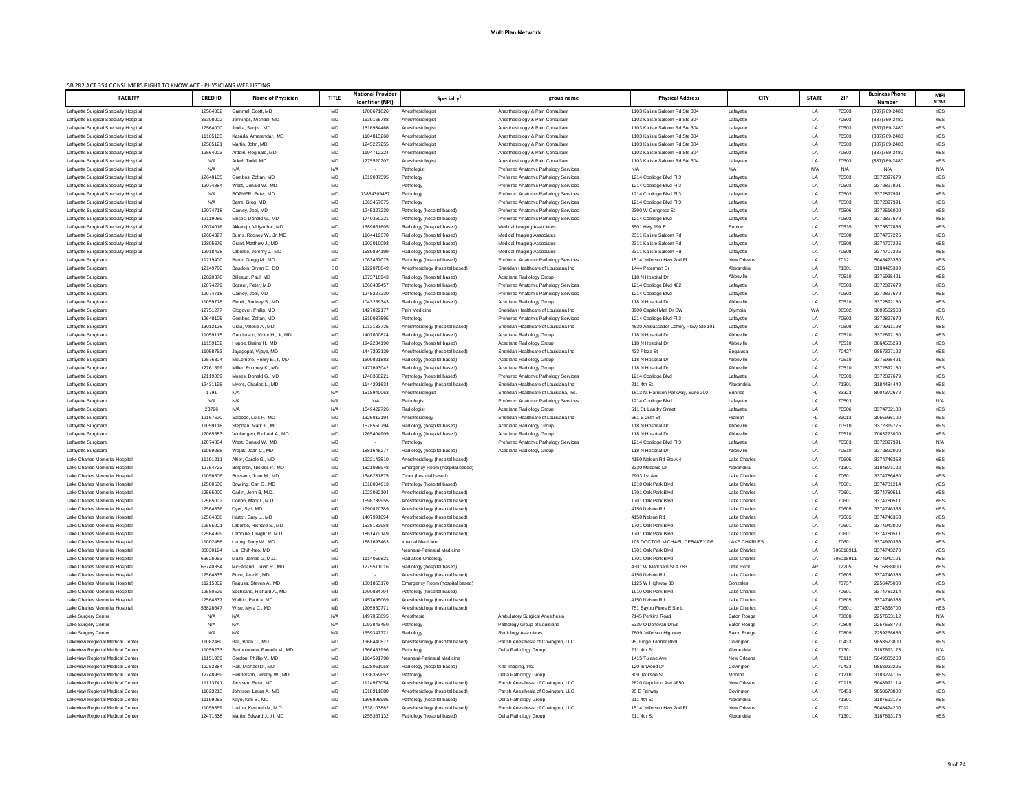| SB 282 ACT 354 CONSUMERS RIGHT TO KNOW ACT - PHYSICIANS WEB LISTING            |                      |                                                  |                 |                                                     |                                                                    |                                                                                              |                                          |                                     |              |                |                                        |                           |
|--------------------------------------------------------------------------------|----------------------|--------------------------------------------------|-----------------|-----------------------------------------------------|--------------------------------------------------------------------|----------------------------------------------------------------------------------------------|------------------------------------------|-------------------------------------|--------------|----------------|----------------------------------------|---------------------------|
| <b>FACILITY</b>                                                                | <b>CRED ID</b>       | <b>Name of Physician</b>                         | <b>TITLE</b>    | <b>National Provider</b><br><b>Identifier (NPI)</b> | <b>Specialty</b>                                                   | group name                                                                                   | <b>Physical Address</b>                  | <b>CITY</b>                         | <b>STATE</b> | <b>ZIP</b>     | <b>Business Phone</b><br><b>Number</b> | <b>MPI</b><br><b>NTWK</b> |
| Lafayette Surgical Specialty Hospital                                          | 12564002             | Gammel, Scott, MD                                | MD              | 1780671826                                          | Anesthesiologist                                                   | Anesthesiology & Pain Consultant                                                             | 1103 Kaliste Saloom Rd Ste 304           | Lafayette                           | LA           | 70503          | (337)769-2480                          | YES                       |
| Lafayette Surgical Specialty Hospital                                          | 36308002             | Jennings, Michael, MD                            | <b>MD</b>       | 1639166788                                          | Anesthesiologist                                                   | Anesthesiology & Pain Consultant                                                             | 1103 Kaliste Saloom Rd Ste 304           | Lafayette                           | LA           | 70503          | (337)769-2480                          | <b>YES</b>                |
| Lafayette Surgical Specialty Hospital                                          | 12564000             | Jindia, Sanjiv MD                                | MD              | 1316934466                                          | Anesthesiologist                                                   | Anesthesiology & Pain Consultant                                                             | 1103 Kaliste Saloom Rd Ste 304           | Lafayette                           | LA           | 70503          | (337)769-2480                          | YES                       |
| Lafayette Surgical Specialty Hospital                                          | 11105103             | Kasarla, Amarendar, MD                           | MD              | 1104813260                                          | Anesthesiologist                                                   | Anesthesiology & Pain Consultant                                                             | 1103 Kaliste Saloom Rd Ste 304           | Lafayette                           | LA           | 70503          | (337)769-2480                          | <b>YES</b>                |
| Lafayette Surgical Specialty Hospital                                          | 12565121             | Martin, John, MD                                 | MD              | 1245227255                                          | Anesthesiologist                                                   | Anesthesiology & Pain Consultant                                                             | 1103 Kaliste Saloom Rd Ste 304           | Lafayette                           | LA           | 70503          | (337)769-2480                          | <b>YES</b>                |
| Lafayette Surgical Specialty Hospital                                          | 12564003             | Ardoin, Reginald, MD                             | MD              | 1194712224                                          | Anesthesiologist                                                   | Anesthesiology & Pain Consultant                                                             | 1103 Kaliste Saloom Rd Ste 304           | Lafayette                           | LA           | 70503          | (337)769-2480                          | <b>YES</b>                |
| Lafayette Surgical Specialty Hospital                                          | N/A                  | Ackel, Todd, MD                                  | MD              | 1275520207                                          | Anesthesiologist                                                   | Anesthesiology & Pain Consultant                                                             | 1103 Kaliste Saloom Rd Ste 304           | Lafayette                           | LA           | 70503          | (337)769-2480                          | YES                       |
| Lafayette Surgical Specialty Hospital                                          | N/A                  | N/A                                              | N/A             |                                                     | Pathologist                                                        | Preferred Anatomic Pathology Services                                                        | N/A                                      | N/A                                 | N/A          | N/A            | N/A                                    | N/A                       |
| Lafayette Surgical Specialty Hospital                                          | 12648105             | Gombos, Zoltan, MD                               | MD              | 1619037595                                          | Pathology                                                          | <b>Preferred Anatomic Pathology Services</b>                                                 | 1214 Coolidge Blvd Fl 3                  | Lafayette                           | LA           | 70503          | 3372897679                             | <b>YES</b>                |
| Lafayette Surgical Specialty Hospital                                          | 12074884             | West, Donald W., MD                              | MD              |                                                     | Pathology                                                          | <b>Preferred Anatomic Pathology Services</b>                                                 | 1214 Coolidge Blvd Fl 3                  | Lafayette                           | LA           | 70503          | 3372897991                             | YES                       |
| Lafayette Surgical Specialty Hospital                                          | N/A                  | BOZNER, Peter, MD                                | MD              | 1388430945                                          | Pathology                                                          | Preferred Anatomic Pathology Services                                                        | 1214 Coolidge Blvd Fl 3                  | Lafayette                           | LA           | 70503          | 3372897991                             | <b>YES</b>                |
| Lafayette Surgical Specialty Hospital                                          | N/A                  | Barre, Greg, MD                                  | <b>MD</b>       | 1063457075                                          | Pathology                                                          | <b>Preferred Anatomic Pathology Services</b>                                                 | 1214 Coolidge Blvd Fl 3                  | Lafayette                           | LA           | 70503          | 3372897991                             | YES                       |
| Lafayette Surgical Specialty Hospital<br>Lafayette Surgical Specialty Hospital | 12074718<br>12119089 | Carney, Joel, MD<br>Moses, Donald G., MD         | <b>MD</b><br>MD | 1245227230<br>174036022                             | Pathology (hospital based)<br>Pathology (hospital based)           | <b>Preferred Anatomic Pathology Services</b><br><b>Preferred Anatomic Pathology Services</b> | 2390 W Congress St<br>1214 Coolidge Blvd | Lafayette<br>Lafayette              | LA<br>LA     | 70506<br>70503 | 3372616000<br>3372897679               | <b>YES</b><br><b>YES</b>  |
| Lafayette Surgical Specialty Hospital                                          | 12074016             | Akkaraju, Vidyadhar, MD                          | MD              | 1689661605                                          | Radiology (hospital based)                                         | Medical Imaging Associates                                                                   | 3501 Hwy 190 E                           | Eunice                              | LA           | 70535          | 3375807856                             | YES                       |
| Lafayette Surgical Specialty Hospital                                          | 12604327             | Burns, Rodney W., Jr, MD                         | MD              | 1164419370                                          | Radiology (hospital based)                                         | <b>Medical Imaging Associates</b>                                                            | 2311 Kaliste Saloom Rd                   | Lafayette                           | LA           | 70508          | 3374707226                             | <b>YES</b>                |
| Lafayette Surgical Specialty Hospital                                          | 12805679             | Grant. Matthew J., MD                            | MD              | 1902010093                                          | Radiology (hospital based)                                         | <b>Medical Imaging Associates</b>                                                            | 2311 Kaliste Saloom Rd                   | Lafayette                           | LA           | 70508          | 3374707226                             | <b>YES</b>                |
| Lafayette Surgical Specialty Hospital                                          | 12918428             | Laborde, Jeremy J., MD                           | MD              | 1689884199                                          | Radiology (hospital based)                                         | <b>Medical Imaging Associates</b>                                                            | 2311 Kaliste Saloom Rd                   | Lafayette                           | LA           | 70508          | 3374707226                             | YES                       |
| Lafayette Surgicare                                                            | 11219400             | Barre, Gregg M., MD                              | MD              | 1063457075                                          | Pathology (hospital based)                                         | <b>Preferred Anatomic Pathology Services</b>                                                 | 1514 Jefferson Hwy 2nd Fl                | New Orleans                         | LA           | 70121          | 5048423330                             | <b>YES</b>                |
| Lafayette Surgicare                                                            | 12149760             | Baudoin, Bryan E., DO                            | DO              | 1922078849                                          | Anesthesiology (hospital based)                                    | Sheridan Healthcare of Louisiana Inc                                                         | 1444 Peterman Dr                         | Alexandria                          | LA           | 71301          | 3184425399                             | <b>YES</b>                |
| Lafayette Surgicare                                                            | 12820370             | Billeaud, Paul, MD                               | <b>MD</b>       | 1073710943                                          | Radiology (hospital based)                                         | Acadiana Radiology Group                                                                     | 118 N Hospital Dr                        | Abbeville                           | LA           | 70510          | 3375935421                             | <b>YES</b>                |
| Lafayette Surgicare                                                            | 12074279             | Bozner, Peter, M.D.                              | MD              | 1366439457                                          | Pathology (hospital based)                                         | Preferred Anatomic Pathology Services                                                        | 1214 Coolidge Blvd 402                   | Lafayette                           | LA           | 70503          | 3372897679                             | <b>YES</b>                |
| Lafayette Surgicare                                                            | 12074718             | Carney, Joel, MD                                 | MD              | 1245227230                                          | Pathology (hospital based)                                         | <b>Preferred Anatomic Pathology Services</b>                                                 | 1214 Coolidge Blvd                       | Lafayette                           | LA           | 70503          | 3372897679                             | <b>YES</b>                |
| Lafayette Surgicare                                                            | 11059718             | Florek, Rodney S., MD                            | MD              | 1043269343                                          | Radiology (hospital based)                                         | Acadiana Radiology Group                                                                     | 118 N Hospital Dr                        | Abbeville                           | LA           | 70510          | 3372892180                             | YES                       |
| Lafayette Surgicare                                                            | 12751277             | Glogover, Philip, MD                             | MD              | 1427022177                                          | Pain Medicine                                                      | Sheridan Healthcare of Louisiana Inc                                                         | 3900 Capitol Mall Dr SW                  | Olympia                             | WA           | 98502          | 3609562563                             | <b>YES</b>                |
| Lafayette Surgicare                                                            | 12648105             | Gombos, Zoltan, MD                               | MD              | 1619037595                                          | Pathology                                                          | Preferred Anatomic Pathology Services                                                        | 1214 Coolidge Blvd Fl 3                  | Lafayette                           | LA           | 70503          | 3372897679                             | N/A                       |
| Lafayette Surgicare                                                            | 13012126             | Grau, Valerie A., MD                             | MD              | 1013133735                                          | Anesthesiology (hospital based)                                    | Sheridan Healthcare of Louisiana Inc                                                         | 4630 Ambassador Caffery Pkwy Ste 101     | Lafayette                           | LA           | 70508          | 3379931193                             | <b>YES</b>                |
| Lafayette Surgicare                                                            | 11059115             | Gunderson, Victor H., Jr, MD                     | <b>MD</b>       | 1407800824                                          | Radiology (hospital based)                                         | Acadiana Radiology Group                                                                     | 118 N Hospital Dr                        | Abbeville                           | LA           | 70510          | 3372892180                             | <b>YES</b>                |
| Lafayette Surgicare                                                            | 11159132             | Hoppe, Blaine H., MD                             | <b>MD</b>       | 1942234190                                          | Radiology (hospital based)                                         | Acadiana Radiology Group                                                                     | 118 N Hospital Dr                        | Abbeville                           | LA           | 70510          | 3864565293                             | <b>YES</b>                |
| Lafayette Surgicare                                                            | 11058753             | Jayagopal, Vijaya, MD                            | <b>MD</b>       | 1447293139                                          | Anesthesiology (hospital based)                                    | Sheridan Healthcare of Louisiana Inc                                                         | 433 Plaza St                             | Bogalusa                            | LA           | 70427          | 9857327122                             | <b>YES</b>                |
| Lafayette Surgicare                                                            | 12576804             | McLemore, Henry E., II, MD                       | <b>MD</b>       | 1609821883                                          | Radiology (hospital based)                                         | Acadiana Radiology Group                                                                     | 118 N Hospital Dr                        | Abbeville                           | LA           | 70510          | 3375935421                             | <b>YES</b>                |
| Lafayette Surgicare                                                            | 12761599             | Miller, Romney K., MD<br>Moses, Donald G., MD    | MD<br>MD        | 1477693042<br>174036022                             | Radiology (hospital based)                                         | Acadiana Radiology Group<br>Preferred Anatomic Pathology Services                            | 118 N Hospital Dr<br>1214 Coolidge Blvd  | Abbeville                           | LA           | 70510<br>70503 | 3372892180<br>3372897679               | <b>YES</b><br><b>YES</b>  |
| Lafayette Surgicare<br>Lafayette Surgicare                                     | 12119089<br>12431196 | Myers, Charles L., MD                            | MD              | 1144291634                                          | Pathology (hospital based)<br>Anesthesiology (hospital based)      | Sheridan Healthcare of Louisiana Inc                                                         | 211 4th St                               | Lafayette<br>Alexandria             | LA<br>LA     | 71301          | 3184484440                             | <b>YES</b>                |
| Lafayette Surgicare                                                            | 1791                 | N/A                                              | N/A             | 1518940063                                          | Anesthesiologist                                                   | Sheridan Healthcare of Louisiana, Inc.                                                       | 1613 N. Harrison Parkway, Suite 200      | Sunrise                             | FL           | 33323          | 8004372672                             | YES                       |
| Lafayette Surgicare                                                            | N/A                  | N/A                                              | N/A             | N/A                                                 | Pathologist                                                        | <b>Preferred Anatomic Pathology Services</b>                                                 | 1214 Coolidge Blvd                       | Lafayette                           | LA           | 70503          |                                        | N/A                       |
| Lafayette Surgicare                                                            | 23726                | N/A                                              | N/A             | 1649422726                                          | Radiologist                                                        | Acadiana Radiology Group                                                                     | 611 St. Landry Street                    | Lafayette                           | LA           | 70506          | 3374702180                             | <b>YES</b>                |
| Lafayette Surgicare                                                            | 12167620             | Salcedo, Luis F., MD                             | MD              | 1326013194                                          | Anesthesiology                                                     | Sheridan Healthcare of Louisiana Inc                                                         | 651 E 25th St                            | Hialeah                             | FL           | 33013          | 3056936100                             | YES                       |
| Lafayette Surgicare                                                            | 11059118             | Stephan, Mark T., MD                             | MD              | 1578550794                                          | Radiology (hospital based)                                         | Acadiana Radiology Group                                                                     | 118 N Hospital Dr                        | Abbeville                           | LA           | 70510          | 3372315775                             | <b>YES</b>                |
| Lafayette Surgicare                                                            | 12065583             | Vanbergen, Richard A., MD                        | MD              | 1265404909                                          | Radiology (hospital based)                                         | Acadiana Radiology Group                                                                     | 118 N Hospital Dr                        | Abbeville                           | LA           | 70510          | 7063223000                             | <b>YES</b>                |
| Lafayette Surgicare                                                            | 12074884             | West, Donald W., MD                              | MD              | $\sim$                                              | Pathology                                                          | <b>Preferred Anatomic Pathology Services</b>                                                 | 1214 Coolidge Blvd Fl 3                  | Lafayette                           | LA           | 70503          | 3372897991                             | N/A                       |
| Lafayette Surgicare                                                            | 11059288             | Wojak, Joan C., MD                               | MD              | 1881648277                                          | Radiology (hospital based)                                         | Acadiana Radiology Group                                                                     | 118 N Hospital Dr                        | Abbeville                           | LA           | 70510          | 3372892000                             | YES                       |
| Lake Charles Memorial Hospital                                                 | 11191211             | Altier, Carole G., MD                            | MD              | 1922143510                                          | Anesthesiology (hospital based)                                    |                                                                                              | 4150 Nelson Rd Ste A 4                   | <b>Lake Charles</b>                 | LA           | 70605          | 3374746353                             | <b>YES</b>                |
| Lake Charles Memorial Hospital                                                 | 12754723             | Bergeron, Nickles P., MD                         | MD              | 1821036948                                          | Emergency Room (hospital based)                                    |                                                                                              | 3330 Masonic Dr                          | Alexandria                          | LA           | 71301          | 3184871122                             | <b>YES</b>                |
| Lake Charles Memorial Hospital                                                 | 11056606             | Bossano, Juan M., MD                             | MD              | 1346231875                                          | Other (hospital based)                                             |                                                                                              | 2903 1st Ave                             | Lake Charles                        | LA           | 70601          | 3374786480                             | YES                       |
| Lake Charles Memorial Hospital                                                 | 12580530             | Bowling, Carl G., MD                             | MD              | 1518004613                                          | Pathology (hospital based)                                         |                                                                                              | 1910 Oak Park Blvd                       | <b>Lake Charles</b>                 | LA           | 70601          | 3374781214                             | YES                       |
| Lake Charles Memorial Hospital                                                 | 12565000             | Carlin, John B, M.D                              | MD              | 1023082104                                          | Anesthesiology (hospital based)                                    |                                                                                              | 1701 Oak Park Blvd                       | Lake Charles                        | LA           | 70601          | 3374780511                             | <b>YES</b>                |
| Lake Charles Memorial Hospital                                                 | 12565002             | Doiron, Mark L, M.D.                             | MD              | 1598739955                                          | Anesthesiology (hospital based)                                    |                                                                                              | 1701 Oak Park Blvd                       | Lake Charles                        | LA           | 70601          | 3374780511                             | <b>YES</b>                |
| Lake Charles Memorial Hospital                                                 | 12564836             | Dyer, Syd, MD                                    | MD              | 1790820389                                          | Anesthesiology (hospital based)                                    |                                                                                              | 4150 Nelson Rd                           | Lake Charles                        | LA           | 70605          | 3374746353                             | YES                       |
| Lake Charles Memorial Hospital<br>Lake Charles Memorial Hospital               | 12564838<br>12565001 | Harter, Gary L., MD<br>Laborde, Richard S., MD   | MD<br>MD        | 1407991094<br>1538133988                            | Anesthesiology (hospital based)<br>Anesthesiology (hospital based) |                                                                                              | 4150 Nelson Rd<br>1701 Oak Park Blvd     | <b>Lake Charles</b><br>Lake Charles | LA<br>LA     | 70605<br>70601 | 3374746353<br>3374943000               | <b>YES</b><br><b>YES</b>  |
| Lake Charles Memorial Hospital                                                 | 12564999             | Lemoine, Dwight R, M.D.                          | MD              | 1861479149                                          | Anesthesiology (hospital based)                                    |                                                                                              | 1701 Oak Park Blvd                       | Lake Charles                        | LA           | 70601          | 3374780511                             | <b>YES</b>                |
| Lake Charles Memorial Hospital                                                 | 11002486             | Leung, Tony W., MD                               | MD              | 1881693463                                          | Internal Medicine                                                  |                                                                                              | 105 DOCTOR MICHAEL DEBAKEY DR            | <b>LAKE CHARLES</b>                 | LA           | 70601          | 3374970366                             | <b>YES</b>                |
| Lake Charles Memorial Hospital                                                 | 38030194             | Lin, Chih-hao, MD                                | MD              |                                                     | Neonatal-Perinatal Medicine                                        |                                                                                              | 1701 Oak Park Blvd                       | Lake Charles                        | LA           | 70601891       | 3374743270                             | YES                       |
| Lake Charles Memorial Hospital                                                 | 63626053             | Maze, James G, M.D.                              | MD              | 111405982                                           | <b>Radiation Oncology</b>                                          |                                                                                              | 1701 Oak Park Blvd                       | Lake Charles                        | LA           | 706018911      | 3374942121                             | <b>YES</b>                |
| Lake Charles Memorial Hospital                                                 | 65740354             | McFarland, David R., MD                          | MD              | 1275511016                                          | Radiology (hospital based)                                         |                                                                                              | 4301 W Markham St # 783                  | Little Rock                         | AR           | 72205          | 5016868000                             | <b>YES</b>                |
| Lake Charles Memorial Hospital                                                 | 12564835             | Price, Jere K., MD                               | MD              |                                                     | Anesthesiology (hospital based)                                    |                                                                                              | 4150 Nelson Rd                           | Lake Charles                        | LA           | 70605          | 3374746353                             | <b>YES</b>                |
| Lake Charles Memorial Hospital                                                 | 11215002             | Ragusa, Steven A., MD                            | MD              | 1801863170                                          | Emergency Room (hospital based)                                    |                                                                                              | 1125 W Highway 30                        | Gonzales                            | LA           | 70737          | 2256475000                             | <b>YES</b>                |
| Lake Charles Memorial Hospital                                                 | 12580529             | Sachitano, Richard A., MD                        | MD              | 1790834794                                          | Pathology (hospital based)                                         |                                                                                              | 1910 Oak Park Blvd                       | Lake Charles                        | LA           | 70601          | 3374781214                             | <b>YES</b>                |
| Lake Charles Memorial Hospital                                                 | 12564837             | Walkin, Patrick, MD                              | MD              | 1457496069                                          | Anesthesiology (hospital based)                                    |                                                                                              | 4150 Nelson Rd                           | <b>Lake Charles</b>                 | LA           | 70605          | 3374746353                             | <b>YES</b>                |
| Lake Charles Memorial Hospital                                                 | 53828647             | Wise, Myra C., MD                                | MD              | 120595077                                           | Anesthesiology (hospital based)                                    |                                                                                              | 751 Bayou Pines E Ste L                  | Lake Charles                        | LA           | 70601          | 3374368700                             |                           |
| Lake Surgery Center                                                            | N/A                  | N/A                                              | N/A             | 1497058895                                          | Anesthesia                                                         | Ambulatory Surgical Anesthesia                                                               | 7145 Perkins Road                        | Baton Rouge                         | LA           | 70808          | 2257653112                             | N/A                       |
| Lake Surgery Center                                                            | N/A                  | N/A                                              | N/A             | 1093843450                                          | Pathology                                                          | Pathology Group of Louisiana                                                                 | 5339 O'Donovan Drive                     | <b>Baton Rouge</b>                  | LA           | 70808          | 2257658770                             | YES                       |
| Lake Surgery Center                                                            | N/A                  | N/A                                              | N/A             | 165934777                                           | Radiology                                                          | Radiology Associates                                                                         | 7809 Jefferson Highway                   | Baton Rouge                         | LA           | 70809          | 2259268686                             | YES                       |
| Lakeview Regional Medical Center                                               | 11082480             | Ball, Brian C., MD                               | MD              | 1366440877                                          | Anesthesiology (hospital based)                                    | Parish Anesthesia of Covington, LLC                                                          | 95 Judge Tanner Blvd                     | Covington                           | LA           | 70433          | 9858673800                             | <b>YES</b>                |
| Lakeview Regional Medical Center                                               | 11059233             | Bartholomew, Pamela M., MD                       | MD              | 1366481996                                          | Pathology                                                          | Delta Pathology Group                                                                        | 211 4th St                               | Alexandria                          | LA           | 71301          | 3187693175                             | N/A                       |
| Lakeview Regional Medical Center                                               | 11151989             | Gordon, Phillip V., MD                           | MD              | 1164591798                                          | Neonatal-Perinatal Medicine                                        |                                                                                              | 1415 Tulane Ave                          | New Orleans                         | LA           | 70112          | 5049885263                             | YES                       |
| Lakeview Regional Medical Center<br>Lakeview Regional Medical Center           | 12283384<br>12748959 | Hall, Michael D., MD<br>Henderson, Jeremy W., MD | MD              | 1528061058<br>1336359652                            | Radiology (hospital based)<br>Pathology                            | Kite Imaging, Inc.                                                                           | 120 Innwood Dr<br>309 Jackson St         | Covington<br>Monroe                 | LA<br>LA     | 70433<br>71210 | 9858923225<br>3183274105               | <b>YES</b><br><b>YES</b>  |
| Lakeview Regional Medical Center                                               | 11113741             | Janssen, Peter, MD                               | MD<br>MD        | 1114973054                                          | Anesthesiology (hospital based)                                    | Delta Pathology Group<br>Parish Anesthesia of Covington, LLC                                 | 2820 Napoleon Ave #650                   | New Orleans                         | LA           | 70115          | 5048991114                             | YES                       |
| Lakeview Regional Medical Center                                               | 11023213             | Johnson, Laura A., MD                            | MD              | 1518911080                                          | Anesthesiology (hospital based)                                    | Parish Anesthesia of Covington, LLC                                                          | 95 E Fairway                             | Covington                           | LA           | 70433          | 9858673800                             | YES                       |
| Lakeview Regional Medical Center                                               | 11199053             | Kaye, Kim B., MD                                 | MD              | 1396898995                                          | Pathology (hospital based)                                         | Delta Pathology Group                                                                        | 211 4th St                               | Alexandria                          | LA           | 71301          | 3187693175                             | <b>YES</b>                |
| Lakeview Regional Medical Center                                               | 11059369             | Levine. Kenneth M. M.D.                          | MD              | 1538103882                                          | Anesthesiology (hospital based)                                    | Parish Anesthesia of Covington, LLC                                                          | 1514 Jefferson Hwy 2nd Fl                | New Orleans                         | LA           | 70121          | 5048424200                             | YES                       |
| Lakeview Regional Medical Center                                               | 12471838             | Martin, Edward J., III, MD                       | MD              | 1255367132                                          | Pathology (hospital based)                                         | Delta Pathology Group                                                                        | 211 4th St                               | Alexandria                          | LA           | 71301          | 3187693175                             | <b>YES</b>                |
|                                                                                |                      |                                                  |                 |                                                     |                                                                    |                                                                                              |                                          |                                     |              |                |                                        |                           |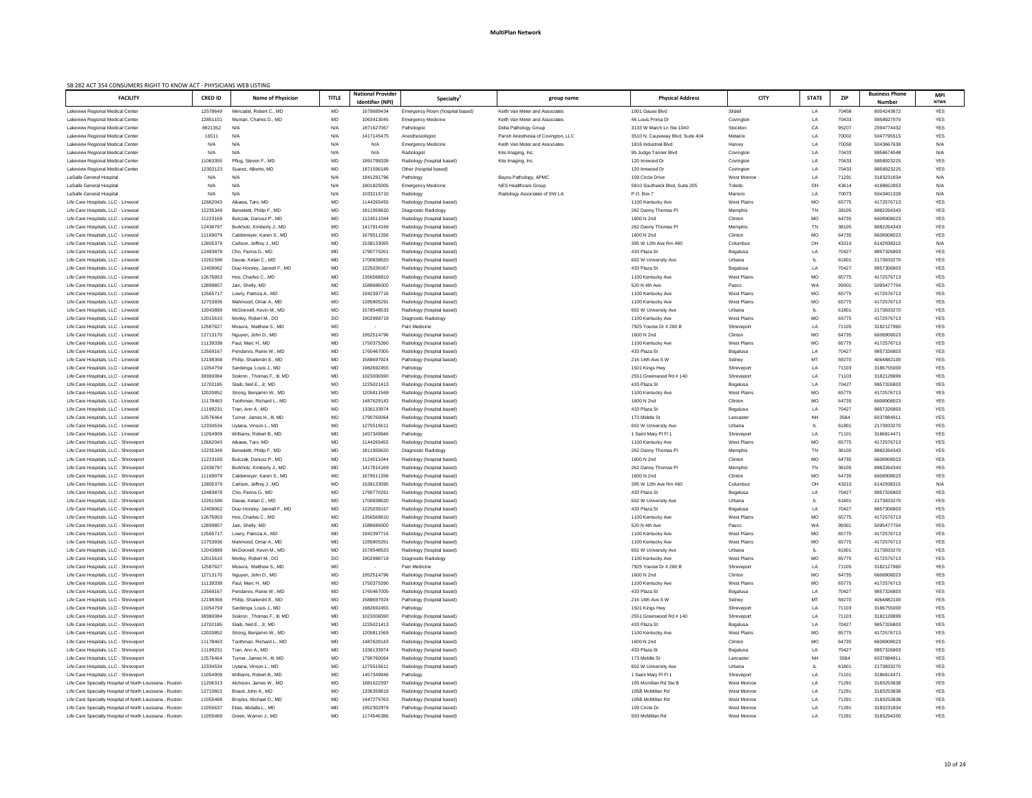| SB 282 ACT 354 CONSUMERS RIGHT TO KNOW ACT - PHYSICIANS WEB LISTING<br><b>FACILITY</b> | <b>CRED ID</b>       | Name of Physician                                   | <b>TITLE</b> | <b>National Provider</b> | <b>Specialty</b>                                         | group name                                                   | <b>Physical Address</b>                       | <b>CITY</b>                   | <b>STATE</b> | ZIP            | <b>Business Phone</b>    | <b>MPI</b>               |
|----------------------------------------------------------------------------------------|----------------------|-----------------------------------------------------|--------------|--------------------------|----------------------------------------------------------|--------------------------------------------------------------|-----------------------------------------------|-------------------------------|--------------|----------------|--------------------------|--------------------------|
|                                                                                        |                      |                                                     |              | Identifier (NPI)         |                                                          |                                                              |                                               |                               |              |                | <b>Number</b>            | <b>NTWK</b>              |
| Lakeview Regional Medical Center                                                       | 12578649             | Mercadel, Robert C., MD                             | MD           | 1679689434               | Emergency Room (hospital based)                          | Keith Van Meter and Associates                               | 1001 Gause Blvd                               | Slidell                       | LA           | 70458          | 8004243672               | YES                      |
| Lakeview Regional Medical Center                                                       | 12851101             | Muntan, Charles D., MD<br>N/A                       | MD           | 1063413045               | <b>Emergency Medicine</b>                                | Keith Van Meter and Associates                               | 46 Louis Prima Dr<br>3133 W March Ln Ste 1040 | Covingtor                     | LA           | 70433<br>95207 | 9858927070               | <b>YES</b>               |
| Lakeview Regional Medical Center<br>Lakeview Regional Medical Center                   | 8821352<br>16511     | N/A                                                 | N/A<br>N/A   | 1871627067<br>1417145475 | Pathologist<br>Anesthesiologist                          | Delta Pathology Group<br>Parish Anesthesia of Covington, LLC | 3510 N. Causeway Blvd, Suite 404              | Stockton<br>Metairie          | CA<br>LA     | 70002          | 2094774432<br>5047795515 | <b>YES</b><br><b>YES</b> |
| Lakeview Regional Medical Center                                                       | N/A                  | N/A                                                 | N/A          | N/A                      | <b>Emergency Medicine</b>                                | Keith Van Meter and Associates                               | 1816 Industrial Blvd                          | Harvey                        | LA           | 70058          | 5043667638               | N/A                      |
| Lakeview Regional Medical Center                                                       | N/A                  | N/A                                                 | N/A          | N/A                      | Radiologist                                              | Kite Imaging, Inc.                                           | 95 Judge Tanner Blvd                          | Covington                     | LA           | 70433          | 9858674048               | N/A                      |
| Lakeview Regional Medical Center                                                       | 11063355             | Pflug, Steven F., MD                                | MD           | 1891798328               | Radiology (hospital based)                               | Kite Imaging, Inc.                                           | 120 Innwood Dr                                | Covington                     | LA           | 70433          | 9858923225               | <b>YES</b>               |
| Lakeview Regional Medical Center                                                       | 12302123             | Suarez, Alberto, MD                                 | MD           | 1871596189               | Other (hospital based)                                   |                                                              | 120 Innwood Dr                                | Covington                     | LA           | 70433          | 9858923225               | <b>YES</b>               |
| LaSalle General Hospital                                                               | N/A                  | N/A                                                 | N/A          | 1841291796               | Pathology                                                | Bayou Pathology, APMC                                        | 109 Circle Drive                              | <b>West Monroe</b>            | LA           | 71291          | 3183231834               | N/A                      |
| LaSalle General Hospital                                                               | N/A                  | N/A                                                 | N/A          | 1801825005               | <b>Emergency Medicine</b>                                | <b>NES Healthcare Group</b>                                  | 5810 Southwick Blvd, Suite 205                | Toledo                        | OH           | 43614          | 4198652853               | N/A                      |
| LaSalle General Hospital                                                               | N/A                  | N/A                                                 | N/A          | 1033215710               | Radiology                                                | Radiology Associates of SW LA                                | P.O. Box 7                                    | Marrero                       | LA           | 70073          | 5043401328               | N/A                      |
| Life Care Hospitals, LLC - Linwood                                                     | 12662043             | Aikawa, Taro, MD                                    | MD           | 1144265455               | Radiology (hospital based)                               |                                                              | 1100 Kentucky Ave                             | <b>West Plains</b>            | MO           | 65775          | 4172576713               | <b>YES</b>               |
| Life Care Hospitals, LLC - Linwood<br>Life Care Hospitals, LLC - Linwood               | 12235349<br>11223169 | Benedetti, Philip F., MD<br>Bulczak, Dariusz P., MD | MD<br>MD     | 1811959620<br>1124011044 | Diagnostic Radiology<br>Radiology (hospital based)       |                                                              | 262 Danny Thomas PI<br>1600 N 2nd             | Memphis<br>Clinton            | TN<br>MO     | 38105<br>64735 | 8882264343<br>6608908023 | <b>YES</b><br><b>YES</b> |
| Life Care Hospitals, LLC - Linwood                                                     | 12436797             | Burkholz, Kimberly J., MD                           | MD           | 1417914169               | Radiology (hospital based)                               |                                                              | 262 Danny Thomas PI                           | Memphis                       | TN           | 38105          | 8882264343               | <b>YES</b>               |
| Life Care Hospitals, LLC - Linwood                                                     | 11169079             | Caldemeyer, Karen S., MD                            | MD           | 1679511356               | Radiology (hospital based)                               |                                                              | 1600 N 2nd                                    | Clinton                       | MO           | 64735          | 6608908023               | <b>YES</b>               |
| Life Care Hospitals, LLC - Linwood                                                     | 12805379             | Carlson, Jeffrey J., MD                             | MD           | 1538133095               | Radiology (hospital based)                               |                                                              | 395 W 12th Ave Rm 460                         | Columbus                      | OH           | 43210          | 6142938315               | N/A                      |
| Life Care Hospitals, LLC - Linwood                                                     | 12483878             | Cho, Parina G., MD                                  | MD           | 1790770261               | Radiology (hospital based)                               |                                                              | 433 Plaza St                                  | Bogalusa                      | LA           | 70427          | 9857326803               | <b>YES</b>               |
| Life Care Hospitals, LLC - Linwood                                                     | 12261598             | Davae, Ketan C., MD                                 | MD           | 1700838620               | Radiology (hospital based)                               |                                                              | 602 W University Ave                          | Urbana                        |              | 61801          | 2173833270               | <b>YES</b>               |
| Life Care Hospitals, LLC - Linwood                                                     | 12409062             | Diaz-Horsley, Jannell F., MD                        | MD           | 1225039167               | Radiology (hospital based)                               |                                                              | 433 Plaza St                                  | Bogalusa                      | LA           | 70427          | 9857306803               | <b>YES</b>               |
| Life Care Hospitals, LLC - Linwood                                                     | 12676953             | Hoo, Charles C., MD                                 | MD           | 135656881                | Radiology (hospital based)                               |                                                              | 1100 Kentucky Ave                             | <b>West Plains</b>            | MO           | 65775          | 4172576713               | <b>YES</b>               |
| Life Care Hospitals, LLC - Linwood                                                     | 12899857             | Jain, Shelly, MD                                    | MD           | 1588686000               | Radiology (hospital based)                               |                                                              | 520 N 4th Ave                                 | Pasco                         | WA           | 99301          | 5095477704               | <b>YES</b>               |
| Life Care Hospitals, LLC - Linwood                                                     | 12565717             | Lowry, Patricia A., MD                              | MD           | 1942397716               | Radiology (hospital based)                               |                                                              | 1100 Kentucky Ave                             | <b>West Plains</b>            | MO           | 65775          | 4172576713               | <b>YES</b>               |
| Life Care Hospitals, LLC - Linwood<br>Life Care Hospitals, LLC - Linwood               | 12753936<br>12043889 | Mahmood, Omar A., MD<br>McDonnell, Kevin M., MD     | MD<br>MD     | 1285805291<br>1578548533 | Radiology (hospital based)<br>Radiology (hospital based) |                                                              | 1100 Kentucky Ave<br>602 W University Ave     | <b>West Plains</b><br>Urbana  | MO           | 65775<br>61801 | 4172576713<br>2173833270 | <b>YES</b><br><b>YES</b> |
| Life Care Hospitals, LLC - Linwood                                                     | 12015610             | Morley, Robert M., DO                               | DO           | 190299871                | Diagnostic Radiology                                     |                                                              | 1100 Kentucky Ave                             | <b>West Plains</b>            | MO           | 65775          | 4172576713               | YES                      |
| Life Care Hospitals, LLC - Linwood                                                     | 12587627             | Mosura, Matthew S., MD                              | MD           |                          | Pain Medicine                                            |                                                              | 7925 Youree Dr # 280 B                        | Shreveport                    | LA           | 71105          | 3182127960               | <b>YES</b>               |
| Life Care Hospitals, LLC - Linwood                                                     | 12713170             | Nguyen, John D., MD                                 | MD           | 1952514796               | Radiology (hospital based)                               |                                                              | 1600 N 2nd                                    | Clinton                       | MO           | 64735          | 6608908023               | <b>YES</b>               |
| Life Care Hospitals, LLC - Linwood                                                     | 11139338             | Paul, Marc H., MD                                   | MD           | 1750375390               | Radiology (hospital based)                               |                                                              | 1100 Kentucky Ave                             | <b>West Plains</b>            | MO           | 65775          | 4172576713               | YES                      |
| Life Care Hospitals, LLC - Linwood                                                     | 12569167             | Pendarvis, Ranie W., MD                             | MD           | 1760467005               | Radiology (hospital based)                               |                                                              | 433 Plaza St                                  | Bogalusa                      | LA           | 70427          | 9857326803               | <b>YES</b>               |
| Life Care Hospitals, LLC - Linwood                                                     | 12198368             | Philip, Shailendri E., MD                           | MD           | 1588697924               | Pathology (hospital based)                               |                                                              | 216 14th Ave S W                              | Sidney                        | MT           | 59270          | 4064882100               | <b>YES</b>               |
| Life Care Hospitals, LLC - Linwood                                                     | 11054759             | Sardenga, Louis J., MD                              | MD           | 1982692455               | Pathology                                                |                                                              | 1501 Kings Hwy                                | Shreveport                    | LA           | 71103          | 3186755000               | YES                      |
| Life Care Hospitals, LLC - Linwood                                                     | 38380084             | Siskron, Thomas F., III, MD                         | MD           | 1023006590               | Pathology (hospital based)                               |                                                              | 2551 Greenwood Rd # 140                       | Shreveport                    | LA           | 71103          | 3182128899               | <b>YES</b>               |
| Life Care Hospitals, LLC - Linwood                                                     | 12702185             | Staib, Neil E., Jr, MD                              | MD           | 1225021413               | Radiology (hospital based)                               |                                                              | 433 Plaza St                                  | Bogalusa                      | LA           | 70427          | 9857326803               | <b>YES</b>               |
| Life Care Hospitals, LLC - Linwood<br>Life Care Hospitals, LLC - Linwood               | 12020852<br>11178463 | Strong, Benjamin W., MD<br>Toothman, Richard L., MD | MD<br>MD     | 1205811569<br>1487629143 | Radiology (hospital based)<br>Radiology (hospital based) |                                                              | 1100 Kentucky Ave<br>1600 N 2nd               | <b>West Plains</b><br>Clinton | MO<br>MO     | 65775<br>64735 | 4172576713<br>6608908023 | YES<br><b>YES</b>        |
| Life Care Hospitals, LLC - Linwood                                                     | 11199231             | Tran, Ann A., MD                                    | MD           | 1336133974               | Radiology (hospital based)                               |                                                              | 433 Plaza St                                  | Bogalusa                      | LA           | 70427          | 9857326803               | YES                      |
| Life Care Hospitals, LLC - Linwood                                                     | 12576464             | Turner, James H., III, MD                           | MD           | 1790760064               | Radiology (hospital based)                               |                                                              | 173 Middle St                                 | Lancaster                     | <b>NH</b>    | 3584           | 6037884911               | <b>YES</b>               |
| Life Care Hospitals, LLC - Linwood                                                     | 12334534             | Uytana, Vinson L., MD                               | MD           | 127551561                | Radiology (hospital based)                               |                                                              | 602 W University Ave                          | Urbana                        |              | 61801          | 2173833270               | YES                      |
| Life Care Hospitals, LLC - Linwood                                                     | 11054909             | Williams, Robert B., MD                             | MD           | 1457349946               | Pathology                                                |                                                              | 1 Saint Mary PI FI 1                          | Shreveport                    | LA           | 71101          | 3186814471               | <b>YES</b>               |
| Life Care Hospitals, LLC - Shreveport                                                  | 12662043             | Aikawa, Taro, MD                                    | MD           | 1144265455               | Radiology (hospital based)                               |                                                              | 1100 Kentucky Ave                             | <b>West Plains</b>            | MO           | 65775          | 4172576713               | <b>YES</b>               |
| Life Care Hospitals, LLC - Shreveport                                                  | 12235349             | Benedetti, Philip F., MD                            | MD           | 1811959620               | Diagnostic Radiology                                     |                                                              | 262 Danny Thomas PI                           | Memphis                       | TN           | 38105          | 8882264343               | <b>YES</b>               |
| Life Care Hospitals, LLC - Shreveport                                                  | 11223169             | Bulczak, Dariusz P., MD                             | MD           | 1124011044               | Radiology (hospital based)                               |                                                              | 1600 N 2nd                                    | Clinton                       | MO           | 64735          | 6608908023               | <b>YES</b>               |
| Life Care Hospitals, LLC - Shreveport                                                  | 12436797             | Burkholz, Kimberly J., MD                           | MD           | 1417914169               | Radiology (hospital based)                               |                                                              | 262 Danny Thomas Pl                           | Memphis                       | TN           | 38105          | 8882264343               | <b>YES</b>               |
| Life Care Hospitals, LLC - Shreveport<br>Life Care Hospitals, LLC - Shreveport         | 11169079<br>12805379 | Caldemeyer, Karen S., MD<br>Carlson, Jeffrey J., MD | MD<br>MD     | 1679511356<br>1538133095 | Radiology (hospital based)<br>Radiology (hospital based) |                                                              | 1600 N 2nd<br>395 W 12th Ave Rm 460           | Clinton<br>Columbus           | MO<br>OH     | 64735<br>43210 | 6608908023<br>6142938315 | <b>YES</b><br>N/A        |
| Life Care Hospitals, LLC - Shreveport                                                  | 12483878             | Cho, Parina G., MD                                  | MD           | 179077026                | Radiology (hospital based)                               |                                                              | 433 Plaza St                                  | Bogalusa                      | LA           | 70427          | 9857326803               | <b>YES</b>               |
| Life Care Hospitals, LLC - Shreveport                                                  | 12261598             | Davae, Ketan C., MD                                 | MD           | 1700838620               | Radiology (hospital based)                               |                                                              | 602 W University Ave                          | Urbana                        |              | 61801          | 2173833270               | <b>YES</b>               |
| Life Care Hospitals, LLC - Shreveport                                                  | 12409062             | Diaz-Horsley, Jannell F., MD                        | MD           | 1225039167               | Radiology (hospital based)                               |                                                              | 433 Plaza St                                  | Bogalusa                      | LA           | 70427          | 9857306803               | <b>YES</b>               |
| Life Care Hospitals, LLC - Shreveport                                                  | 12676953             | Hoo, Charles C., MD                                 | MD           | 135656881                | Radiology (hospital based)                               |                                                              | 1100 Kentucky Ave                             | <b>West Plains</b>            | MO           | 65775          | 4172576713               | <b>YES</b>               |
| Life Care Hospitals, LLC - Shreveport                                                  | 12899857             | Jain, Shelly, MD                                    | MD           | 1588686000               | Radiology (hospital based)                               |                                                              | 520 N 4th Ave                                 | Pasco                         | WA           | 99301          | 5095477704               | <b>YES</b>               |
| Life Care Hospitals, LLC - Shreveport                                                  | 12565717             | Lowry, Patricia A., MD                              | MD           | 194239771                | Radiology (hospital based)                               |                                                              | 1100 Kentucky Ave                             | <b>West Plains</b>            | MO           | 65775          | 4172576713               | <b>YES</b>               |
| Life Care Hospitals, LLC - Shreveport                                                  | 12753936             | Mahmood, Omar A., MD                                | MD           | 1285805291               | Radiology (hospital based)                               |                                                              | 1100 Kentucky Ave                             | <b>West Plains</b>            | MO           | 65775          | 4172576713               | <b>YES</b>               |
| Life Care Hospitals, LLC - Shreveport<br>Life Care Hospitals, LLC - Shreveport         | 12043889<br>12015610 | McDonnell, Kevin M., MD<br>Morley, Robert M., DO    | MD<br>DO     | 1578548533<br>1902998719 | Radiology (hospital based)<br>Diagnostic Radiology       |                                                              | 602 W University Ave<br>1100 Kentucky Ave     | Urbana<br>West Plains         | <b>MO</b>    | 61801<br>65775 | 2173833270<br>4172576713 | <b>YES</b><br><b>YES</b> |
| Life Care Hospitals, LLC - Shreveport                                                  | 12587627             | Mosura, Matthew S., MD                              | MD           |                          | Pain Medicine                                            |                                                              | 7925 Youree Dr # 280 B                        | Shreveport                    | LA           | 71105          | 3182127960               | YES                      |
| Life Care Hospitals, LLC - Shreveport                                                  | 12713170             | Nguyen, John D., MD                                 | MD           | 1952514796               | Radiology (hospital based)                               |                                                              | 1600 N 2nd                                    | Clinton                       | MO           | 64735          | 6608908023               | <b>YES</b>               |
| Life Care Hospitals, LLC - Shreveport                                                  | 11139338             | Paul, Marc H., MD                                   | MD           | 1750375390               | Radiology (hospital based)                               |                                                              | 1100 Kentucky Ave                             | West Plains                   | MO           | 65775          | 4172576713               | <b>YES</b>               |
| Life Care Hospitals, LLC - Shreveport                                                  | 12569167             | Pendarvis, Ranie W., MD                             | MD           | 1760467005               | Radiology (hospital based)                               |                                                              | 433 Plaza St                                  | Bogalusa                      | LA           | 70427          | 9857326803               | YES                      |
| Life Care Hospitals, LLC - Shreveport                                                  | 12198368             | Philip, Shailendri E., MD                           | MD           | 1588697924               | Pathology (hospital based)                               |                                                              | 216 14th Ave S W                              | Sidney                        | MT           | 59270          | 4064882100               | <b>YES</b>               |
| Life Care Hospitals, LLC - Shreveport                                                  | 11054759             | Sardenga, Louis J., MD                              | <b>MD</b>    | 1982692455               | Pathology                                                |                                                              | 1501 Kings Hwy                                | Shreveport                    | LA           | 71103          | 3186755000               | <b>YES</b>               |
| Life Care Hospitals, LLC - Shreveport                                                  | 38380084             | Siskron, Thomas F., III, MD                         | MD           | 1023006590               | Pathology (hospital based)                               |                                                              | 2551 Greenwood Rd # 140                       | Shreveport                    | LA           | 71103          | 3182128899               | <b>YES</b>               |
| Life Care Hospitals, LLC - Shreveport                                                  | 12702185             | Staib, Neil E., Jr, MD                              | MD           | 1225021413               | Radiology (hospital based)                               |                                                              | 433 Plaza St                                  | Bogalusa                      | LA           | 70427          | 9857326803               | <b>YES</b>               |
| Life Care Hospitals, LLC - Shreveport<br>Life Care Hospitals, LLC - Shreveport         | 12020852<br>11178463 | Strong, Benjamin W., MD<br>Toothman, Richard L., MD | MD<br>MD     | 1205811569<br>1487629143 | Radiology (hospital based)<br>Radiology (hospital based) |                                                              | 1100 Kentucky Ave<br>1600 N 2nd               | <b>West Plains</b><br>Clinton | MO<br>МO     | 65775<br>64735 | 4172576713<br>6608908023 | YES<br><b>YES</b>        |
| Life Care Hospitals, LLC - Shreveport                                                  | 11199231             | Tran, Ann A., MD                                    | MD           | 1336133974               | Radiology (hospital based)                               |                                                              | 433 Plaza St                                  | Bogalusa                      | LA           | 70427          | 9857326803               | <b>YES</b>               |
| Life Care Hospitals, LLC - Shreveport                                                  | 12576464             | Turner, James H., III, MD                           | MD           | 1790760064               | Radiology (hospital based)                               |                                                              | 173 Middle St                                 | Lancaster                     | NH           | 3584           | 6037884911               | YES                      |
| Life Care Hospitals, LLC - Shreveport                                                  | 12334534             | Uytana, Vinson L., MD                               | MD           | 1275515611               | Radiology (hospital based)                               |                                                              | 602 W University Ave                          | Urbana                        |              | 61801          | 2173833270               | YES                      |
| Life Care Hospitals, LLC - Shreveport                                                  | 11054909             | Williams, Robert B., MD                             | MD           | 1457349946               | Pathology                                                |                                                              | 1 Saint Mary PI FI 1                          | Shreveport                    | LA           | 71101          | 3186814471               | YES                      |
| Life Care Specialty Hospital of North Louisiana - Ruston                               | 11206313             | Atchison, James W., MD                              | MD           | 1881622397               | Radiology (hospital based)                               |                                                              | 105 Mcmillan Rd Ste B                         | West Monroe                   | LA           | 71291          | 3183253838               | YES                      |
| Life Care Specialty Hospital of North Louisiana - Ruston                               | 12710601             | Braud, John A., MD                                  | MD           | 1336359819               | Radiology (hospital based)                               |                                                              | 105B McMillan Rd                              | <b>West Monroe</b>            | LA           | 71291          | 3183253838               | YES                      |
| Life Care Specialty Hospital of North Louisiana - Ruston                               | 11055468             | Broyles, Michael O., MD                             | MD           | 1447275763               | Radiology (hospital based)                               |                                                              | 105B McMillan Rd                              | West Monroe                   | LA           | 71291          | 3183253838               | YES                      |
| Life Care Specialty Hospital of North Louisiana - Ruston                               | 11055637             | Elias, Abdalla L., MD                               | MD           | 1952302978               | Pathology (hospital based)                               |                                                              | 109 Circle Dr                                 | West Monroe                   | LA           | 71291          | 3183231834               | YES                      |
| Life Care Specialty Hospital of North Louisiana - Ruston                               | 11055469             | Green, Warren J., MD                                | MD           | 1174546386               | Radiology (hospital based)                               |                                                              | 503 McMillan Rd                               | <b>West Monroe</b>            | LA           | 71291          | 3183294200               | YES                      |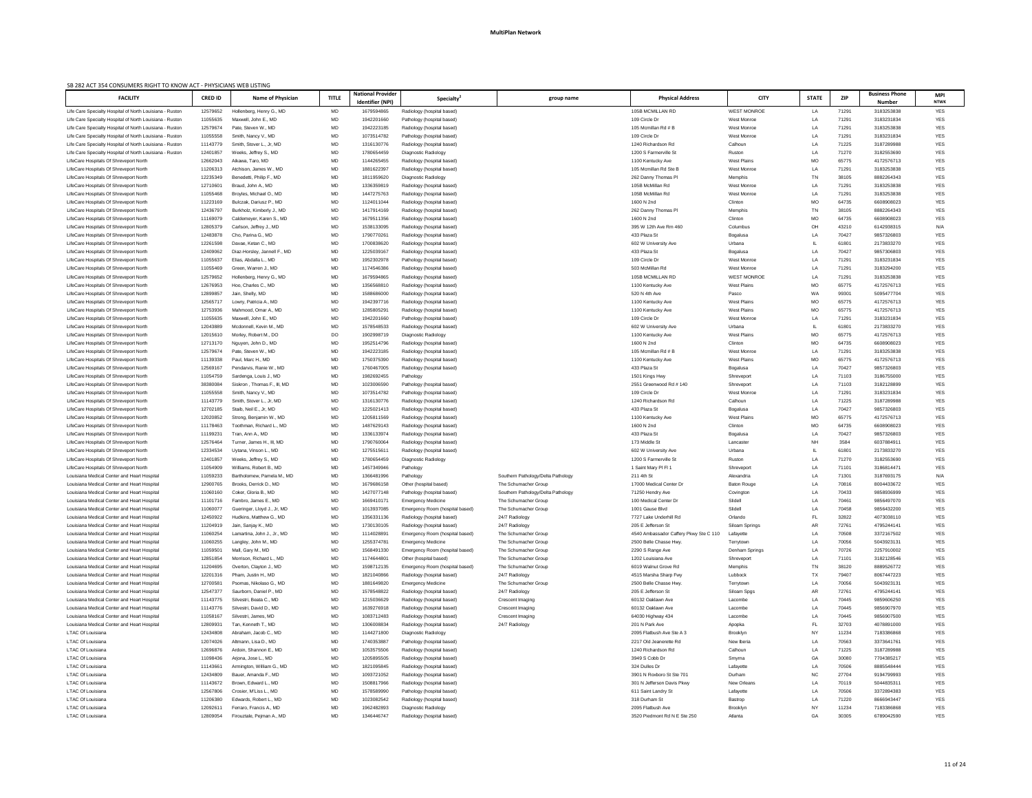| SB 282 ACT 354 CONSUMERS RIGHT TO KNOW ACT - PHYSICIANS WEB LISTING                        |                                  |                                                       |              |                                              |                                                              |                                              |                                                                  |                             |                  |                |                             |                          |
|--------------------------------------------------------------------------------------------|----------------------------------|-------------------------------------------------------|--------------|----------------------------------------------|--------------------------------------------------------------|----------------------------------------------|------------------------------------------------------------------|-----------------------------|------------------|----------------|-----------------------------|--------------------------|
| <b>FACILITY</b>                                                                            | <b>CRED ID</b>                   | <b>Name of Physician</b>                              | <b>TITLE</b> | <b>National Provider</b><br>Identifier (NPI) | <b>Specialty</b>                                             | group name                                   | <b>Physical Address</b>                                          | <b>CITY</b>                 | <b>STATE</b>     | <b>ZIP</b>     | <b>Business Phone</b>       | <b>MPI</b>               |
| Life Care Specialty Hospital of North Louisiana - Ruston                                   | 12579652                         | Hollenberg, Henry G., MD                              | MD           | 1679594865                                   | Radiology (hospital based)                                   |                                              | 105B MCMILLAN RD                                                 | <b>WEST MONROE</b>          | LA               | 71291          | <b>Number</b><br>3183253838 | <b>NTWK</b><br>YES       |
| Life Care Specialty Hospital of North Louisiana - Ruston                                   | 11055635                         | Maxwell, John E., MD                                  | MD           | 1942201660                                   | Pathology (hospital based)                                   |                                              | 109 Circle Dr                                                    | West Monroe                 | LA               | 71291          | 3183231834                  | YES                      |
| Life Care Specialty Hospital of North Louisiana - Ruston                                   | 12579674                         | Pate, Steven W., MD                                   | MD           | 1942223185                                   | Radiology (hospital based)                                   |                                              | 105 Mcmillan Rd # B                                              | West Monroe                 | LA               | 71291          | 3183253838                  | <b>YES</b>               |
| Life Care Specialty Hospital of North Louisiana - Ruston                                   | 11055558                         | Smith, Nancy V., MD                                   | MD           | 1073514782                                   | Pathology (hospital based)                                   |                                              | 109 Circle Dr                                                    | West Monroe                 | LA               | 71291          | 3183231834                  | <b>YES</b>               |
| Life Care Specialty Hospital of North Louisiana - Ruston                                   | 11143779                         | Smith, Stover L., Jr, MD                              | MD           | 1316130776                                   | Radiology (hospital based)                                   |                                              | 1240 Richardson Rd                                               | Calhoun                     | LA               | 71225          | 3187289988                  | <b>YES</b>               |
| Life Care Specialty Hospital of North Louisiana - Ruston                                   | 12401857                         | Weeks, Jeffrey S., MD                                 | MD           | 1780654459                                   | Diagnostic Radiology                                         |                                              | 1200 S Farmerville St                                            | Ruston                      | LA               | 71270          | 3182553690                  | <b>YES</b>               |
| LifeCare Hospitals Of Shreveport North                                                     | 12662043                         | Aikawa, Taro, MD                                      | MD           | 1144265455                                   | Radiology (hospital based)                                   |                                              | 1100 Kentucky Ave                                                | <b>West Plains</b>          | MO               | 65775          | 4172576713                  | <b>YES</b>               |
| LifeCare Hospitals Of Shreveport North                                                     | 11206313                         | Atchison, James W., MD                                | MD           | 1881622397                                   | Radiology (hospital based)                                   |                                              | 105 Mcmillan Rd Ste B                                            | <b>West Monroe</b>          | LA               | 71291          | 3183253838                  | <b>YES</b>               |
| LifeCare Hospitals Of Shreveport North                                                     | 12235349                         | Benedetti, Philip F., MD                              | MD           | 1811959620                                   | Diagnostic Radiology                                         |                                              | 262 Danny Thomas PI                                              | Memphis                     | TN               | 38105          | 8882264343                  | <b>YES</b>               |
| LifeCare Hospitals Of Shreveport North<br>LifeCare Hospitals Of Shreveport North           | 1271060 <sup>-</sup><br>11055468 | Braud, John A., MD<br>Broyles, Michael O., MD         | MD           | 1336359819<br>1447275763                     | Radiology (hospital based)                                   |                                              | 105B McMillan Rd<br>105B McMillan Rd                             | West Monroe<br>West Monroe  | LA<br>LA         | 71291<br>71291 | 3183253838<br>3183253838    | <b>YES</b><br><b>YES</b> |
| LifeCare Hospitals Of Shreveport North                                                     | 11223169                         | Bulczak, Dariusz P., MD                               | MD<br>MD     | 1124011044                                   | Radiology (hospital based)<br>Radiology (hospital based)     |                                              | 1600 N 2nd                                                       | Clinton                     | MO               | 64735          | 6608908023                  | <b>YES</b>               |
| LifeCare Hospitals Of Shreveport North                                                     | 12436797                         | Burkholz, Kimberly J., MD                             | MD           | 1417914169                                   | Radiology (hospital based)                                   |                                              | 262 Danny Thomas PI                                              | Memphis                     | TN               | 38105          | 8882264343                  | <b>YES</b>               |
| LifeCare Hospitals Of Shreveport North                                                     | 11169079                         | Caldemeyer, Karen S., MD                              | MD           | 1679511356                                   | Radiology (hospital based)                                   |                                              | 1600 N 2nd                                                       | Clinton                     | MO               | 64735          | 6608908023                  | <b>YES</b>               |
| LifeCare Hospitals Of Shreveport North                                                     | 12805379                         | Carlson, Jeffrey J., MD                               | MD           | 1538133095                                   | Radiology (hospital based)                                   |                                              | 395 W 12th Ave Rm 460                                            | Columbus                    | OH               | 43210          | 6142938315                  | N/A                      |
| LifeCare Hospitals Of Shreveport North                                                     | 12483878                         | Cho, Parina G., MD                                    | MD           | 1790770261                                   | Radiology (hospital based)                                   |                                              | 433 Plaza St                                                     | Bogalusa                    | LA               | 70427          | 9857326803                  | <b>YES</b>               |
| LifeCare Hospitals Of Shreveport North                                                     | 12261598                         | Davae, Ketan C., MD                                   | MD           | 1700838620                                   | Radiology (hospital based)                                   |                                              | 602 W University Ave                                             | Urbana                      |                  | 61801          | 2173833270                  | <b>YES</b>               |
| LifeCare Hospitals Of Shreveport North                                                     | 12409062                         | Diaz-Horsley, Jannell F., MD                          | MD           | 1225039167                                   | Radiology (hospital based)                                   |                                              | 433 Plaza St                                                     | Bogalusa                    | LA               | 70427          | 9857306803                  | <b>YES</b>               |
| LifeCare Hospitals Of Shreveport North                                                     | 11055637                         | Elias, Abdalla L., MD                                 | MD           | 1952302978                                   | Pathology (hospital based)                                   |                                              | 109 Circle Dr                                                    | West Monroe                 | LA               | 71291          | 3183231834                  | <b>YES</b>               |
| LifeCare Hospitals Of Shreveport North                                                     | 11055469                         | Green, Warren J., MD                                  | MD           | 1174546386                                   | Radiology (hospital based)                                   |                                              | 503 McMillan Rd                                                  | West Monroe                 | LA               | 71291          | 3183294200                  | <b>YES</b>               |
| LifeCare Hospitals Of Shreveport North                                                     | 12579652                         | Hollenberg, Henry G., MD                              | MD           | 1679594865                                   | Radiology (hospital based)                                   |                                              | 105B MCMILLAN RD                                                 | <b>WEST MONROE</b>          | LA               | 71291          | 3183253838                  | <b>YES</b>               |
| LifeCare Hospitals Of Shreveport North<br>LifeCare Hospitals Of Shreveport North           | 12676953<br>12899857             | Hoo, Charles C., MD<br>Jain, Shelly, MD               | MD<br>MD     | 1356568810<br>1588686000                     | Radiology (hospital based)<br>Radiology (hospital based)     |                                              | 1100 Kentucky Ave<br>520 N 4th Ave                               | <b>West Plains</b><br>Pasco | MO<br>WA         | 65775<br>99301 | 4172576713<br>5095477704    | <b>YES</b><br><b>YES</b> |
| LifeCare Hospitals Of Shreveport North                                                     | 12565717                         | Lowry, Patricia A., MD                                | MD           | 1942397716                                   | Radiology (hospital based)                                   |                                              | 1100 Kentucky Ave                                                | West Plains                 | MO               | 65775          | 4172576713                  | <b>YES</b>               |
| LifeCare Hospitals Of Shreveport North                                                     | 12753936                         | Mahmood, Omar A., MD                                  | MD           | 1285805291                                   | Radiology (hospital based)                                   |                                              | 1100 Kentucky Ave                                                | <b>West Plains</b>          | MO               | 65775          | 4172576713                  | <b>YES</b>               |
| LifeCare Hospitals Of Shreveport North                                                     | 11055635                         | Maxwell, John E., MD                                  | MD           | 1942201660                                   | Pathology (hospital based)                                   |                                              | 109 Circle Dr                                                    | West Monroe                 | LA               | 71291          | 3183231834                  | <b>YES</b>               |
| LifeCare Hospitals Of Shreveport North                                                     | 12043889                         | Mcdonnell, Kevin M., MD                               | MD           | 1578548533                                   | Radiology (hospital based)                                   |                                              | 602 W University Ave                                             | Urbana                      |                  | 61801          | 2173833270                  | <b>YES</b>               |
| LifeCare Hospitals Of Shreveport North                                                     | 12015610                         | Morley, Robert M., DO                                 | DO           | 1902998719                                   | Diagnostic Radiology                                         |                                              | 1100 Kentucky Ave                                                | <b>West Plains</b>          | MO               | 65775          | 4172576713                  | <b>YES</b>               |
| LifeCare Hospitals Of Shreveport North                                                     | 12713170                         | Nguyen, John D., MD                                   | <b>MD</b>    | 1952514796                                   | Radiology (hospital based)                                   |                                              | 1600 N 2nd                                                       | Clinton                     | <b>MO</b>        | 64735          | 6608908023                  | <b>YES</b>               |
| LifeCare Hospitals Of Shreveport North                                                     | 12579674                         | Pate, Steven W., MD                                   | MD           | 1942223185                                   | Radiology (hospital based)                                   |                                              | 105 Mcmillan Rd # B                                              | <b>West Monroe</b>          | LA               | 71291          | 3183253838                  | <b>YES</b>               |
| LifeCare Hospitals Of Shreveport North                                                     | 11139338                         | Paul, Marc H., MD                                     | MD           | 1750375390                                   | Radiology (hospital based)                                   |                                              | 1100 Kentucky Ave                                                | <b>West Plains</b>          | <b>MO</b>        | 65775          | 4172576713                  | <b>YES</b>               |
| LifeCare Hospitals Of Shreveport North                                                     | 12569167                         | Pendarvis, Ranie W., MD                               | MD           | 1760467005                                   | Radiology (hospital based)                                   |                                              | 433 Plaza St                                                     | Bogalusa                    | LA               | 70427          | 9857326803                  | <b>YES</b>               |
| LifeCare Hospitals Of Shreveport North<br>LifeCare Hospitals Of Shreveport North           | 11054759<br>38380084             | Sardenga, Louis J., MD<br>Siskron, Thomas F., III, MD | MD<br>MD     | 1982692455<br>1023006590                     | Pathology<br>Pathology (hospital based)                      |                                              | 1501 Kings Hwy<br>2551 Greenwood Rd # 140                        | Shreveport<br>Shreveport    | LA<br>LA         | 71103<br>71103 | 3186755000<br>3182128899    | <b>YES</b><br><b>YES</b> |
| LifeCare Hospitals Of Shreveport North                                                     | 11055558                         | Smith, Nancy V., MD                                   | MD           | 1073514782                                   | Pathology (hospital based)                                   |                                              | 109 Circle Dr                                                    | West Monroe                 | LA               | 71291          | 3183231834                  | <b>YES</b>               |
| LifeCare Hospitals Of Shreveport North                                                     | 11143779                         | Smith, Stover L., Jr, MD                              | MD           | 1316130776                                   | Radiology (hospital based)                                   |                                              | 1240 Richardson Rd                                               | Calhoun                     | LA               | 71225          | 3187289988                  | <b>YES</b>               |
| LifeCare Hospitals Of Shreveport North                                                     | 12702185                         | Staib, Neil E., Jr, MD                                | MD           | 1225021413                                   | Radiology (hospital based)                                   |                                              | 433 Plaza St                                                     | Bogalusa                    | LA               | 70427          | 9857326803                  | <b>YES</b>               |
| LifeCare Hospitals Of Shreveport North                                                     | 12020852                         | Strong, Benjamin W., MD                               | MD           | 1205811569                                   | Radiology (hospital based)                                   |                                              | 1100 Kentucky Ave                                                | <b>West Plains</b>          | MO               | 65775          | 4172576713                  | <b>YES</b>               |
| LifeCare Hospitals Of Shreveport North                                                     | 11178463                         | Toothman, Richard L., MD                              | MD           | 1487629143                                   | Radiology (hospital based)                                   |                                              | 1600 N 2nd                                                       | Clinton                     | MO               | 64735          | 6608908023                  | <b>YES</b>               |
| LifeCare Hospitals Of Shreveport North                                                     | 11199231                         | Tran, Ann A., MD                                      | MD           | 1336133974                                   | Radiology (hospital based)                                   |                                              | 433 Plaza St                                                     | Bogalusa                    | LA               | 70427          | 9857326803                  | <b>YES</b>               |
| LifeCare Hospitals Of Shreveport North                                                     | 12576464                         | Turner, James H., III, MD                             | MD           | 1790760064                                   | Radiology (hospital based)                                   |                                              | 173 Middle St                                                    | Lancaster                   | NH               | 3584           | 6037884911                  | <b>YES</b>               |
| LifeCare Hospitals Of Shreveport North                                                     | 12334534                         | Uytana, Vinson L., MD                                 | MD           | 1275515611                                   | Radiology (hospital based)                                   |                                              | 602 W University Ave                                             | Urbana                      |                  | 61801          | 2173833270                  | <b>YES</b>               |
| LifeCare Hospitals Of Shreveport North<br>LifeCare Hospitals Of Shreveport North           | 12401857<br>11054909             | Weeks, Jeffrey S., MD<br>Williams, Robert B., MD      | MD<br>MD     | 1780654459<br>1457349946                     | Diagnostic Radiology<br>Pathology                            |                                              | 1200 S Farmerville St<br>1 Saint Mary PI FI 1                    | Ruston<br>Shreveport        | LA<br>LA         | 71270<br>71101 | 3182553690<br>3186814471    | <b>YES</b><br><b>YES</b> |
| Louisiana Medical Center and Heart Hospital                                                | 11059233                         | Bartholomew. Pamela M., MD                            | MD           | 1366481996                                   | Pathology                                                    | Southern Pathology/Delta Pathology           | 211 4th St                                                       | Alexandria                  | LA               | 71301          | 3187693175                  | N/A                      |
| Louisiana Medical Center and Heart Hospital                                                | 12900765                         | Brooks, Derrick D., MD                                | MD           | 1679686158                                   | Other (hospital based)                                       | The Schumacher Group                         | 17000 Medical Center Dr                                          | <b>Baton Rouge</b>          | LA               | 70816          | 8004433672                  | <b>YES</b>               |
| Louisiana Medical Center and Heart Hospital                                                | 11060160                         | Coker, Gloria B., MD                                  | MD           | 1427077148                                   | Pathology (hospital based)                                   | Southern Pathology/Delta Pathology           | 71250 Hendry Ave                                                 | Covington                   | LA               | 70433          | 9858936999                  | <b>YES</b>               |
| Louisiana Medical Center and Heart Hospital                                                | 11101716                         | Fambro, James E., MD                                  | MD           | 1669410171                                   | Emergency Medicine                                           | The Schumacher Group                         | 100 Medical Center Dr                                            | Slidell                     | LA               | 70461          | 9856497070                  | <b>YES</b>               |
| Louisiana Medical Center and Heart Hospital                                                | 1106007                          | Gueringer, Lloyd J., Jr, MD                           | MD           | 1013937085                                   | Emergency Room (hospital based)                              | The Schumacher Group                         | 1001 Gause Blvd                                                  | Slidell                     | LA               | 70458          | 9856432200                  | <b>YES</b>               |
| Louisiana Medical Center and Heart Hospital                                                | 12450922                         | Hudkins, Matthew G., MD                               | MD           | 1356331136                                   | Radiology (hospital based)                                   | 24/7 Radiology                               | 7727 Lake Underhill Rd                                           | Orlando                     | -FL              | 32822          | 4073038110                  | <b>YES</b>               |
| Louisiana Medical Center and Heart Hospital                                                | 11204919                         | Jain, Sanjay K., MD                                   | MD           | 1730130105                                   | Radiology (hospital based)                                   | 24/7 Radiology                               | 205 E Jefferson St                                               | Siloam Springs              | AR               | 72761          | 4795244141                  | <b>YES</b>               |
| Louisiana Medical Center and Heart Hospital<br>Louisiana Medical Center and Heart Hospital | 11060254<br>11060255             | Lamartina, John J., Jr., MD                           | MD           | 1114028891<br>1255374781                     | Emergency Room (hospital based)                              | The Schumacher Group<br>The Schumacher Group | 4540 Ambassador Caffery Pkwy Ste C 110<br>2500 Belle Chasse Hwy. | Lafayette                   | LA               | 70508<br>70056 | 3372167502                  | <b>YES</b><br><b>YES</b> |
| Louisiana Medical Center and Heart Hospital                                                | 1105950                          | Langley, John M., MD<br>Mall, Gary M., MD             | MD<br>MD     | 1568491330                                   | <b>Emergency Medicine</b><br>Emergency Room (hospital based) | The Schumacher Group                         | 2290 S Range Ave                                                 | Terrytowr<br>Denham Springs | LA<br>LA         | 70726          | 5043923131<br>2257910002    | <b>YES</b>               |
| Louisiana Medical Center and Heart Hospital                                                | 12851854                         | Morrison, Richard L., MD                              | MD           | 1174644801                                   | Other (hospital based)                                       | The Schumacher Group                         | 1202 Louisiana Ave                                               | Shreveport                  | LA               | 71101          | 3182128546                  | <b>YES</b>               |
| Louisiana Medical Center and Heart Hospital                                                | 11204695                         | Overton, Clayton J., MD                               | MD           | 1598712135                                   | Emergency Room (hospital based)                              | The Schumacher Group                         | 6019 Walnut Grove Rd                                             | Memphis                     | TN               | 38120          | 8889526772                  | <b>YES</b>               |
| Louisiana Medical Center and Heart Hospital                                                | 12201316                         | Pham, Justin H., MD                                   | MD           | 1821040866                                   | Radiology (hospital based)                                   | 24/7 Radiology                               | 4515 Marsha Sharp Fwy                                            | Lubbock                     | TX               | 79407          | 8067447223                  | <b>YES</b>               |
| Louisiana Medical Center and Heart Hospital                                                | 1270058                          | Psomas, Nikolaso G., MD                               | MD           | 1881649820                                   | <b>Emergency Medicine</b>                                    | The Schumacher Group                         | 2500 Belle Chasse Hwy.                                           | Terrytown                   | LA               | 70056          | 5043923131                  | <b>YES</b>               |
| Louisiana Medical Center and Heart Hospital                                                | 12547377                         | Saurborn, Daniel P., MD                               | MD           | 1578548822                                   | Radiology (hospital based)                                   | 24/7 Radiology                               | 205 E Jefferson St                                               | Siloam Spgs                 | AR               | 72761          | 4795244141                  | <b>YES</b>               |
| Louisiana Medical Center and Heart Hospital                                                | 11143775                         | Silvestri, Beata C., MD                               | MD           | 1215036629                                   | Radiology (hospital based)                                   | Crescent Imaging                             | 60132 Oaklawn Ave                                                | Lacombe                     | LA               | 70445          | 9859606250                  | <b>YES</b>               |
| Louisiana Medical Center and Heart Hospital                                                | 11143776                         | Silvestri, David D., MD                               | MD           | 1639276918                                   | Radiology (hospital based)                                   | Crescent Imaging                             | 60132 Oaklawn Ave                                                | Lacombe                     |                  | 70445          | 9856907970                  |                          |
| Louisiana Medical Center and Heart Hospital<br>Louisiana Medical Center and Heart Hospital | 11058167<br>12809931             | Silvestri, James, MD<br>Tan, Kenneth T., MD           | MD           | 1083712483<br>1306008834                     | Radiology (hospital based)                                   | Crescent Imaging<br>24/7 Radiology           | 64030 Highway 434<br>201 N Park Ave                              | Lacombe                     | LA               | 70445<br>32703 | 9856907500<br>4078891000    | YES<br><b>YES</b>        |
| LTAC Of Louisiana                                                                          | 12434808                         | Abraham, Jacob C., MD                                 | MD<br>MD     | 1144271800                                   | Radiology (hospital based)<br>Diagnostic Radiology           |                                              | 2095 Flatbush Ave Ste A 3                                        | Apopka<br>Brooklyn          | FL.<br><b>NY</b> | 11234          | 7183386868                  | <b>YES</b>               |
| LTAC Of Louisiana                                                                          | 12074026                         | Altmann, Lisa D., MD                                  | MD           | 1740353887                                   | Pathology (hospital based)                                   |                                              | 2217 Old Jeanerette Rd                                           | New Iberia                  | LA               | 70563          | 3373641761                  | <b>YES</b>               |
| LTAC Of Louisiana                                                                          | 12696876                         | Ardoin, Shannon E., MD                                | MD           | 1053575506                                   | Radiology (hospital based)                                   |                                              | 1240 Richardson Rd                                               | Calhoun                     | LA               | 71225          | 3187289988                  | <b>YES</b>               |
| LTAC Of Louisiana                                                                          | 11098436                         | Arjona, Jose L., MD                                   | MD           | 1205895505                                   | Radiology (hospital based)                                   |                                              | 3949 S Cobb Dr                                                   | Smyrna                      | GA               | 30080          | 7704385217                  | <b>YES</b>               |
| LTAC Of Louisiana                                                                          | 11143661                         | Armington, William G., MD                             | MD           | 1821095845                                   | Radiology (hospital based)                                   |                                              | 324 Dulles Dr                                                    | Lafayette                   | LA               | 70506          | 8885548444                  | YES                      |
| <b>LTAC Of Louisiana</b>                                                                   | 12434809                         | Bauer, Amanda F., MD                                  | MD           | 1093721052                                   | Radiology (hospital based)                                   |                                              | 3901 N Roxboro St Ste 701                                        | Durham                      | <b>NC</b>        | 27704          | 9194799993                  | YES                      |
| LTAC Of Louisiana                                                                          | 11143672                         | Brown, Edward L., MD                                  | MD           | 1508817966                                   | Radiology (hospital based)                                   |                                              | 301 N Jefferson Davis Pkwy                                       | New Orleans                 | LA               | 70119          | 5044835311                  | <b>YES</b>               |
| LTAC Of Louisiana                                                                          | 12567806                         | Crosier, M'Liss L., MD                                | MD           | 1578589990                                   | Pathology (hospital based)                                   |                                              | 611 Saint Landry St                                              | Lafayette                   | LA               | 70506          | 3372894383                  | YES                      |
| <b>LTAC Of Louisiana</b>                                                                   | 11206380                         | Edwards, Robert L., MD                                | MD           | 1023082542                                   | Radiology (hospital based)                                   |                                              | 318 Durham St                                                    | <b>Bastrop</b>              | LA               | 71220          | 8666943447                  | YES                      |
| LTAC Of Louisiana<br><b>LTAC Of Louisiana</b>                                              | 1209261<br>12809054              | Ferraro, Francis A., MD<br>Firouztale, Pejman A., MD  | MD<br>MD     | 1962482893<br>1346446747                     | Diagnostic Radiology<br>Radiology (hospital based)           |                                              | 2095 Flatbush Ave<br>3520 Piedmont Rd N E Ste 250                | Brooklyn<br>Atlanta         | NY<br>GA         | 11234<br>30305 | 7183386868<br>6789042590    | YES<br><b>YES</b>        |
|                                                                                            |                                  |                                                       |              |                                              |                                                              |                                              |                                                                  |                             |                  |                |                             |                          |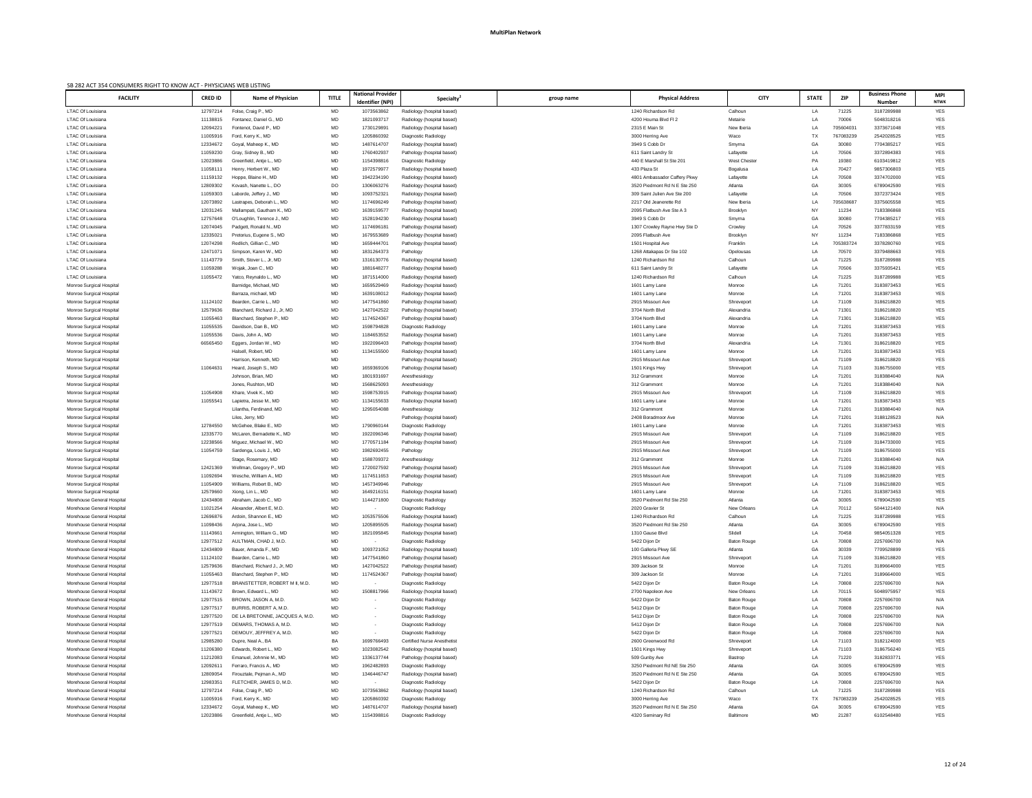| SB 282 ACT 354 CONSUMERS RIGHT TO KNOW ACT - PHYSICIANS WEB LISTING |                |                                 |              |                          |                                    |            |                              |                    |              |            |                       |             |
|---------------------------------------------------------------------|----------------|---------------------------------|--------------|--------------------------|------------------------------------|------------|------------------------------|--------------------|--------------|------------|-----------------------|-------------|
| <b>FACILITY</b>                                                     | <b>CRED ID</b> | Name of Physician               | <b>TITLE</b> | <b>National Provider</b> | Specialty <sup>2</sup>             | group name | <b>Physical Address</b>      | <b>CITY</b>        | <b>STATE</b> | <b>ZIP</b> | <b>Business Phone</b> | <b>MPI</b>  |
|                                                                     |                |                                 |              | Identifier (NPI)         |                                    |            |                              |                    |              |            | <b>Number</b>         | <b>NTWK</b> |
| LTAC Of Louisiana                                                   | 12797214       | Folse, Craig P., MD             | MD           | 1073563862               | Radiology (hospital based)         |            | 1240 Richardson Rd           | Calhoun            | LA           | 71225      | 3187289988            | YES         |
| LTAC Of Louisiana                                                   | 11138815       | Fontanez, Daniel G., MD         | MD           | 1821093717               | Radiology (hospital based)         |            | 4200 Houma Blvd Fl 2         | Metairie           | LA           | 70006      | 5048318216            | YES         |
| <b>LTAC Of Louisiana</b>                                            | 1209422        | Fontenot, David P., MD          | MD           | 1730129891               | Radiology (hospital based)         |            | 2315 E Main St               | New Iberia         | LA           | 705604031  | 3373671048            | YES         |
| <b>LTAC Of Louisiana</b>                                            | 11005916       | Ford, Kerry K., MD              | MD           | 1205860392               | Diagnostic Radiology               |            | 3000 Herring Ave             | Waco               | TX           | 767083239  | 2542028525            | YES         |
| <b>LTAC Of Louisiana</b>                                            | 12334672       | Goyal, Maheep K., MD            | MD           | 1487614707               | Radiology (hospital based)         |            | 3949 S Cobb Dr               | Smyrna             | GA           | 30080      | 7704385217            | <b>YES</b>  |
| <b>LTAC Of Louisiana</b>                                            | 11059230       | Gray, Sidney B., MD             | MD           | 1760402937               | Pathology (hospital based)         |            | 611 Saint Landry St          | Lafayette          | LA           | 70506      | 3372894383            | YES         |
| <b>LTAC Of Louisiana</b>                                            | 12023886       | Greenfield, Antje L., MD        | MD           | 1154398816               | Diagnostic Radiology               |            | 440 E Marshall St Ste 201    | West Chester       | PA           | 19380      | 6103419812            | <b>YES</b>  |
| LTAC Of Louisiana                                                   | 1105811        | Henry, Herbert W., MD           | MD           | 1972579977               | Radiology (hospital based)         |            | 433 Plaza St                 |                    |              | 70427      | 9857306803            | <b>YES</b>  |
|                                                                     |                |                                 |              |                          |                                    |            |                              | Bogalusa           | LA           |            |                       |             |
| <b>LTAC Of Louisiana</b>                                            | 11159132       | Hoppe, Blaine H., MD            | MD           | 1942234190               | Radiology (hospital based)         |            | 4801 Ambassador Caffery Pkwy | Lafayette          | LA           | 70508      | 3374702000            | YES         |
| LTAC Of Louisiana                                                   | 12809302       | Kovash, Nanette L., DO          | DO           | 1306063276               | Radiology (hospital based)         |            | 3520 Piedmont Rd N E Ste 250 | Atlanta            | GA           | 30305      | 6789042590            | <b>YES</b>  |
| LTAC Of Louisiana                                                   | 11059303       | Laborde, Jeffery J., MD         | MD           | 1093752321               | Radiology (hospital based)         |            | 309 Saint Julien Ave Ste 200 | Lafayette          | LA           | 70506      | 3372373424            | <b>YES</b>  |
| LTAC Of Louisiana                                                   | 12073892       | Lastrapes, Deborah L., MD       | MD           | 1174696249               | Pathology (hospital based)         |            | 2217 Old Jeanerette Rd       | New Iberia         | LA           | 705638687  | 3375605558            | <b>YES</b>  |
| LTAC Of Louisiana                                                   | 12031245       | Mallampati, Gautham K., MD      | MD           | 1639159577               | Radiology (hospital based)         |            | 2095 Flatbush Ave Ste A 3    | Brooklyn           | NY           | 11234      | 7183386868            | <b>YES</b>  |
| <b>LTAC Of Louisiana</b>                                            | 12757648       | O'Loughlin, Terence J., MD      | MD           | 1528194230               | Radiology (hospital based)         |            | 3949 S Cobb Dr               | Smyrna             | GA           | 30080      | 7704385217            | <b>YES</b>  |
| LTAC Of Louisiana                                                   | 12074045       | Padgett, Ronald N., MD          | MD           | 1174696181               | Pathology (hospital based)         |            | 1307 Crowley Rayne Hwy Ste D | Crowley            | LA           | 70526      | 3377833159            | <b>YES</b>  |
| <b>LTAC Of Louisiana</b>                                            | 1233502        | Pretorius, Eugene S., MD        | MD           | 1679553689               | Radiology (hospital based)         |            | 2095 Flatbush Ave            | Brooklyn           | <b>NY</b>    | 11234      | 7183386868            | YES         |
| LTAC Of Louisiana                                                   | 12074298       | Redlich, Gillian C., MD         | MD           | 1659444701               | Pathology (hospital based)         |            | 1501 Hospital Ave            | Franklin           | LA           | 705383724  | 3378280760            | YES         |
| LTAC Of Louisiana                                                   | 1247107        | Simpson, Karen W., MD           | MD           | 1831264373               | Pathology                          |            | 1268 Attakapas Dr Ste 102    | Opelousas          | LA           | 70570      | 3379488663            | <b>YES</b>  |
| <b>LTAC Of Louisiana</b>                                            | 11143779       | Smith, Stover L., Jr, MD        | MD           | 1316130776               | Radiology (hospital based)         |            | 1240 Richardson Rd           | Calhoun            | LA           | 71225      | 3187289988            | YES         |
| <b>LTAC Of Louisiana</b>                                            | 11059288       | Wojak, Joan C., MD              | MD           | 1881648277               | Radiology (hospital based)         |            | 611 Saint Landry St          | Lafayette          | LA           | 70506      | 3375935421            | YES         |
| LTAC Of Louisiana                                                   | 11055472       | Yatco, Reynaldo L., MD          | MD           | 1871514000               | Radiology (hospital based)         |            | 1240 Richardson Rd           | Calhoun            | LA           | 71225      | 3187289988            | YES         |
|                                                                     |                | Barnidge, Michael, MD           |              | 1659529469               |                                    |            | 1601 Lamy Lane               | Monroe             |              | 71201      | 3183873453            | <b>YES</b>  |
| Monroe Surgical Hospital                                            |                |                                 | MD           |                          | Radiology (hospital based)         |            |                              |                    | LA           |            |                       |             |
| Monroe Surgical Hospital                                            |                | Barraza, michael, MD            | MD           | 1639108012               | Radiology (hospital based)         |            | 1601 Lamy Lane               | Monroe             | LA           | 71201      | 3183873453            | YES         |
| Monroe Surgical Hospital                                            | 11124102       | Bearden, Carrie L., MD          | MD           | 1477541860               | Pathology (hospital based)         |            | 2915 Missouri Ave            | Shreveport         | LA           | 71109      | 3186218820            | YES         |
| Monroe Surgical Hospital                                            | 12579636       | Blanchard, Richard J., Jr, MD   | MD           | 1427042522               | Pathology (hospital based)         |            | 3704 North Blvd              | Alexandria         | LA           | 71301      | 3186218820            | YES         |
| Monroe Surgical Hospital                                            | 11055463       | Blanchard, Stephen P., MD       | MD           | 1174524367               | Pathology (hospital based)         |            | 3704 North Blvd              | Alexandria         | LA           | 71301      | 3186218820            | YES         |
| Monroe Surgical Hospital                                            | 11055535       | Davidson, Dan B., MD            | MD           | 1598794828               | Diagnostic Radiology               |            | 1601 Lamy Lane               | Monroe             | LA           | 71201      | 3183873453            | YES         |
| Monroe Surgical Hospital                                            | 11055536       | Davis, John A., MD              | MD           | 1184653552               | Radiology (hospital based)         |            | 1601 Lamy Lane               | Monroe             | LA           | 71201      | 3183873453            | <b>YES</b>  |
| <b>Monroe Surgical Hospital</b>                                     | 66565450       | Eggers, Jordan W., MD           | <b>MD</b>    | 1922096403               | Pathology (hospital based)         |            | 3704 North Blvd              | Alexandria         | LA           | 71301      | 3186218820            | <b>YES</b>  |
| Monroe Surgical Hospital                                            |                | Halsell, Robert, MD             | MD           | 1134155500               | Radiology (hospital based)         |            | 1601 Lamy Lane               | Monroe             | LA           | 71201      | 3183873453            | YES         |
| Monroe Surgical Hospital                                            |                | Harrison, Kenneth, MD           | MD           |                          | Pathology (hospital based)         |            | 2915 Missouri Ave            | Shreveport         | LA           | 71109      | 3186218820            | YES         |
| Monroe Surgical Hospital                                            | 11064631       | Heard, Joseph S., MD            | MD           | 1659369106               | Pathology (hospital based)         |            | 1501 Kings Hwy               | Shreveport         | LA           | 71103      | 3186755000            | <b>YES</b>  |
| Monroe Surgical Hospital                                            |                | Johnson, Brian, MD              | MD           | 1801931697               | Anesthesiology                     |            | 312 Grammont                 | Monroe             | LA           | 71201      | 3183884040            | N/A         |
| Monroe Surgical Hospital                                            |                | Jones, Rushton, MD              | MD           | 1568625093               | Anesthesiology                     |            | 312 Grammont                 | Monroe             | LA           | 71201      | 3183884040            | N/A         |
|                                                                     |                |                                 |              |                          |                                    |            |                              |                    |              |            |                       |             |
| Monroe Surgical Hospital                                            | 11054908       | Khare, Vivek K., MD             | MD           | 1598753915               | Pathology (hospital based)         |            | 2915 Missouri Ave            | Shreveport         | LA           | 71109      | 3186218820            | <b>YES</b>  |
| Monroe Surgical Hospital                                            | 1105554        | Lapietra, Jesse M., MD          | MD           | 1134155633               | Radiology (hospital based)         |            | 1601 Lamy Lane               | Monroe             | LA           | 71201      | 3183873453            | YES         |
| Monroe Surgical Hospital                                            |                | Lilantha, Ferdinand, MD         | MD           | 1295054088               | Anesthesiology                     |            | 312 Grammont                 | Monroe             | LA           | 71201      | 3183884040            | N/A         |
| Monroe Surgical Hospital                                            |                | Liles, Jerry, MD                | MD           |                          | Pathology (hospital based)         |            | 2408 Boradmoor Ave           | Monroe             | LA           | 71201      | 3188128523            | N/A         |
| Monroe Surgical Hospital                                            | 12784550       | McGehee, Blake E., MD           | MD           | 1790960144               | Diagnostic Radiology               |            | 1601 Lamy Lane               | Monroe             | LA           | 71201      | 3183873453            | YES         |
| Monroe Surgical Hospital                                            | 12335770       | McLaren, Bernadette K., MD      | MD           | 1922096346               | Pathology (hospital based)         |            | 2915 Missouri Ave            | Shreveport         | LA           | 71109      | 3186218820            | YES         |
| Monroe Surgical Hospital                                            | 12238566       | Miguez, Michael W., MD          | MD           | 1770571184               | Pathology (hospital based)         |            | 2915 Missouri Ave            | Shreveport         | LA           | 71109      | 3184733000            | YES         |
| Monroe Surgical Hospital                                            | 11054759       | Sardenga, Louis J., MD          | MD           | 1982692455               | Pathology                          |            | 2915 Missouri Ave            | Shreveport         | LA           | 71109      | 3186755000            | YES         |
| Monroe Surgical Hospital                                            |                | Stage, Rosemary, MD             | MD           | 1588709372               | Anesthesiology                     |            | 312 Grammont                 | Monroe             | LA           | 71201      | 3183884040            | N/A         |
| Monroe Surgical Hospital                                            | 12421369       | Wellman, Gregory P., MD         | MD           | 1720027592               | Pathology (hospital based)         |            | 2915 Missouri Ave            | Shreveport         | LA           | 71109      | 3186218820            | YES         |
| Monroe Surgical Hospital                                            | 11092694       | Wesche, William A., MD          | MD           | 1174511653               | Pathology (hospital based)         |            | 2915 Missouri Ave            | Shreveport         | LA           | 71109      | 3186218820            | <b>YES</b>  |
| Monroe Surgical Hospital                                            | 11054909       | Williams, Robert B., MD         | MD           | 1457349946               | Pathology                          |            | 2915 Missouri Ave            | Shreveport         | LA           | 71109      | 3186218820            | <b>YES</b>  |
| Monroe Surgical Hospital                                            | 12579660       | Xiong, Lin L., MD               | MD           | 1649216151               | Radiology (hospital based)         |            | 1601 Lamy Lane               | Monroe             | LA           | 71201      | 3183873453            | YES         |
| Morehouse General Hospital                                          | 12434808       | Abraham, Jacob C., MD           | MD           | 1144271800               | Diagnostic Radiology               |            | 3520 Piedmont Rd Ste 250     | Atlanta            | GA           | 30305      | 6789042590            | YES         |
|                                                                     |                |                                 |              |                          |                                    |            |                              |                    |              |            |                       |             |
| Morehouse General Hospital                                          | 11021254       | Alexander, Albert E, M.D.       | MD           |                          | Diagnostic Radiology               |            | 2020 Gravier St              | New Orleans        | LA           | 70112      | 5044121400            | N/A         |
| Morehouse General Hospital                                          | 12696876       | Ardoin, Shannon E., MD          | MD           | 1053575506               | Radiology (hospital based)         |            | 1240 Richardson Rd           | Calhoun            | LA           | 71225      | 3187289988            | YES         |
| Morehouse General Hospital                                          | 11098436       | Arjona, Jose L., MD             | MD           | 1205895505               | Radiology (hospital based)         |            | 3520 Piedmont Rd Ste 250     | Atlanta            | GA           | 30305      | 6789042590            | YES         |
| Morehouse General Hospital                                          | 11143661       | Armington, William G., MD       | MD           | 1821095845               | Radiology (hospital based)         |            | 1310 Gause Blvd              | Slidell            | LA           | 70458      | 9854051328            | <b>YES</b>  |
| Morehouse General Hospital                                          | 12977512       | AULTMAN, CHAD J, M.D.           | MD           | $\sim$                   | Diagnostic Radiology               |            | 5422 Dijon Dr                | <b>Baton Rouge</b> | LA           | 70808      | 2257696700            | N/A         |
| Morehouse General Hospital                                          | 12434809       | Bauer, Amanda F., MD            | MD           | 1093721052               | Radiology (hospital based)         |            | 100 Galleria Pkwy SE         | Atlanta            | GA           | 30339      | 7709528899            | YES         |
| Morehouse General Hospital                                          | 11124102       | Bearden, Carrie L., MD          | MD           | 1477541860               | Pathology (hospital based)         |            | 2915 Missouri Ave            | Shreveport         | LA           | 71109      | 3186218820            | <b>YES</b>  |
| Morehouse General Hospital                                          | 12579636       | Blanchard, Richard J., Jr, MD   | MD           | 1427042522               | Pathology (hospital based)         |            | 309 Jackson St               | Monroe             | LA           | 71201      | 3189664000            | YES         |
| Morehouse General Hospital                                          | 11055463       | Blanchard, Stephen P., MD       | MD           | 1174524367               | Pathology (hospital based)         |            | 309 Jackson St               | Monroe             | LA           | 71201      | 3189664000            | <b>YES</b>  |
| Morehouse General Hospital                                          | 12977518       | BRANSTETTER, ROBERT M II, M.D.  | MD           |                          | Diagnostic Radiology               |            | 5422 Dijon Dr                | <b>Baton Rouge</b> | LA           | 70808      | 2257696700            | N/A         |
| Morehouse General Hospital                                          | 11143672       | Brown, Edward L., MD            | MD           | 1508817966               | Radiology (hospital based)         |            | 2700 Napoleon Ave            | New Orleans        | LA           | 70115      | 5048975957            | YES         |
| Morehouse General Hospital                                          | 12977515       | BROWN, JASON A, M.D.            | MD           |                          | Diagnostic Radiology               |            | 5422 Dijon Dr                | <b>Baton Rouge</b> | LA           | 70808      | 2257696700            | N/A         |
| Morehouse General Hospital                                          | 12977517       | BURRIS, ROBERT A, M.D.          | MD           |                          | Diagnostic Radiology               |            | 5412 Dijon Dr                | <b>Baton Rouge</b> | LA.          | 70808      | 2257696700            | N/A         |
|                                                                     |                | DE LA BRETONNE, JACQUES A, M.D. |              |                          |                                    |            |                              |                    |              |            |                       |             |
| Morehouse General Hospital                                          | 12977520       |                                 | MD           |                          | Diagnostic Radiology               |            | 5412 Dijon Dr                | <b>Baton Rouge</b> | LA           | 70808      | 2257696700            | N/A         |
| Morehouse General Hospital                                          | 12977519       | DEMARS, THOMAS A, M.D.          | MD           |                          | Diagnostic Radiology               |            | 5412 Dijon Dr                | <b>Baton Rouge</b> | LA           | 70808      | 2257696700            | N/A         |
| Morehouse General Hospital                                          | 12977521       | DEMOUY, JEFFREY A, M.D.         | MD           |                          | Diagnostic Radiology               |            | 5422 Dijon Dr                | <b>Baton Rouge</b> | LA           | 70808      | 2257696700            | N/A         |
| Morehouse General Hospital                                          | 12985280       | Dupre, Neal A., BA              | BA           | 1699766493               | <b>Certified Nurse Anesthetist</b> |            | 2600 Greenwood Rd            | Shreveport         | LA           | 71103      | 3182124000            | YES         |
| Morehouse General Hospital                                          | 11206380       | Edwards, Robert L., MD          | MD           | 1023082542               | Radiology (hospital based)         |            | 1501 Kings Hwy               | Shreveport         | LA           | 71103      | 3186756240            | YES         |
| Morehouse General Hospital                                          | 11212083       | Emanuel, Johnnie M., MD         | MD           | 1336137744               | Pathology (hospital based)         |            | 509 Gunby Ave                | Bastrop            | LA           | 71220      | 3182833771            | YES         |
| Morehouse General Hospital                                          | 1209261        | Ferraro, Francis A., MD         | MD           | 1962482893               | Diagnostic Radiology               |            | 3250 Piedmont Rd NE Ste 250  | Atlanta            | GA           | 30305      | 6789042599            | YES         |
| Morehouse General Hospital                                          | 12809054       | Firouztale, Pejman A., MD       | MD           | 1346446747               | Radiology (hospital based)         |            | 3520 Piedmont Rd N E Ste 250 | Atlanta            | GA           | 30305      | 6789042590            | YES         |
| Morehouse General Hospital                                          | 1298335        | FLETCHER, JAMES D, M.D.         | MD           | $\sim$                   | Diagnostic Radiology               |            | 5422 Dijon Dr                | <b>Baton Rouge</b> | LA           | 70808      | 2257696700            | N/A         |
| Morehouse General Hospital                                          | 12797214       | Folse, Craig P., MD             | MD           | 1073563862               | Radiology (hospital based)         |            | 1240 Richardson Rd           | Calhoun            | LA           | 71225      | 3187289988            | YES         |
| Morehouse General Hospital                                          | 11005916       | Ford, Kerry K., MD              | MD           | 1205860392               | Diagnostic Radiology               |            | 3000 Herring Ave             | Waco               | TX           | 767083239  | 2542028525            | <b>YES</b>  |
| Morehouse General Hospital                                          | 12334672       | Goyal, Maheep K., MD            | MD           | 1487614707               | Radiology (hospital based)         |            | 3520 Piedmont Rd N E Ste 250 | Atlanta            | GA           | 30305      | 6789042590            | <b>YES</b>  |
| Morehouse General Hospital                                          | 12023886       | Greenfield, Antje L., MD        | MD           | 1154398816               | Diagnostic Radiology               |            | 4320 Seminary Rd             | Baltimore          | MD           | 21287      | 6102548480            | <b>YES</b>  |
|                                                                     |                |                                 |              |                          |                                    |            |                              |                    |              |            |                       |             |
|                                                                     |                |                                 |              |                          |                                    |            |                              |                    |              |            |                       |             |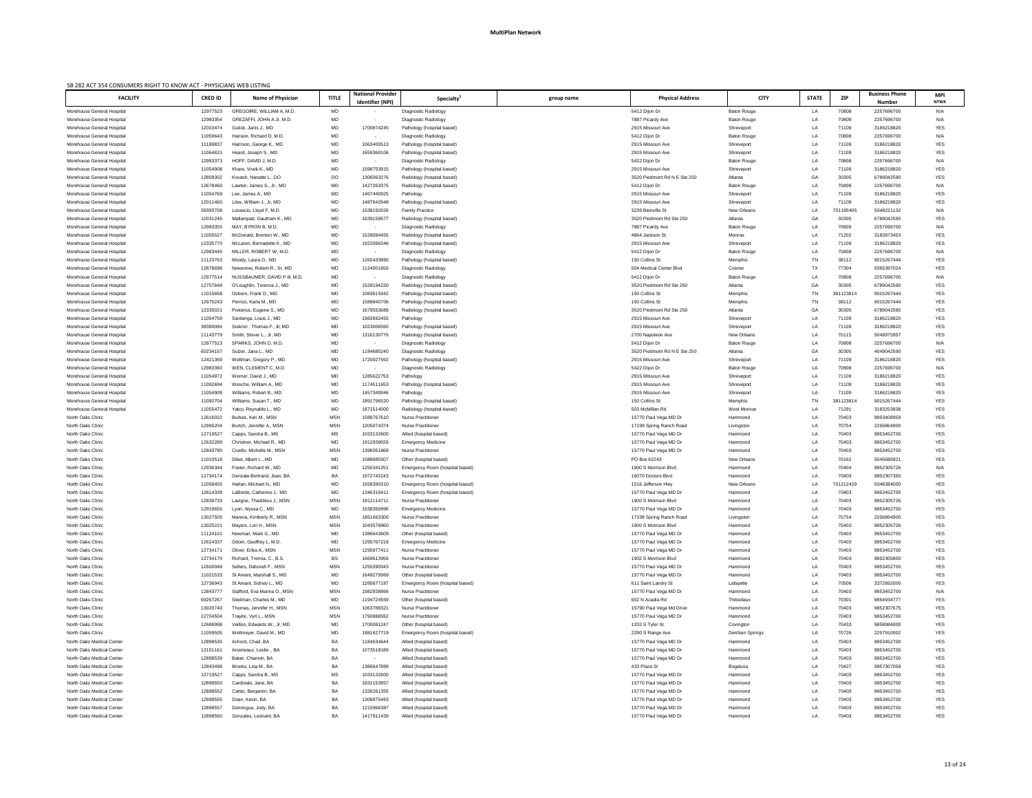| SB 282 ACT 354 CONSUMERS RIGHT TO KNOW ACT - PHYSICIANS WEB LISTING |                      |                                                             |              |                          |                                                              |            |                                            |                                  |              |                |                          |                   |
|---------------------------------------------------------------------|----------------------|-------------------------------------------------------------|--------------|--------------------------|--------------------------------------------------------------|------------|--------------------------------------------|----------------------------------|--------------|----------------|--------------------------|-------------------|
| <b>FACILITY</b>                                                     | <b>CRED ID</b>       | Name of Physician                                           | <b>TITLE</b> | <b>National Provider</b> | <b>Specialty</b>                                             | group name | <b>Physical Address</b>                    | <b>CITY</b>                      | <b>STATE</b> | <b>ZIP</b>     | <b>Business Phone</b>    | MPI               |
|                                                                     |                      |                                                             |              | Identifier (NPI)         |                                                              |            |                                            |                                  |              |                | <b>Number</b>            | <b>NTWK</b>       |
| Morehouse General Hospital<br>Morehouse General Hospital            | 12977523<br>12983354 | GREGOIRE, WILLIAM A, M.D.<br>GREZAFFI, JOHN A Jr, M.D.      | MD           |                          | Diagnostic Radiology<br>Diagnostic Radiology                 |            | 5412 Dijon Dr<br>7887 Picardy Ave          | <b>Baton Rouge</b>               | LA           | 70808          | 2257696700<br>2257696700 | N/A<br>N/A        |
| Morehouse General Hospital                                          | 12010474             | Gulick, Janis J., MD                                        | MD<br>MD     | 1700874245               | Pathology (hospital based)                                   |            | 2915 Missouri Ave                          | <b>Baton Rouge</b><br>Shreveport | LA<br>LA     | 70809<br>71109 | 3186218820               | YES               |
| Morehouse General Hospital                                          | 11059643             | Hanson, Richard D, M.D.                                     | MD           |                          | Diagnostic Radiology                                         |            | 5412 Dijon Dr                              | <b>Baton Rouge</b>               | LA           | 70808          | 2257696700               | N/A               |
| Morehouse General Hospital                                          | 11189837             | Harrison, George K., MD                                     | MD           | 1063400513               | Pathology (hospital based)                                   |            | 2915 Missouri Ave                          | Shreveport                       | LA           | 71109          | 3186218820               | YES               |
| Morehouse General Hospital                                          | 11064631             | Heard, Joseph S., MD                                        | MD           | 1659369106               | Pathology (hospital based)                                   |            | 2915 Missouri Ave                          | Shreveport                       | LA           | 71109          | 3186218820               | YES               |
| Morehouse General Hospital                                          | 12983373             | HOFF, DAVID J, M.D.                                         | MD           |                          | Diagnostic Radiology                                         |            | 5422 Dijon Dr                              | <b>Baton Rouge</b>               | LA           | 70808          | 2257696700               | N/A               |
| Morehouse General Hospital                                          | 11054908             | Khare, Vivek K., MD                                         | MD           | 159875391                | Pathology (hospital based)                                   |            | 2915 Missouri Ave                          | Shreveport                       | LA           | 71109          | 3186218820               | YES               |
| Morehouse General Hospital                                          | 12809302             | Kovash, Nanette L., DO                                      | DO           | 130606327                | Radiology (hospital based)                                   |            | 3520 Piedmont Rd N E Ste 250               | Atlanta                          | GA           | 30305          | 6789042590               | YES               |
| Morehouse General Hospital                                          | 12678460             | Lawton, James S., Jr., MD                                   | MD           | 1427263375               | Radiology (hospital based)                                   |            | 5412 Dijon Dr                              | <b>Baton Rouge</b>               | LA           | 70808          | 2257696700               | N/A               |
| Morehouse General Hospital                                          | 11054769             | Lee, James A., MD                                           | MD           | 1467440925               | Pathology                                                    |            | 2915 Missouri Ave                          | Shreveport                       | LA           | 71109          | 3186218820               | YES               |
| Morehouse General Hospital                                          | 12011460             | Liles, William J., Jr, MD                                   | MD           | 1487642948               | Pathology (hospital based)                                   |            | 2915 Missouri Ave                          | Shreveport                       | LA           | 71109          | 3186218820               | YES               |
| Morehouse General Hospital                                          | 59393708             | Locascio, Lloyd F, M.D.                                     | MD           | 1538192026               | <b>Family Practice</b>                                       |            | 3239 Bienville St                          | <b>New Orleans</b>               | LA           | 701195405      | 5048221132               | N/A               |
| Morehouse General Hospital                                          | 12031245             | Mallampati, Gautham K., MD                                  | MD           | 163915957                | Radiology (hospital based)                                   |            | 3520 Piedmont Rd Ste 250                   | Atlanta                          | GA           | 30305          | 6789042590               | YES               |
| Morehouse General Hospital                                          | 12983355             | MAY, BYRON B, M.D.                                          | MD           |                          | Diagnostic Radiology                                         |            | 7887 Picardy Ave                           | <b>Baton Rouge</b>               | LA           | 70809          | 2257696700               | N/A               |
| Morehouse General Hospital                                          | 11055527             | McDonald, Brenton W., MD                                    | MD           | 1528094455               | Radiology (hospital based)                                   |            | 4864 Jackson St                            | Monroe                           | LA           | 71202          | 3183873453               | YES               |
| Morehouse General Hospital                                          | 12335770             | McLaren, Bernadette K., MD                                  | MD           | 1922096346               | Pathology (hospital based)                                   |            | 2915 Missouri Ave                          | Shreveport                       | <b>LA</b>    | 71109          | 3186218820               | <b>YES</b>        |
| Morehouse General Hospital                                          | 12983445             | MILLER, ROBERT W, M.D.                                      | MD           |                          | Diagnostic Radiology                                         |            | 5412 Dijon Dr                              | <b>Baton Rouge</b>               | LA           | 70808          | 2257696700               | N/A               |
| Morehouse General Hospital                                          | 11123763             | Moody, Laura O., MD                                         | MD           | 1265433890               | Pathology (hospital based)                                   |            | 150 Collins St                             | Memphis                          | TN           | 38112          | 9015267444               | YES               |
| Morehouse General Hospital<br>Morehouse General Hospital            | 12878698<br>12977514 | Newsome, Robert R., Sr, MD<br>NUSSBAUMER, DAVID P III, M.D. | MD<br>MD     | 1124001656               | Diagnostic Radiology                                         |            | 504 Medical Center Blvd<br>5412 Dijon Dr   | Conroe                           | TX           | 77304<br>70808 | 9365397024<br>2257696700 | YES<br>N/A        |
| Morehouse General Hospital                                          | 12757648             | O'Loughlin, Terence J., MD                                  | MD           | 1528194230               | Diagnostic Radiology<br>Radiology (hospital based)           |            | 3520 Piedmont Rd Ste 250                   | <b>Baton Rouge</b><br>Atlanta    | LA<br>GA     | 30305          | 6789042590               | <b>YES</b>        |
| Morehouse General Hospital                                          | 11015658             | Osborn, Frank D., MD                                        | MD           | 1083615942               | Pathology (hospital based)                                   |            | 150 Collins St                             | Memphis                          | TN           | 381123814      | 9015267444               | YES               |
| Morehouse General Hospital                                          | 12975243             | Perrizo, Karla M., MD                                       | MD           | 1588840706               | Pathology (hospital based)                                   |            | 150 Collins St                             | Memphis                          | TN           | 38112          | 9015267444               | <b>YES</b>        |
| Morehouse General Hospital                                          | 12335021             | Pretorius, Eugene S., MD                                    | MD           | 1679553689               | Radiology (hospital based)                                   |            | 3520 Piedmont Rd Ste 250                   | Atlanta                          | GA           | 30305          | 6789042590               | <b>YES</b>        |
| Morehouse General Hospital                                          | 11054759             | Sardenga, Louis J., MD                                      | MD           | 1982692455               | Pathology                                                    |            | 2915 Missouri Ave                          | Shreveport                       | LA           | 71109          | 3186218820               | YES               |
| Morehouse General Hospital                                          | 38380084             | Siskron, Thomas F., III, MD                                 | MD           | 1023006590               | Pathology (hospital based)                                   |            | 2915 Missouri Ave                          | Shreveport                       | LA           | 71109          | 3186218820               | YES               |
| Morehouse General Hospital                                          | 11143779             | Smith, Stover L., Jr, MD                                    | MD           | 1316130776               | Radiology (hospital based)                                   |            | 2700 Napoleon Ave                          | New Orleans                      | LA           | 70115          | 5048975957               | <b>YES</b>        |
| Morehouse General Hospital                                          | 12977513             | SPARKS, JOHN D. M.D                                         | MD           |                          | Diagnostic Radiology                                         |            | 5412 Dijon Dr                              | <b>Baton Rouge</b>               | LA           | 70808          | 2257696700               | N/A               |
| Morehouse General Hospital                                          | 60234157             | Sulzer, Jana L., MD                                         | MD           | 1184685240               | Diagnostic Radiology                                         |            | 3520 Piedmont Rd N E Ste 250               | Atlanta                          | GA           | 30305          | 4049042590               | YES               |
| Morehouse General Hospital                                          | 12421369             | Wellman, Gregory P., MD                                     | MD           | 1720027592               | Pathology (hospital based)                                   |            | 2915 Missouri Ave                          | Shreveport                       | LA           | 71109          | 3186218820               | YES               |
| Morehouse General Hospital                                          | 12983360             | WEN, CLEMENT C, M.D.                                        | MD           |                          | Diagnostic Radiology                                         |            | 5422 Dijon Dr                              | <b>Baton Rouge</b>               | LA           | 70808          | 2257696700               | N/A               |
| Morehouse General Hospital                                          | 11054972             | Werner, David J., MD                                        | MD           | 1285622753               | Pathology                                                    |            | 2915 Missouri Ave                          | Shreveport                       | LA           | 71109          | 3186218820               | YES               |
| Morehouse General Hospital                                          | 11092694             | Wesche, William A., MD                                      | MD           | 1174511653               | Pathology (hospital based)                                   |            | 2915 Missouri Ave                          | Shreveport                       | LA           | 71109          | 3186218820               | YES               |
| Morehouse General Hospital                                          | 11054909             | Williams, Robert B., MD                                     | MD           | 1457349946               | Pathology                                                    |            | 2915 Missouri Ave                          | Shreveport                       | LA           | 71109          | 3186218820               | YES               |
| Morehouse General Hospital                                          | 11092704             | Williams, Susan T., MD                                      | MD           | 1891796520               | Pathology (hospital based)                                   |            | 150 Collins St                             | Memphis                          | TN           | 381123814      | 9015267444               | YES               |
| Morehouse General Hospital                                          | 11055472             | Yatco, Reynaldo L., MD                                      | MD           | 1871514000               | Radiology (hospital based)                                   |            | 503 McMillan Rd                            | West Monroe                      | LA           | 71291          | 3183253838               | <b>YES</b>        |
| North Oaks Clinic                                                   | 12616022             | Burkes, Keri M., MSN                                        | <b>MSN</b>   | 1588767610               | <b>Nurse Practitioner</b>                                    |            | 15770 Paul Vega MD Dr                      | Hammond                          | LA           | 70403          | 9853408959               | YES               |
| North Oaks Clinic                                                   | 12996204             | Burtch, Jennifer A., MSN                                    | <b>MSN</b>   | 1205074374               | <b>Nurse Practitioner</b>                                    |            | 17199 Spring Ranch Road                    | Livingston                       | LA           | 70754          | 2256864900               | YES               |
| North Oaks Clinic                                                   | 12719527             | Capps, Sandra B., MS                                        | МS           | 1033132600               | Allied (hospital based)                                      |            | 15770 Paul Vega MD Dr                      | Hammond                          | LA           | 70403          | 9853452700               | YES               |
| North Oaks Clinic                                                   | 12632289             | Christner, Michael R., MD                                   | MD           | 1912939026               | <b>Emergency Medicine</b>                                    |            | 15770 Paul Vega MD Dr                      | Hammond                          | LA           | 70403          | 9853452700               | YES               |
| North Oaks Clinic                                                   | 12843790             | Civello, Michelle M., MSN                                   | <b>MSN</b>   | 1396051868               | <b>Nurse Practitioner</b>                                    |            | 15770 Paul Vega MD Dr                      | Hammond                          | LA           | 70403          | 9853452700               | YES               |
| North Oaks Clinic                                                   | 11010518             | Diket, Albert L., MD                                        | MD           | 158868550                | Other (hospital based)                                       |            | PO Box 62243                               | New Orleans                      | LA           | 70162          | 5045685921               | YES               |
| North Oaks Clinic                                                   | 12936344             | Foster, Richard W., MD                                      | MD           | 1255341251               | Emergency Room (hospital based)                              |            | 1900 S Morrison Blvd<br>16070 Doctors Blvd | Hammond                          | LA           | 70404<br>70403 | 9852305726               | N/A               |
| North Oaks Clinic<br>North Oaks Clinic                              | 12734174<br>11058455 | Genzale-Bertrand, Jean, BA<br>Harlan, Michael N., MD        | BA<br>MD     | 1972743243<br>1558390310 | <b>Nurse Practitioner</b><br>Emergency Room (hospital based) |            | 1516 Jefferson Hwy                         | Hammond<br>New Orleans           | LA<br>LA     | 701212429      | 9852307350<br>5048384000 | YES<br>YES        |
| North Oaks Clinic                                                   | 12614339             | LaBorde, Catherine J., MD                                   | MD           | 1346316411               | Emergency Room (hospital based)                              |            | 15770 Paul Vega MD Dr                      | Hammond                          | LA           | 70403          | 9853452700               | YES               |
| North Oaks Clinic                                                   | 12839733             | Lavigne, Thaddeus J., MSN                                   | <b>MSN</b>   | 1912114711               | <b>Nurse Practitioner</b>                                    |            | 1900 S Morrison Blvd                       | Hammond                          | LA           | 70403          | 9852305726               | YES               |
| North Oaks Clinic                                                   | 12919655             | Lyon, Alyssa C., MD                                         | MD           | 1538350996               | <b>Emergency Medicine</b>                                    |            | 15770 Paul Vega MD Dr                      | Hammond                          | LA           | 70403          | 9853452700               | YES               |
| North Oaks Clinic                                                   | 13027505             | Manina, Kimberly R., MSN                                    | <b>MSN</b>   | 1851663306               | <b>Nurse Practitioner</b>                                    |            | 17199 Spring Ranch Road                    | Livingston                       | LA           | 70754          | 2256864900               | YES               |
| North Oaks Clinic                                                   | 13025221             | Mayers, Lori H., MSN                                        | <b>MSN</b>   | 1043576960               | <b>Nurse Practitioner</b>                                    |            | 1900 S Morrison Blvd                       | Hammond                          | LA           | 70403          | 9852305726               | YES               |
| North Oaks Clinic                                                   | 11124101             | Newman, Mark G., MD                                         | MD           | 1386643609               | Other (hospital based)                                       |            | 15770 Paul Vega MD Dr                      | Hammond                          | LA           | 70403          | 9853452700               | YES               |
| North Oaks Clinic                                                   | 12614337             | Odom, Geoffrey L, M.D.                                      | MD           | 1295767218               | <b>Emergency Medicine</b>                                    |            | 15770 Paul Vega MD Dr                      | Hammond                          | LA           | 70403          | 9853452700               | <b>YES</b>        |
| North Oaks Clinic                                                   | 12734171             | Oliver, Erika A., MSN                                       | <b>MSN</b>   | 1295977411               | <b>Nurse Practitioner</b>                                    |            | 15770 Paul Vega MD Dr                      | Hammond                          | LA           | 70403          | 9853452700               | YES               |
| North Oaks Clinic                                                   | 12734170             | Richard, Trenna, C., B.S.                                   | BS           | 1669613956               | <b>Nurse Practitioner</b>                                    |            | 1902 S Morrison Blvd                       | Hammond                          | LA           | 70403          | 9852305800               | YES               |
| North Oaks Clinic                                                   | 12600048             | Sellers, Deborah F., MSN                                    | <b>MSN</b>   | 1255390043               | <b>Nurse Practitioner</b>                                    |            | 15770 Paul Vega MD Dr                      | Hammond                          | LA           | 70403          | 9853452700               | <b>YES</b>        |
| North Oaks Clinic                                                   | 11021533             | St Amant, Marshall S., MD                                   | MD           | 1649279969               | Other (hospital based)                                       |            | 15770 Paul Vega MD Dr                      | Hammond                          | LA           | 70403          | 9853452700               | YES               |
| North Oaks Clinic                                                   | 12736943             | St Amant, Sidney L., MD                                     | MD           | 1285677187               | Emergency Room (hospital based)                              |            | 611 Saint Landry St                        | Lafayette                        | LA           | 70506          | 3372892000               | YES               |
| North Oaks Clinic                                                   | 12843777             | Stafford, Eva Marina O., MSN                                | <b>MSN</b>   | 1982938866               | <b>Nurse Practitioner</b>                                    |            | 15770 Paul Vega MD Dr                      | Hammond                          | LA           | 70403          | 9853452700               | N/A               |
| North Oaks Clinic                                                   | 69267267             | Stedman, Charles M., MD                                     | MD           | 1194724559               | Other (hospital based)                                       |            | 602 N Acadia Rd                            | Thibodaux                        | LA           | 70301          | 9854934777               | <b>YES</b>        |
| North Oaks Clinic                                                   | 13020740             | Thomas, Jennifer H., MSN                                    | <b>MSN</b>   | 1063788321               | <b>Nurse Practitioner</b>                                    |            | 15790 Paul Vega Md Drive                   | Hammond                          | LA           | 70403          | 9852307675               | <b>YES</b>        |
| North Oaks Clinic                                                   | 12704504             | Traylor, Vyrl L., MSN                                       | <b>MSN</b>   | 1790888592               | <b>Nurse Practitioner</b>                                    |            | 15770 Paul Vega MD Dr                      | Hammond                          | LA           | 70403          | 9853452700               | YES               |
| North Oaks Clinic                                                   | 12688998             | Veillon, Edwards W., Jr, MD                                 | MD           | 1700081247               | Other (hospital based)                                       |            | 1202 S Tyler St                            | Covington                        | LA           | 70433          | 9858984000               | <b>YES</b>        |
| North Oaks Clinic                                                   | 11059505             | Wellmeyer, David M., MD                                     | MD           | 1881627719               | Emergency Room (hospital based)                              |            | 2290 S Range Ave                           | Denham Springs                   | LA           | 70726          | 2257910002               | YES               |
| North Oaks Medical Center                                           | 12898530             | Achord, Chad, BA                                            | BA           | 1184634644               | Allied (hospital based)                                      |            | 15770 Paul Vega MD Dr                      | Hammond                          | LA           | 70403          | 9853452700               | YES               |
| North Oaks Medical Center                                           | 12151161             | Arceneaux, Leslie ., BA                                     | BA           | 1073518189               | Allied (hospital based)                                      |            | 15770 Paul Vega MD Dr                      | Hammond                          | LA           | 70403          | 9853452700               | YES               |
| North Oaks Medical Center                                           | 12898539             | Baker, Channin, BA                                          | BA           |                          | Allied (hospital based)                                      |            | 15770 Paul Vega MD Dr                      | Hammond                          | LA           | 70403          | 9853452700               | YES               |
| North Oaks Medical Center<br>North Oaks Medical Center              | 12843498             | Brooks, Lisa M., BA<br>Capps, Sandra B., MS                 | BA           | 1386647899               | Allied (hospital based)                                      |            | 433 Plaza St<br>15770 Paul Vega MD Dr      | Bogalusa                         | LA           | 70427<br>70403 | 9857307059<br>9853452700 | YES               |
| North Oaks Medical Center                                           | 12719527<br>12898550 | Cardinale, Jane, BA                                         | MS<br>BA     | 1033132600<br>1831153857 | Allied (hospital based)<br>Allied (hospital based)           |            | 15770 Paul Vega MD Dr                      | Hammond<br>Hammond               | LA<br>LA     | 70403          | 9853452700               | YES<br><b>YES</b> |
| North Oaks Medical Center                                           | 12898552             | Carter, Benjamin, BA                                        | BA           | 1326261355               | Allied (hospital based)                                      |            | 15770 Paul Vega MD Dr                      | Hammond                          | LA           | 70403          | 9853452700               | <b>YES</b>        |
| North Oaks Medical Center                                           | 12898555             | Doan, Kevin, BA                                             | BA           | 1306875463               | Allied (hospital based)                                      |            | 15770 Paul Vega MD Dr                      | Hammond                          | LA           | 70403          | 9853452700               | YES               |
| North Oaks Medical Center                                           | 12898557             | Domingue, Jody, BA                                          | BA           | 1215966387               | Allied (hospital based)                                      |            | 15770 Paul Vega MD Dr                      | Hammond                          | LA           | 70403          | 9853452700               | <b>YES</b>        |
| North Oaks Medical Center                                           | 12898560             | Gonzales, Leonard, BA                                       | BA           | 1417911439               | Allied (hospital based)                                      |            | 15770 Paul Vega MD Dr                      | Hammond                          | LA           | 70403          | 9853452700               | YES               |
|                                                                     |                      |                                                             |              |                          |                                                              |            |                                            |                                  |              |                |                          |                   |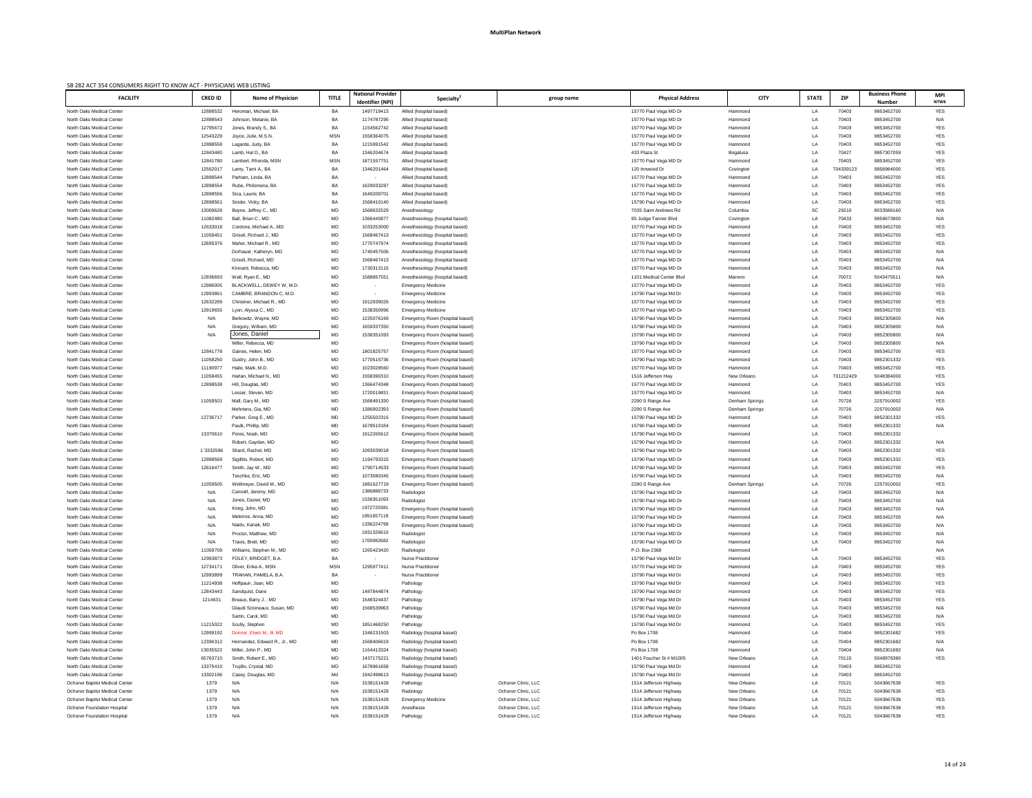| SB 282 ACT 354 CONSUMERS RIGHT TO KNOW ACT - PHYSICIANS WEB LISTING<br><b>FACILITY</b> | <b>CRED ID</b>       | <b>Name of Physician</b>                             | <b>TITLE</b> | <b>National Provider</b> | Specialty <sup>®</sup>                                             | group name          | <b>Physical Address</b>                         | <b>CITY</b>               | <b>STATE</b>    | <b>ZIP</b>         | <b>Business Phone</b>    | <b>MPI</b>  |
|----------------------------------------------------------------------------------------|----------------------|------------------------------------------------------|--------------|--------------------------|--------------------------------------------------------------------|---------------------|-------------------------------------------------|---------------------------|-----------------|--------------------|--------------------------|-------------|
|                                                                                        |                      |                                                      |              | Identifier (NPI)         |                                                                    |                     |                                                 |                           |                 |                    | <b>Number</b>            | <b>NTWK</b> |
| North Oaks Medical Center<br>North Oaks Medical Center                                 | 12898532<br>12898543 | Heroman, Michael, BA<br>Johnson, Melanie, BA         | BA<br>BA     | 1497719413<br>1174787295 | Allied (hospital based)<br>Allied (hospital based)                 |                     | 15770 Paul Vega MD Dr<br>15770 Paul Vega MD Dr  | Hammond<br>Hammond        | LA<br>LA        | 70403<br>70403     | 9853452700<br>9853452700 | YES<br>N/A  |
| North Oaks Medical Center                                                              | 12795672             | Jones, Brandy S., BA                                 | BA           | 1154562742               | Allied (hospital based)                                            |                     | 15770 Paul Vega MD Dr                           | Hammond                   | LA              | 70403              | 9853452700               | YES         |
| North Oaks Medical Center                                                              | 12543229             | Joyce, Julie, M.S.N.                                 | <b>MSN</b>   | 1558364075               | Allied (hospital based)                                            |                     | 15770 Paul Vega MD Dr                           | Hammond                   | LA              | 70403              | 9853452700               | YES         |
| North Oaks Medical Center                                                              | 12898558             | Lagarde, Judy, BA                                    | BA           | 1215991542               | Allied (hospital based)                                            |                     | 15770 Paul Vega MD Dr                           | Hammond                   | LA              | 70403              | 9853452700               | YES         |
| North Oaks Medical Center                                                              | 12843480             | Lamb, Hal D., BA                                     | BA           | 1346204674               | Allied (hospital based)                                            |                     | 433 Plaza St                                    | Bogalusa                  | LA              | 70427              | 9857307059               | YES         |
| North Oaks Medical Center                                                              | 12841780             | Lambert, Rhonda, MSN                                 | <b>MSN</b>   | 1871557751               | Allied (hospital based)                                            |                     | 15770 Paul Vega MD Dr                           | Hammond                   | LA              | 70403              | 9853452700               | YES         |
| North Oaks Medical Center<br>North Oaks Medical Center                                 | 12562017<br>12898544 | Lamy, Tami A., BA<br>Parham, Linda, BA               | BA<br>BA     | 1346201464               | Allied (hospital based)<br>Allied (hospital based)                 |                     | 120 Innwood Dr<br>15770 Paul Vega MD Dr         | Covington<br>Hammond      | LA<br><b>LA</b> | 704339123<br>70403 | 9858984000<br>9853452700 | YES<br>YES  |
| North Oaks Medical Center                                                              | 12898554             | Rube, Philomena, BA                                  | BA           | 1629033287               | Allied (hospital based)                                            |                     | 15770 Paul Vega MD Dr                           | Hammond                   | LA              | 70403              | 9853452700               | YES         |
| North Oaks Medical Center                                                              | 12898556             | Sica, Laurie, BA                                     | BA           | 1649209701               | Allied (hospital based)                                            |                     | 15770 Paul Vega MD Dr                           | Hammond                   | LA              | 70403              | 9853452700               | YES         |
| North Oaks Medical Center                                                              | 1289856              | Snider, Vicky, BA                                    | BA           | 1568410140               | Allied (hospital based)                                            |                     | 15790 Paul Vega MD Dr                           | Hammond                   | LA              | 70403              | 9853452700               | YES         |
| North Oaks Medical Center                                                              | 13009626             | Boyne, Jeffrey C., MD                                | MD           | 1568632529               | Anesthesiology                                                     |                     | 7035 Saint Andrews Rd                           | Columbia                  | SC              | 29210              | 8033586160               | N/A         |
| North Oaks Medical Center                                                              | 11082480             | Ball, Brian C., MD                                   | MD           | 1366440877               | Anesthesiology (hospital based)                                    |                     | 95 Judge Tanner Blvd                            | Covington                 | LA              | 70433              | 9858673800               | N/A         |
| North Oaks Medical Center<br>North Oaks Medical Center                                 | 12633018<br>11058451 | Cordone, Michael A., MD<br>Grisoli, Richard J., MD   | MD<br>MD     | 1033253000<br>1568467413 | Anesthesiology (hospital based)<br>Anesthesiology (hospital based) |                     | 15770 Paul Vega MD Dr<br>15770 Paul Vega MD Dr  | Hammond                   | LA<br>LA        | 70403<br>70403     | 9853452700<br>9853452700 | YES<br>YES  |
| North Oaks Medical Center                                                              | 12695376             | Maher, Michael R., MD                                | MD           | 1770747974               | Anesthesiology (hospital based)                                    |                     | 15770 Paul Vega MD Dr                           | Hammond<br>Hammond        | LA              | 70403              | 9853452700               | YES         |
| North Oaks Medical Center                                                              |                      | Dorhauer, Katheryn, MD                               | MD           | 1740457506               | Anesthesiology (hospital based)                                    |                     | 15770 Paul Vega MD Dr                           | Hammond                   | LA              | 70403              | 9853452700               | N/A         |
| North Oaks Medical Center                                                              |                      | Grisoli, Richard, MD                                 | MD           | 1568467413               | Anesthesiology (hospital based)                                    |                     | 15770 Paul Vega MD Dr                           | Hammond                   | LA              | 70403              | 9853452700               | N/A         |
| North Oaks Medical Center                                                              |                      | Kinnard, Rebecca, MD                                 | MD           | 1730313115               | Anesthesiology (hospital based)                                    |                     | 15770 Paul Vega MD Dr                           | Hammond                   | LA              | 70403              | 9853452700               | N/A         |
| North Oaks Medical Center                                                              | 12936693             | Wall, Ryan E., MD                                    | MD           | 1588857551               | Anesthesiology (hospital based)                                    |                     | 1101 Medical Center Blvd                        | Marrero                   | LA              | 70072              | 5043475511               | N/A         |
| North Oaks Medical Center                                                              | 12986005             | BLACKWELL, DEWEY W, M.D.                             | MD           |                          | <b>Emergency Medicine</b>                                          |                     | 15770 Paul Vega MD Dr                           | Hammond                   | <b>LA</b>       | 70403              | 9853452700               | <b>YES</b>  |
| North Oaks Medical Center<br>North Oaks Medical Center                                 | 1299386<br>12632289  | CAMBRE, BRANDON C, M.D.<br>Christner, Michael R., MD | MD<br>MD     | 1912939026               | <b>Emergency Medicine</b><br><b>Emergency Medicine</b>             |                     | 15790 Paul Vega Md Dr<br>15770 Paul Vega MD Dr  | Hammond<br>Hammond        | LA<br>LA        | 70403<br>70403     | 9853452700<br>9853452700 | YES<br>YES  |
| North Oaks Medical Center                                                              | 12919655             | Lyon, Alyssa C., MD                                  | MD           | 1538350996               | <b>Emergency Medicine</b>                                          |                     | 15770 Paul Vega MD Dr                           | Hammond                   | <b>LA</b>       | 70403              | 9853452700               | YES         |
| North Oaks Medical Center                                                              | N/A                  | Berkowitz, Wayne, MD                                 | MD           | 1225076169               | Emergency Room (hospital based)                                    |                     | 15790 Paul Vega MD Dr                           | Hammond                   | <b>LA</b>       | 70403              | 9852305800               | N/A         |
| North Oaks Medical Center                                                              | N/A                  | Gregory, William, MD                                 | MD           | 1659337350               | Emergency Room (hospital based)                                    |                     | 15790 Paul Vega MD Dr                           | Hammond                   | LA              | 70403              | 9852305800               | N/A         |
| North Oaks Medical Center                                                              | N/A                  | Jones, Daniel                                        | MD           | 1538351093               | Emergency Room (hospital based)                                    |                     | 15790 Paul Vega MD Dr                           | Hammond                   | LA              | 70403              | 9852305800               | N/A         |
| North Oaks Medical Center                                                              |                      | Miller, Rebecca, MD                                  | MD           |                          | Emergency Room (hospital based)                                    |                     | 15790 Paul Vega MD Dr                           | Hammond                   | LA              | 70403              | 9852305800               | N/A         |
| North Oaks Medical Center<br>North Oaks Medical Center                                 | 12841778<br>11058250 | Gaines, Helen, MD                                    | MD           | 1801825757<br>1770515736 | Emergency Room (hospital based)<br>Emergency Room (hospital based) |                     | 15770 Paul Vega MD Dr<br>15790 Paul Vega MD Dr  | Hammond<br>Hammond        | LA<br>LA        | 70403<br>70403     | 9853452700<br>9852301332 | YES<br>YES  |
| North Oaks Medical Center                                                              | 11190977             | Guidry, John B., MD<br>Haile, Mark, M.D.             | MD<br>MD     | 1023028560               | Emergency Room (hospital based)                                    |                     | 15770 Paul Vega MD Dr                           | Hammond                   | LA              | 70403              | 9853452700               | YES         |
| North Oaks Medical Center                                                              | 11058455             | Harlan, Michael N., MD                               | MD           | 1558390310               | Emergency Room (hospital based)                                    |                     | 1516 Jefferson Hwy                              | New Orleans               | LA              | 701212429          | 5048384000               | YES         |
| North Oaks Medical Center                                                              | 12898538             | Hill, Douglas, MD                                    | MD           | 1366474348               | Emergency Room (hospital based)                                    |                     | 15770 Paul Vega MD Dr                           | Hammond                   | LA              | 70403              | 9853452700               | YES         |
| North Oaks Medical Center                                                              |                      | Lesser, Steven, MD                                   | MD           | 1720019831               | Emergency Room (hospital based)                                    |                     | 15770 Paul Vega MD Dr                           | Hammond                   | LA              | 70403              | 9853452700               | N/A         |
| North Oaks Medical Center                                                              | 11059501             | Mall, Gary M., MD                                    | MD           | 1568491330               | Emergency Room (hospital based)                                    |                     | 2290 S Range Ave                                | Denham Springs            | LA              | 70726              | 2257910002               | YES         |
| North Oaks Medical Center                                                              |                      | Mehrtens, Gia, MD                                    | MD           | 1386902393               | Emergency Room (hospital based)                                    |                     | 2290 S Range Ave                                | Denham Springs            | LA              | 70726              | 2257910002               | N/A         |
| North Oaks Medical Center<br>North Oaks Medical Center                                 | 12736717             | Parker, Greg E., MD<br>Paulk, Phillip, MD            | MD<br>MD     | 125550231<br>1678510184  | Emergency Room (hospital based)<br>Emergency Room (hospital based) |                     | 15790 Paul Vega MD Dr<br>15790 Paul Vega MD Dr  | Hammond<br>Hammond        | LA<br>LA        | 70403<br>70403     | 9852301332<br>9852301332 | YES<br>N/A  |
| North Oaks Medical Center                                                              | 13370610             | Pores, Noah, MD                                      | MD           | 1912265612               | Emergency Room (hospital based)                                    |                     | 15790 Paul Vega MD Dr                           | Hammond                   | LA              | 70403              | 9852301332               |             |
| North Oaks Medical Center                                                              |                      | Robert, Gayden, MD                                   | MD           |                          | Emergency Room (hospital based)                                    |                     | 15790 Paul Vega MD Dr                           | Hammond                   | LA              | 70403              | 9852301332               | N/A         |
| North Oaks Medical Center                                                              | 1`3332596            | Shard, Rachel, MD                                    | MD           | 1093039018               | Emergency Room (hospital based)                                    |                     | 15790 Paul Vega MD Dr                           | Hammond                   | LA              | 70403              | 9852301332               | YES         |
| North Oaks Medical Center                                                              | 12898569             | Sigillito, Robert, MD                                | MD           | 1194793315               | Emergency Room (hospital based)                                    |                     | 15790 Paul Vega MD Dr                           | Hammond                   | LA              | 70403              | 9852301332               | YES         |
| North Oaks Medical Center                                                              | 12616477             | Smith, Jay W., MD                                    | MD           | 1790714533               | Emergency Room (hospital based)                                    |                     | 15790 Paul Vega MD Dr                           | Hammond                   | LA              | 70403              | 9853452700               | YES         |
| North Oaks Medical Center                                                              |                      | Teschke, Eric, MD                                    | MD           | 1073580345               | Emergency Room (hospital based)                                    |                     | 15790 Paul Vega MD Dr                           | Hammond                   | <b>LA</b>       | 70403              | 9853452700               | N/A         |
| North Oaks Medical Center<br>North Oaks Medical Center                                 | 11059505<br>N/A      | Wellmeyer, David M., MD<br>Cannell, Jeremy, MD       | MD<br>MD     | 1881627719<br>1386888733 | Emergency Room (hospital based)<br>Radiologist                     |                     | 2290 S Range Ave<br>15790 Paul Vega MD Dr       | Denham Springs<br>Hammond | LA<br>LA        | 70726<br>70403     | 2257910002<br>9853452700 | YES<br>N/A  |
| North Oaks Medical Center                                                              | N/A                  | Jones, Daniel, MD                                    | MD           | 1538351093               | Radiologist                                                        |                     | 15790 Paul Vega MD Dr                           | Hammond                   | LA              | 70403              | 9853452700               | N/A         |
| North Oaks Medical Center                                                              | N/A                  | Krieg, John, MD                                      | MD           | 1972720381               | Emergency Room (hospital based)                                    |                     | 15790 Paul Vega MD Dr                           | Hammond                   | LA              | 70403              | 9853452700               | N/A         |
| North Oaks Medical Center                                                              | N/A                  | Melerine, Anna, MD                                   | MD           | 1851657118               | Emergency Room (hospital based)                                    |                     | 15790 Paul Vega MD Dr                           | Hammond                   | LA              | 70403              | 9853452700               | N/A         |
| North Oaks Medical Center                                                              | N/A                  | Naidu, Kanak, MD                                     | MD           | 1336224799               | Emergency Room (hospital based)                                    |                     | 15790 Paul Vega MD Dr                           | Hammond                   | LA              | 70403              | 9853452700               | N/A         |
| North Oaks Medical Center                                                              | N/A                  | Proctor, Matthew, MD                                 | MD           | 1831326610<br>1700082682 | Radiologist                                                        |                     | 15790 Paul Vega MD Dr                           | Hammond                   | LA              | 70403              | 9853452700               | N/A         |
| North Oaks Medical Center<br>North Oaks Medical Center                                 | N/A<br>11059709      | Travis, Brett, MD<br>Williams, Stephen M., MD        | MD<br>MD     | 1265423420               | Radiologist<br>Radiologis                                          |                     | 15790 Paul Vega MD Dr<br>P.O. Box 2368          | Hammond<br>Hammond        | LA<br><b>LA</b> | 70403              | 9853452700               | N/A<br>N/A  |
| North Oaks Medical Center                                                              | 12993873             | FOLEY, BRIDGET, B.A.                                 | BA           |                          | <b>Nurse Practitioner</b>                                          |                     | 15790 Paul Vega Md Dr                           | Hammond                   | LA              | 70403              | 9853452700               | YES         |
| North Oaks Medical Center                                                              | 12734171             | Oliver, Erika A., MSN                                | <b>MSN</b>   | 129597741                | <b>Nurse Practitioner</b>                                          |                     | 15770 Paul Vega MD Dr                           | Hammond                   | LA              | 70403              | 9853452700               | YES         |
| North Oaks Medical Center                                                              | 12993899             | TRAHAN, PAMELA, B.A.                                 | BA           |                          | <b>Nurse Practitioner</b>                                          |                     | 15790 Paul Vega Md Dr                           | Hammond                   | <b>LA</b>       | 70403              | 9853452700               | YES         |
| North Oaks Medical Center                                                              | 11214938             | Hoffpauir, Joan, MD                                  | MD           |                          | Pathology                                                          |                     | 15790 Paul Vega Md Dr                           | Hammond                   | LA              | 70403              | 9853452700               | YES         |
| North Oaks Medical Center                                                              | 12843443             | Sandquist, Dane                                      | MD           | 1487844874               | Pathology                                                          |                     | 15790 Paul Vega Md Dr                           | Hammond                   | LA              | 70403              | 9853452700               | YES         |
| North Oaks Medical Center                                                              | 1214631              | Breaux, Barry J., MD                                 | MD           | 1548324437<br>1568539963 | Pathology                                                          |                     | 15790 Paul Vega Md Dr                           | Hammond                   | LA              | 70403<br>70403     | 9853452700<br>9853452700 | <b>YES</b>  |
| North Oaks Medical Center<br>North Oaks Medical Center                                 |                      | Glaudi Scioneaux, Susan, MD<br>Sartin, Carol, MD     | MD<br>MD     |                          | Pathology<br>Pathology                                             |                     | 15790 Paul Vega Md Dr<br>15790 Paul Vega Md Dr  | Hammond<br>Hammond        | LA<br>LA        | 70403              | 9853452700               | N/A<br>N/A  |
| North Oaks Medical Center                                                              | 11215022             | Scully, Stephen                                      | MD           | 1851468250               | Pathology                                                          |                     | 15790 Paul Vega Md Dr                           | Hammond                   | LA              | 70403              | 9853452700               | YES         |
| North Oaks Medical Center                                                              | 12999192             | Donner, Elwin M., III, MD                            | MD           | 1346231503               | Radiology (hospital based)                                         |                     | Po Box 1708                                     | Hammond                   | LA              | 70404              | 9852301682               | YES         |
| North Oaks Medical Center                                                              | 12396312             | Hernandez, Edward R., Jr., MD                        | MD           | 1568406619               | Radiology (hospital based)                                         |                     | Po Box 1708                                     | Hammond                   | LA              | 70404              | 9852301682               | N/A         |
| North Oaks Medical Center                                                              | 13035522             | Miller, John P., MD                                  | MD           | 1164413324               | Radiology (hospital based)                                         |                     | Po Box 1708                                     | Hammond                   | LA              | 70404              | 9852301682               | N/A         |
| North Oaks Medical Center                                                              | 65763710             | Smith, Robert E., MD                                 | MD           | 1437175221               | Radiology (hospital based)                                         |                     | 1401 Foucher St # M1005                         | <b>New Orleans</b>        | LA              | 70115              | 5048978380               | <b>YES</b>  |
| North Oaks Medical Center<br>North Oaks Medical Center                                 | 13375410             | Trujillo, Crystal, MD                                | MD           | 1678961658               | Radiology (hospital based)                                         |                     | 15790 Paul Vega Md Dr                           | Hammond                   | LA              | 70403<br>70403     | 9853452700               |             |
| <b>Ochsner Baptist Medical Center</b>                                                  | 13302196<br>1379     | Casey, Douglas, MD<br>N/A                            | Md<br>N/A    | 1942498613<br>1538151428 | Radiology (hospital based)<br>Pathology                            | Ochsner Clinic, LLC | 15790 Paul Vega Md Dr<br>1514 Jefferson Highway | Hammond<br>New Orleans    | LA<br>LA        | 70121              | 9853452700<br>5043667638 | YES         |
| <b>Ochsner Baptist Medical Center</b>                                                  | 1379                 | N/A                                                  | N/A          | 1538151428               | Radiology                                                          | Ochsner Clinic, LLC | 1514 Jefferson Highway                          | <b>New Orleans</b>        | LA              | 70121              | 5043667638               | YES         |
| <b>Ochsner Baptist Medical Center</b>                                                  | 1379                 | N/A                                                  | N/A          | 1538151428               | <b>Emergency Medicine</b>                                          | Ochsner Clinic, LLC | 1514 Jefferson Highway                          | New Orleans               | LA              | 70121              | 5043667638               | YES         |
| <b>Ochsner Foundation Hospital</b>                                                     | 1379                 | N/A                                                  | N/A          | 1538151428               | Anesthesia                                                         | Ochsner Clinic, LLC | 1514 Jefferson Highway                          | New Orleans               | LA              | 70121              | 5043667638               | YES         |
| <b>Ochsner Foundation Hospital</b>                                                     | 1379                 | N/A                                                  | N/A          | 1538151428               | Pathology                                                          | Ochsner Clinic, LLC | 1514 Jefferson Highway                          | New Orleans               | LA              | 70121              | 5043667638               | YES         |
|                                                                                        |                      |                                                      |              |                          |                                                                    |                     |                                                 |                           |                 |                    |                          |             |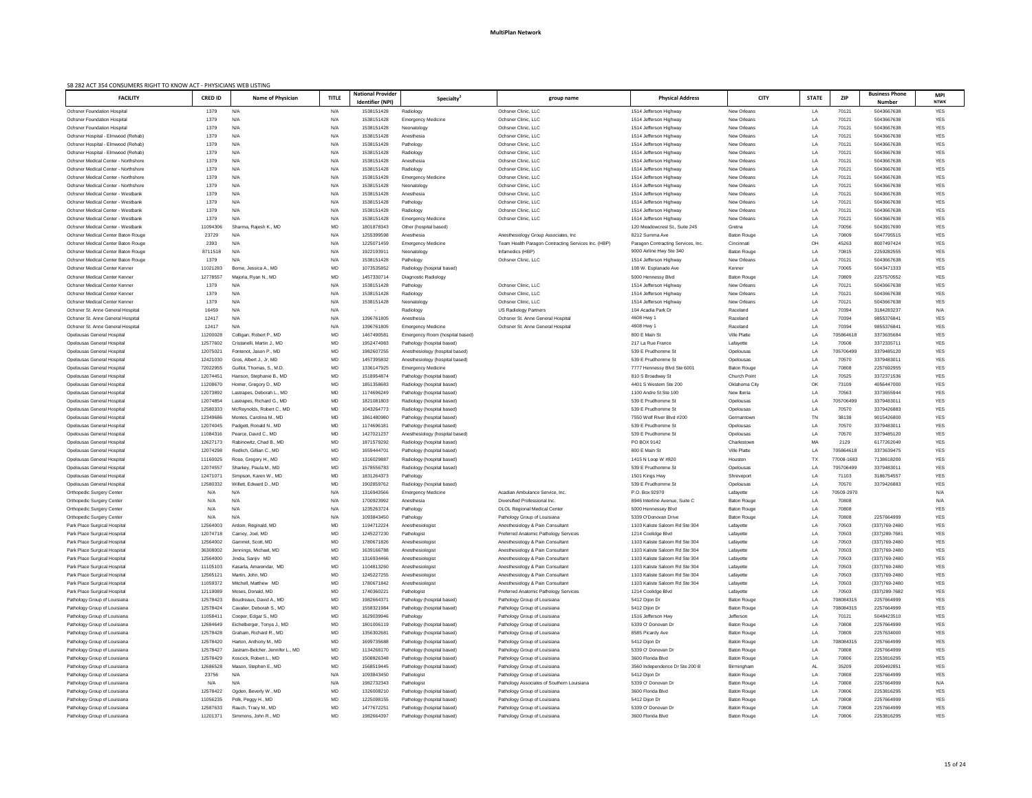| SB 282 ACT 354 CONSUMERS RIGHT TO KNOW ACT - PHYSICIANS WEB LISTING          |                      |                                  |              |                                              |                                                    |                                                                      |                                                       |                                          |                |                |                                        |                           |
|------------------------------------------------------------------------------|----------------------|----------------------------------|--------------|----------------------------------------------|----------------------------------------------------|----------------------------------------------------------------------|-------------------------------------------------------|------------------------------------------|----------------|----------------|----------------------------------------|---------------------------|
| <b>FACILITY</b>                                                              | <b>CRED ID</b>       | <b>Name of Physician</b>         | <b>TITLE</b> | <b>National Provider</b><br>Identifier (NPI) | Specialty <sup>2</sup>                             | group name                                                           | <b>Physical Address</b>                               | <b>CITY</b>                              | <b>STATE</b>   | <b>ZIP</b>     | <b>Business Phone</b><br><b>Number</b> | <b>MPI</b><br><b>NTWK</b> |
| <b>Ochsner Foundation Hospital</b>                                           | 1379                 | N/A                              | N/A          | 1538151428                                   | Radiology                                          | Ochsner Clinic, LLC                                                  | 1514 Jefferson Highway                                | New Orleans                              | LA             | 70121          | 5043667638                             | YES                       |
| <b>Ochsner Foundation Hospital</b>                                           | 1379                 | N/A                              | N/A          | 1538151428                                   | <b>Emergency Medicine</b>                          | Ochsner Clinic, LLC                                                  | 1514 Jefferson Highway                                | New Orleans                              | LA             | 70121          | 5043667638                             | YES                       |
| <b>Ochsner Foundation Hospital</b>                                           | 1379                 | N/A                              | N/A          | 1538151428                                   | Neonatology                                        | Ochsner Clinic, LLC                                                  | 1514 Jefferson Highway                                | New Orleans                              | LA             | 70121          | 5043667638                             | YES                       |
| Ochsner Hospital - Elmwood (Rehab)                                           | 1379                 | N/A                              | N/A          | 1538151428                                   | Anesthesia                                         | Ochsner Clinic, LLC                                                  | 1514 Jefferson Highway                                | New Orleans                              | LA             | 70121          | 5043667638                             | YES                       |
| Ochsner Hospital - Elmwood (Rehab)                                           | 1379                 | N/A                              | N/A          | 1538151428                                   | Pathology                                          | Ochsner Clinic, LLC                                                  | 1514 Jefferson Highway                                | <b>New Orleans</b>                       | LA             | 70121          | 5043667638                             | YES                       |
| Ochsner Hospital - Elmwood (Rehab)                                           | 1379                 | N/A                              | N/A          | 1538151428                                   | Radiology                                          | Ochsner Clinic, LLC                                                  | 1514 Jefferson Highway                                | <b>New Orleans</b>                       | LA             | 70121          | 5043667638                             | YES                       |
| <b>Ochsner Medical Center - Northshore</b>                                   | 1379                 | N/A                              | N/A          | 1538151428                                   | Anesthesia                                         | Ochsner Clinic, LLC                                                  | 1514 Jefferson Highway                                | New Orleans                              | LA             | 70121          | 5043667638                             | YES                       |
| <b>Ochsner Medical Center - Northshore</b>                                   | 1379                 | N/A                              | N/A          | 1538151428                                   | Radiology                                          | Ochsner Clinic, LLC                                                  | 1514 Jefferson Highway                                | <b>New Orleans</b>                       | LA             | 70121          | 5043667638                             | YES                       |
| <b>Ochsner Medical Center - Northshore</b>                                   | 1379                 | N/A                              | N/A          | 1538151428                                   | <b>Emergency Medicine</b>                          | Ochsner Clinic, LLC                                                  | 1514 Jefferson Highway                                | New Orleans                              | LA             | 70121          | 5043667638                             | YES                       |
| <b>Ochsner Medical Center - Northshore</b>                                   | 1379                 | N/A                              | N/A          | 1538151428                                   | Neonatology                                        | Ochsner Clinic, LLC                                                  | 1514 Jefferson Highway                                | New Orleans                              | LA             | 70121          | 5043667638                             | YES                       |
| <b>Ochsner Medical Center - Westbank</b>                                     | 1379                 | N/A                              | N/A          | 1538151428                                   | Anesthesia                                         | Ochsner Clinic, LLC                                                  | 1514 Jefferson Highway                                | <b>New Orleans</b>                       | LA             | 70121          | 5043667638                             | <b>YES</b>                |
| Ochsner Medical Center - Westbank                                            | 1379                 | N/A                              | N/A          | 1538151428                                   | Pathology                                          | Ochsner Clinic, LLC                                                  | 1514 Jefferson Highway                                | New Orleans                              | LA             | 70121          | 5043667638                             | YES                       |
| <b>Ochsner Medical Center - Westbank</b>                                     | 1379                 | N/A                              | N/A          | 1538151428                                   | Radiology                                          | Ochsner Clinic, LLC                                                  | 1514 Jefferson Highway                                | <b>New Orleans</b>                       | LA             | 70121          | 5043667638                             | YES                       |
| <b>Ochsner Medical Center - Westbank</b>                                     | 1379                 | N/A                              | N/A          | 1538151428                                   | <b>Emergency Medicine</b>                          | Ochsner Clinic, LLC                                                  | 1514 Jefferson Highway                                | <b>New Orleans</b>                       | LA             | 70121          | 5043667638                             | <b>YES</b>                |
| <b>Ochsner Medical Center - Westbank</b>                                     | 11094306             | Sharma, Raiesh K., MD            | MD           | 1801878343                                   | Other (hospital based)                             |                                                                      | 120 Meadowcrest St., Suite 245                        | Gretna                                   | LA             | 70056          | 5043917690                             | <b>YES</b>                |
| Ochsner Medical Center Baton Rouge                                           | 23729                | N/A                              | N/A          | 1255399598                                   | Anesthesia                                         | Anesthesiology Group Associates, Inc.                                | 8212 Summa Ave                                        | <b>Baton Rouge</b>                       | LA             | 70809          | 5047795515                             | YES                       |
| <b>Ochsner Medical Center Baton Rouge</b>                                    | 2393                 | N/A                              | N/A          | 1225071459                                   | <b>Emergency Medicine</b>                          | Team Health Paragon Contracting Services Inc. (HBP)                  | Paragon Contracting Services, Inc.                    | Cincinnati                               | OH             | 45263          | 8007497424                             | <b>YES</b>                |
| Ochsner Medical Center Baton Rouge                                           | 8711518              | N/A                              | N/A          | 1922193911                                   | Neonatology                                        | Infamedics (HBP)                                                     | 9000 Airline Hwy Ste 340                              | <b>Baton Rouge</b>                       | LA             | 70815          | 2259282555                             | YES                       |
| <b>Ochsner Medical Center Baton Rouge</b>                                    | 1379                 | N/A                              | N/A<br>MD    | 1538151428                                   | Pathology                                          | Ochsner Clinic, LLC                                                  | 1514 Jefferson Highway                                | <b>New Orleans</b><br>Kenner             | LA             | 70121<br>70065 | 5043667638<br>5043471333               | <b>YES</b><br><b>YES</b>  |
| <b>Ochsner Medical Center Kenner</b><br><b>Ochsner Medical Center Kenner</b> | 11021283<br>12778557 | Borne, Jessica A., MD            | MD           | 1073535852<br>1457330714                     | Radiology (hospital based)<br>Diagnostic Radiology |                                                                      | 108 W. Esplanade Ave<br>5000 Hennessy Blvd            | <b>Baton Rouge</b>                       | LA<br>LA       | 70809          | 2257570552                             | <b>YES</b>                |
| <b>Ochsner Medical Center Kenner</b>                                         | 1379                 | Majoria, Ryan N., MD<br>N/A      | N/A          | 1538151428                                   | Pathology                                          | Ochsner Clinic, LLC                                                  | 1514 Jefferson Highway                                | <b>New Orleans</b>                       | LA             | 70121          | 5043667638                             | <b>YES</b>                |
| <b>Ochsner Medical Center Kenner</b>                                         | 1379                 | N/A                              | N/A          | 1538151428                                   | Radiology                                          | Ochsner Clinic, LLC                                                  | 1514 Jefferson Highway                                | New Orleans                              | LA             | 70121          | 5043667638                             | <b>YES</b>                |
| <b>Ochsner Medical Center Kenner</b>                                         | 1379                 | N/A                              | N/A          | 1538151428                                   | Neonatology                                        | Ochsner Clinic, LLC                                                  | 1514 Jefferson Highway                                | New Orleans                              | LA             | 70121          | 5043667638                             | <b>YES</b>                |
| Ochsner St. Anne General Hospital                                            | 16459                | N/A                              | N/A          |                                              | Radiology                                          | <b>US Radiology Partners</b>                                         | 104 Acadia Park Dr                                    | Raceland                                 | LA             | 70394          | 3184283237                             | N/A                       |
| Ochsner St. Anne General Hospital                                            | 12417                | N/A                              | N/A          | 1396761805                                   | Anesthesia                                         | Ochsner St. Anne General Hospital                                    | 4608 Hwy 1                                            | Raceland                                 | LA             | 70394          | 9855376841                             | YES                       |
| Ochsner St. Anne General Hospital                                            | 12417                | N/A                              | N/A          | 1396761805                                   | <b>Emergency Medicine</b>                          | Ochsner St. Anne General Hospital                                    | 4608 Hwy 1                                            | Raceland                                 | LA             | 70394          | 9855376841                             | <b>YES</b>                |
| <b>Opelousas General Hospital</b>                                            | 11200028             | Colligan, Robert P., MD          | MD           | 146749058                                    | Emergency Room (hospital based)                    |                                                                      | 800 E Main St                                         | <b>Ville Platte</b>                      | LA             | 705864618      | 3373635684                             | <b>YES</b>                |
| Opelousas General Hospital                                                   | 12577602             | Cristanelli, Martin J., MD       | <b>MD</b>    | 1952474983                                   | Pathology (hospital based)                         |                                                                      | 217 La Rue France                                     | Lafavette                                | $\overline{A}$ | 70508          | 337233571                              | <b>YES</b>                |
| Opelousas General Hospital                                                   | 12075021             | Fontenot, Jason P., MD           | MD           | 1982607255                                   | Anesthesiology (hospital based)                    |                                                                      | 539 E Prudhomme St                                    | Opelousas                                | LA             | 705706499      | 3379485120                             | YES                       |
| <b>Opelousas General Hospital</b>                                            | 12421030             | Gros, Albert J., Jr, MD          | MD           | 1457395832                                   | Anesthesiology (hospital based)                    |                                                                      | 539 E Prudhomme St                                    | Opelousas                                | LA             | 70570          | 3379483011                             | <b>YES</b>                |
| <b>Opelousas General Hospital</b>                                            | 72022955             | Guillot, Thomas, S., M.D.        | MD           | 1336147925                                   | <b>Emergency Medicine</b>                          |                                                                      | 7777 Hennessy Blvd Ste 6001                           | Baton Rouge                              | LA             | 70808          | 2257692955                             | <b>YES</b>                |
| <b>Opelousas General Hospital</b>                                            | 12074451             | Hanson, Stephanie B., MD         | MD           | 1518954874                                   | Pathology (hospital based)                         |                                                                      | 810 S Broadway St                                     | Church Point                             | LA             | 70525          | 3372371536                             | YES                       |
| <b>Opelousas General Hospital</b>                                            | 11208670             | Homer, Gregory D., MD            | MD           | 1851358683                                   | Radiology (hospital based)                         |                                                                      | 4401 S Western Ste 200                                | Oklahoma City                            | OK             | 73109          | 4056447000                             | <b>YES</b>                |
| <b>Opelousas General Hospital</b>                                            | 12073892             | Lastrapes, Deborah L., MD        | MD           | 1174696249                                   | Pathology (hospital based)                         |                                                                      | 1100 Andre St Ste 100                                 | New Iberia                               | LA             | 70563          | 3373655944                             | YES                       |
| <b>Opelousas General Hospital</b>                                            | 12074854             | Lastrapes, Richard G., MD        | MD           | 1821081803                                   | Radiology (hospital based)                         |                                                                      | 539 E Prudhomme St                                    | Opelousas                                | LA             | 705706499      | 3379483011                             | YES                       |
| <b>Opelousas General Hospital</b>                                            | 12580333             | McReynolds, Robert C., MD        | MD           | 1043264773                                   | Radiology (hospital based)                         |                                                                      | 539 E Prudhomme St                                    | Opelousas                                | LA             | 70570          | 3379426883                             | <b>YES</b>                |
| <b>Opelousas General Hospital</b>                                            | 12349686             | Montes, Carolina M., MD          | MD           | 1861480980                                   | Pathology (hospital based)                         |                                                                      | 7550 Wolf River Blvd #200                             | Germantown                               | TN             | 38138          | 9015426800                             | <b>YES</b>                |
| <b>Opelousas General Hospital</b>                                            | 12074045             | Padgett, Ronald N., MD           | MD           | 117469618                                    | Pathology (hospital based)                         |                                                                      | 539 E Prudhomme St                                    | Opelousas                                | LA             | 70570          | 3379483011                             | YES                       |
| Opelousas General Hospital                                                   | 11084316             | Pearce, David C., MD             | MD           | 1427021237                                   | Anesthesiology (hospital based)                    |                                                                      | 539 E Prudhomme St                                    | Opelousas                                | LA             | 70570          | 3379485120                             | <b>YES</b>                |
| <b>Opelousas General Hospital</b>                                            | 12627173             | Rabinowitz, Chad B., MD          | MD           | 1871579292                                   | Radiology (hospital based)                         |                                                                      | PO BOX 9142                                           | Charlestown                              | МA             | 2129           | 6177262040                             | <b>YES</b>                |
| <b>Opelousas General Hospital</b>                                            | 12074298             | Redlich, Gillian C., MD          | MD           | 1659444701                                   | Pathology (hospital based)                         |                                                                      | 800 E Main St                                         | <b>Ville Platte</b>                      | LA             | 705864618      | 3373639475                             | <b>YES</b>                |
| <b>Opelousas General Hospital</b>                                            | 11160025             | Rose, Gregory H., MD             | MD           | 1316029887                                   | Radiology (hospital based)                         |                                                                      | 1415 N Loop W #820                                    | Houston                                  | TX             | 77008-1683     | 7138618200                             | YES                       |
| <b>Opelousas General Hospital</b>                                            | 12074557             | Sharkey, Paula M., MD            | MD           | 1578556783                                   | Radiology (hospital based)                         |                                                                      | 539 E Prudhomme St                                    | Opelousas                                | LA             | 705706499      | 3379483011                             | YES                       |
| Opelousas General Hospital                                                   | 12471071             | Simpson, Karen W., MD            | MD           | 1831264373                                   | Pathology                                          |                                                                      | 1501 Kings Hwy                                        | Shreveport                               | LA             | 71103          | 3186754557                             | <b>YES</b>                |
| <b>Opelousas General Hospital</b>                                            | 12580332             | Willett, Edward D., MD           | MD           | 1902859762                                   | Radiology (hospital based)                         |                                                                      | 539 E Prudhomme St                                    | Opelousas                                | LA             | 70570          | 3379426883                             | YES                       |
| <b>Orthopedic Surgery Center</b>                                             | N/A                  | N/A                              | N/A          | 1316943566                                   | <b>Emergency Medicine</b>                          | Acadian Ambulance Service, Inc.                                      | P.O. Box 92970                                        | Lafayette                                | LA             | 70509-2970     |                                        | N/A                       |
| <b>Orthopedic Surgery Center</b>                                             | N/A                  | N/A<br>N/A                       | N/A          | 1700923992<br>1235263724                     | Anesthesia                                         | Diversified Professional Inc.<br><b>OLOL Regional Medical Center</b> | 8946 Interline Avenue, Suite C<br>5000 Hennessey Blvd | <b>Baton Rouge</b>                       | LA<br>LA       | 70808<br>70808 |                                        | N/A<br><b>YES</b>         |
| <b>Orthopedic Surgery Center</b><br><b>Orthopedic Surgery Center</b>         | N/A<br>N/A           | N/A                              | N/A<br>N/A   | 1093843450                                   | Pathology<br>Pathology                             | Pathology Group of Louisiana                                         | 5339 O'Donovan Drive                                  | <b>Baton Rouge</b><br><b>Baton Rouge</b> | LA             | 70808          | 2257664999                             | YES                       |
| Park Place Surgical Hospital                                                 | 12564003             | Ardoin, Reginald, MD             | MD           | 1194712224                                   | Anesthesiologist                                   | Anesthesiology & Pain Consultant                                     | 1103 Kaliste Saloom Rd Ste 304                        | Lafayette                                | LA             | 70503          | (337) 769-2480                         | <b>YES</b>                |
| Park Place Surgical Hospital                                                 | 12074718             | Carney, Joel, MD                 | MD           | 1245227230                                   | Pathologist                                        | Preferred Anatomic Pathology Services                                | 1214 Coolidge Blvd                                    | Lafayette                                | LA             | 70503          | (337) 289-7681                         | <b>YES</b>                |
| Park Place Surgical Hospital                                                 | 12564002             | Gammel, Scott, MD                | MD           | 1780671826                                   | Anesthesiologist                                   | Anesthesiology & Pain Consultant                                     | 1103 Kaliste Saloom Rd Ste 304                        | Lafayette                                | LA             | 70503          | (337) 769-2480                         | YES                       |
| Park Place Surgical Hospital                                                 | 36308002             | Jennings, Michael, MD            | MD           | 1639166788                                   | Anesthesiologist                                   | Anesthesiology & Pain Consultant                                     | 1103 Kaliste Saloom Rd Ste 304                        | Lafayette                                | LA             | 70503          | (337)769-2480                          | <b>YES</b>                |
| Park Place Surgical Hospital                                                 | 12564000             | Jindia, Sanjiv MD                | MD           | 1316934466                                   | Anesthesiologist                                   | Anesthesiology & Pain Consultant                                     | 1103 Kaliste Saloom Rd Ste 304                        | Lafayette                                | LA             | 70503          | (337) 769-2480                         | <b>YES</b>                |
| Park Place Surgical Hospital                                                 | 11105103             | Kasarla, Amarendar, MD           | MD           | 1104813260                                   | Anesthesiologist                                   | Anesthesiology & Pain Consultant                                     | 1103 Kaliste Saloom Rd Ste 304                        | Lafayette                                | LA             | 70503          | (337) 769-2480                         | <b>YES</b>                |
| Park Place Surgical Hospital                                                 | 12565121             | Martin, John, MD                 | MD           | 1245227255                                   | Anesthesiologist                                   | Anesthesiology & Pain Consultant                                     | 1103 Kaliste Saloom Rd Ste 304                        | Lafayette                                | LA             | 70503          | (337) 769-2480                         | <b>YES</b>                |
| Park Place Surgical Hospital                                                 | 11059372             | Mitchell. Matthew MD             | MD           | 1780671842                                   | Anesthesiologist                                   | Anesthesiology & Pain Consultant                                     | 1103 Kaliste Saloom Rd Ste 304                        | Lafayette                                | LA             | 70503          | (337) 769-2480                         | <b>YES</b>                |
| Park Place Surgical Hospital                                                 | 12119089             | Moses, Donald, MD                | MD           | 1740360221                                   | Pathologist                                        | Preferred Anatomic Pathology Services                                | 1214 Coolidge Blvd                                    | Lafayette                                | LA             | 70503          | (337)289-7682                          | <b>YES</b>                |
| Pathology Group of Louisiana                                                 | 12578423             | Boudreaux, David A., MD          | MD           | 198266437                                    | Pathology (hospital based)                         | Pathology Group of Louisiana                                         | 5412 Dijon Dr                                         | Baton Rouge                              | LA             | 708084315      | 2257664999                             | <b>YES</b>                |
| Pathology Group of Louisiana                                                 | 12578424             | Cavalier, Deborah S., MD         | MD           | 1558321984                                   | Pathology (hospital based)                         | Pathology Group of Louisiana                                         | 5412 Diion Dr                                         | <b>Baton Rouge</b>                       | I A            | 708084315      | 2257664999                             | <b>YES</b>                |
| Pathology Group of Louisiana                                                 | 11058411             | Cooper, Edgar S., MD             | MD           | 1629039946                                   | Pathology                                          | Pathology Group of Louisiana                                         | 1516 Jefferson Hwy                                    | Jefferson                                | LA             | 70121          | 5048423510                             | <b>YES</b>                |
| Pathology Group of Louisiana                                                 | 12684649             | Eichelberger, Tonya J., MD       | MD           | 1801006119                                   | Pathology (hospital based)                         | Pathology Group of Louisiana                                         | 5339 O' Donovan Dr                                    | <b>Baton Rouge</b>                       | LA             | 70808          | 2257664999                             | YES                       |
| Pathology Group of Louisiana                                                 | 12578428             | Graham, Richard R., MD           | MD           | 135630268                                    | Pathology (hospital based)                         | Pathology Group of Louisiana                                         | 8585 Picardy Ave                                      | <b>Baton Rouge</b>                       | LA             | 70809          | 2257634000                             | <b>YES</b>                |
| Pathology Group of Louisiana                                                 | 12578420             | Harton, Anthony M., MD           | MD           | 1699735688                                   | Pathology (hospital based)                         | Pathology Group of Louisiana                                         | 5412 Dijon Dr                                         | <b>Baton Rouge</b>                       | LA             | 708084315      | 2257664999                             | <b>YES</b>                |
| Pathology Group of Louisiana                                                 | 12578427             | Jastram-Belcher, Jennifer L., MD | MD           | 1134268170                                   | Pathology (hospital based)                         | Pathology Group of Louisiana                                         | 5339 O' Donovan Dr                                    | <b>Baton Rouge</b>                       | LA             | 70808          | 2257664999                             | YES                       |
| Pathology Group of Louisiana                                                 | 12578429             | Koscick, Robert L., MD           | MD           | 1508826348                                   | Pathology (hospital based)                         | Pathology Group of Louisiana                                         | 3600 Florida Blvd                                     | <b>Baton Rouge</b>                       | LA             | 70806          | 2253816295                             | <b>YES</b>                |
| Pathology Group of Louisiana                                                 | 12686528             | Mason, Stephen E., MD            | MD           | 1568519445                                   | Pathology (hospital based)                         | Pathology Group of Louisiana                                         | 3560 Independence Dr Ste 200 B                        | Birmingham                               | AL             | 35209          | 2059492851                             | YES                       |
| Pathology Group of Louisiana                                                 | 23756                | N/A                              | N/A          | 1093843450                                   | Pathologist                                        | Pathology Group of Louisiana                                         | 5412 Dijon Dr                                         | <b>Baton Rouge</b>                       | LA             | 70808          | 2257664999                             | <b>YES</b>                |
| Pathology Group of Louisiana                                                 | N/A                  | N/A                              | N/A          | 1982732343                                   | Pathologist                                        | Pathology Associates of Southern Louisiana                           | 5339 O' Donovan Dr                                    | <b>Baton Rouge</b>                       | LA             | 70808          | 2257664999                             | N/A                       |
| Pathology Group of Louisiana                                                 | 12578422             | Ogden, Beverly W., MD            | MD           | 1326008210                                   | Pathology (hospital based)                         | Pathology Group of Louisiana                                         | 3600 Florida Blvd                                     | <b>Baton Rouge</b>                       | LA             | 70806          | 2253816295                             | YES                       |
| Pathology Group of Louisiana                                                 | 11056235             | Polk, Peggy H., MD               | MD           | 1225098155                                   | Pathology (hospital based)                         | Pathology Group of Louisiana                                         | 5412 Dijon Dr                                         | <b>Baton Rouge</b>                       | LA             | 70808          | 2257664999                             | <b>YES</b>                |
| Pathology Group of Louisiana                                                 | 12587633             | Rauch, Tracy M., MD              | MD           | 1477672251                                   | Pathology (hospital based)                         | Pathology Group of Louisiana                                         | 5339 O' Donovan Dr                                    | <b>Baton Rouge</b>                       | LA             | 70808          | 2257664999                             | YES                       |
| Pathology Group of Louisiana                                                 | 11201371             | Simmons, John R., MD             | MD           | 1982664397                                   | Pathology (hospital based)                         | Pathology Group of Louisiana                                         | 3600 Florida Blvd                                     | <b>Baton Rouge</b>                       | LA             | 70806          | 2253816295                             | YES                       |
|                                                                              |                      |                                  |              |                                              |                                                    |                                                                      |                                                       |                                          |                |                |                                        |                           |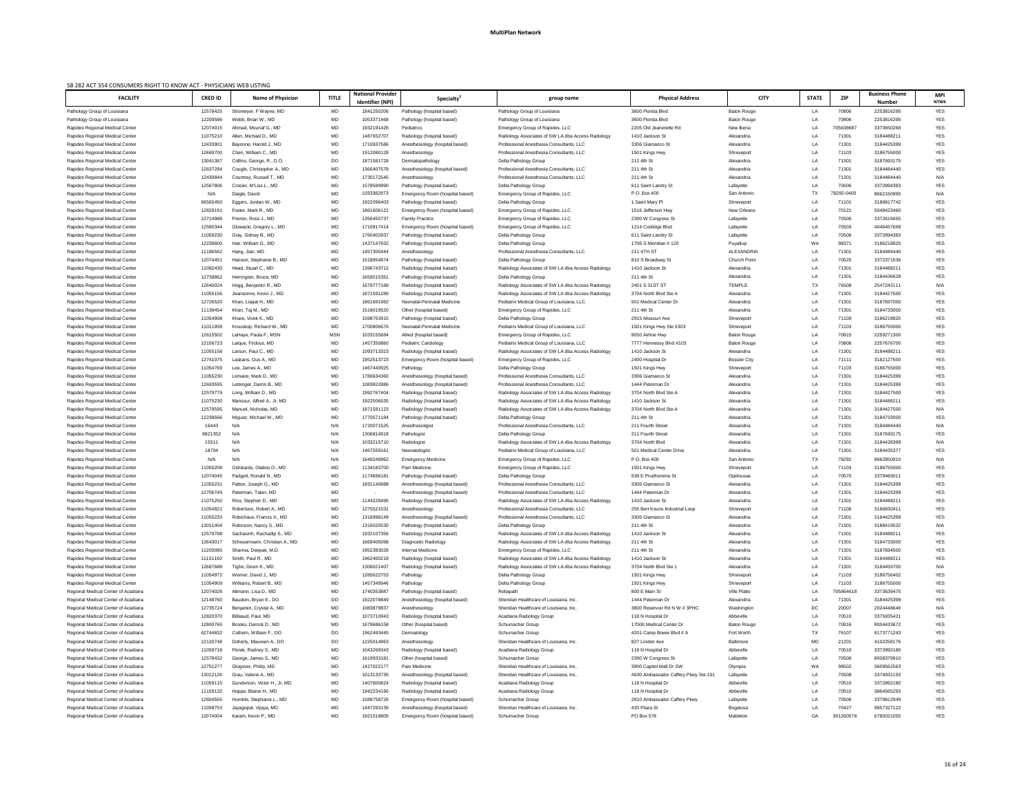| SB 282 ACT 354 CONSUMERS RIGHT TO KNOW ACT - PHYSICIANS WEB LISTING |                      |                                                    |                 |                                                     |                                                          |                                                                                                          |                                          |                          |              |                    |                                        |                           |
|---------------------------------------------------------------------|----------------------|----------------------------------------------------|-----------------|-----------------------------------------------------|----------------------------------------------------------|----------------------------------------------------------------------------------------------------------|------------------------------------------|--------------------------|--------------|--------------------|----------------------------------------|---------------------------|
| <b>FACILITY</b>                                                     | <b>CRED ID</b>       | <b>Name of Physician</b>                           | <b>TITLE</b>    | <b>National Provider</b><br><b>Identifier (NPI)</b> | <b>Specialty</b>                                         | group name                                                                                               | <b>Physical Address</b>                  | <b>CITY</b>              | <b>STATE</b> | ZIP                | <b>Business Phone</b><br><b>Number</b> | <b>MPI</b><br><b>NTWK</b> |
| Pathology Group of Louisiana                                        | 12578425             | Stromeyer, F Wayne, MD                             | MD              | 1841250206                                          | Pathology (hospital based)                               | Pathology Group of Louisiana                                                                             | 3600 Florida Blvd                        | <b>Baton Rouge</b>       | LA           | 70806              | 2253816295                             | YES                       |
| Pathology Group of Louisiana                                        | 12209586             | Webb, Brian W., MD                                 | MD              | 1053371468                                          | Pathology (hospital based)                               | Pathology Group of Louisiana                                                                             | 3600 Florida Blvd                        | Baton Rouge              | LA           | 70806              | 2253816295                             | <b>YES</b>                |
| Rapides Regional Medical Center                                     | 12074015             | Ahmad. Mounaf G., MD                               | MD              | 1932191426                                          | Pediatrics                                               | Emergency Group of Rapides, LLC                                                                          | 2205 Old Jeanerette Rd                   | New Iberia               | LA           | 705638687          | 3373650268                             | <b>YES</b>                |
| Rapides Regional Medical Center                                     | 11075210             | Allen, Michael D., MD                              | MD              | 1487652707                                          | Radiology (hospital based)                               | Radiology Associates of SW LA dba Access Radiology                                                       | 1410 Jackson St                          | Alexandria               | LA           | 71301              | 3184488211                             | <b>YES</b>                |
| Rapides Regional Medical Center                                     | 1243390 <sup>-</sup> | Bayonne, Harold J., MD                             | MD              | 1710937586                                          | Anesthesiology (hospital based)                          | Professional Anesthesia Consultants, LLC                                                                 | 3306 Giamanco St                         | Alexandria               | LA           | 71301              | 3184425399                             | <b>YES</b>                |
| Rapides Regional Medical Center                                     | 12689700             | Chen. William C., MD                               | MD              | 1912080128                                          | Anesthesiology                                           | Professional Anesthesia Consultants, LLC                                                                 | 1501 Kings Hwy                           | Shreveport               | LA           | 71103              | 3186755000                             | <b>YES</b>                |
| Rapides Regional Medical Center                                     | 13041367             | Collins, George, R., D.O.                          | DO              | 1871581728                                          | Dermatopathology                                         | Delta Pathology Group                                                                                    | 211 4th St                               | Alexandria               | LA           | 71301              | 3187693175                             | <b>YES</b>                |
| Rapides Regional Medical Center                                     | 12637284             | Cougle, Christopher A., MD                         | MD              | 1366407579                                          | Anesthesiology (hospital based)                          | Professional Anesthesia Consultants, LLC                                                                 | 211 4th St                               | Alexandria               | LA           | 71301              | 3184484440                             | <b>YES</b>                |
| Rapides Regional Medical Center                                     | 12430844             | Courtney, Russell T., MD                           | MD              | 1730172545                                          | Anesthesiology                                           | Professional Anesthesia Consultants, LLC                                                                 | 211 4th St                               | Alexandria               | LA           | 71301              | 3184484440                             | N/A                       |
| Rapides Regional Medical Center                                     | 12567806             | Crosier, M'Liss L., MD                             | MD              | 1578589990                                          | Pathology (hospital based)                               | Delta Pathology Group                                                                                    | 611 Saint Landry St                      | Lafayette                | LA           | 70506              | 3372894383                             | YES                       |
| Rapides Regional Medical Center                                     | N/A                  | Daigle, David                                      | <b>MD</b>       | 1033382973                                          | Emergency Room (hospital based)                          | Emergency Group of Rapides, LLC                                                                          | P.O. Box 400                             | San Antonio              | TX           | 78292-0400         | 8662150990                             | N/A                       |
| Rapides Regional Medical Center                                     | 66565450             | Eggers, Jordan W., MD                              | MD              | 1922096403                                          | Pathology (hospital based)                               | Delta Pathology Group                                                                                    | 1 Saint Mary Pl                          | Shreveport               | LA           | 71101              | 3186817742                             | <b>YES</b>                |
| Rapides Regional Medical Center                                     | 12829191             | Foster, Mark R., MD                                | MD              | 1861606121                                          | Emergency Room (hospital based)                          | Emergency Group of Rapides, LLC                                                                          | 1516 Jefferson Hwy                       | New Orleans              | LA           | 70121              | 5048423460                             | YES                       |
| Rapides Regional Medical Center                                     | 12714988             | Fremin, Ross J., MD                                | MD              | 1356455737                                          | <b>Family Practice</b>                                   | Emergency Group of Rapides, LLC                                                                          | 2390 W Congress St                       | Lafayette                | LA           | 70506              | 3372616655                             | <b>YES</b>                |
| Rapides Regional Medical Center                                     | 12580344             | Glowacki, Gregory L., MD                           | MD              | 1710917414                                          | Emergency Room (hospital based)                          | Emergency Group of Rapides, LLC                                                                          | 1214 Coolidge Blvd                       | Lafayette                | LA           | 70503              | 4046457699                             | <b>YES</b>                |
| Rapides Regional Medical Center                                     | 11059230             | Gray, Sidney B., MD                                | MD              | 1760402937                                          | Pathology (hospital based)                               | Delta Pathology Group                                                                                    | 611 Saint Landry St                      | Lafayette                | LA           | 70506              | 3372894383                             | <b>YES</b>                |
| Rapides Regional Medical Center                                     | 12238600             | Hair, William G., MD                               | MD              | 1437147832                                          | Pathology (hospital based)                               | Delta Pathology Group                                                                                    | 1706 S Meridian # 120                    | Puyallup                 | WA           | 98371              | 3186218820                             | <b>YES</b>                |
| Rapides Regional Medical Center                                     | 11196562             | Hang, Jian, MD                                     | ${\sf MD}$      | 1457300444                                          | Anesthesiology                                           | Professional Anesthesia Consultants, LLC                                                                 | 211 4TH ST                               | ALEXANDRIA               | LA           | 71301              | 3184484440                             | YES                       |
| Rapides Regional Medical Center                                     | 12074451             | Hanson, Stephanie B., MD                           | MD              | 1518954874                                          | Pathology (hospital based)                               | Delta Pathology Group                                                                                    | 810 S Broadway St                        | Church Point             | LA           | 70525              | 3372371536                             | <b>YES</b>                |
| Rapides Regional Medical Center                                     | 11092430             | Head, Stuart C., MD                                | MD              | 1396743712                                          | Radiology (hospital based)                               | Radiology Associates of SW LA dba Access Radiology                                                       | 1410 Jackson St                          | Alexandria               | LA           | 71301              | 3184488211                             | <b>YES</b>                |
| Rapides Regional Medical Center                                     | 12739862             | Herrington, Bruce, MD                              | MD              | 1659515351                                          | Pathology (hospital based)                               | Delta Pathology Group                                                                                    | 211 4th St                               | Alexandria               | LA           | 71301              | 3184436628                             | <b>YES</b>                |
| Rapides Regional Medical Center                                     | 12640024             | Hogg, Benjamin R., MD                              | MD              | 1679777189                                          | Radiology (hospital based)                               | Radiology Associates of SW LA dba Access Radiology                                                       | 2401 S 31ST ST                           | <b>TEMPLE</b>            | TX           | 76508              | 2547242111                             | N/A                       |
| Rapides Regional Medical Center                                     | 11055156             | Jeansonne. Kevin J MD                              | MD              | 1871591289                                          | Radiology (hospital based)                               | Radiology Associates of SW LA dba Access Radiology                                                       | 3704 North Blvd Ste A                    | Alexandria               | LA           | 71301              | 3184427500                             | <b>YES</b>                |
| Rapides Regional Medical Center                                     | 12726520             | Khan, Liagat H., MD                                | MD              | 1861691982                                          | Neonatal-Perinatal Medicine                              | Pediatrix Medical Group of Louisiana, LLC                                                                | 501 Medical Center Dr                    | Alexandria               | LA           | 71301              | 3187697000                             | YES                       |
| Rapides Regional Medical Center                                     | 11139454             | Khan, Taj M., MD                                   | MD              | 1518019520                                          | Other (hospital based)                                   | Emergency Group of Rapides, LLC                                                                          | 211 4th St                               | Alexandria               | LA           | 71301              | 3184733000                             | YES                       |
| Rapides Regional Medical Center                                     | 11054908             | Khare, Vivek K., MD                                | MD              | 1598753915                                          | Pathology (hospital based)                               | Delta Pathology Group                                                                                    | 2915 Missouri Ave                        | Shreveport               | LA           | 71109              | 3186218820                             | <b>YES</b>                |
| Rapides Regional Medical Center                                     | 11011958             | Krouskop, Richard W., MD                           | MD              | 1700806676                                          | Neonatal-Perinatal Medicine                              | Pediatrix Medical Group of Louisiana, LLC                                                                | 1501 Kings Hwy Ste 5303                  | Shreveport               | LA           | 71103              | 3186755000                             | <b>YES</b>                |
| Rapides Regional Medical Center                                     | 12615502             | LaHaye, Paula F., MSN                              | <b>MSN</b>      | 1033155684                                          | Allied (hospital based)                                  | Emergency Group of Rapides, LLC                                                                          | 9050 Airline Hwy                         | <b>Baton Rouge</b>       | LA           | 70815              | 2259271300                             | <b>YES</b>                |
| Rapides Regional Medical Cente                                      | 12156723             | Laigue, Firdous, MD                                | <b>MD</b>       | 1457350860                                          | Pediatric Cardiology                                     | Pediatrix Medical Group of Louisiana, LLC                                                                | 7777 Hennessy Blvd #103                  | <b>Baton Rouge</b>       | LA           | 70808              | 2257676700                             | <b>YES</b>                |
| Rapides Regional Medical Center                                     | 11055158             | Larson, Paul C., MD                                | MD              | 1093713323                                          | Radiology (hospital based)                               | Radiology Associates of SW LA dba Access Radiology                                                       | 1410 Jackson St                          | Alexandria               | LA           | 71301              | 3184488211                             | <b>YES</b>                |
| Rapides Regional Medical Center                                     | 12741075             | Laskaris, Gus A., MD                               | MD              | 1952513723                                          | Emergency Room (hospital based)                          | Emergency Group of Rapides, LLC                                                                          | 2400 Hospital Dr                         | <b>Bossier City</b>      | LA           | 71111              | 3182127500                             | <b>YES</b>                |
| Rapides Regional Medical Center                                     | 11054769             | Lee, James A., MD                                  | MD              | 1467440925                                          | Pathology                                                | Delta Pathology Group                                                                                    | 1501 Kings Hwy                           | Shreveport               | LA           | 71103              | 3186755000                             | <b>YES</b>                |
| Rapides Regional Medical Center                                     | 11055230             | Lemaire, Mark D., MD                               | MD              | 1780634360                                          | Anesthesiology (hospital based)                          | Professional Anesthesia Consultants, LLC                                                                 | 3306 Giamanco St                         | Alexandria               | LA           | 71301              | 3184425399                             | <b>YES</b>                |
| Rapides Regional Medical Center                                     | 12693595             | Letsinger, Darrin B., MD                           | MD              | 1083822886                                          | Anesthesiology (hospital based)                          | Professional Anesthesia Consultants, LLC                                                                 | 1444 Peterman Dr                         | Alexandria               | LA           | 71301              | 3184425399                             | <b>YES</b>                |
| Rapides Regional Medical Center                                     | 12579779             | Long. William D., MD<br>Mansour, Alfred A., Jr, MD | MD<br><b>MD</b> | 1992767404<br>1922006535                            | Radiology (hospital based)                               | Radiology Associates of SW LA dba Access Radiology                                                       | 3704 North Blvd Ste A                    | Alexandria               | LA           | 71301<br>71301     | 3184427500<br>3184488211               | <b>YES</b><br><b>YES</b>  |
| Rapides Regional Medical Center<br>Rapides Regional Medical Center  | 11075230<br>12579595 | Manuel. Nicholas. MD                               | <b>MD</b>       | 1871591123                                          | Radiology (hospital based)<br>Radiology (hospital based) | Radiology Associates of SW LA dba Access Radiology<br>Radiology Associates of SW LA dba Access Radiology | 1410 Jackson St<br>3704 North Blvd Ste A | Alexandria<br>Alexandria | LA<br>LA     | 71301              | 3184427500                             | N/A                       |
| Rapides Regional Medical Center                                     | 12238566             | Miquez, Michael W., MD                             | MD              | 1770571184                                          | Pathology (hospital based)                               | Delta Pathology Group                                                                                    | 211 4th St                               | Alexandria               | LA           | 71301              | 3184733000                             | <b>YES</b>                |
| Rapides Regional Medical Center                                     | 16443                | N/A                                                | N/A             | 1720071525                                          | Anesthesiolgist                                          | Professional Anesthesia Consultants, LLC                                                                 | 211 Fourth Street                        | Alexandria               | LA           | 71301              | 3184484440                             | N/A                       |
| Rapides Regional Medical Center                                     | 8821352              | N/A                                                | N/A             | 1306814918                                          | Pathologist                                              | Delta Pathology Group                                                                                    | 211 Fourth Street                        | Alexandria               | LA           | 71301              | 3187693175                             | <b>YES</b>                |
| Rapides Regional Medical Center                                     | 15511                | N/A                                                | N/A             | 1033215710                                          | Radiologist                                              | Radiology Associates of SW LA dba Access Radiology                                                       | 3704 North Blvd                          | Alexandria               | LA           | 71301              | 3184428399                             | N/A                       |
| Rapides Regional Medical Center                                     | 18794                | N/A                                                | N/A             | 1467559161                                          | Neonatologist                                            | Pediatrix Medical Group of Louisiana, LLC                                                                | 501 Medical Center Drive                 | Alexandria               | LA           | 71301              | 3184435377                             | <b>YES</b>                |
| Rapides Regional Medical Center                                     | N/A                  | N/A                                                | N/A             | 1649249962                                          | <b>Emergency Medicine</b>                                | Emergency Group of Rapides, LLC                                                                          | P.O. Box 400                             | San Antonio              | TX           | 78292              | 8662850910                             | N/A                       |
| Rapides Regional Medical Center                                     | 11055208             | Oshikanlu, Olabisi O., MD                          | MD              | 1134183700                                          | Pain Medicine                                            | Emergency Group of Rapides, LLC                                                                          | 1501 Kings Hwy                           | Shreveport               | LA           | 71103              | 3186755000                             | <b>YES</b>                |
| Rapides Regional Medical Center                                     | 12074045             | Padgett, Ronald N., MD                             | MD              | 1174696181                                          | Pathology (hospital based)                               | Delta Pathology Group                                                                                    | 539 E Prudhomme St                       | Opelousas                | LA           | 70570              | 3379483011                             | <b>YES</b>                |
| Rapides Regional Medical Center                                     | 1105523              | Patton, Joseph G., MD                              | MD              | 1831140888                                          | Anesthesiology (hospital based)                          | Professional Anesthesia Consultants, LLC                                                                 | 3306 Giamanco St                         | Alexandria               | LA           | 71301              | 3184425399                             | <b>YES</b>                |
| Rapides Regional Medical Center                                     | 12706749             | Peterman, Taten, MD                                | MD              |                                                     | Anesthesiology (hospital based)                          | Professional Anesthesia Consultants, LLC                                                                 | 1444 Peterman Dr                         | Alexandria               | LA           | 71301              | 3184425399                             | <b>YES</b>                |
| Rapides Regional Medical Center                                     | 11075250             | Rice, Stephen D., MD                               | MD              | 1144228495                                          | Radiology (hospital based)                               | Radiology Associates of SW LA dba Access Radiology                                                       | 1410 Jackson St                          | Alexandria               | LA           | 71301              | 3184488211                             | <b>YES</b>                |
| Rapides Regional Medical Center                                     | 1105482              | Robertson, Robert A., MD                           | MD              | 1275521031                                          | Anesthesiology                                           | Professional Anesthesia Consultants, LLC                                                                 | 255 Bert Kouns Industrial Loop           | Shreveport               | LA           | 71106              | 3186830411                             | <b>YES</b>                |
| Rapides Regional Medical Center                                     | 11055233             | Robichaux, Francis X., MD                          | MD              | 1316998149                                          | Anesthesiology (hospital based)                          | Professional Anesthesia Consultants, LLC                                                                 | 3306 Giamanco St                         | Alexandria               | LA           | 71301              | 3184425399                             | <b>YES</b>                |
| Rapides Regional Medical Center                                     | 13011404             | Robinson, Nancy S., MD                             | MD              | 1316020530                                          | Pathology (hospital based)                               | Delta Pathology Group                                                                                    | 211 4th St                               | Alexandria               | LA           | 71301              | 3188419532                             | N/A                       |
| Rapides Regional Medical Center                                     | 12579788             | Sachasinh, Rachadip S., MD                         | MD              | 1932107356                                          | Radiology (hospital based)                               | Radiology Associates of SW LA dba Access Radiology                                                       | 1410 Jackson St                          | Alexandria               | LA           | 71301              | 3184488211                             | <b>YES</b>                |
| Rapides Regional Medical Center                                     | 12643017             | Scheuermann, Christian A., MD                      | MD              | 1669405098                                          | Diagnostic Radiology                                     | Radiology Associates of SW LA dba Access Radiology                                                       | 211 4th St                               | Alexandria               | LA           | 71301              | 3184733000                             | <b>YES</b>                |
| Rapides Regional Medical Center                                     | 11200085             | Sharma, Deepak, M.D.                               | MD              | 1952383028                                          | Internal Medicine                                        | Emergency Group of Rapides, LLC                                                                          | 211 4th St                               | Alexandria               | LA           | 71301              | 3187694500                             | <b>YES</b>                |
| Rapides Regional Medical Center                                     | 11151192             | Smith, Paul R., MD                                 | MD              | 1962400218                                          | Radiology (hospital based)                               | Radiology Associates of SW LA dba Access Radiology                                                       | 1410 Jackson St                          | Alexandria               | LA           | 71301              | 3184488211                             | <b>YES</b>                |
| Rapides Regional Medical Center                                     | 12667688             | Tighe, Devin K., MD                                | MD              | 1306021407                                          | Radiology (hospital based)                               | Radiology Associates of SW LA dba Access Radiology                                                       | 3704 North Blvd Ste 1                    | Alexandria               | LA           | 71301              | 3184459700                             | N/A                       |
| Rapides Regional Medical Center                                     | 11054972             | Werner, David J., MD                               | MD              | 1285622753                                          | Pathology                                                | Delta Pathology Group                                                                                    | 1501 Kings Hwy                           | Shreveport               | LA           | 71103              | 3186756402                             | <b>YES</b>                |
| Rapides Regional Medical Center                                     | 11054909             | Williams, Robert B., MD                            | MD              | 1457349946                                          | Pathology                                                | Delta Pathology Group                                                                                    | 1501 Kings Hwy                           | Shreveport               | LA           | 71103              | 3186755000                             | <b>YES</b>                |
| Regional Medical Center of Acadiana                                 | 12074026             | Altmann, Lisa D., MD                               | MD              | 1740353887                                          | Pathology (hospital based)                               | Reliapath                                                                                                | 800 E Main St                            | <b>Ville Platte</b>      | LA           | 705864618          | 3373639475                             | <b>YES</b>                |
| Regional Medical Center of Acadiana                                 | 12149760             | Baudoin, Bryan E., DO                              | DO              | 1922078849                                          | Anesthesiology (hospital based)                          | Sheridan Healthcare of Louisiana, Inc.                                                                   | 1444 Peterman Dr                         | Alexandria               | LA           | 71301              | 3184425399                             | <b>YES</b>                |
| Regional Medical Center of Acadiana                                 | 12735724             | Benjamin, Crystal A., MD                           | MD              | 1083879837                                          | Anesthesiology                                           | Sheridan Healthcare of Louisiana, Inc.                                                                   | 3800 Reservoir Rd N W # 3PHC             | Washington               |              | 20007              | 2024448640                             |                           |
| Regional Medical Center of Acadiana                                 | 12820370             | Billeaud, Paul, MD                                 | MD              | 1073710943                                          | Radiology (hospital based)                               | Acadiana Radiology Group                                                                                 | 118 N Hospital Dr                        | Abbeville                | LA           | 70510              | 3375935421                             | YES                       |
| Regional Medical Center of Acadiana                                 | 12900765             | Brooks, Derrick D., MD                             | MD              | 1679686158                                          | Other (hospital based)                                   | Schumacher Group                                                                                         | 17000 Medical Center Dr                  | <b>Baton Rouge</b>       | LA           | 70816              | 8004433672                             | YES                       |
| Regional Medical Center of Acadiana                                 | 62744832             | Cothern, William F., DO                            | DO              | 1962493445                                          | Dermatology                                              | Schumacher Group                                                                                         | 4201 Camp Bowie Blvd # A                 | Fort Worth               | TX           | 76107              | 8173771243                             | YES                       |
| Regional Medical Center of Acadiana                                 | 12120748             | Doherty, Maureen A., DO                            | DO              | 1225014863                                          | Anesthesiology                                           | Sheridan Healthcare of Louisiana, Inc.                                                                   | 827 Linden Ave                           | <b>Baltimore</b>         | MD           | 21201              | 4102258176                             | <b>YES</b>                |
| Regional Medical Center of Acadiana                                 | 11059718             | Florek, Rodney S., MD                              | MD              | 1043269343                                          | Radiology (hospital based)                               | Acadiana Radiology Group                                                                                 | 118 N Hospital Dr                        | Abbeville                | LA           | 70510              | 3372892180                             | YES                       |
| Regional Medical Center of Acadiana                                 | 12578432             | George, James S., MD                               | MD              | 1619933181                                          | Other (hospital based)                                   | Schumacher Group                                                                                         | 2390 W Congress St                       | Lafayette                | LA           | 70506              | 8008379910                             | YES                       |
| Regional Medical Center of Acadiana                                 | 12751277             | Glogover, Philip, MD                               | MD              | 1427022177                                          | Pain Medicine                                            | Sheridan Healthcare of Louisiana, Inc.                                                                   | 3900 Capitol Mall Dr SW                  | Olympia                  | WA           | 98502              | 3609562563                             | <b>YES</b>                |
| Regional Medical Center of Acadiana                                 | 13012126             | Grau, Valerie A., MD                               | MD              | 1013133735                                          | Anesthesiology (hospital based)                          | Sheridan Healthcare of Louisiana, Inc.                                                                   | 4630 Ambassador Caffery Pkwy Ste 101     | Lafayette                | LA           | 70508              | 3379931193                             | YES                       |
| Regional Medical Center of Acadiana                                 | 11059115             | Gunderson, Victor H., Jr, MD                       | MD              | 1407800824                                          | Radiology (hospital based)                               | Acadiana Radiology Group                                                                                 | 118 N Hospital Dr                        | Abbeville                | LA           | 70510              | 3372892180                             | YES                       |
| Regional Medical Center of Acadiana                                 | 11159132             | Hoppe, Blaine H., MD                               | MD              | 1942234190                                          | Radiology (hospital based)                               | Acadiana Radiology Group                                                                                 | 118 N Hospital Dr                        | Abbeville                | LA           | 70510              | 3864565293                             | <b>YES</b>                |
| Regional Medical Center of Acadiana                                 | 12604555             | Humble, Stephanie L., MD                           | MD              | 1588758726                                          | Emergency Room (hospital based)                          | Schumacher Group                                                                                         | 2810 Ambassador Caffery Pkwy             | Lafayette                | LA           | 70506              | 3379812949                             | <b>YES</b>                |
| Regional Medical Center of Acadiana                                 | 11058753<br>12074004 | Jayagopal, Vijaya, MD<br>Karam, Kevin P., MD       | MD              | 1447293139<br>1821018805                            | Anesthesiology (hospital based)                          | Sheridan Healthcare of Louisiana, Inc.                                                                   | 433 Plaza St<br>PO Box 578               | Bogalusa<br>Mableton     | LA<br>GA     | 70427<br>301260578 | 9857327122<br>6783021055               | YES                       |
| Regional Medical Center of Acadiana                                 |                      |                                                    | MD              |                                                     | Emergency Room (hospital based)                          | Schumacher Group                                                                                         |                                          |                          |              |                    |                                        | YES                       |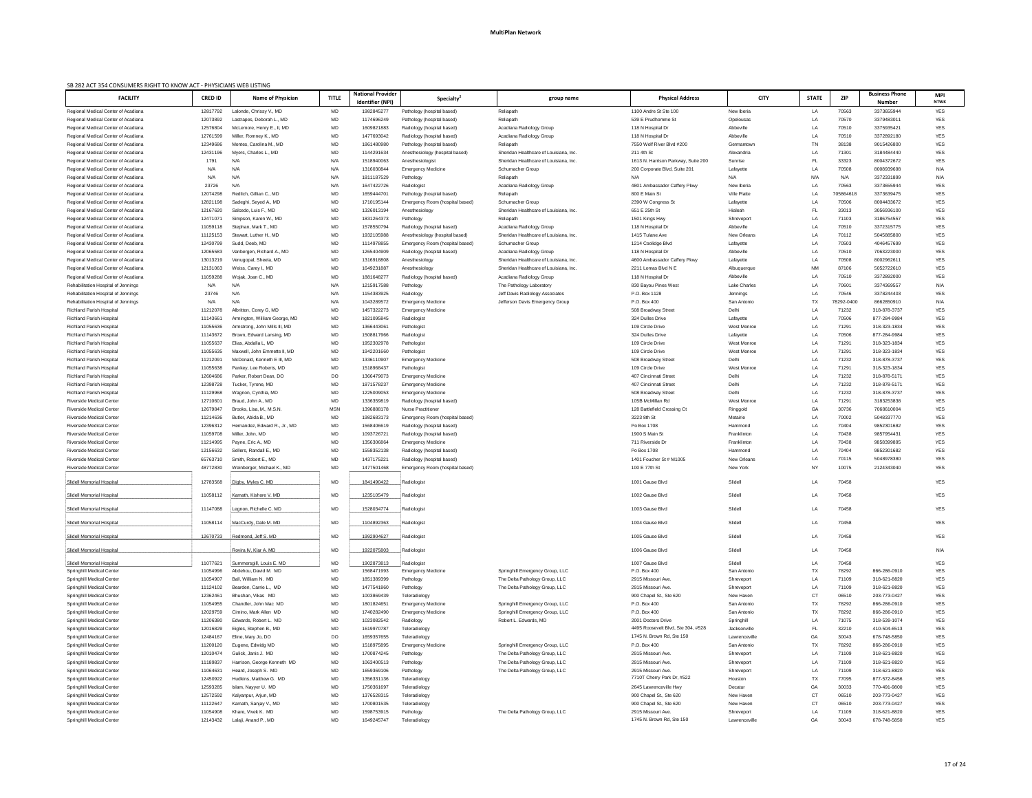| SB 282 ACT 354 CONSUMERS RIGHT TO KNOW ACT - PHYSICIANS WEB LISTING<br><b>FACILITY</b> | <b>CRED ID</b>       | <b>Name of Physician</b>                          | <b>TITLE</b> | <b>National Provider</b><br><b>Identifier (NPI)</b> | <b>Specialty</b>                                              | group name                                               | <b>Physical Address</b>              | <b>CITY</b>                      | <b>STATE</b>    | <b>ZIP</b>         | <b>Business Phone</b><br><b>Number</b> | <b>MPI</b><br><b>NTWK</b> |
|----------------------------------------------------------------------------------------|----------------------|---------------------------------------------------|--------------|-----------------------------------------------------|---------------------------------------------------------------|----------------------------------------------------------|--------------------------------------|----------------------------------|-----------------|--------------------|----------------------------------------|---------------------------|
| Regional Medical Center of Acadiana                                                    | 12817792             | Lalonde, Chrissy V., MD                           | MD           | 1982845277                                          | Pathology (hospital based)                                    | Reliapath                                                | 1100 Andre St Ste 100                | New Iberia                       | LA              | 70563              | 3373655944                             | <b>YES</b>                |
| Regional Medical Center of Acadiana                                                    | 12073892             | Lastrapes, Deborah L., MD                         | MD           | 1174696249                                          | Pathology (hospital based)                                    | Reliapath                                                | 539 E Prudhomme St                   | Opelousas                        | LA              | 70570              | 3379483011                             | <b>YES</b>                |
| Regional Medical Center of Acadiana                                                    | 12576804             | McLemore, Henry E., II, MD                        | MD           | 1609821883                                          | Radiology (hospital based)                                    | Acadiana Radiology Group                                 | 118 N Hospital Dr                    | Abbeville                        | LA              | 70510              | 3375935421                             | <b>YES</b>                |
| Regional Medical Center of Acadiana                                                    | 12761599             | Miller, Romney K., MD                             | MD           | 1477693042                                          | Radiology (hospital based)                                    | Acadiana Radiology Group                                 | 118 N Hospital Dr                    | Abbeville                        | LA              | 70510              | 3372892180                             | <b>YES</b>                |
| Regional Medical Center of Acadiana                                                    | 12349686             | Montes, Carolina M., MD                           | MD           | 1861480980                                          | Pathology (hospital based)                                    | Reliapath                                                | 7550 Wolf River Blvd #200            | Germantown                       | TN              | 38138              | 9015426800                             | <b>YES</b>                |
| Regional Medical Center of Acadiana                                                    | 12431196             | Mvers. Charles L., MD                             | MD           | 1144291634                                          | Anesthesiology (hospital based)                               | Sheridan Healthcare of Louisiana, Inc.                   | 211 4th St                           | Alexandria                       | LA              | 71301              | 3184484440                             | <b>YES</b>                |
| Regional Medical Center of Acadiana                                                    | 1791                 | N/A                                               | N/A          | 1518940063                                          | Anesthesiologist                                              | Sheridan Healthcare of Louisiana, Inc.                   | 1613 N. Harrison Parkway, Suite 200  | Sunrise                          | <b>FL</b>       | 33323              | 8004372672                             | <b>YES</b>                |
| Regional Medical Center of Acadiana                                                    | N/A                  | N/A                                               | N/A          | 1316030844                                          | <b>Emergency Medicine</b>                                     | Schumacher Group                                         | 200 Corporate Blvd, Suite 201        | Lafayette                        | LA              | 70508              | 8008939698                             | N/A                       |
| Regional Medical Center of Acadiana                                                    | N/A                  | N/A                                               | N/A          | 1811187529                                          | Pathology                                                     | Reliapath                                                | N/A                                  | N/A                              | N/A             | N/A                | 3372331899                             | N/A                       |
| Regional Medical Center of Acadiana                                                    | 23726                | N/A                                               | N/A          | 1647422726                                          | Radiologist                                                   | Acadiana Radiology Group                                 | 4801 Ambassador Caffery Pkwy         | New Iberia                       | LA              | 70563              | 3373655944                             | <b>YES</b>                |
| Regional Medical Center of Acadiana<br>Regional Medical Center of Acadiana             | 12074298<br>12821198 | Redlich, Gillian C., MD<br>Sadeghi, Seyed A., MD  | MD<br>MD     | 1659444701<br>1710195144                            | Pathology (hospital based)<br>Emergency Room (hospital based) | Reliapath<br>Schumacher Group                            | 800 E Main St<br>2390 W Congress St  | <b>Ville Platte</b><br>Lafayette | LA<br>LA        | 705864618<br>70506 | 3373639475<br>8004433672               | <b>YES</b><br><b>YES</b>  |
| Regional Medical Center of Acadiana                                                    | 12167620             | Salcedo, Luis F., MD                              | MD           | 1326013194                                          | Anesthesiology                                                | Sheridan Healthcare of Louisiana, Inc.                   | 651 E 25th St                        | Hialeah                          | <b>FL</b>       | 33013              | 3056936100                             | <b>YES</b>                |
| Regional Medical Center of Acadiana                                                    | 12471071             | Simpson, Karen W., MD                             | MD           | 1831264373                                          | Pathology                                                     | Reliapath                                                | 1501 Kings Hwy                       | Shreveport                       | LA              | 71103              | 3186754557                             | <b>YES</b>                |
| Regional Medical Center of Acadiana                                                    | 11059118             | Stephan, Mark T., MD                              | MD           | 1578550794                                          | Radiology (hospital based)                                    | Acadiana Radiology Group                                 | 118 N Hospital Dr                    | Abbeville                        | LA              | 70510              | 3372315775                             | <b>YES</b>                |
| Regional Medical Center of Acadiana                                                    | 11125153             | Stewart, Luther H., MD                            | MD           | 1932105988                                          | Anesthesiology (hospital based)                               | Sheridan Healthcare of Louisiana, Inc.                   | 1415 Tulane Ave                      | New Orleans                      | LA              | 70112              | 5045885800                             | <b>YES</b>                |
| Regional Medical Center of Acadiana                                                    | 12430799             | Sudd, Deeb, MD                                    | MD           | 1114978855                                          | Emergency Room (hospital based)                               | Schumacher Group                                         | 1214 Coolidge Blvd                   | Lafayette                        | LA              | 70503              | 4046457699                             | <b>YES</b>                |
| Regional Medical Center of Acadiana                                                    | 12065583             | Vanbergen, Richard A., MD                         | MD           | 1265404909                                          | Radiology (hospital based)                                    | Acadiana Radiology Group                                 | 118 N Hospital Dr                    | Abbeville                        | LA              | 70510              | 7063223000                             | <b>YES</b>                |
| Regional Medical Center of Acadiana                                                    | 13013219             | Venugopal, Sheela, MD                             | MD           | 1316918808                                          | Anesthesiology                                                | Sheridan Healthcare of Louisiana, Inc.                   | 4600 Ambassador Caffery Pkwy         | Lafayette                        | LA              | 70508              | 8002962611                             | <b>YES</b>                |
| Regional Medical Center of Acadiana                                                    | 12131063             | Weiss, Carey I., MD                               | MD           | 1649231887                                          | Anesthesiology                                                | Sheridan Healthcare of Louisiana, Inc.                   | 2211 Lomas Blvd N E                  | Albuquerque                      | <b>NM</b>       | 87106              | 5052722610                             | <b>YES</b>                |
| Regional Medical Center of Acadiana                                                    | 11059288             | Wojak, Joan C., MD                                | MD           | 1881648277                                          | Radiology (hospital based)                                    | Acadiana Radiology Group                                 | 118 N Hospital Dr                    | Abbeville                        | LA              | 70510              | 3372892000                             | <b>YES</b>                |
| Rehabilitation Hospital of Jennings                                                    | N/A                  | N/A                                               | N/A          | 1215917588                                          | Pathology                                                     | The Pathology Laboratory                                 | 830 Bayou Pines West                 | Lake Charles                     | LA              | 70601              | 3374369557                             | N/A                       |
| Rehabilitation Hospital of Jennings                                                    | 23746                | N/A                                               | N/A          | 1154383925                                          | Radiology                                                     | Jeff Davis Radiology Associates                          | P.O. Box 1128                        | Jennings                         | LA              | 70546              | 3378244403                             | <b>YES</b>                |
| Rehabilitation Hospital of Jennings                                                    | N/A                  | N/A                                               | N/A          | 1043289572                                          | <b>Emergency Medicine</b>                                     | Jefferson Davis Emergency Group                          | P.O. Box 400                         | San Antonio                      | TX              | 78292-0400         | 8662850910                             | N/A                       |
| <b>Richland Parish Hospital</b>                                                        | 11212078             | Albritton, Corey G, MD                            | MD           | 1457322273                                          | <b>Emergency Medicine</b>                                     |                                                          | 508 Broadway Street                  | Delhi                            | LA              | 71232              | 318-878-3737                           | <b>YES</b>                |
| <b>Richland Parish Hospital</b>                                                        | 11143661             | Armington, William George, MD                     | MD           | 1821095845                                          | Radiologist                                                   |                                                          | 324 Dulles Drive                     | Lafayette                        | LA              | 70506              | 877-284-9984                           | <b>YES</b>                |
| <b>Richland Parish Hospital</b>                                                        | 11055636             | Armstrong, John Mills III, MD                     | MD           | 1366443061                                          | Pathologist                                                   |                                                          | 109 Circle Drive                     | West Monroe                      | LA              | 71291              | 318-323-1834                           | YES                       |
| <b>Richland Parish Hospital</b><br><b>Richland Parish Hospital</b>                     | 11143672<br>11055637 | Brown, Edward Lansing, MD<br>Elias, Abdalla L, MD | MD<br>MD     | 1508817966<br>1952302978                            | Radiologist<br>Pathologist                                    |                                                          | 324 Dulles Drive<br>109 Circle Drive | Lafayette<br><b>West Monroe</b>  | LA<br>LA        | 70506<br>71291     | 877-284-9984<br>318-323-1834           | <b>YES</b><br><b>YES</b>  |
| <b>Richland Parish Hospital</b>                                                        | 11055635             | Maxwell, John Emmette II, MD                      | MD           | 1942201660                                          | Pathologist                                                   |                                                          | 109 Circle Drive                     | West Monroe                      | LA              | 71291              | 318-323-1834                           | <b>YES</b>                |
| <b>Richland Parish Hospital</b>                                                        | 11212091             | McDonald, Kenneth E III, MD                       | MD           | 1336110907                                          | <b>Emergency Medicine</b>                                     |                                                          | 508 Broadway Street                  | Delhi                            | LA              | 71232              | 318-878-3737                           | <b>YES</b>                |
| <b>Richland Parish Hospital</b>                                                        | 11055638             | Pankey, Lee Roberts, MD                           | MD           | 1518968437                                          | Pathologist                                                   |                                                          | 109 Circle Drive                     | West Monroe                      | LA              | 71291              | 318-323-1834                           | YES                       |
| <b>Richland Parish Hospital</b>                                                        | 12604686             | Parker, Robert Dean, DO                           | DO           | 1366479073                                          | <b>Emergency Medicine</b>                                     |                                                          | 407 Cincinnati Street                | Delhi                            | LA              | 71232              | 318-878-5171                           | YES                       |
| <b>Richland Parish Hospital</b>                                                        | 12398728             | Tucker, Tyrone, MD                                | MD           | 1871578237                                          | <b>Emergency Medicine</b>                                     |                                                          | 407 Cincinnati Street                | Delhi                            | LA              | 71232              | 318-878-5171                           | YES                       |
| <b>Richland Parish Hospital</b>                                                        | 11129968             | Wagnon, Cynthia, MD                               | MD           | 1225009053                                          | <b>Emergency Medicine</b>                                     |                                                          | 508 Broadway Street                  | Delhi                            | LA              | 71232              | 318-878-3737                           | <b>YES</b>                |
| <b>Riverside Medical Center</b>                                                        | 12710601             | Braud, John A., MD                                | MD           | 1336359819                                          | Radiology (hospital based)                                    |                                                          | 105B McMillan Rd                     | West Monroe                      | LA              | 71291              | 3183253838                             | YES                       |
| <b>Riverside Medical Center</b>                                                        | 12679847             | Brooks, Lisa, M., M.S.N.                          | <b>MSN</b>   | 1396888178                                          | <b>Nurse Practitioner</b>                                     |                                                          | 128 Battlefield Crossing Ct          | Ringgold                         | GA              | 30736              | 7068610004                             | YES                       |
| <b>Riverside Medical Center</b>                                                        | 11214636             | Butler, Abida B., MD                              | MD           | 1982683173                                          | Emergency Room (hospital based)                               |                                                          | 3223 8th St                          | Metairie                         | LA              | 70002              | 5048337770                             | <b>YES</b>                |
| <b>Riverside Medical Center</b>                                                        | 12396312             | Hernandez, Edward R., Jr., MD                     | MD           | 156840661                                           | Radiology (hospital based)                                    |                                                          | Po Box 1708                          | Hammond                          | LA              | 70404              | 9852301682                             | <b>YES</b>                |
| <b>Riverside Medical Center</b>                                                        | 11059708             | Miller, John, MD                                  | MD           | 1093726721                                          | Radiology (hospital based)                                    |                                                          | 1900 S Main St                       | Franklinton                      | LA              | 70438              | 9857954431                             | <b>YES</b>                |
| <b>Riverside Medical Center</b>                                                        | 11214995             | Payne, Eric A., MD                                | MD           | 1356306864                                          | <b>Emergency Medicine</b>                                     |                                                          | 711 Riverside Dr                     | Franklinton                      | LA              | 70438              | 9858399895                             | <b>YES</b>                |
| <b>Riverside Medical Center</b>                                                        | 12156632             | Sellers, Randall E., MD                           | MD           | 1558352138                                          | Radiology (hospital based)                                    |                                                          | Po Box 1708                          | Hammond                          | LA              | 70404              | 9852301682                             | <b>YES</b>                |
| <b>Riverside Medical Center</b>                                                        | 65763710             | Smith, Robert E., MD                              | MD           | 1437175221                                          | Radiology (hospital based)                                    |                                                          | 1401 Foucher St # M1005              | New Orleans                      | LA              | 70115              | 5048978380                             | <b>YES</b>                |
| <b>Riverside Medical Center</b><br>Slidell Memorial Hospital                           | 48772830<br>12783568 | Weinberger, Michael K., MD                        | MD<br>MD     | 1477501468<br>1841490422                            | Emergency Room (hospital based)                               |                                                          | 100 E 77th St                        | New York<br>Slidell              | <b>NY</b><br>LA | 10075              | 2124343040                             | <b>YES</b><br><b>YES</b>  |
| Slidell Memorial Hospital                                                              | 11058112             | Digby, Myles C. MD<br>Kamath, Kishore V. MD       | MD           | 1235105479                                          | Radiologist<br>Radiologist                                    |                                                          | 1001 Gause Blvd<br>1002 Gause Blvd   | Slidell                          | LA              | 70458<br>70458     |                                        | <b>YES</b>                |
| Slidell Memorial Hospital                                                              | 11147088             | Legnon, Richelle C. MD                            | MD           | 1528034774                                          | Radiologist                                                   |                                                          | 1003 Gause Blvd                      | Slidell                          | LA              | 70458              |                                        | <b>YES</b>                |
| Slidell Memorial Hospital                                                              | 11058114             | MacCurdy, Dale M. MD                              | MD           | 1104892363                                          | Radiologist                                                   |                                                          | 1004 Gause Blvd                      | Slidell                          | LA              | 70458              |                                        | <b>YES</b>                |
| Slidell Memorial Hospital                                                              | 12670733             | Redmond, Jeff S. MD                               | MD           | 1992904627                                          | Radiologist                                                   |                                                          | 1005 Gause Blvd                      | Slidell                          | LA              | 70458              |                                        | <b>YES</b>                |
| Slidell Memorial Hospital                                                              |                      | Rovira IV, Klar A. MD                             | MD           | 1922075803                                          | Radiologist                                                   |                                                          | 1006 Gause Blvd                      | Slidell                          | LA              | 70458              |                                        | N/A                       |
| Slidell Memorial Hospital                                                              | 11077621             | Summersgill, Louis E. MD                          | MD           | 1902873813                                          | Radiologist                                                   |                                                          | 1007 Gause Blvd                      | Slidell                          | LA              | 70458              |                                        | YES                       |
| Springhill Medical Center                                                              | 11054996             | Abdehou, David M. MD                              | MD           | 1568471993                                          | <b>Emergency Medicine</b>                                     | Springhill Emergency Group, LLC                          | P.O. Box 400                         | San Antonio                      | TX              | 78292              | 866-286-0910                           | <b>YES</b>                |
| <b>Springhill Medical Center</b>                                                       | 11054907             | Ball, William N. MD                               | MD           | 1851389399                                          | Pathology                                                     | The Delta Pathology Group, LLC                           | 2915 Missouri Ave.                   | Shreveport                       | LA              | 71109              | 318-621-8820                           | YES                       |
| <b>Springhill Medical Center</b>                                                       | 11124102             | Bearden, Carrie L., MD                            | MD           | 1477541860                                          | Pathology                                                     | The Delta Pathology Group, LLC                           | 2915 Missouri Ave.                   | Shreveport                       | LA              | 71109              | 318-621-8820                           | <b>YES</b>                |
| <b>Springhill Medical Center</b>                                                       | 12362461             | Bhushan, Vikas MD                                 | MD           | 1003869439                                          | Teleradiology                                                 |                                                          | 900 Chapel St., Ste 620              | New Haven                        | C <sub>1</sub>  | 06510              | 203-773-0427                           | <b>YES</b>                |
| <b>Springhill Medical Center</b>                                                       | 11054955             | Chandler, John Mac MD<br>Cimino, Mark Allen MD    | MD           | 1801824651                                          | <b>Emergency Medicine</b>                                     | Springhill Emergency Group, LLC                          | P.O. Box 400<br>P.O. Box 400         | San Antonio<br>San Antonio       | TX              | 78292              | 866-286-0910                           | <b>YES</b>                |
| Springhill Medical Center<br><b>Springhill Medical Center</b>                          | 12029759<br>11206380 | Edwards, Robert L. MD                             | MD<br>MD     | 1740282490<br>1023082542                            | <b>Emergency Medicine</b><br>Radiology                        | Springhill Emergency Group, LLC<br>Robert L. Edwards, MD | 2001 Doctors Drive                   | Springhill                       | TX<br>LA        | 78292<br>71075     | 866-286-0910<br>318-539-1074           | YES<br>YES                |
| <b>Springhill Medical Center</b>                                                       | 12016829             | Eigles, Stephen B., MD                            | MD           | 1619970787                                          | Teleradiology                                                 |                                                          | 4495 Roosevelt Blvd, Ste 304, #528   | Jacksonville                     | FL              | 32210              | 410-504-6513                           | YES                       |
| Springhill Medical Center                                                              | 12484167             | Eline, Mary Jo, DO                                | DO           | 1659357655                                          | Teleradiology                                                 |                                                          | 1745 N. Brown Rd, Ste 150            | Lawrenceville                    | GA              | 30043              | 678-748-5850                           | <b>YES</b>                |
| Springhill Medical Center                                                              | 11200120             | Eugene, Edwidg MD                                 | MD           | 1518975895                                          | <b>Emergency Medicine</b>                                     | Springhill Emergency Group, LLC                          | P.O. Box 400                         | San Antonio                      | TX              | 78292              | 866-286-0910                           | YES                       |
| Springhill Medical Center                                                              | 12010474             | Gulick, Janis J. MD                               | MD           | 1700874245                                          | Pathology                                                     | The Delta Pathology Group, LLC                           | 2915 Missouri Ave.                   | Shreveport                       | LA              | 71109              | 318-621-8820                           | YES                       |
| <b>Springhill Medical Center</b>                                                       | 11189837             | Harrison, George Kenneth MD                       | MD           | 1063400513                                          | Pathology                                                     | The Delta Pathology Group, LLC                           | 2915 Missouri Ave.                   | Shreveport                       | LA              | 71109              | 318-621-8820                           | YES                       |
| Springhill Medical Center                                                              | 11064631             | Heard, Joseph S. MD                               | MD           | 1659369106                                          | Pathology                                                     | The Delta Pathology Group, LLC                           | 2915 Missouri Ave.                   | Shreveport                       | LA              | 71109              | 318-621-8820                           | YES                       |
| <b>Springhill Medical Center</b>                                                       | 12450922             | Hudkins, Matthew G. MD                            | MD           | 1356331136                                          | Teleradiology                                                 |                                                          | 7710T Cherry Park Dr, #522           | Houston                          | TX              | 77095              | 877-572-8456                           | <b>YES</b>                |
| Springhill Medical Center                                                              | 12593285             | Islam, Nayyer U. MD                               | MD           | 1750361697                                          | Teleradiology                                                 |                                                          | 2645 Lawrenceville Hwy               | Decatur                          | GA              | 30033              | 770-491-9800                           | <b>YES</b>                |
| Springhill Medical Center                                                              | 12572592             | Kalyanpur, Arjun, MD                              | MD           | 1376528315                                          | Teleradiology                                                 |                                                          | 900 Chapel St., Ste 620              | New Haven                        | CT              | 06510              | 203-773-0427                           | <b>YES</b>                |
| <b>Springhill Medical Center</b>                                                       | 11122647             | Kamath, Sanjay V., MD                             | MD           | 1700801535                                          | Teleradiology                                                 |                                                          | 900 Chapel St., Ste 620              | New Haven                        | <b>CT</b>       | 06510              | 203-773-0427                           | <b>YES</b>                |
| <b>Springhill Medical Center</b>                                                       | 11054908             | Khare, Vivek K. MD                                | MD           | 1598753915                                          | Pathology                                                     | The Delta Pathology Group, LLC                           | 2915 Missouri Ave.                   | Shreveport                       | LA              | 71109              | 318-621-8820                           | <b>YES</b>                |
| Springhill Medical Center                                                              | 12143432             | Lalaji, Anand P., MD                              | MD           | 1649245747                                          | Teleradiology                                                 |                                                          | 1745 N. Brown Rd, Ste 150            | Lawrenceville                    | GA              | 30043              | 678-748-5850                           | <b>YES</b>                |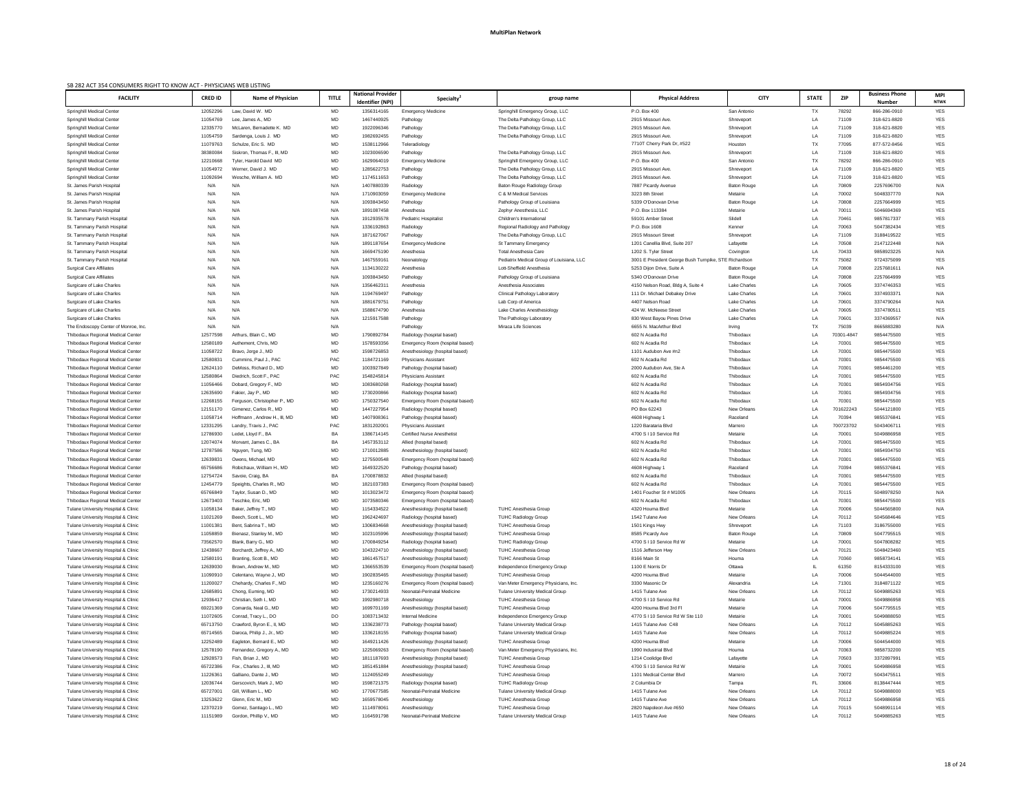| SB 282 ACT 354 CONSUMERS RIGHT TO KNOW ACT - PHYSICIANS WEB LISTING |                |                              |              |                          |                                    |                                           |                                                       |                     |              |            |                       |             |
|---------------------------------------------------------------------|----------------|------------------------------|--------------|--------------------------|------------------------------------|-------------------------------------------|-------------------------------------------------------|---------------------|--------------|------------|-----------------------|-------------|
| <b>FACILITY</b>                                                     | <b>CRED ID</b> | <b>Name of Physician</b>     | <b>TITLE</b> | <b>National Provider</b> | Specialty <sup>2</sup>             | group name                                | <b>Physical Address</b>                               | <b>CITY</b>         | <b>STATE</b> | <b>ZIP</b> | <b>Business Phone</b> | <b>MPI</b>  |
|                                                                     |                |                              |              | Identifier (NPI)         |                                    |                                           |                                                       |                     |              |            | <b>Number</b>         | <b>NTWK</b> |
| <b>Springhill Medical Center</b>                                    | 12052296       | Law, David W. MD             | MD           | 1356314165               | <b>Emergency Medicine</b>          | Springhill Emergency Group, LLC           | P.O. Box 400                                          | San Antonio         | TX           | 78292      | 866-286-0910          | YES         |
| <b>Springhill Medical Center</b>                                    | 11054769       | Lee, James A., MD            | MD           | 1467440925               | Pathology                          | The Delta Pathology Group, LLC            | 2915 Missouri Ave.                                    | Shreveport          | LA           | 71109      | 318-621-8820          | YES         |
| <b>Springhill Medical Center</b>                                    | 12335770       | McLaren, Bernadette K. MD    | MD           | 1922096346               | Pathology                          | The Delta Pathology Group, LLC            | 2915 Missouri Ave.                                    | Shreveport          | LA           | 71109      | 318-621-8820          | YES         |
| Springhill Medical Center                                           | 11054759       | Sardenga, Louis J. MD        | MD           | 1982692455               | Pathology                          | The Delta Pathology Group, LLC            | 2915 Missouri Ave.                                    | Shreveport          | LA           | 71109      | 318-621-8820          | YES         |
| <b>Springhill Medical Center</b>                                    | 11079763       | Schulze, Eric S. MD          | MD           | 1538112966               | Teleradiology                      |                                           | 7710T Cherry Park Dr, #522                            | Houston             | TX           | 77095      | 877-572-8456          | YES         |
| <b>Springhill Medical Center</b>                                    | 38380084       | Siskron, Thomas F., III, MD  | MD           | 1023006590               | Pathology                          | The Delta Pathology Group, LLC            | 2915 Missouri Ave.                                    | Shreveport          | LA           | 71109      | 318-621-8820          | YES         |
| <b>Springhill Medical Center</b>                                    | 12210668       | Tyler, Harold David MD       | MD           | 1629064019               | <b>Emergency Medicine</b>          | Springhill Emergency Group, LLC           | P.O. Box 400                                          | San Antonio         | TX           | 78292      | 866-286-0910          | YES         |
| <b>Springhill Medical Center</b>                                    | 11054972       | Werner, David J. MD          | MD           | 1285622753               | Pathology                          | The Delta Pathology Group, LLC            | 2915 Missouri Ave.                                    | Shreveport          | LA           | 71109      | 318-621-8820          | <b>YES</b>  |
| <b>Springhill Medical Center</b>                                    | 11092694       | Wesche, William A. MD        | MD           | 1174511653               | Pathology                          | The Delta Pathology Group, LLC            | 2915 Missouri Ave.                                    | Shreveport          | LA           | 71109      | 318-621-8820          | <b>YES</b>  |
| St. James Parish Hospital                                           | N/A            | N/A                          | N/A          | 1407880339               | Radiology                          | Baton Rouge Radiology Group               | 7887 Picardy Avenue                                   | <b>Baton Rouge</b>  | <b>LA</b>    | 70809      | 2257696700            | N/A         |
| St. James Parish Hospital                                           | N/A            | N/A                          | N/A          | 1710903059               | <b>Emergency Medicine</b>          | C & M Medical Services                    | 3223 8th Street                                       | Metairie            | LA           | 70002      | 5048337770            | N/A         |
| St. James Parish Hospital                                           | N/A            | N/A                          | N/A          | 1093843450               | Pathology                          | Pathology Group of Louisiana              | 5339 O'Donovan Drive                                  | <b>Baton Rouge</b>  | LA           | 70808      | 2257664999            | YES         |
| St. James Parish Hospital                                           | N/A            | N/A                          | N/A          | 1891087458               | Anesthesia                         | Zephyr Anesthesia, LLC                    | P.O. Box 113384                                       | Metairie            | LA           | 70011      | 5046694369            | <b>YES</b>  |
| St. Tammany Parish Hospital                                         | N/A            | N/A                          | N/A          | 1912935578               | <b>Pediatric Hospitalist</b>       | Children's International                  | 59101 Amber Street                                    | Slidell             | LA           | 70461      | 9857817337            | YES         |
| St. Tammany Parish Hospital                                         | N/A            | N/A                          | N/A          | 1336192863               | Radiology                          | Regional Radiology and Pathology          | P.O. Box 1608                                         | Kenner              | LA           | 70063      | 5047382434            | <b>YES</b>  |
| St. Tammany Parish Hospital                                         | N/A            | N/A                          | N/A          | 1871627067               | Pathology                          | The Delta Pathology Group, LLC            | 2915 Missouri Street                                  | Shreveport          | LA           | 71109      | 3188419522            | <b>YES</b>  |
| St. Tammany Parish Hospital                                         | N/A            | N/A                          | N/A          | 1891187654               | <b>Emergency Medicine</b>          | St Tammany Emergency                      | 1201 Canellia Blvd, Suite 207                         | Lafayette           | LA           | 70508      | 2147122448            | N/A         |
| St. Tammany Parish Hospital                                         | N/A            | N/A                          | N/A          | 1669475190               | Anesthesia                         | <b>Total Anesthesia Care</b>              | 1202 S. Tyler Street                                  | Covington           | LA           | 70433      | 9858923225            | N/A         |
| St. Tammany Parish Hospital                                         | N/A            | N/A                          | N/A          | 1467559161               | Neonatology                        | Pediatrix Medical Group of Louisiana, LLC | 3001 E President George Bush Turnpike, STE Richardson |                     | TX           | 75082      | 9724375099            | YES         |
| <b>Surgical Care Affiliates</b>                                     | N/A            | N/A                          | N/A          | 1134130222               | Anesthesia                         | Lott-Sheffield Anesthesia                 | 5253 Dijon Drive, Suite A                             | <b>Baton Rouge</b>  | LA           | 70808      | 2257681611            | N/A         |
| <b>Surgical Care Affiliates</b>                                     | N/A            | N/A                          | N/A          | 1093843450               | Pathology                          | Pathology Group of Louisiana              | 5340 O'Donovan Drive                                  | <b>Baton Rouge</b>  | LA           | 70808      | 2257664999            | YES         |
| Surgicare of Lake Charles                                           | N/A            | N/A                          | N/A          | 135646231                | Anesthesia                         | Anesthesia Associates                     | 4150 Nelson Road, Bldg A, Suite 4                     | Lake Charles        | LA           | 70605      | 3374746353            | YES         |
| Surgicare of Lake Charles                                           | N/A            | N/A                          | N/A          | 1194769497               | Pathology                          | <b>Clinical Pathology Laboratory</b>      | 111 Dr. Michael Debakey Drive                         | <b>Lake Charles</b> | LA           | 70601      | 3374933371            | N/A         |
| Surgicare of Lake Charles                                           | N/A            | N/A                          | N/A          | 1881679751               | Pathology                          | Lab Corp of America                       | 4407 Nelson Road                                      | Lake Charles        | LA           | 70601      | 3374790264            | N/A         |
| Surgicare of Lake Charles                                           | N/A            | N/A                          | N/A          | 1588674790               | Anesthesia                         | Lake Charles Anesthesiology               | 424 W. McNeese Street                                 | <b>Lake Charles</b> | LA           | 70605      | 3374780511            | YES         |
| Surgicare of Lake Charles                                           | N/A            | N/A                          | N/A          | 1215917588               | Pathology                          | The Pathology Laboratory                  | 830 West Bayou Pines Drive                            | Lake Charles        | LA           | 70601      | 3374369557            | N/A         |
| The Endoscopy Center of Monroe, Inc.                                | N/A            | N/A                          | N/A          |                          | Pathology                          | Miraca Life Sciences                      | 6655 N. MacArthur Blvd                                | Irving              | TX           | 75039      | 8665883280            | N/A         |
| <b>Thibodaux Regional Medical Center</b>                            | 12577598       | Arthurs, Blain C., MD        | MD           | 1790892784               | Radiology (hospital based)         |                                           | 602 N Acadia Rd                                       | Thibodaux           | LA           | 70301-4847 | 9854475500            | YES         |
| <b>Thibodaux Regional Medical Center</b>                            | 12580189       | Authement, Chris. MD         | MD           | 1578593356               | Emergency Room (hospital based)    |                                           | 602 N Acadia Rd                                       | Thibodaux           | LA           | 70301      | 9854475500            | <b>YES</b>  |
| <b>Thibodaux Regional Medical Center</b>                            | 11058722       | Bravo, Jorge J., MD          | MD           | 1598726853               | Anesthesiology (hospital based)    |                                           | 1101 Audubon Ave #n2                                  | Thibodaux           | LA           | 70301      | 9854475500            | <b>YES</b>  |
| <b>Thibodaux Regional Medical Center</b>                            | 1258083        | Cummins, Paul J., PAC        | <b>PAC</b>   | 1184721169               | <b>Physicians Assistant</b>        |                                           | 602 N Acadia Rd                                       | Thibodaux           | LA           | 70301      | 9854475500            | YES         |
| Thibodaux Regional Medical Center                                   | 12624110       | DeMoss, Richard D., MD       | MD           | 1003927849               | Pathology (hospital based)         |                                           | 2000 Audubon Ave. Ste A                               | Thibodaux           | LA           | 70301      | 9854461200            | <b>YES</b>  |
| <b>Thibodaux Regional Medical Center</b>                            | 12580864       | Diedrich, Scott F., PAC      | PAC          | 1548245814               | <b>Physicians Assistant</b>        |                                           | 602 N Acadia Rd                                       | Thibodaux           | LA           | 70301      | 9854475500            | <b>YES</b>  |
| <b>Thibodaux Regional Medical Center</b>                            | 11056466       | Dobard, Gregory F., MD       | MD           | 1083680268               | Radiology (hospital based)         |                                           | 602 N Acadia Rd                                       | Thibodaux           | <b>LA</b>    | 70301      | 9854934756            | YES         |
| Thibodaux Regional Medical Center                                   | 12635690       | Fakier, Jay P., MD           | MD           | 1730200866               | Radiology (hospital based)         |                                           | 602 N Acadia Rd                                       | Thibodaux           | LA           | 70301      | 9854934756            | <b>YES</b>  |
| <b>Thibodaux Regional Medical Center</b>                            | 12268155       | Ferguson, Christopher P., MD | MD           | 1750327540               | Emergency Room (hospital based)    |                                           | 602 N Acadia Rd                                       | Thibodaux           | LA           | 70301      | 9854475500            | YES         |
| Thibodaux Regional Medical Center                                   | 12151170       | Gimenez. Carlos R., MD       | MD           | 1447227954               | Radiology (hospital based)         |                                           | PO Box 62243                                          | New Orleans         | LA           | 701622243  | 5044121800            | <b>YES</b>  |
| <b>Thibodaux Regional Medical Center</b>                            | 11058714       | Hoffmann, Andrew H., III, MD | MD           | 1407908361               | Pathology (hospital based)         |                                           | 4608 Highway 1                                        | Raceland            | LA           | 70394      | 9855376841            | YES         |
| <b>Thibodaux Regional Medical Center</b>                            | 12331295       | Landry, Travis J., PAC       | PAC          | 1831202001               | <b>Physicians Assistant</b>        |                                           | 1220 Barataria Blvd                                   | Marrero             | LA           | 700723702  | 5043406711            | YES         |
| <b>Thibodaux Regional Medical Center</b>                            | 12786930       | Ledet, Lloyd F., BA          | BA           | 1386714145               | <b>Certified Nurse Anesthetist</b> |                                           | 4700 S I 10 Service Rd                                | Metairie            | LA           | 70001      | 5049886958            | YES         |
| <b>Thibodaux Regional Medical Center</b>                            | 12074074       | Morvant, James C., BA        | BA           | 1457353112               | Allied (hospital based)            |                                           | 602 N Acadia Rd                                       | Thibodaux           | LA           | 70301      | 9854475500            | YES         |
| <b>Thibodaux Regional Medical Center</b>                            | 12787586       | Nguyen, Tung, MD             | MD           | 1710012885               | Anesthesiology (hospital based)    |                                           | 602 N Acadia Rd                                       | Thibodaux           | LA           | 70301      | 9854934750            | YES         |
| <b>Thibodaux Regional Medical Center</b>                            | 1263983        | Owens, Michael, MD           | MD           | 1275500548               | Emergency Room (hospital based)    |                                           | 602 N Acadia Rd                                       | Thibodaux           | <b>LA</b>    | 70301      | 9854475500            | YES         |
| Thibodaux Regional Medical Center                                   | 65756686       | Robichaux, William H., MD    | MD           | 1649322520               | Pathology (hospital based)         |                                           | 4608 Highway 1                                        | Raceland            | LA           | 70394      | 9855376841            | YES         |
| <b>Thibodaux Regional Medical Center</b>                            | 12754724       | Savoie, Craig, BA            | BA           | 1700878832               | Allied (hospital based)            |                                           | 602 N Acadia Rd                                       | Thibodaux           | <b>LA</b>    | 70301      | 9854475500            | YES         |
| Thibodaux Regional Medical Center                                   | 12454779       | Speights, Charles R., MD     | MD           | 1821037383               | Emergency Room (hospital based)    |                                           | 602 N Acadia Rd                                       | Thibodaux           | <b>LA</b>    | 70301      | 9854475500            | <b>YES</b>  |
| Thibodaux Regional Medical Center                                   | 65766849       | Taylor, Susan D., MD         | MD           | 1013023472               | Emergency Room (hospital based)    |                                           | 1401 Foucher St # M1005                               | New Orleans         | LA           | 70115      | 5048978250            | N/A         |
| <b>Thibodaux Regional Medical Center</b>                            | 12673403       | Teschke, Eric, MD            | MD           | 1073580346               | Emergency Room (hospital based)    |                                           | 602 N Acadia Rd                                       | Thibodaux           | LA           | 70301      | 9854475500            | YES         |
| Tulane University Hospital & Clinic                                 | 11058134       | Baker, Jeffrey T., MD        | MD           | 1154334522               | Anesthesiology (hospital based)    | <b>TUHC Anesthesia Group</b>              | 4320 Houma Blvd                                       | Metairie            | LA           | 70006      | 5044565800            | N/A         |
| Tulane University Hospital & Clinic                                 | 11021269       | Beech, Scott L., MD          | MD           | 1962424697               | Radiology (hospital based)         | <b>TUHC Radiology Group</b>               | 1542 Tulane Ave                                       | New Orleans         | LA           | 70112      | 5045684646            | <b>YES</b>  |
| Tulane University Hospital & Clinic                                 | 1100138        | Bent, Sabrina T., MD         | MD           | 1306834668               | Anesthesiology (hospital based)    | <b>TUHC Anesthesia Group</b>              | 1501 Kings Hwy                                        | Shreveport          | <b>LA</b>    | 71103      | 3186755000            | <b>YES</b>  |
| Tulane University Hospital & Clinic                                 | 11058859       | Bienasz, Stanley M., MD      | MD           | 1023105996               | Anesthesiology (hospital based)    | <b>TUHC Anesthesia Group</b>              | 8585 Picardy Ave                                      | <b>Baton Rouge</b>  | LA           | 70809      | 5047795515            | YES         |
| Tulane University Hospital & Clinic                                 | 73562570       | Blank, Barry G., MD          | MD           | 1700849254               | Radiology (hospital based)         | <b>TUHC Radiology Group</b>               | 4700 S I 10 Service Rd W                              | Metairie            | LA           | 70001      | 5047808282            | <b>YES</b>  |
| Tulane University Hospital & Clinic                                 | 12438667       | Borchardt, Jeffrey A., MD    | MD           | 1043224710               | Anesthesiology (hospital based)    | <b>TUHC Anesthesia Group</b>              | 1516 Jefferson Hwy                                    | New Orleans         | LA           | 70121      | 5048423460            | YES         |
| Tulane University Hospital & Clinic                                 | 1258019        | Branting, Scott B., MD       | MD           | 1861457517               | Anesthesiology (hospital based)    | <b>TUHC Anesthesia Group</b>              | 8166 Main St                                          | Houma               | LA           | 70360      | 9858734141            | YES         |
| Tulane University Hospital & Clinic                                 | 12639030       | Brown, Andrew M., MD         | MD           | 1366553539               | Emergency Room (hospital based)    | Independence Emergency Group              | 1100 E Norris Dr                                      | Ottawa              |              | 61350      | 8154333100            | YES         |
| Tulane University Hospital & Clinic                                 | 11090910       | Celentano, Wayne J., MD      | MD           | 1902835465               | Anesthesiology (hospital based)    | <b>TUHC Anesthesia Group</b>              | 4200 Houma Blvd                                       | Metairie            | LA           | 70006      | 5044544000            | YES         |
| Tulane University Hospital & Clinic                                 | 11200027       | Chehardy, Charles F., MD     | MD           | 1235160276               | Emergency Room (hospital based)    | Van Meter Emergency Physicians, Inc.      | 3330 Masonic Dr                                       | Alexandria          | LA           | 71301      | 3184871122            | YES         |
| Tulane University Hospital & Clinic                                 | 1268589        | Chong, Euming, MD            | MD           | 1730214933               | Neonatal-Perinatal Medicine        | <b>Tulane University Medical Group</b>    | 1415 Tulane Ave                                       | <b>New Orleans</b>  | LA           | 70112      | 5049885263            | YES         |
| Tulane University Hospital & Clinic                                 | 12936417       | Christian, Seth I., MD       | MD           | 1992980718               | Anesthesiology                     | TUHC Anesthesia Group                     | 4700 S I 10 Service Rd                                | Metairie            | LA           | 70001      | 5049886958            | YES         |
| Tulane University Hospital & Clinic                                 | 69221369       | Comarda, Neal G., MD         | MD           | 1699701169               | Anesthesiology (hospital based)    | <b>TUHC Anesthesia Group</b>              | 4200 Houma Blvd 3rd Fl                                | Metairie            | LA           | 70006      | 5047795515            | YES.        |
| Tulane University Hospital & Clinic                                 | 11072605       | Conrad, Tracy L., DO         | DO           | 1083713432               | Internal Medicine                  | Independence Emergency Group              | 4770 S I 10 Service Rd W Ste 110                      | Metairie            | LA           | 70001      | 5049888050            | YES         |
| Tulane University Hospital & Clinic                                 | 65713750       | Crawford, Byron E., II, MD   | MD           | 1336238773               | Pathology (hospital based)         | Tulane University Medical Group           | 1415 Tulane Ave C48                                   | <b>New Orleans</b>  | LA           | 70112      | 5045885263            | YES         |
| Tulane University Hospital & Clinic                                 | 65714565       | Daroca, Philip J., Jr., MD   | MD           | 1336218155               | Pathology (hospital based)         | <b>Tulane University Medical Group</b>    | 1415 Tulane Ave                                       | New Orleans         | LA           | 70112      | 5049885224            | YES         |
| Tulane University Hospital & Clinic                                 | 12252489       | Eagleton, Bernard E., MD     | MD           | 1649211426               | Anesthesiology (hospital based)    | <b>TUHC Anesthesia Group</b>              | 4200 Houma Blvd                                       | Metairie            | LA           | 70006      | 5044544000            | YES         |
| Tulane University Hospital & Clinic                                 | 12578190       | Fernandez, Gregory A., MD    | MD           | 1225069263               | Emergency Room (hospital based)    | Van Meter Emergency Physicians, Inc.      | 1990 Industrial Blvd                                  | Houma               | LA           | 70363      | 9858732200            | YES         |
| Tulane University Hospital & Clinic                                 | 12928573       | Fish, Brian J., MD           | MD           | 1811187693               | Anesthesiology (hospital based)    | <b>TUHC Anesthesia Group</b>              | 1214 Coolidge Blvd                                    | Lafayette           | LA           | 70503      | 3372897991            | YES         |
| Tulane University Hospital & Clinic                                 | 65722386       | Fox, Charles J., III, MD     | MD           | 1851451884               | Anesthesiology (hospital based)    | <b>TUHC Anesthesia Group</b>              | 4700 S I 10 Service Rd W                              | Metairie            | LA           | 70001      | 5049886958            | YES         |
| Tulane University Hospital & Clinic                                 | 11226361       | Galliano, Dante J., MD       | MD           | 1124055249               | Anesthesiology                     | <b>TUHC Anesthesia Group</b>              | 1101 Medical Center Blvd                              | Marrero             | LA           | 70072      | 5043475511            | YES         |
|                                                                     | 12036744       |                              |              | 1598721375               |                                    |                                           | 2 Columbia Dr                                         | Tampa               | FL           | 33606      | 8138447444            | YES         |
| Tulane University Hospital & Clinic                                 |                | Gerscovich, Mark J., MD      | MD           |                          | Radiology (hospital based)         | <b>TUHC Radiology Group</b>               |                                                       |                     |              |            |                       |             |
| Tulane University Hospital & Clinic                                 | 65727001       | Gill, William L., MD         | MD           | 1770677585               | Neonatal-Perinatal Medicine        | <b>Tulane University Medical Group</b>    | 1415 Tulane Ave                                       | <b>New Orleans</b>  | LA           | 70112      | 5049888000            | YES         |
| Tulane University Hospital & Clinic                                 | 13253622       | Glenn, Eric M., MD           | MD           | 1659578045               | Anesthesiology                     | <b>TUHC Anesthesia Group</b>              | 1415 Tulane Ave                                       | New Orleans         | LA           | 70112      | 5049886958            | YES         |
| Tulane University Hospital & Clinic                                 | 12370219       | Gomez, Santiago L., MD       | MD           | 1114978061               | Anesthesiology                     | <b>TUHC Anesthesia Group</b>              | 2820 Napoleon Ave #650                                | <b>New Orleans</b>  | LA           | 70115      | 5048991114            | YES         |
| Tulane University Hospital & Clinic                                 | 11151989       | Gordon, Phillip V., MD       | MD           | 1164591798               | Neonatal-Perinatal Medicine        | Tulane University Medical Group           | 1415 Tulane Ave                                       | New Orleans         | LA           | 70112      | 5049885263            | YES         |
|                                                                     |                |                              |              |                          |                                    |                                           |                                                       |                     |              |            |                       |             |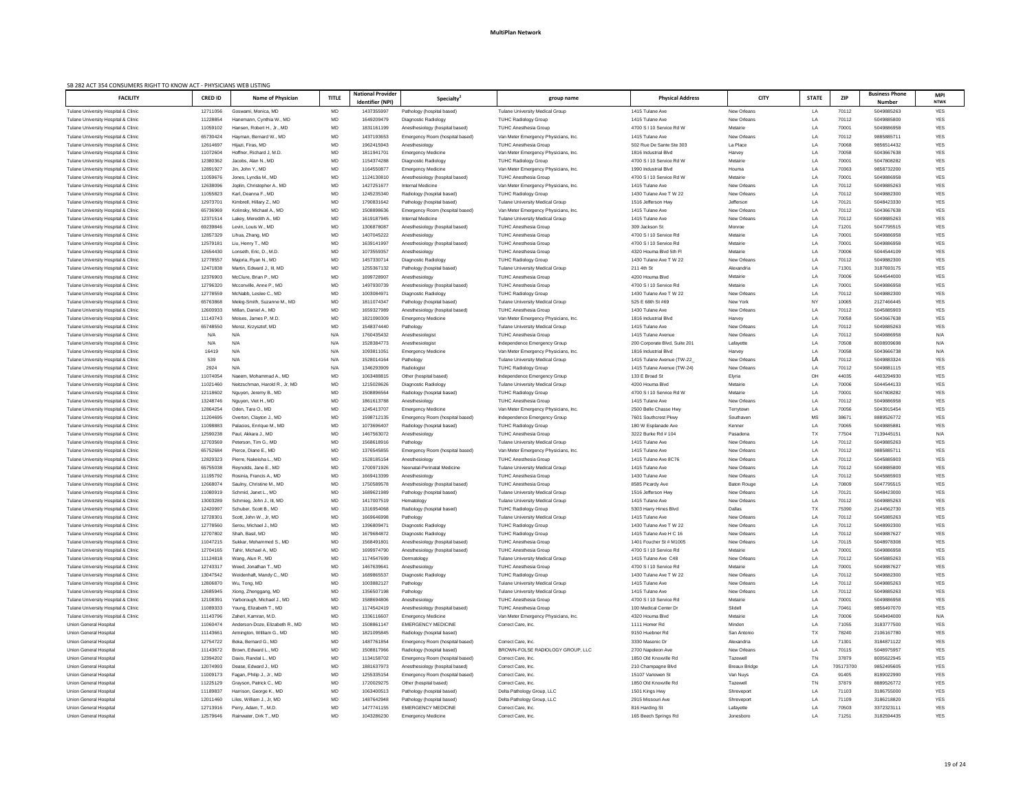| SB 282 ACT 354 CONSUMERS RIGHT TO KNOW ACT - PHYSICIANS WEB LISTING<br><b>National Provider</b>                                                                                                                                                                                                                                                                                                                  |                 |                | <b>Business Phone</b>    |                           |
|------------------------------------------------------------------------------------------------------------------------------------------------------------------------------------------------------------------------------------------------------------------------------------------------------------------------------------------------------------------------------------------------------------------|-----------------|----------------|--------------------------|---------------------------|
| <b>TITLE</b><br><b>FACILITY</b><br><b>CRED ID</b><br><b>Name of Physician</b><br><b>CITY</b><br><b>Specialty</b><br><b>Physical Address</b><br>group name<br><b>Identifier (NPI)</b>                                                                                                                                                                                                                             | <b>STATE</b>    | <b>ZIP</b>     | <b>Number</b>            | <b>MPI</b><br><b>NTWK</b> |
| MD<br>New Orleans<br>Tulane University Medical Group<br>1415 Tulane Ave<br>Tulane University Hospital & Clinic<br>12711056<br>Goswami, Monica, MD<br>1437355997<br>Pathology (hospital based)                                                                                                                                                                                                                    | LA              | 70112          | 5049885263               | YES                       |
| MD<br>1649209479<br>1415 Tulane Ave<br>New Orleans<br>11228854<br>Diagnostic Radiology<br><b>TUHC Radiology Group</b><br>Tulane University Hospital & Clinic<br>Hanemann, Cynthia W., MD                                                                                                                                                                                                                         | LA              | 70112          | 5049885800               | YES                       |
| MD<br>11059102<br>1831161199<br>4700 S I 10 Service Rd W<br>Metairie<br>Tulane University Hospital & Clinic<br>Hansen, Robert H., Jr., MD<br>Anesthesiology (hospital based)<br><b>TUHC Anesthesia Group</b>                                                                                                                                                                                                     | LA              | 70001          | 5049886958               | <b>YES</b>                |
| MD<br>1437193653<br>1415 Tulane Ave<br>New Orleans<br>65730424<br>Hayman, Bernard W., MD<br>Emergency Room (hospital based)<br>Van Meter Emergency Physicians, Inc.<br>Tulane University Hospital & Clinic                                                                                                                                                                                                       | LA              | 70112          | 9885885711               | YES                       |
| MD<br>1962415943<br>12614697<br><b>TUHC Anesthesia Group</b><br>502 Rue De Sante Ste 303<br>La Place<br>Tulane University Hospital & Clinic<br>Hijazi, Firas, MD<br>Anesthesiology                                                                                                                                                                                                                               | LA              | 70068          | 9856514432               | <b>YES</b>                |
| MD<br>1811941701<br>11072604<br>Hoffner, Richard J, M.D.<br>Van Meter Emergency Physicians, Inc.<br>1816 Industrial Blvd<br>Harvey<br><b>Emergency Medicine</b><br>Tulane University Hospital & Clinic<br>MD<br>12380362<br>1154374288<br>4700 S I 10 Service Rd W<br>Diagnostic Radiology<br><b>TUHC Radiology Group</b><br>Metairie<br>Tulane University Hospital & Clinic<br>Jacobs, Alan N., MD              | LA<br>LA        | 70058<br>70001 | 5043667638<br>5047808282 | <b>YES</b><br><b>YES</b>  |
| MD<br>1164550877<br>12891927<br>Jin, John Y., MD<br><b>Emergency Medicine</b><br>Van Meter Emergency Physicians, Inc.<br>1990 Industrial Blvd<br>Houma<br>Tulane University Hospital & Clinic                                                                                                                                                                                                                    | LA              | 70363          | 9858732200               | <b>YES</b>                |
| MD<br>11059676<br>1124130810<br>Metairie<br><b>TUHC Anesthesia Group</b><br>4700 S I 10 Service Rd W<br>Tulane University Hospital & Clinic<br>Jones, Lyndia M., MD<br>Anesthesiology (hospital based)                                                                                                                                                                                                           | LA              | 70001          | 5049886958               | <b>YES</b>                |
| MD<br>1427251677<br>1415 Tulane Ave<br>New Orleans<br>12638096<br>Joplin, Christopher A., MD<br>Internal Medicine<br>Van Meter Emergency Physicians, Inc.<br>Tulane University Hospital & Clinic                                                                                                                                                                                                                 | LA              | 70112          | 5049885263               | YES                       |
| MD<br>1245235340<br><b>New Orleans</b><br>11055823<br>Karl, Deanna F., MD<br><b>TUHC Radiology Group</b><br>1430 Tulane Ave T W 22<br>Tulane University Hospital & Clinic<br>Radiology (hospital based)                                                                                                                                                                                                          | LA              | 70112          | 5049882300               | <b>YES</b>                |
| MD<br>12973701<br>1790831642<br>Kimbrell, Hillary Z., MD<br>1516 Jefferson Hwy<br>Jefferson<br>Tulane University Hospital & Clinic<br>Pathology (hospital based)<br>Tulane University Medical Group                                                                                                                                                                                                              | LA              | 70121          | 5048423330               | <b>YES</b>                |
| MD<br>1508898636<br>1415 Tulane Ave<br>New Orleans<br>65736969<br>Kolinsky, Michael A., MD<br>Emergency Room (hospital based)<br>Van Meter Emergency Physicians, Inc.<br>Tulane University Hospital & Clinic<br>1619187945<br><b>Internal Medicine</b><br>1415 Tulane Ave<br><b>New Orleans</b>                                                                                                                  | LA              | 70112          | 5043667638<br>5049885263 | YES                       |
| MD<br>12371514<br>Lakey, Meredith A., MD<br><b>Tulane University Medical Group</b><br>Tulane University Hospital & Clinic<br>MD<br>1306878087<br>69239846<br>Levin, Louis W., MD<br><b>TUHC Anesthesia Group</b><br>309 Jackson St<br>Monroe<br>Tulane University Hospital & Clinic<br>Anesthesiology (hospital based)                                                                                           | LA<br>LA        | 70112<br>71201 | 5047795515               | <b>YES</b><br><b>YES</b>  |
| MD<br>1407045222<br>12857329<br>Lihua, Zhang, MD<br><b>TUHC Anesthesia Group</b><br>4700 S I 10 Service Rd<br>Anesthesiology<br>Metairie<br>Tulane University Hospital & Clinic                                                                                                                                                                                                                                  | LA              | 70001          | 5049886958               | YES                       |
| MD<br>12579181<br>1639141997<br>4700 S I 10 Service Rd<br>Metairie<br>Tulane University Hospital & Clinic<br>Liu, Henry T., MD<br>Anesthesiology (hospital based)<br><b>TUHC Anesthesia Group</b>                                                                                                                                                                                                                | LA              | 70001          | 5049886958               | <b>YES</b>                |
| MD<br>1073559357<br>Metairie<br>12654430<br>Lonseth, Eric, D., M.D.<br>Anesthesiology<br><b>TUHC Anesthesia Group</b><br>4320 Houma Blvd 5th Fl<br>Tulane University Hospital & Clinic                                                                                                                                                                                                                           | LA              | 70006          | 5044544109               | <b>YES</b>                |
| MD<br>1457330714<br>12778557<br><b>TUHC Radiology Group</b><br>1430 Tulane Ave T W 22<br><b>New Orleans</b><br>Majoria, Ryan N., MD<br>Diagnostic Radiology<br>Tulane University Hospital & Clinic                                                                                                                                                                                                               | LA              | 70112          | 5049882300               | <b>YES</b>                |
| MD<br>12471838<br>1255367132<br>211 4th St<br>Martin, Edward J., III, MD<br>Pathology (hospital based)<br><b>Tulane University Medical Group</b><br>Alexandria<br>Tulane University Hospital & Clinic                                                                                                                                                                                                            | LA              | 71301          | 3187693175               | <b>YES</b>                |
| MD<br>12376903<br>McClure, Brian P., MD<br>1699728907<br>4200 Houma Blvd<br><b>TUHC Anesthesia Group</b><br>Metairie<br>Tulane University Hospital & Clinic<br>Anesthesiology                                                                                                                                                                                                                                    | LA              | 70006          | 5044544000               | <b>YES</b>                |
| 12796320<br>MD<br>1497930739<br>4700 S I 10 Service Rd<br>Metairie<br>Tulane University Hospital & Clinic<br>Mcconville, Anne P., MD<br><b>TUHC Anesthesia Group</b><br>Anesthesiology (hospital based)                                                                                                                                                                                                          | LA              | 70001          | 5049886958               | <b>YES</b>                |
| MD<br>12778559<br>McNabb, Leslee C., MD<br>1003084971<br><b>TUHC Radiology Group</b><br>1430 Tulane Ave T W 22<br><b>New Orleans</b><br>Diagnostic Radiology<br>Tulane University Hospital & Clinic                                                                                                                                                                                                              | LA              | 70112          | 5049882300               | <b>YES</b>                |
| MD<br>1811074347<br>525 E 68th St #69<br>New York<br>65763868<br>Meleg-Smith, Suzanne M., MD<br>Pathology (hospital based)<br>Tulane University Hospital & Clinic<br>Tulane University Medical Group<br>MD<br>12600933<br>1659327989<br>1430 Tulane Ave<br><b>New Orleans</b><br>Tulane University Hospital & Clinic<br>Millan, Daniel A., MD<br><b>TUHC Anesthesia Group</b><br>Anesthesiology (hospital based) | <b>NY</b><br>LA | 10065<br>70112 | 2127466445<br>5045885903 | <b>YES</b><br><b>YES</b>  |
| MD<br>1821090309<br>11143743<br>Moises, James P. M.D.<br>Van Meter Emergency Physicians, Inc.<br>1816 Industrial Blvd<br>Harvey<br>Tulane University Hospital & Clinic<br><b>Emergency Medicine</b>                                                                                                                                                                                                              | LA              | 70058          | 5043667638               | <b>YES</b>                |
| MD<br>1548374440<br>1415 Tulane Ave<br>New Orleans<br>65748550<br>Moroz, Krzysztof, MD<br>Pathology<br><b>Tulane University Medical Group</b><br>Tulane University Hospital & Clinic                                                                                                                                                                                                                             | LA              | 70112          | 5049885263               | <b>YES</b>                |
| N/A<br>1760435432<br><b>TUHC Anesthesia Group</b><br>1415 Tulane Avenue<br><b>New Orleans</b><br>N/A<br>N/A<br>Tulane University Hospital & Clinic<br>Anesthesiologist                                                                                                                                                                                                                                           | LA              | 70112          | 5049886958               | N/A                       |
| N/A<br>1528384773<br>N/A<br>N/A<br>200 Corporate Blvd, Suite 201<br>Tulane University Hospital & Clinic<br>Anesthesiologist<br>Independence Emergency Group<br>Lafayette                                                                                                                                                                                                                                         | $\overline{A}$  | 70508          | 8008939698               | N/A                       |
| N/A<br>1093811051<br>16419<br>N/A<br>1816 Industrial Blvd<br>Tulane University Hospital & Clinic<br><b>Emergency Medicine</b><br>Van Meter Emergency Physicians, Inc.<br>Harvey                                                                                                                                                                                                                                  | LA              | 70058          | 5043666738               | N/A                       |
| N/A<br>N/A<br>1528014164<br>Pathology<br><b>New Orleans</b><br>539<br>Tulane University Medical Group<br>1415 Tulane Avenue (TW-22<br>Tulane University Hospital & Clinic                                                                                                                                                                                                                                        | LA              | 70112          | 5049883324               | <b>YES</b>                |
| N/A<br>N/A<br>2924<br>1346293909<br><b>TUHC Radiology Group</b><br>1415 Tulane Avenue (TW-24)<br>New Orleans<br>Tulane University Hospital & Clinic<br>Radiologis                                                                                                                                                                                                                                                | LA              | 70112          | 5049881115               | <b>YES</b>                |
| MD<br>106348881<br>Other (hospital based)<br>Independence Emergency Group<br>133 E Broad St<br>Tulane University Hospital & Clinic<br>11074054<br>Naeem, Mohammad A., MD<br>Elyria                                                                                                                                                                                                                               | OH              | 44035          | 4403294930               | <b>YES</b>                |
| MD<br>Neitzschman, Harold R., Jr, MD<br>1215028626<br>Diagnostic Radiology<br>4200 Houma Blvd<br>Metairie<br>Tulane University Hospital & Clinic<br>11021460<br>Tulane University Medical Group<br>1508896564<br>4700 S I 10 Service Rd W<br>Metairie                                                                                                                                                            | LA<br>LA        | 70006<br>70001 | 5044544133<br>5047808282 | <b>YES</b><br><b>YES</b>  |
| MD<br>12118602<br><b>TUHC Radiology Group</b><br>Tulane University Hospital & Clinic<br>Nguyen, Jeremy B., MD<br>Radiology (hospital based)<br>MD<br>13248746<br>1861613788<br><b>TUHC Anesthesia Group</b><br>1415 Tulane Ave<br>New Orleans<br>Tulane University Hospital & Clinic<br>Nguyen, Viet H., MD<br>Anesthesiology                                                                                    | LA              | 70112          | 5049886958               | YES                       |
| MD<br>12864254<br>Oden, Tara O., MD<br>1245413707<br>Van Meter Emergency Physicians, Inc.<br>2500 Belle Chasse Hwy<br>Tulane University Hospital & Clinic<br><b>Emergency Medicine</b><br>Terrytown                                                                                                                                                                                                              | LA              | 70056          | 5043915454               | <b>YES</b>                |
| MD<br>1598712135<br>Tulane University Hospital & Clinic<br>11204695<br>Overton, Clayton J., MD<br>Emergency Room (hospital based)<br>Independence Emergency Group<br>7601 Southcrest Pkwy<br>Southaven                                                                                                                                                                                                           | МS              | 38671          | 8889526772               | <b>YES</b>                |
| MD<br>11098883<br>1073696407<br><b>TUHC Radiology Group</b><br>180 W Esplanade Ave<br>Tulane University Hospital & Clinic<br>Palacios, Enrique M., MD<br>Radiology (hospital based)<br>Kenner                                                                                                                                                                                                                    | LA              | 70065          | 5049885881               | <b>YES</b>                |
| 12590238<br>MD<br>1467563072<br>Paul, Akkara J., MD<br>3222 Burke Rd # 104<br>Tulane University Hospital & Clinic<br>Anesthesiology<br><b>TUHC Anesthesia Group</b><br>Pasadena                                                                                                                                                                                                                                  | TX              | 77504          | 7139445151               | N/A                       |
| MD<br>1415 Tulane Ave<br><b>New Orleans</b><br>12703569<br>Peterson, Tim G., MD<br>1568618916<br>Pathology<br><b>Tulane University Medical Group</b><br>Tulane University Hospital & Clinic                                                                                                                                                                                                                      | LA              | 70112          | 5049885263               | <b>YES</b>                |
| MD<br>1376545855<br>1415 Tulane Ave<br>65752684<br>Pierce, Diane E., MD<br>New Orleans<br>Tulane University Hospital & Clinic<br>Emergency Room (hospital based)<br>Van Meter Emergency Physicians, Inc.                                                                                                                                                                                                         | LA              | 70112          | 9885885711               | <b>YES</b>                |
| MD<br>12829323<br>1528185154<br>1415 Tulane Ave 8C76<br>New Orleans<br>Tulane University Hospital & Clinic<br>Pierre, Nakeisha L., MD<br>Anesthesiology<br><b>TUHC Anesthesia Group</b>                                                                                                                                                                                                                          | LA              | 70112          | 5045885903               | YES                       |
| MD<br>65755038<br>1700971926<br>Neonatal-Perinatal Medicine<br><b>Tulane University Medical Group</b><br>1415 Tulane Ave<br>New Orleans<br>Tulane University Hospital & Clinic<br>Reynolds, Jane E., MD<br>MD<br>1669413399<br>1430 Tulane Ave<br>11195792<br><b>TUHC Anesthesia Group</b><br>New Orleans<br>Tulane University Hospital & Clinic<br>Rosinia, Francis A., MD<br>Anesthesiology                    | LA<br>LA        | 70112<br>70112 | 5049885800<br>5045885903 | YES<br><b>YES</b>         |
| MD<br>12668074<br>Saulny, Christine M., MD<br>1750589578<br><b>TUHC Anesthesia Group</b><br>8585 Picardy Ave<br><b>Baton Rouge</b><br>Tulane University Hospital & Clinic<br>Anesthesiology (hospital based)                                                                                                                                                                                                     | LA              | 70809          | 5047795515               | <b>YES</b>                |
| 11080919<br>MD<br>1689621989<br><b>Tulane University Medical Group</b><br>1516 Jefferson Hwy<br>New Orleans<br>Tulane University Hospital & Clinic<br>Schmid, Janet L., MD<br>Pathology (hospital based)                                                                                                                                                                                                         | LA              | 70121          | 5048423000               | <b>YES</b>                |
| MD<br>1415 Tulane Ave<br>13003289<br>Schmieg, John J., III, MD<br>1417007519<br><b>Tulane University Medical Group</b><br>New Orleans<br>Tulane University Hospital & Clinic<br>Hematology                                                                                                                                                                                                                       | LA              | 70112          | 5049885263               | <b>YES</b>                |
| 12420997<br>MD<br>1316954068<br>Schuber, Scott B., MD<br><b>TUHC Radiology Group</b><br>5303 Harry Hines Blvd<br>Dallas<br>Tulane University Hospital & Clinic<br>Radiology (hospital based)                                                                                                                                                                                                                     | TX              | 75390          | 2144562730               | <b>YES</b>                |
| 12728301<br>MD<br>1669646998<br>New Orleans<br>Scott, John W., Jr, MD<br>Pathology<br>1415 Tulane Ave<br>Tulane University Hospital & Clinic<br>Tulane University Medical Group                                                                                                                                                                                                                                  | LA              | 70112          | 5045885263               | <b>YES</b>                |
| MD<br>12778560<br>1396809471<br>Serou, Michael J., MD<br>Diagnostic Radiology<br><b>TUHC Radiology Group</b><br>1430 Tulane Ave T W 22<br>New Orleans<br>Tulane University Hospital & Clinic                                                                                                                                                                                                                     | LA              | 70112          | 5048992300               | <b>YES</b>                |
| MD<br>12707802<br>1679684872<br>New Orleans<br>Shah, Basil, MD<br>Diagnostic Radiology<br><b>TUHC Radiology Group</b><br>1415 Tulane Ave H C 16<br>Tulane University Hospital & Clinic                                                                                                                                                                                                                           | LA              | 70112          | 5049887627               | <b>YES</b>                |
| 11047215<br>MD<br>Sukkar, Mohammed S., MD<br>1568491801<br><b>TUHC Anesthesia Group</b><br>1401 Foucher St # M1005<br><b>New Orleans</b><br>Tulane University Hospital & Clinic<br>Anesthesiology (hospital based)<br>MD<br>1699974790<br>12704165<br>Tahir, Michael A., MD<br><b>TUHC Anesthesia Group</b><br>4700 S I 10 Service Rd<br>Metairie                                                                | LA<br>LA        | 70115<br>70001 | 5048978308<br>5049886958 | <b>YES</b><br><b>YES</b>  |
| Tulane University Hospital & Clinic<br>Anesthesiology (hospital based)<br>MD<br>1174547699<br><b>New Orleans</b><br>11124818<br>Wang, Alun R., MD<br>Dermatology<br><b>Tulane University Medical Group</b><br>1415 Tulane Ave C48<br>Tulane University Hospital & Clinic                                                                                                                                         | LA              | 70112          | 5045885263               | <b>YES</b>                |
| MD<br>12743317<br>1467639641<br>4700 S I 10 Service Rd<br>Weed, Jonathan T., MD<br>Anesthesiology<br><b>TUHC Anesthesia Group</b><br>Metairie<br>Tulane University Hospital & Clinic                                                                                                                                                                                                                             | LA              | 70001          | 5049887627               | <b>YES</b>                |
| MD<br>13047542<br>1689865537<br>New Orleans<br>Diagnostic Radiology<br><b>TUHC Radiology Group</b><br>1430 Tulane Ave T W 22<br>Tulane University Hospital & Clinic<br>Weidenhaft, Mandy C., MD                                                                                                                                                                                                                  | LA              | 70112          | 5049882300               | <b>YES</b>                |
| MD<br>12806870<br>1003882127<br>Pathology<br>1415 Tulane Ave<br>New Orleans<br>Wu, Tong, MD<br><b>Tulane University Medical Group</b><br>Tulane University Hospital & Clinic                                                                                                                                                                                                                                     | LA              | 70112          | 5049885263               | <b>YES</b>                |
| MD<br>12685945<br>1356507198<br>1415 Tulane Ave<br><b>New Orleans</b><br>Xiong, Zhenggang, MD<br>Pathology<br><b>Tulane University Medical Group</b><br>Tulane University Hospital & Clinic                                                                                                                                                                                                                      | LA              | 70112          | 5049885263               | <b>YES</b>                |
| MD<br>1588694806<br>12108391<br>Yarborough, Michael J., MD<br><b>TUHC Anesthesia Group</b><br>4700 S I 10 Service Rd<br>Metairie<br>Tulane University Hospital & Clinic<br>Anesthesiology                                                                                                                                                                                                                        | LA              | 70001          | 5049886958               | <b>YES</b>                |
| 11089333<br>Young, Elizabeth T., MD<br>MD<br>1174542419<br>Slidell<br>Tulane University Hospital & Clinic<br>TUHC Anesthesia Group<br>100 Medical Center Dr<br>Anesthesiology (hospital based)                                                                                                                                                                                                                   | ΙA              | 70461          | 9856497070               | <b>YES</b>                |
| MD<br>4320 Houma Blvd<br>1336116607<br>Van Meter Emergency Physicians, Inc.<br>Metairie<br>Tulane University Hospital & Clinic<br>11143796<br>Zaheri, Kamran, M.D.<br>Emergency Medicine                                                                                                                                                                                                                         | LA              | 70006          | 5048494000               | N/A                       |
| MD<br>Anderson-Doze, Elizabeth R., MD<br>1508861147<br><b>EMERGENCY MEDICINE</b><br>Correct Care, Inc.<br>1111 Homer Rd<br>Minden<br>Union General Hospital<br>11060474                                                                                                                                                                                                                                          | LA              | 71055          | 3183777500               | YES                       |
| MD<br>1821095845<br>9150 Huebner Rd<br><b>Union General Hospital</b><br>11143661<br>Armington, William G., MD<br>San Antonio<br>Radiology (hospital based)<br>MD<br>Correct Care, Inc.<br>Union General Hospital<br>12754722<br>Boka, Bernard G., MD<br>1487761854<br>3330 Masonic Dr<br>Emergency Room (hospital based)<br>Alexandria                                                                           | TX<br>LA        | 78240<br>71301 | 2106167780<br>3184871122 | <b>YES</b><br><b>YES</b>  |
| MD<br>1508817966<br>BROWN-FOLSE RADIOLOGY GROUP, LLC<br>Union General Hospital<br>11143672<br>Brown, Edward L., MD<br>New Orleans<br>Radiology (hospital based)<br>2700 Napoleon Ave                                                                                                                                                                                                                             | LA              | 70115          | 5048975957               | YES                       |
| MD<br>1134158702<br><b>Union General Hospital</b><br>12394202<br>Davis, Randal L., MD<br>Correct Care, Inc.<br>1850 Old Knoxville Rd<br>Emergency Room (hospital based)<br>Tazewell                                                                                                                                                                                                                              | TN              | 37879          | 8005622945               | <b>YES</b>                |
| MD<br>1881637973<br>Union General Hospital<br>12074993<br>Dease, Edward J., MD<br>Correct Care, Inc.<br>210 Champagne Blvd<br>Anesthesiology (hospital based)<br><b>Breaux Bridge</b>                                                                                                                                                                                                                            | LA              | 705173700      | 9852495605               | <b>YES</b>                |
| MD<br>Fagan, Philip J., Jr., MD<br>1255335154<br>Correct Care, Inc.<br>15107 Vanowen St<br>Van Nuys<br>Union General Hospital<br>11009173<br>Emergency Room (hospital based)                                                                                                                                                                                                                                     | CA              | 91405          | 8189022990               | <b>YES</b>                |
| MD<br>Correct Care, Inc.<br>Union General Hospital<br>11225129<br>Grayson, Patrick C., MD<br>1720029275<br>1850 Old Knoxville Rd<br>Other (hospital based)<br>Tazewell                                                                                                                                                                                                                                           | TN              | 37879          | 8889526772               | <b>YES</b>                |
| MD<br>11189837<br>Delta Pathology Group, LLC<br>1501 Kings Hwy<br>Union General Hospital<br>Harrison, George K., MD<br>1063400513<br>Pathology (hospital based)<br>Shreveport                                                                                                                                                                                                                                    | LA              | 71103          | 3186755000               | <b>YES</b>                |
| MD<br>Union General Hospital<br>Liles, William J., Jr, MD<br>1487642948<br>Delta Pathology Group, LLC<br>2915 Missouri Ave<br>12011460<br>Pathology (hospital based)<br>Shreveport                                                                                                                                                                                                                               | LA              | 71109          | 3186218820               | YES                       |
| MD<br>816 Harding St<br>Union General Hospital<br>12713916<br>Perry, Adam, T., M.D.<br>1477741155<br><b>EMERGENCY MEDICINE</b><br>Correct Care, Inc.<br>Lafayette                                                                                                                                                                                                                                                | LA              | 70503          | 3372323111               | YES                       |
| MD<br>Rainwater, Dirk T., MD<br>1043286230<br>Correct Care, Inc.<br>Union General Hospital<br>12579646<br>165 Beech Springs Rd<br>Jonesboro<br>Emergency Medicine                                                                                                                                                                                                                                                | LA              | 71251          | 3182594435               | YES                       |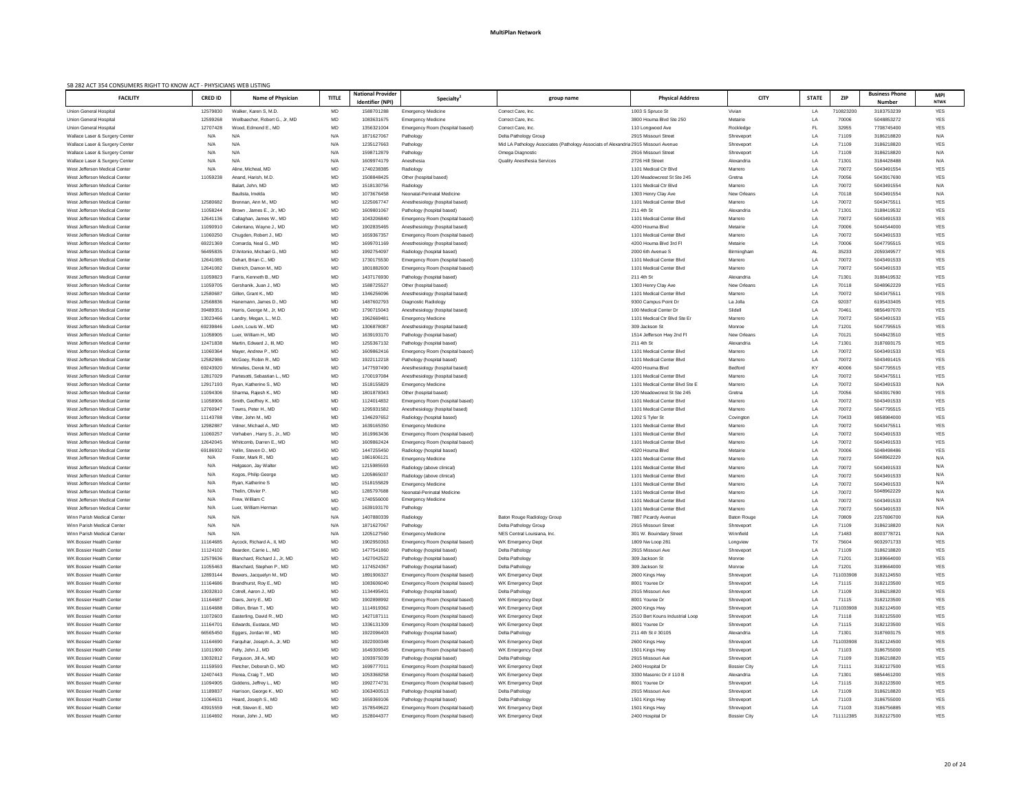| SB 282 ACT 354 CONSUMERS RIGHT TO KNOW ACT - PHYSICIANS WEB LISTING<br><b>FACILITY</b> | <b>CRED ID</b>       | <b>Name of Physician</b>                                | <b>TITLE</b> | <b>National Provider</b>              | <b>Specialty</b>                                              | group name                                                                          | <b>Physical Address</b>                                    | <b>CITY</b>                   | <b>STATE</b>   | <b>ZIP</b>     | <b>Business Phone</b>       | <b>MPI</b>               |
|----------------------------------------------------------------------------------------|----------------------|---------------------------------------------------------|--------------|---------------------------------------|---------------------------------------------------------------|-------------------------------------------------------------------------------------|------------------------------------------------------------|-------------------------------|----------------|----------------|-----------------------------|--------------------------|
| <b>Union General Hospital</b>                                                          | 12579830             | Walker, Karen S, M.D.                                   | MD           | <b>Identifier (NPI)</b><br>1588701288 | <b>Emergency Medicine</b>                                     | Correct Care, Inc.                                                                  | 1003 S Spruce St                                           | Vivian                        | LA             | 710823200      | <b>Number</b><br>3183753239 | <b>NTWK</b><br>YES       |
| <b>Union General Hospital</b>                                                          | 12599268             | Weilbaecher, Robert G., Jr, MD                          | MD           | 1083631675                            | <b>Emergency Medicine</b>                                     | Correct Care, Inc.                                                                  | 3800 Houma Blvd Ste 250                                    | Metairie                      | LA             | 70006          | 5048853272                  | <b>YES</b>               |
| <b>Union General Hospital</b>                                                          | 12707428             | Wood, Edmond E., MD                                     | MD           | 1356321004                            | Emergency Room (hospital based)                               | Correct Care, Inc.                                                                  | 110 Longwood Ave                                           | Rockledge                     | FL.            | 32955          | 7708745400                  | <b>YES</b>               |
| Wallace Laser & Surgery Center                                                         | N/A                  | N/A                                                     | N/A          | 1871627067                            | Pathology                                                     | Delta Pathology Group                                                               | 2915 Missouri Street                                       | Shreveport                    | LA             | 71109          | 3186218820                  | N/A                      |
| Wallace Laser & Surgery Center                                                         | N/A                  | N/A                                                     | N/A          | 1235127663                            | Pathology                                                     | Mid LA Pathology Associates (Pathology Associats of Alexandria 2915 Missouri Avenue |                                                            | Shreveport                    | LA             | 71109          | 3186218820                  | <b>YES</b>               |
| Wallace Laser & Surgery Center                                                         | N/A                  | N/A                                                     | N/A          | 1598712879                            | Pathology                                                     | Omega Diagnostic                                                                    | 2916 Missouri Street                                       | Shreveport                    | LA             | 71109          | 3186218820                  | N/A                      |
| Wallace Laser & Surgery Center                                                         | N/A                  | N/A                                                     | N/A          | 1609974179                            | Anesthesia                                                    | <b>Quality Anesthesia Services</b>                                                  | 2726 Hill Street                                           | Alexandria                    | LA             | 71301          | 3184428488                  | N/A                      |
| West Jefferson Medical Center                                                          | N/A                  | Aline, Micheal, MD                                      | MD           | 1740238385                            | Radiology                                                     |                                                                                     | 1101 Medical Ctr Blvd                                      | Marrero                       | LA             | 70072          | 5043491554                  | <b>YES</b>               |
| West Jefferson Medical Center                                                          | 11059238             | Anand, Harish, M.D.                                     | MD           | 1508848425                            | Other (hospital based)                                        |                                                                                     | 120 Meadowcrest St Ste 245                                 | Gretna                        | LA             | 70056          | 5043917690                  | <b>YES</b>               |
| West Jefferson Medical Center<br>West Jefferson Medical Center                         |                      | Balart, John, MD<br>Baulista, Imelda                    | MD<br>MD     | 1518130756<br>1073676458              | Radiology<br>Neonatal-Perinatal Medicine                      |                                                                                     | 1101 Medical Ctr Blvd<br>1303 Henry Clay Ave               | Marrero<br><b>New Orleans</b> | LA<br>LA       | 70072<br>70118 | 5043491554<br>5043491554    | N/A<br>N/A               |
| West Jefferson Medical Cente                                                           | 12580682             | Brennan, Ann M., MD                                     | MD           | 122506774                             | Anesthesiology (hospital based)                               |                                                                                     | 1101 Medical Center Blvd                                   | Marrero                       | LA             | 70072          | 5043475511                  | <b>YES</b>               |
| West Jefferson Medical Center                                                          | 11058244             | Brown, James E., Jr., MD                                | MD           | 1609801067                            | Pathology (hospital based)                                    |                                                                                     | 211 4th St                                                 | Alexandria                    | LA             | 71301          | 3188419532                  | <b>YES</b>               |
| West Jefferson Medical Center                                                          | 12641136             | Callaghan, James W., MD                                 | MD           | 1043206840                            | Emergency Room (hospital based)                               |                                                                                     | 1101 Medical Center Blvd                                   | Marrero                       | <b>LA</b>      | 70072          | 5043491533                  | <b>YES</b>               |
| West Jefferson Medical Center                                                          | 11090910             | Celentano, Wayne J., MD                                 | MD           | 1902835465                            | Anesthesiology (hospital based)                               |                                                                                     | 4200 Houma Blvd                                            | Metairie                      | LA             | 70006          | 5044544000                  | <b>YES</b>               |
| West Jefferson Medical Center                                                          | 11060250             | Chugden, Robert J., MD                                  | MD           | 1659367357                            | Emergency Room (hospital based)                               |                                                                                     | 1101 Medical Center Blvd                                   | Marrero                       | LA             | 70072          | 5043491533                  | <b>YES</b>               |
| West Jefferson Medical Center                                                          | 69221369             | Comarda, Neal G., MD                                    | MD           | 1699701169                            | Anesthesiology (hospital based)                               |                                                                                     | 4200 Houma Blvd 3rd Fl                                     | Metairie                      | LA             | 70006          | 5047795515                  | YES                      |
| West Jefferson Medical Center                                                          | 56495835             | D'Antonio, Michael G., MD                               | MD           | 1992754097                            | Radiology (hospital based)                                    |                                                                                     | 2000 6th Avenue S                                          | Birmingham                    | AL             | 35233          | 2059349577                  | <b>YES</b>               |
| West Jefferson Medical Center                                                          | 12641085             | Dehart, Brian C., MD                                    | MD           | 1730175530                            | Emergency Room (hospital based)                               |                                                                                     | 1101 Medical Center Blvd                                   | Marrero                       | LA             | 70072          | 5043491533                  | <b>YES</b>               |
| West Jefferson Medical Center                                                          | 12641082             | Dietrich, Damon M., MD                                  | MD           | 1801882600                            | Emergency Room (hospital based)                               |                                                                                     | 1101 Medical Center Blvd                                   | Marrero                       | LA             | 70072          | 5043491533                  | YES                      |
| West Jefferson Medical Center<br>West Jefferson Medical Center                         | 11059823<br>11059705 | Farris, Kenneth B., MD<br>Gershanik, Juan J., MD        | MD<br>MD     | 1437176930<br>1588725527              | Pathology (hospital based)                                    |                                                                                     | 211 4th St<br>1303 Henry Clay Ave                          | Alexandria<br>New Orleans     | LA<br>LA       | 71301<br>70118 | 3188419532<br>5048962229    | <b>YES</b><br><b>YES</b> |
| West Jefferson Medical Center                                                          | 12580687             | Gillen, Grant K., MD                                    | MD           | 1346256096                            | Other (hospital based)<br>Anesthesiology (hospital based)     |                                                                                     | 1101 Medical Center Blvd                                   | Marrero                       | LA             | 70072          | 5043475511                  | YES                      |
| West Jefferson Medical Center                                                          | 12568836             | Hanemann, James D., MD                                  | MD           | 1487602793                            | Diagnostic Radiology                                          |                                                                                     | 9300 Campus Point Dr                                       | La Jolla                      | CA             | 92037          | 6195433405                  | <b>YES</b>               |
| West Jefferson Medical Center                                                          | 3948935              | Harris, George M., Jr, MD                               | MD           | 1790715043                            | Anesthesiology (hospital based)                               |                                                                                     | 100 Medical Center Dr                                      | Slidell                       | LA             | 70461          | 9856497070                  | <b>YES</b>               |
| West Jefferson Medical Center                                                          | 13023466             | Landry, Megan, L., M.D.                                 | MD           | 1962669481                            | <b>Emergency Medicine</b>                                     |                                                                                     | 1101 Medical Ctr Blvd Ste Er                               | Marrero                       | LA             | 70072          | 5043491533                  | YES                      |
| West Jefferson Medical Center                                                          | 69239846             | Levin, Louis W., MD                                     | MD           | 1306878087                            | Anesthesiology (hospital based)                               |                                                                                     | 309 Jackson St                                             | Monroe                        | LA             | 71201          | 5047795515                  | <b>YES</b>               |
| West Jefferson Medical Center                                                          | 11058905             | Luer. William H., MD                                    | MD           | 1639193170                            | Pathology (hospital based)                                    |                                                                                     | 1514 Jefferson Hwy 2nd Fl                                  | <b>New Orleans</b>            | LA             | 70121          | 5048423510                  | YES                      |
| West Jefferson Medical Cente                                                           | 12471838             | Martin, Edward J., III, MD                              | <b>MD</b>    | 1255367132                            | Pathology (hospital based)                                    |                                                                                     | 211 4th St                                                 | Alexandria                    | $\overline{A}$ | 71301          | 3187693175                  | <b>YES</b>               |
| West Jefferson Medical Center                                                          | 11060364             | Mayer, Andrew P., MD                                    | MD           | 160986241                             | Emergency Room (hospital based)                               |                                                                                     | 1101 Medical Center Blvd                                   | Marrero                       | LA             | 70072          | 5043491533                  | <b>YES</b>               |
| West Jefferson Medical Center                                                          | 12582986             | McGoey, Robin R., MD                                    | MD           | 1922112218                            | Pathology (hospital based)                                    |                                                                                     | 1101 Medical Center Blvd                                   | Marrero                       | LA             | 70072          | 5043491415                  | YES                      |
| West Jefferson Medical Center                                                          | 69243920             | Mimeles, Derek M., MD                                   | MD           | 1477597490                            | Anesthesiology (hospital based)                               |                                                                                     | 4200 Houma Blvd                                            | <b>Bedford</b>                | KY             | 40006          | 5047795515                  | YES                      |
| West Jefferson Medical Center<br>West Jefferson Medical Center                         | 12817029<br>12917193 | Partesotti, Sebastian L., MD<br>Ryan, Katherine S., MD  | MD<br>MD     | 1700197084<br>1518155829              | Anesthesiology (hospital based)<br><b>Emergency Medicine</b>  |                                                                                     | 1101 Medical Center Blvd<br>1101 Medical Center Blvd Ste E | Marrero<br>Marrero            | LA<br>LA       | 70072<br>70072 | 5043475511<br>5043491533    | YES<br>N/A               |
| West Jefferson Medical Center                                                          | 11094306             | Sharma, Rajesh K., MD                                   | MD           | 1801878343                            | Other (hospital based)                                        |                                                                                     | 120 Meadowcrest St Ste 245                                 | Gretna                        | LA             | 70056          | 5043917690                  | YES                      |
| West Jefferson Medical Center                                                          | 11058906             | Smith, Geoffrey K., MD                                  | MD           | 1124014832                            | Emergency Room (hospital based)                               |                                                                                     | 1101 Medical Center Blvd                                   | Marrero                       | LA             | 70072          | 5043491533                  | YES                      |
| West Jefferson Medical Center                                                          | 12760947             | Towns, Peter H., MD                                     | MD           | 1295931582                            | Anesthesiology (hospital based)                               |                                                                                     | 1101 Medical Center Blvd                                   | Marrero                       | LA             | 70072          | 5047795515                  | YES                      |
| West Jefferson Medical Center                                                          | 11143788             | Vitter, John M., MD                                     | MD           | 1346297652                            | Radiology (hospital based)                                    |                                                                                     | 1202 S Tyler St                                            | Covington                     | LA             | 70433          | 9858984000                  | YES                      |
| West Jefferson Medical Center                                                          | 12982887             | Volner, Michael A., MD                                  | MD           | 1639165350                            | <b>Emergency Medicine</b>                                     |                                                                                     | 1101 Medical Center Blvd                                   | Marrero                       | LA             | 70072          | 5043475511                  | YES                      |
| West Jefferson Medical Center                                                          | 11060257             | Vorhaben , Harry S., Jr., MD                            | MD           | 1619963436                            | Emergency Room (hospital based)                               |                                                                                     | 1101 Medical Center Blyd                                   | Marrero                       | LA             | 70072          | 5043491533                  | <b>YES</b>               |
| West Jefferson Medical Center                                                          | 12642045             | Whitcomb, Darren E., MD                                 | MD           | 1609862424                            | Emergency Room (hospital based)                               |                                                                                     | 1101 Medical Center Blvd                                   | Marrero                       | LA             | 70072          | 5043491533                  | YES                      |
| West Jefferson Medical Center                                                          | 69186932             | Yellin, Steven D., MD                                   | MD           | 1447255450                            | Radiology (hospital based)                                    |                                                                                     | 4320 Houma Blvd                                            | Metairie                      | LA             | 70006          | 5048498486                  | <b>YES</b>               |
| West Jefferson Medical Center                                                          | N/A<br>N/A           | Foster, Mark R., MD<br>Helgason, Jay Walter             | <b>MD</b>    | 1861606121<br>1215985593              | <b>Emergency Medicine</b>                                     |                                                                                     | 1101 Medical Center Blvd                                   | Marrero                       | LA             | 70072          | 5048962229                  | N/A<br>N/A               |
| West Jefferson Medical Center<br>West Jefferson Medical Center                         | N/A                  | Kogos, Philip George                                    | MD<br>MD     | 1205865037                            | Radiology (above clinical)<br>Radiology (above clinical)      |                                                                                     | 1101 Medical Center Blvd<br>1101 Medical Center Blvd       | Marrero<br>Marrero            | LA<br>LA       | 70072<br>70072 | 5043491533<br>5043491533    | N/A                      |
| West Jefferson Medical Center                                                          | N/A                  | Ryan, Katherine S                                       | MD           | 1518155829                            | <b>Emergency Medicine</b>                                     |                                                                                     | 1101 Medical Center Blvd                                   | Marrero                       | LA             | 70072          | 5043491533                  | N/A                      |
| West Jefferson Medical Center                                                          | N/A                  | Thelin, Olivier P.                                      | MD           | 1285797688                            | Neonatal-Perinatal Medicine                                   |                                                                                     | 1101 Medical Center Blvd                                   | Marrero                       | LA             | 70072          | 5048962229                  | N/A                      |
| West Jefferson Medical Center                                                          | N/A                  | Frew, William C                                         | MD           | 1740556000                            | <b>Emergency Medicine</b>                                     |                                                                                     | 1101 Medical Center Blvd                                   | Marrero                       | LA             | 70072          | 5043491533                  | N/A                      |
| West Jefferson Medical Cente                                                           | N/A                  | Luer, William Herman                                    | MD           | 163919317                             | Pathology                                                     |                                                                                     | 1101 Medical Center Blvd                                   | Marrero                       | LA             | 70072          | 5043491533                  | N/A                      |
| Winn Parish Medical Center                                                             | N/A                  | N/A                                                     | N/A          | 1407880339                            | Radiology                                                     | Baton Rouge Radiology Group                                                         | 7887 Picardy Avenue                                        | <b>Baton Rouge</b>            | LA             | 70809          | 2257696700                  | N/A                      |
| Winn Parish Medical Center                                                             | N/A                  | N/A                                                     | N/A          | 1871627067                            | Pathology                                                     | Delta Pathology Group                                                               | 2915 Missouri Street                                       | Shreveport                    | LA             | 71109          | 3186218820                  | N/A                      |
| Winn Parish Medical Center                                                             | N/A                  | N/A                                                     | N/A          | 1205127560                            | <b>Emergency Medicine</b>                                     | NES Central Louisiana, Inc.                                                         | 301 W. Bouindary Street                                    | Winnfield                     | LA             | 71483          | 8003778721                  | N/A                      |
| WK Bossier Health Center                                                               | 11164685             | Aycock, Richard A., II, MD                              | MD           | 1902950363                            | Emergency Room (hospital based)                               | WK Emergency Dept                                                                   | 1809 Nw Loop 281                                           | Longview                      | TX             | 75604          | 9032971733                  | <b>YES</b>               |
| WK Bossier Health Center<br>WK Bossier Health Center                                   | 11124102             | Bearden, Carrie L., MD<br>Blanchard, Richard J., Jr, MD | MD           | 1477541860                            | Pathology (hospital based)                                    | Delta Pathology                                                                     | 2915 Missouri Ave                                          | Shreveport                    | LA             | 71109          | 3186218820                  | <b>YES</b><br><b>YES</b> |
| WK Bossier Health Center                                                               | 12579636<br>11055463 | Blanchard, Stephen P., MD                               | MD<br>MD     | 1427042522<br>1174524367              | Pathology (hospital based)<br>Pathology (hospital based)      | Delta Pathology<br>Delta Pathology                                                  | 309 Jackson St<br>309 Jackson St                           | Monroe<br>Monroe              | LA<br>LA       | 71201<br>71201 | 3189664000<br>3189664000    | YES                      |
| WK Bossier Health Center                                                               | 12893144             | Bowers, Jacquelyn M., MD                                | MD           | 1891906327                            | Emergency Room (hospital based)                               | WK Emergency Dept                                                                   | 2600 Kings Hwy                                             | Shreveport                    | LA             | 711033908      | 3182124550                  | YES                      |
| WK Bossier Health Center                                                               | 11164686             | Brandhurst, Roy E., MD                                  | MD           | 1083606040                            | Emergency Room (hospital based)                               | WK Emergency Dept                                                                   | 8001 Youree Dr                                             | Shreveport                    | LA             | 71115          | 3182123500                  | YES                      |
| WK Bossier Health Center                                                               | 13032810             | Cotrell, Aaron J., MD                                   | MD           | 1134495401                            | Pathology (hospital based)                                    | Delta Pathology                                                                     | 2915 Missouri Ave                                          | Shreveport                    | LA             | 71109          | 3186218820                  | YES                      |
| <b>WK Bossier Health Center</b>                                                        | 11164687             | Davis, Jerry E., MD                                     | MD           | 190289899                             | Emergency Room (hospital based)                               | WK Emergency Dept                                                                   | 8001 Youree Dr                                             | Shreveport                    | LA             | 71115          | 3182123500                  | <b>YES</b>               |
| WK Bossier Health Center                                                               | 11164688             | Dillion, Brian T., MD                                   | MD           | 1114919362                            | Emergency Room (hospital based)                               | WK Emergency Dept                                                                   | 2600 Kings Hwy                                             | Shreveport                    | I A            | 711033908      | 3182124500                  | YES.                     |
| WK Bossier Health Center                                                               | 11072603             | Easterling, David R., MD                                | MD           | 1427187111                            | Emergency Room (hospital based)                               | WK Emergency Dept                                                                   | 2510 Bert Kouns Industrial Loop                            | Shreveport                    | LA             | 71118          | 3182125500                  | YES                      |
| WK Bossier Health Center                                                               | 11164701             | Edwards, Eustace, MD                                    | MD           | 1336131309                            | Emergency Room (hospital based)                               | WK Emergency Dept                                                                   | 8001 Youree Dr                                             | Shreveport                    | LA             | 71115          | 3182123500                  | YES                      |
| WK Bossier Health Center                                                               | 66565450             | Eggers, Jordan W., MD                                   | MD           | 1922096403                            | Pathology (hospital based)                                    | Delta Pathology                                                                     | 211 4th St # 30105                                         | Alexandria                    | LA             | 71301          | 3187693175                  | YES                      |
| WK Bossier Health Center                                                               | 11164690             | Farquhar, Joseph A., Jr, MD                             | MD           | 1922000348                            | Emergency Room (hospital based)                               | WK Emergency Dept                                                                   | 2600 Kings Hwy                                             | Shreveport                    | LA             | 711033908      | 3182124500                  | YES                      |
| WK Bossier Health Center<br>WK Bossier Health Center                                   | 11011900<br>13032812 | Felty, John J., MD<br>Ferguson, Jill A., MD             | MD<br>MD     | 1649309345<br>1093975039              | Emergency Room (hospital based)<br>Pathology (hospital based) | WK Emergency Dept<br>Delta Pathology                                                | 1501 Kings Hwy<br>2915 Missouri Ave                        | Shreveport<br>Shreveport      | LA<br>LA       | 71103<br>71109 | 3186755000<br>3186218820    | YES<br>YES               |
| WK Bossier Health Center                                                               | 11159593             | Fletcher, Deborah D., MD                                | MD           | 1699777011                            | Emergency Room (hospital based)                               | WK Emergency Dept                                                                   | 2400 Hospital Dr                                           | <b>Bossier City</b>           | LA             | 71111          | 3182127500                  | YES                      |
| WK Bossier Health Center                                                               | 12407443             | Florea, Craig T., MD                                    | MD           | 1053368258                            | Emergency Room (hospital based)                               | WK Emergency Dept                                                                   | 3330 Masonic Dr # 110 B                                    | Alexandria                    | LA             | 71301          | 9854461200                  | YES                      |
| WK Bossier Health Center                                                               | 11094905             | Giddens, Jeffrey L., MD                                 | MD           | 1992774731                            | Emergency Room (hospital based)                               | WK Emergency Dept                                                                   | 8001 Youree Dr                                             | Shreveport                    | LA             | 71115          | 3182123500                  | YES                      |
| WK Bossier Health Center                                                               | 11189837             | Harrison, George K., MD                                 | MD           | 1063400513                            | Pathology (hospital based)                                    | Delta Pathology                                                                     | 2915 Missouri Ave                                          | Shreveport                    | LA             | 71109          | 3186218820                  | YES                      |
| WK Bossier Health Center                                                               | 11064631             | Heard, Joseph S., MD                                    | MD           | 1659369106                            | Pathology (hospital based)                                    | Delta Pathology                                                                     | 1501 Kings Hwy                                             | Shreveport                    | LA             | 71103          | 3186755000                  | YES                      |
| WK Bossier Health Center                                                               | 43915559             | Holt, Steven E., MD                                     | MD           | 1578549622                            | Emergency Room (hospital based)                               | WK Emergency Dept                                                                   | 1501 Kings Hwy                                             | Shreveport                    | LA             | 71103          | 3186756885                  | YES                      |
| WK Bossier Health Center                                                               | 11164692             | Horan, John J., MD                                      | MD           | 1528044377                            | Emergency Room (hospital based)                               | WK Emergency Dept                                                                   | 2400 Hospital Dr                                           | <b>Bossier City</b>           | LA             | 711112385      | 3182127500                  | YES                      |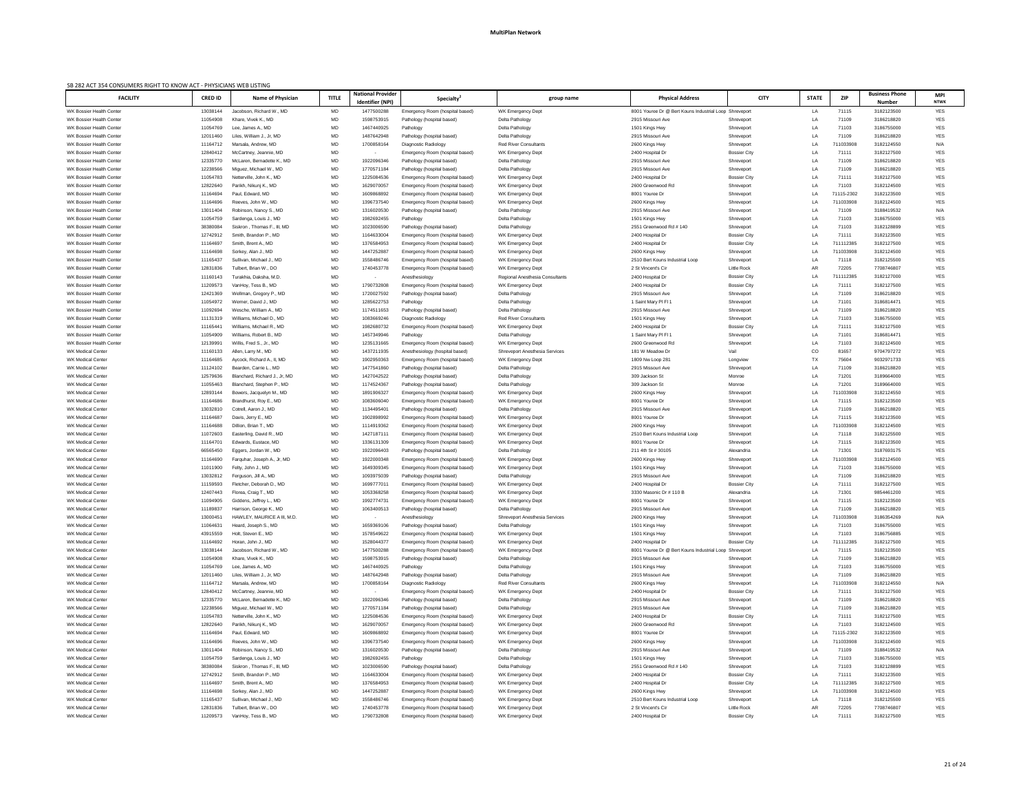| <b>ZIP</b><br><b>FACILITY</b><br><b>TITLE</b><br><b>STATE</b><br><b>CRED ID</b><br><b>Name of Physician</b><br><b>Physical Address</b><br><b>CITY</b><br>Specialty <sup>4</sup><br>group name<br>Identifier (NPI)<br><b>Number</b><br><b>NTWK</b><br>MD<br>YES<br>WK Bossier Health Center<br>Jacobson, Richard W., MD<br>8001 Youree Dr @ Bert Kouns Industrial Loop Shreveport<br>13038144<br>1477500288<br>Emergency Room (hospital based)<br>WK Emergency Dept<br>LA<br>71115<br>3182123500<br>MD<br>1598753915<br>YES<br>WK Bossier Health Center<br>11054908<br>Delta Pathology<br>2915 Missouri Ave<br>LA<br>71109<br>3186218820<br>Khare, Vivek K., MD<br>Pathology (hospital based)<br>Shreveport<br>MD<br>YES<br>WK Bossier Health Center<br>Lee, James A., MD<br>1467440925<br>Pathology<br>Delta Pathology<br>1501 Kings Hwy<br>LA<br>71103<br>3186755000<br>11054769<br>Shreveport<br>MD<br>1487642948<br>71109<br>3186218820<br>YES<br>WK Bossier Health Center<br>12011460<br>Liles, William J., Jr, MD<br>Delta Pathology<br>2915 Missouri Ave<br>LA<br>Pathology (hospital based)<br>Shreveport<br>MD<br>WK Bossier Health Center<br>11164712<br>Marsala, Andrew, MD<br>1700858164<br><b>Red River Consultants</b><br>2600 Kings Hwy<br>LA<br>711033908<br>3182124550<br>N/A<br>Diagnostic Radiology<br>Shreveport<br>MD<br>YES<br>WK Bossier Health Center<br>12840412<br>WK Emergency Dept<br>2400 Hospital Dr<br>LA<br>71111<br>3182127500<br>McCartney, Jeannie, MD<br>Emergency Room (hospital based)<br><b>Bossier City</b><br>MD<br>1922096346<br>2915 Missouri Ave<br>71109<br>3186218820<br>YES<br><b>WK Bossier Health Center</b><br>12335770<br>McLaren, Bernadette K., MD<br>Delta Pathology<br>LA<br>Pathology (hospital based)<br>Shreveport<br>MD<br>YES<br>WK Bossier Health Center<br>12238566<br>Miguez, Michael W., MD<br>1770571184<br>Delta Pathology<br>2915 Missouri Ave<br>LA<br>71109<br>3186218820<br>Pathology (hospital based)<br>Shreveport<br>MD<br>LA<br>YES<br>WK Bossier Health Center<br>11054783<br>Netterville, John K., MD<br>1225084536<br>WK Emergency Dept<br>2400 Hospital Dr<br>71111<br>3182127500<br>Emergency Room (hospital based)<br><b>Bossier City</b><br>MD<br>1629070057<br>LA<br>71103<br>3182124500<br><b>YES</b><br>WK Bossier Health Center<br>12822640<br>Parikh, Nikunj K., MD<br>WK Emergency Dept<br>2600 Greenwood Rd<br>Emergency Room (hospital based)<br>Shreveport<br>MD<br>WK Bossier Health Center<br>11164694<br>Paul, Edward, MD<br>1609868892<br>8001 Youree Dr<br>LA<br>71115-2302<br>3182123500<br>YES<br>Emergency Room (hospital based)<br>WK Emergency Dept<br>Shreveport<br>MD<br>1396737540<br>LA<br>711033908<br>YES<br>WK Bossier Health Center<br>11164696<br>Reeves, John W., MD<br>WK Emergency Dept<br>2600 Kings Hwy<br>3182124500<br>Emergency Room (hospital based)<br>Shreveport<br>MD<br>1316020530<br>71109<br>N/A<br>WK Bossier Health Center<br>13011404<br>Robinson, Nancy S., MD<br>Pathology (hospital based)<br>Delta Pathology<br>2915 Missouri Ave<br>Shreveport<br>LA<br>3188419532<br>MD<br>1982692455<br>YES<br>WK Bossier Health Center<br>11054759<br>Pathology<br>Delta Pathology<br>1501 Kings Hwy<br>LA<br>71103<br>3186755000<br>Sardenga, Louis J., MD<br>Shreveport<br>MD<br>YES<br>WK Bossier Health Center<br>38380084<br>Siskron, Thomas F., III, MD<br>1023006590<br>Delta Pathology<br>2551 Greenwood Rd # 140<br>LA<br>71103<br>3182128899<br>Pathology (hospital based)<br>Shreveport<br>MD<br>WK Bossier Health Center<br>12742912<br>Smith, Brandon P., MD<br>1164633004<br>2400 Hospital Dr<br>LA<br>71111<br>3182123500<br>YES<br>Emergency Room (hospital based)<br>WK Emergency Dept<br><b>Bossier City</b><br>MD<br>YES<br>1376584953<br>LA<br>711112385<br>WK Bossier Health Center<br>11164697<br>Smith, Brent A., MD<br>WK Emergency Dept<br>2400 Hospital Dr<br><b>Bossier City</b><br>3182127500<br>Emergency Room (hospital based)<br>MD<br>YES<br>WK Bossier Health Center<br>11164698<br>Sorkey, Alan J., MD<br>1447252887<br>WK Emergency Dept<br>LA<br>711033908<br>3182124500<br>Emergency Room (hospital based)<br>2600 Kings Hwy<br>Shreveport<br>MD<br>1558486746<br><b>YES</b><br>WK Bossier Health Center<br>LA<br>3182125500<br>11165437<br>Sullivan, Michael J., MD<br>Emergency Room (hospital based)<br>WK Emergency Dept<br>2510 Bert Kouns Industrial Loop<br>71118<br>Shreveport<br>MD<br>72205<br><b>YES</b><br>Tulbert, Brian W., DO<br>2 St Vincent's Cir<br>AR<br>7708746807<br>WK Bossier Health Center<br>12831836<br>1740453778<br>WK Emergency Dept<br>Little Rock<br>Emergency Room (hospital based)<br>MD<br>711112385<br>3182127000<br>YES<br>WK Bossier Health Center<br>11160143<br>Turakhia, Daksha, M.D.<br>2400 Hospital Dr<br><b>Bossier City</b><br>LA<br>Anesthesiology<br>Regional Anesthesia Consultants<br>MD<br><b>YES</b><br>WK Bossier Health Center<br>11209573<br>1790732808<br>VanHoy, Tess B., MD<br>Emergency Room (hospital based)<br>WK Emergency Dept<br>2400 Hospital Dr<br>LA<br>71111<br>3182127500<br><b>Bossier City</b><br><b>YES</b><br>MD<br>1720027592<br>WK Bossier Health Center<br>Delta Pathology<br>2915 Missouri Ave<br>Shreveport<br>LA<br>71109<br>3186218820<br>12421369<br>Wellman, Gregory P., MD<br>Pathology (hospital based)<br>YES<br>MD<br>1285622753<br>Pathology<br>71101<br>3186814471<br>WK Bossier Health Center<br>11054972<br>Werner, David J., MD<br>Delta Pathology<br>LA<br>1 Saint Mary PI FI 1<br>Shreveport<br>MD<br><b>YES</b><br>WK Bossier Health Center<br>11092694<br>Wesche, William A., MD<br>1174511653<br>Delta Pathology<br>2915 Missouri Ave<br>Shreveport<br>LA<br>71109<br>3186218820<br>Pathology (hospital based)<br>MD<br><b>YES</b><br>WK Bossier Health Center<br>Williams, Michael D., MD<br>1083669246<br>Diagnostic Radiology<br><b>Red River Consultants</b><br>1501 Kings Hwy<br>LA<br>71103<br>3186755000<br>11131319<br>Shreveport<br>MD<br>1982680732<br>YES<br>WK Bossier Health Center<br>11165441<br>Williams, Michael R., MD<br>Emergency Room (hospital based)<br>WK Emergency Dept<br>2400 Hospital Dr<br><b>Bossier City</b><br>LA<br>71111<br>3182127500<br>WK Bossier Health Center<br>Williams, Robert B., MD<br>MD<br>1457349946<br>71101<br><b>YES</b><br>11054909<br>Pathology<br>Delta Pathology<br>1 Saint Mary PI FI<br>Shreveport<br>LA<br>3186814471<br><b>MD</b><br>YES.<br>WK Bossier Health Center<br>12139991<br>Willis, Fred S., Jr., MD<br>1235131665<br>WK Emergency Dept<br>2600 Greenwood Rd<br>LA<br>71103<br>3182124500<br>Emergency Room (hospital based)<br>Shreveport<br>MD<br>181 W Meadow Dr<br>Vail<br>CO<br>9704797272<br>YES<br><b>WK Medical Center</b><br>11160133<br>Allen, Larry M., MD<br>1437211935<br><b>Shreveport Anesthesia Services</b><br>81657<br>Anesthesiology (hospital based)<br>MD<br>TX<br>75604<br>YES<br><b>WK Medical Center</b><br>11164685<br>Aycock, Richard A., II, MD<br>1902950363<br>WK Emergency Dept<br>9032971733<br>Emergency Room (hospital based)<br>1809 Nw Loop 281<br>Longview<br>MD<br>YES<br><b>WK Medical Center</b><br>Bearden, Carrie L., MD<br>1477541860<br>Delta Pathology<br>2915 Missouri Ave<br>71109<br>3186218820<br>11124102<br>Shreveport<br>LA<br>Pathology (hospital based)<br>MD<br>YES<br><b>WK Medical Center</b><br>12579636<br>Blanchard, Richard J., Jr, MD<br>1427042522<br>Delta Pathology<br>LA<br>71201<br>Pathology (hospital based)<br>309 Jackson St<br>Monroe<br>3189664000<br>MD<br><b>YES</b><br><b>WK Medical Center</b><br>11055463<br>Blanchard, Stephen P., MD<br>1174524367<br>Delta Pathology<br>309 Jackson St<br>Monroe<br>LA<br>71201<br>Pathology (hospital based)<br>3189664000<br>MD<br>711033908<br>YES<br><b>WK Medical Center</b><br>12893144<br>1891906327<br>WK Emergency Dept<br>2600 Kings Hwy<br>LA<br>3182124550<br>Bowers, Jacquelyn M., MD<br>Emergency Room (hospital based)<br>Shreveport<br><b>WK Medical Center</b><br>11164686<br>MD<br>1083606040<br>8001 Youree Dr<br>LA<br>71115<br>YES<br>Brandhurst, Roy E., MD<br>Emergency Room (hospital based)<br><b>WK Emergency Dept</b><br>Shreveport<br>3182123500<br>MD<br>YES<br><b>WK Medical Center</b><br>13032810<br>1134495401<br>Delta Pathology<br>2915 Missouri Ave<br>LA<br>71109<br>3186218820<br>Cotrell, Aaron J., MD<br>Shreveport<br>Pathology (hospital based)<br>MD<br>YES<br><b>WK Medical Center</b><br>1902898992<br>WK Emergency Dept<br>8001 Youree Dr<br>71115<br>3182123500<br>11164687<br>Davis, Jerry E., MD<br>Emergency Room (hospital based)<br>Shreveport<br>LA<br>MD<br><b>WK Medical Center</b><br>11164688<br>Dillion, Brian T., MD<br>1114919362<br>2600 Kings Hwy<br>LA<br>711033908<br>3182124500<br>YES<br>Emergency Room (hospital based)<br>WK Emergency Dept<br>Shreveport<br>MD<br>YES<br><b>WK Medical Center</b><br>11072603<br>1427187111<br>WK Emergency Dept<br>2510 Bert Kouns Industrial Loop<br>LA<br>3182125500<br>Easterling, David R., MD<br>Emergency Room (hospital based)<br>Shreveport<br>71118<br>YES<br><b>WK Medical Center</b><br>11164701<br>MD<br>1336131309<br>8001 Youree Dr<br>LA<br>71115<br>3182123500<br>Edwards, Eustace, MD<br>Emergency Room (hospital based)<br>WK Emergency Dept<br>Shreveport<br>MD<br><b>WK Medical Center</b><br>66565450<br>1922096403<br>Delta Pathology<br>211 4th St # 30105<br>LA<br>71301<br>3187693175<br>YES<br>Eggers, Jordan W., MD<br>Pathology (hospital based)<br>Alexandria<br>MD<br><b>WK Medical Center</b><br>11164690<br>1922000348<br>WK Emergency Dept<br>711033908<br>3182124500<br>YES<br>Farquhar, Joseph A., Jr, MD<br>Emergency Room (hospital based)<br>2600 Kings Hwy<br>Shreveport<br>LA<br>MD<br>YES<br><b>WK Medical Center</b><br>11011900<br>1649309345<br>1501 Kings Hwy<br>LA<br>71103<br>3186755000<br>Felty, John J., MD<br>Emergency Room (hospital based)<br>WK Emergency Dept<br>Shreveport<br>MD<br>YES<br><b>WK Medical Center</b><br>13032812<br>Ferguson, Jill A., MD<br>1093975039<br>Delta Pathology<br>2915 Missouri Ave<br>LA<br>71109<br>3186218820<br>Pathology (hospital based)<br>Shreveport<br>MD<br><b>WK Medical Center</b><br>11159593<br>Fletcher, Deborah D., MD<br>169977701<br>WK Emergency Dept<br>2400 Hospital Dr<br><b>Bossier City</b><br>LA<br>71111<br>3182127500<br>YES<br>Emergency Room (hospital based)<br>MD<br>YES<br><b>WK Medical Center</b><br>12407443<br>Florea, Craig T., MD<br>1053368258<br>3330 Masonic Dr # 110 B<br>LA<br>71301<br>9854461200<br>Emergency Room (hospital based)<br>WK Emergency Dept<br>Alexandria<br><b>WK Medical Center</b><br>11094905<br>MD<br>1992774731<br>WK Emergency Dept<br>8001 Youree Dr<br>LA<br>71115<br>YES<br>Giddens, Jeffrey L., MD<br>Emergency Room (hospital based)<br>Shreveport<br>3182123500<br>MD<br>71109<br>3186218820<br>YES<br><b>WK Medical Center</b><br>11189837<br>1063400513<br>Delta Pathology<br>2915 Missouri Ave<br>LA<br>Harrison, George K., MD<br>Pathology (hospital based)<br>Shreveport<br>HAWLEY, MAURICE A III, M.D.<br>MD<br>711033908<br><b>WK Medical Center</b><br>1300045<br>2600 Kings Hwy<br>LA<br>3186354269<br>N/A<br><b>Shreveport Anesthesia Services</b><br>Shreveport<br>Anesthesiology<br>MD<br>YES<br><b>WK Medical Center</b><br>11064631<br>Heard, Joseph S., MD<br>1659369106<br>Delta Pathology<br>1501 Kings Hwy<br>LA<br>71103<br>3186755000<br>Pathology (hospital based)<br>Shreveport<br>43915559<br>Holt, Steven E., MD<br>MD<br>1578549622<br>71103<br>3186756885<br>YES<br><b>WK Medical Center</b><br>WK Emergency Dept<br>1501 Kings Hwy<br>LA<br>Emergency Room (hospital based)<br>Shreveport<br>11164692<br><b>WK Medical Center</b><br>Horan, John J., MD<br>MD<br>1528044377<br>LA<br>711112385<br>3182127500<br>YES<br>Emergency Room (hospital based)<br><b>WK Emergency Dept</b><br>2400 Hospital Dr<br><b>Bossier City</b><br>MD<br>1477500288<br>YES<br><b>WK Medical Center</b><br>13038144<br>Jacobson, Richard W., MD<br>WK Emergency Dept<br>8001 Youree Dr @ Bert Kouns Industrial Loop Shreveport<br>LA<br>71115<br>3182123500<br>Emergency Room (hospital based)<br>MD<br>1598753915<br>3186218820<br>YES<br><b>WK Medical Center</b><br>11054908<br>Pathology (hospital based)<br>Delta Pathology<br>2915 Missouri Ave<br>LA<br>71109<br>Khare, Vivek K., MD<br>Shreveport<br>11054769<br>MD<br>1467440925<br>YES<br><b>WK Medical Center</b><br>Lee, James A., MD<br>Pathology<br>Delta Pathology<br>1501 Kings Hwy<br>Shreveport<br>LA<br>71103<br>3186755000<br>MD<br>1487642948<br>LA<br>71109<br>3186218820<br><b>YES</b><br><b>WK Medical Center</b><br>12011460<br>Liles, William J., Jr, MD<br>Delta Pathology<br>2915 Missouri Ave<br>Pathology (hospital based)<br>Shreveport<br><b>WK Medical Center</b><br>11164712<br>MD<br>1700858164<br>711033908<br>3182124550<br>N/A<br>Marsala, Andrew, MD<br>Diagnostic Radiology<br><b>Red River Consultants</b><br>2600 Kings Hwy<br>LA<br>Shreveport<br>MD<br>YES<br><b>WK Medical Center</b><br>12840412<br>WK Emergency Dept<br>2400 Hospital Dr<br>LA<br>71111<br>3182127500<br>McCartney, Jeannie, MD<br>Emergency Room (hospital based)<br><b>Bossier City</b><br>MD<br><b>WK Medical Center</b><br>LA<br>71109<br>3186218820<br><b>YES</b><br>12335770<br>McLaren, Bernadette K., MD<br>1922096346<br>Delta Pathology<br>2915 Missouri Ave<br>Pathology (hospital based)<br>Shreveport<br>12238566<br>Miguez, Michael W., MD<br>MD<br>1770571184<br>Delta Pathology<br>71109<br>3186218820<br>YES.<br><b>WK Medical Center</b><br>Pathology (hospital based)<br>2915 Missouri Ave<br>Shreveport<br>LA<br>YES<br>MD<br>3182127500<br><b>WK Medical Center</b><br>11054783<br>Netterville, John K., MD<br>1225084536<br>WK Emergency Dept<br>2400 Hospital Dr<br><b>Bossier City</b><br>LA<br>71111<br>Emergency Room (hospital based)<br>MD<br>1629070057<br>YES<br><b>WK Medical Center</b><br>12822640<br>Parikh, Nikunj K., MD<br>WK Emergency Dept<br>2600 Greenwood Rd<br>LA<br>71103<br>3182124500<br>Emergency Room (hospital based)<br>Shreveport<br><b>YES</b><br>MD<br>LA<br>71115-2302<br>3182123500<br><b>WK Medical Center</b><br>11164694<br>Paul, Edward, MD<br>1609868892<br>WK Emergency Dept<br>8001 Youree Dr<br>Emergency Room (hospital based)<br>Shreveport<br><b>WK Medical Center</b><br>MD<br>YES<br>11164696<br>Reeves, John W., MD<br>1396737540<br>WK Emergency Dept<br>2600 Kings Hwy<br>Shreveport<br>LA<br>711033908<br>3182124500<br>Emergency Room (hospital based)<br>MD<br>3188419532<br>N/A<br><b>WK Medical Center</b><br>1316020530<br>Delta Pathology<br>2915 Missouri Ave<br>LA<br>71109<br>13011404<br>Robinson, Nancy S., MD<br>Pathology (hospital based)<br>Shreveport<br><b>YES</b><br>MD<br>1982692455<br>Delta Pathology<br><b>WK Medical Center</b><br>11054759<br>1501 Kings Hwy<br>LA<br>71103<br>3186755000<br>Sardenga, Louis J., MD<br>Pathology<br>Shreveport<br>MD<br>Delta Pathology<br>YES<br><b>WK Medical Center</b><br>38380084<br>Siskron, Thomas F., III, MD<br>1023006590<br>2551 Greenwood Rd # 140<br>LA<br>71103<br>3182128899<br>Pathology (hospital based)<br>Shreveport<br>YES<br>MD<br><b>WK Medical Center</b><br>1164633004<br>WK Emergency Dept<br>2400 Hospital Dr<br><b>Bossier City</b><br>LA<br>71111<br>3182123500<br>12742912<br>Smith, Brandon P., MD<br>Emergency Room (hospital based)<br>MD<br>LA<br>YES<br><b>WK Medical Center</b><br>11164697<br>Smith, Brent A., MD<br>1376584953<br>WK Emergency Dept<br>2400 Hospital Dr<br>711112385<br>3182127500<br>Emergency Room (hospital based)<br><b>Bossier City</b><br>MD<br>YES<br><b>WK Medical Center</b><br>11164698<br>1447252887<br>WK Emergency Dept<br>2600 Kings Hwy<br>LA<br>711033908<br>3182124500<br>Sorkey, Alan J., MD<br>Emergency Room (hospital based)<br>Shreveport<br>MD<br>YES<br><b>WK Medical Center</b><br>11165437<br>Sullivan, Michael J., MD<br>1558486746<br>WK Emergency Dept<br>2510 Bert Kouns Industrial Loop<br>3182125500<br>Emergency Room (hospital based)<br>Shreveport<br>LA<br>71118<br>MD<br>1740453778<br><b>AR</b><br>7708746807<br>YES<br><b>WK Medical Center</b><br>12831836<br>Tulbert, Brian W., DO<br>WK Emergency Dept<br>2 St Vincent's Cir<br>Little Rock<br>72205<br>Emergency Room (hospital based)<br>MD<br>YES<br><b>WK Medical Center</b><br>VanHoy, Tess B., MD<br>WK Emergency Dept<br>LA<br>71111<br>11209573<br>1790732808<br>Emergency Room (hospital based)<br>2400 Hospital Dr<br><b>Bossier City</b><br>3182127500 | SB 282 ACT 354 CONSUMERS RIGHT TO KNOW ACT - PHYSICIANS WEB LISTING |  |                          |  |  |  |                       |            |
|----------------------------------------------------------------------------------------------------------------------------------------------------------------------------------------------------------------------------------------------------------------------------------------------------------------------------------------------------------------------------------------------------------------------------------------------------------------------------------------------------------------------------------------------------------------------------------------------------------------------------------------------------------------------------------------------------------------------------------------------------------------------------------------------------------------------------------------------------------------------------------------------------------------------------------------------------------------------------------------------------------------------------------------------------------------------------------------------------------------------------------------------------------------------------------------------------------------------------------------------------------------------------------------------------------------------------------------------------------------------------------------------------------------------------------------------------------------------------------------------------------------------------------------------------------------------------------------------------------------------------------------------------------------------------------------------------------------------------------------------------------------------------------------------------------------------------------------------------------------------------------------------------------------------------------------------------------------------------------------------------------------------------------------------------------------------------------------------------------------------------------------------------------------------------------------------------------------------------------------------------------------------------------------------------------------------------------------------------------------------------------------------------------------------------------------------------------------------------------------------------------------------------------------------------------------------------------------------------------------------------------------------------------------------------------------------------------------------------------------------------------------------------------------------------------------------------------------------------------------------------------------------------------------------------------------------------------------------------------------------------------------------------------------------------------------------------------------------------------------------------------------------------------------------------------------------------------------------------------------------------------------------------------------------------------------------------------------------------------------------------------------------------------------------------------------------------------------------------------------------------------------------------------------------------------------------------------------------------------------------------------------------------------------------------------------------------------------------------------------------------------------------------------------------------------------------------------------------------------------------------------------------------------------------------------------------------------------------------------------------------------------------------------------------------------------------------------------------------------------------------------------------------------------------------------------------------------------------------------------------------------------------------------------------------------------------------------------------------------------------------------------------------------------------------------------------------------------------------------------------------------------------------------------------------------------------------------------------------------------------------------------------------------------------------------------------------------------------------------------------------------------------------------------------------------------------------------------------------------------------------------------------------------------------------------------------------------------------------------------------------------------------------------------------------------------------------------------------------------------------------------------------------------------------------------------------------------------------------------------------------------------------------------------------------------------------------------------------------------------------------------------------------------------------------------------------------------------------------------------------------------------------------------------------------------------------------------------------------------------------------------------------------------------------------------------------------------------------------------------------------------------------------------------------------------------------------------------------------------------------------------------------------------------------------------------------------------------------------------------------------------------------------------------------------------------------------------------------------------------------------------------------------------------------------------------------------------------------------------------------------------------------------------------------------------------------------------------------------------------------------------------------------------------------------------------------------------------------------------------------------------------------------------------------------------------------------------------------------------------------------------------------------------------------------------------------------------------------------------------------------------------------------------------------------------------------------------------------------------------------------------------------------------------------------------------------------------------------------------------------------------------------------------------------------------------------------------------------------------------------------------------------------------------------------------------------------------------------------------------------------------------------------------------------------------------------------------------------------------------------------------------------------------------------------------------------------------------------------------------------------------------------------------------------------------------------------------------------------------------------------------------------------------------------------------------------------------------------------------------------------------------------------------------------------------------------------------------------------------------------------------------------------------------------------------------------------------------------------------------------------------------------------------------------------------------------------------------------------------------------------------------------------------------------------------------------------------------------------------------------------------------------------------------------------------------------------------------------------------------------------------------------------------------------------------------------------------------------------------------------------------------------------------------------------------------------------------------------------------------------------------------------------------------------------------------------------------------------------------------------------------------------------------------------------------------------------------------------------------------------------------------------------------------------------------------------------------------------------------------------------------------------------------------------------------------------------------------------------------------------------------------------------------------------------------------------------------------------------------------------------------------------------------------------------------------------------------------------------------------------------------------------------------------------------------------------------------------------------------------------------------------------------------------------------------------------------------------------------------------------------------------------------------------------------------------------------------------------------------------------------------------------------------------------------------------------------------------------------------------------------------------------------------------------------------------------------------------------------------------------------------------------------------------------------------------------------------------------------------------------------------------------------------------------------------------------------------------------------------------------------------------------------------------------------------------------------------------------------------------------------------------------------------------------------------------------------------------------------------------------------------------------------------------------------------------------------------------------------------------------------------------------------------------------------------------------------------------------------------------------------------------------------------------------------------------------------------------------------------------------------------------------------------------------------------------------------------------------------------------------------------------------------------------------------------------------------------------------------------------------------------------------------------------------------------------------------------------------------------------------------------------------------------------------------------------------------------------------------------------------------------------------------------------------------------------------------------------------------------------------------------------------------------------------------------------------------------------------------------------------------------------------------------------------------------------------------------------------------------------------------------------------------------------------------------------------------------------------------------------------------------------------------------------------------------------------------------------------------------------------------------------------------------------------------------------------------------------------------------------------------------------------------------------------------------------------------------------------------------------------------------------------------------------------------------------------------------------------------------------------------------------------------------------------------------------------------------------------------------------------------------------------------------------------------------------------------------------------------------------------------------------------------------------------------------------------------------------------------------------------------------------------------------------------------------------------------------------------------------------------------------------------------------------------------------------------------------------------------------------------------------------------------------------------------------------------------------------------------------------------------------------------------------------------------------------------------------------------------------------------------------------------------------------------------------------------------------------------------------------------------------------------------------------------------------------------------------------------------------------------------------------------------------------------------------------------------------------------------------------------------------------------------------------------------------------------------------------------------------------------------------------------------------------------------------------------------------------------------------------------------------------------------------------------------------------------------------------------------------------------------------------------------------------------------------------------------------------------------------------------------------------------------------------------------------------------------------------------------------------------------------------------------------------------------------------------------------------------------------------------------------------------------------------------------------------------------------------------------------------------------------------------------------------------------------------------------------------------------------------------------------------------------------------------------------------------------------------------------------------------------------------------------------------------------------------------------------------------------------------------------------------------------------------------------------------------------------------------------------------------------------------------------------------------------------------------------------------------------------------------------------------------------------------------------------------------------------------------------------------------------------------------------------------------------------------------------------------------------------------------------------------------------------------------------------------------------------------------------------------------------------------------------------------------------------------------------------------------------------------------------------------------------------------------------------------------------------------------------------------------------------------------------------------------------------------------------------------------------------------------------------------------------------------------------------------------------------------------------------------------------------------------------------------------------------------------------------------------------------------------------------------------------------------------------------------------------------------------------------------------------------------------------------------------------------------------------------------------------------------------------------------------------------------------------------------------------------------------------------------------------------------------------------------------------------------------------------------------------------------------------------------|---------------------------------------------------------------------|--|--------------------------|--|--|--|-----------------------|------------|
|                                                                                                                                                                                                                                                                                                                                                                                                                                                                                                                                                                                                                                                                                                                                                                                                                                                                                                                                                                                                                                                                                                                                                                                                                                                                                                                                                                                                                                                                                                                                                                                                                                                                                                                                                                                                                                                                                                                                                                                                                                                                                                                                                                                                                                                                                                                                                                                                                                                                                                                                                                                                                                                                                                                                                                                                                                                                                                                                                                                                                                                                                                                                                                                                                                                                                                                                                                                                                                                                                                                                                                                                                                                                                                                                                                                                                                                                                                                                                                                                                                                                                                                                                                                                                                                                                                                                                                                                                                                                                                                                                                                                                                                                                                                                                                                                                                                                                                                                                                                                                                                                                                                                                                                                                                                                                                                                                                                                                                                                                                                                                                                                                                                                                                                                                                                                                                                                                                                                                                                                                                                                                                                                                                                                                                                                                                                                                                                                                                                                                                                                                                                                                                                                                                                                                                                                                                                                                                                                                                                                                                                                                                                                                                                                                                                                                                                                                                                                                                                                                                                                                                                                                                                                                                                                                                                                                                                                                                                                                                                                                                                                                                                                                                                                                                                                                                                                                                                                                                                                                                                                                                                                                                                                                                                                                                                                                                                                                                                                                                                                                                                                                                                                                                                                                                                                                                                                                                                                                                                                                                                                                                                                                                                                                                                                                                                                                                                                                                                                                                                                                                                                                                                                                                                                                                                                                                                                                                                                                                                                                                                                                                                                                                                                                                                                                                                                                                                                                                                                                                                                                                                                                                                                                                                                                                                                                                                                                                                                                                                                                                                                                                                                                                                                                                                                                                                                                                                                                                                                                                                                                                                                                                                                                                                                                                                                                                                                                                                                                                                                                                                                                                                                                                                                                                                                                                                                                                                                                                                                                                                                                                                                                                                                                                                                                                                                                                                                                                                                                                                                                                                                                                                                                                                                                                                                                                                                                                                                                                                                                                                                                                                                                                                                                                                                                                                                                                                                                                                                                                                                                                                                                                                                                                                                                                                                                                                                                                                                                                                                                                                                                                                                                                                                                                                                                                                                                                                                                                                                                                                                                                                                                                                                                                                                                                                                                                                                                                                                                                                                                                                                                                                                                                                                                                                                                                                                                                                                                                                                                                                                                                                                                                                                                                        |                                                                     |  | <b>National Provider</b> |  |  |  | <b>Business Phone</b> | <b>MPI</b> |
|                                                                                                                                                                                                                                                                                                                                                                                                                                                                                                                                                                                                                                                                                                                                                                                                                                                                                                                                                                                                                                                                                                                                                                                                                                                                                                                                                                                                                                                                                                                                                                                                                                                                                                                                                                                                                                                                                                                                                                                                                                                                                                                                                                                                                                                                                                                                                                                                                                                                                                                                                                                                                                                                                                                                                                                                                                                                                                                                                                                                                                                                                                                                                                                                                                                                                                                                                                                                                                                                                                                                                                                                                                                                                                                                                                                                                                                                                                                                                                                                                                                                                                                                                                                                                                                                                                                                                                                                                                                                                                                                                                                                                                                                                                                                                                                                                                                                                                                                                                                                                                                                                                                                                                                                                                                                                                                                                                                                                                                                                                                                                                                                                                                                                                                                                                                                                                                                                                                                                                                                                                                                                                                                                                                                                                                                                                                                                                                                                                                                                                                                                                                                                                                                                                                                                                                                                                                                                                                                                                                                                                                                                                                                                                                                                                                                                                                                                                                                                                                                                                                                                                                                                                                                                                                                                                                                                                                                                                                                                                                                                                                                                                                                                                                                                                                                                                                                                                                                                                                                                                                                                                                                                                                                                                                                                                                                                                                                                                                                                                                                                                                                                                                                                                                                                                                                                                                                                                                                                                                                                                                                                                                                                                                                                                                                                                                                                                                                                                                                                                                                                                                                                                                                                                                                                                                                                                                                                                                                                                                                                                                                                                                                                                                                                                                                                                                                                                                                                                                                                                                                                                                                                                                                                                                                                                                                                                                                                                                                                                                                                                                                                                                                                                                                                                                                                                                                                                                                                                                                                                                                                                                                                                                                                                                                                                                                                                                                                                                                                                                                                                                                                                                                                                                                                                                                                                                                                                                                                                                                                                                                                                                                                                                                                                                                                                                                                                                                                                                                                                                                                                                                                                                                                                                                                                                                                                                                                                                                                                                                                                                                                                                                                                                                                                                                                                                                                                                                                                                                                                                                                                                                                                                                                                                                                                                                                                                                                                                                                                                                                                                                                                                                                                                                                                                                                                                                                                                                                                                                                                                                                                                                                                                                                                                                                                                                                                                                                                                                                                                                                                                                                                                                                                                                                                                                                                                                                                                                                                                                                                                                                                                                                                                                                                        |                                                                     |  |                          |  |  |  |                       |            |
|                                                                                                                                                                                                                                                                                                                                                                                                                                                                                                                                                                                                                                                                                                                                                                                                                                                                                                                                                                                                                                                                                                                                                                                                                                                                                                                                                                                                                                                                                                                                                                                                                                                                                                                                                                                                                                                                                                                                                                                                                                                                                                                                                                                                                                                                                                                                                                                                                                                                                                                                                                                                                                                                                                                                                                                                                                                                                                                                                                                                                                                                                                                                                                                                                                                                                                                                                                                                                                                                                                                                                                                                                                                                                                                                                                                                                                                                                                                                                                                                                                                                                                                                                                                                                                                                                                                                                                                                                                                                                                                                                                                                                                                                                                                                                                                                                                                                                                                                                                                                                                                                                                                                                                                                                                                                                                                                                                                                                                                                                                                                                                                                                                                                                                                                                                                                                                                                                                                                                                                                                                                                                                                                                                                                                                                                                                                                                                                                                                                                                                                                                                                                                                                                                                                                                                                                                                                                                                                                                                                                                                                                                                                                                                                                                                                                                                                                                                                                                                                                                                                                                                                                                                                                                                                                                                                                                                                                                                                                                                                                                                                                                                                                                                                                                                                                                                                                                                                                                                                                                                                                                                                                                                                                                                                                                                                                                                                                                                                                                                                                                                                                                                                                                                                                                                                                                                                                                                                                                                                                                                                                                                                                                                                                                                                                                                                                                                                                                                                                                                                                                                                                                                                                                                                                                                                                                                                                                                                                                                                                                                                                                                                                                                                                                                                                                                                                                                                                                                                                                                                                                                                                                                                                                                                                                                                                                                                                                                                                                                                                                                                                                                                                                                                                                                                                                                                                                                                                                                                                                                                                                                                                                                                                                                                                                                                                                                                                                                                                                                                                                                                                                                                                                                                                                                                                                                                                                                                                                                                                                                                                                                                                                                                                                                                                                                                                                                                                                                                                                                                                                                                                                                                                                                                                                                                                                                                                                                                                                                                                                                                                                                                                                                                                                                                                                                                                                                                                                                                                                                                                                                                                                                                                                                                                                                                                                                                                                                                                                                                                                                                                                                                                                                                                                                                                                                                                                                                                                                                                                                                                                                                                                                                                                                                                                                                                                                                                                                                                                                                                                                                                                                                                                                                                                                                                                                                                                                                                                                                                                                                                                                                                                                                                                                        |                                                                     |  |                          |  |  |  |                       |            |
|                                                                                                                                                                                                                                                                                                                                                                                                                                                                                                                                                                                                                                                                                                                                                                                                                                                                                                                                                                                                                                                                                                                                                                                                                                                                                                                                                                                                                                                                                                                                                                                                                                                                                                                                                                                                                                                                                                                                                                                                                                                                                                                                                                                                                                                                                                                                                                                                                                                                                                                                                                                                                                                                                                                                                                                                                                                                                                                                                                                                                                                                                                                                                                                                                                                                                                                                                                                                                                                                                                                                                                                                                                                                                                                                                                                                                                                                                                                                                                                                                                                                                                                                                                                                                                                                                                                                                                                                                                                                                                                                                                                                                                                                                                                                                                                                                                                                                                                                                                                                                                                                                                                                                                                                                                                                                                                                                                                                                                                                                                                                                                                                                                                                                                                                                                                                                                                                                                                                                                                                                                                                                                                                                                                                                                                                                                                                                                                                                                                                                                                                                                                                                                                                                                                                                                                                                                                                                                                                                                                                                                                                                                                                                                                                                                                                                                                                                                                                                                                                                                                                                                                                                                                                                                                                                                                                                                                                                                                                                                                                                                                                                                                                                                                                                                                                                                                                                                                                                                                                                                                                                                                                                                                                                                                                                                                                                                                                                                                                                                                                                                                                                                                                                                                                                                                                                                                                                                                                                                                                                                                                                                                                                                                                                                                                                                                                                                                                                                                                                                                                                                                                                                                                                                                                                                                                                                                                                                                                                                                                                                                                                                                                                                                                                                                                                                                                                                                                                                                                                                                                                                                                                                                                                                                                                                                                                                                                                                                                                                                                                                                                                                                                                                                                                                                                                                                                                                                                                                                                                                                                                                                                                                                                                                                                                                                                                                                                                                                                                                                                                                                                                                                                                                                                                                                                                                                                                                                                                                                                                                                                                                                                                                                                                                                                                                                                                                                                                                                                                                                                                                                                                                                                                                                                                                                                                                                                                                                                                                                                                                                                                                                                                                                                                                                                                                                                                                                                                                                                                                                                                                                                                                                                                                                                                                                                                                                                                                                                                                                                                                                                                                                                                                                                                                                                                                                                                                                                                                                                                                                                                                                                                                                                                                                                                                                                                                                                                                                                                                                                                                                                                                                                                                                                                                                                                                                                                                                                                                                                                                                                                                                                                                                                                                        |                                                                     |  |                          |  |  |  |                       |            |
|                                                                                                                                                                                                                                                                                                                                                                                                                                                                                                                                                                                                                                                                                                                                                                                                                                                                                                                                                                                                                                                                                                                                                                                                                                                                                                                                                                                                                                                                                                                                                                                                                                                                                                                                                                                                                                                                                                                                                                                                                                                                                                                                                                                                                                                                                                                                                                                                                                                                                                                                                                                                                                                                                                                                                                                                                                                                                                                                                                                                                                                                                                                                                                                                                                                                                                                                                                                                                                                                                                                                                                                                                                                                                                                                                                                                                                                                                                                                                                                                                                                                                                                                                                                                                                                                                                                                                                                                                                                                                                                                                                                                                                                                                                                                                                                                                                                                                                                                                                                                                                                                                                                                                                                                                                                                                                                                                                                                                                                                                                                                                                                                                                                                                                                                                                                                                                                                                                                                                                                                                                                                                                                                                                                                                                                                                                                                                                                                                                                                                                                                                                                                                                                                                                                                                                                                                                                                                                                                                                                                                                                                                                                                                                                                                                                                                                                                                                                                                                                                                                                                                                                                                                                                                                                                                                                                                                                                                                                                                                                                                                                                                                                                                                                                                                                                                                                                                                                                                                                                                                                                                                                                                                                                                                                                                                                                                                                                                                                                                                                                                                                                                                                                                                                                                                                                                                                                                                                                                                                                                                                                                                                                                                                                                                                                                                                                                                                                                                                                                                                                                                                                                                                                                                                                                                                                                                                                                                                                                                                                                                                                                                                                                                                                                                                                                                                                                                                                                                                                                                                                                                                                                                                                                                                                                                                                                                                                                                                                                                                                                                                                                                                                                                                                                                                                                                                                                                                                                                                                                                                                                                                                                                                                                                                                                                                                                                                                                                                                                                                                                                                                                                                                                                                                                                                                                                                                                                                                                                                                                                                                                                                                                                                                                                                                                                                                                                                                                                                                                                                                                                                                                                                                                                                                                                                                                                                                                                                                                                                                                                                                                                                                                                                                                                                                                                                                                                                                                                                                                                                                                                                                                                                                                                                                                                                                                                                                                                                                                                                                                                                                                                                                                                                                                                                                                                                                                                                                                                                                                                                                                                                                                                                                                                                                                                                                                                                                                                                                                                                                                                                                                                                                                                                                                                                                                                                                                                                                                                                                                                                                                                                                                                                                                                        |                                                                     |  |                          |  |  |  |                       |            |
|                                                                                                                                                                                                                                                                                                                                                                                                                                                                                                                                                                                                                                                                                                                                                                                                                                                                                                                                                                                                                                                                                                                                                                                                                                                                                                                                                                                                                                                                                                                                                                                                                                                                                                                                                                                                                                                                                                                                                                                                                                                                                                                                                                                                                                                                                                                                                                                                                                                                                                                                                                                                                                                                                                                                                                                                                                                                                                                                                                                                                                                                                                                                                                                                                                                                                                                                                                                                                                                                                                                                                                                                                                                                                                                                                                                                                                                                                                                                                                                                                                                                                                                                                                                                                                                                                                                                                                                                                                                                                                                                                                                                                                                                                                                                                                                                                                                                                                                                                                                                                                                                                                                                                                                                                                                                                                                                                                                                                                                                                                                                                                                                                                                                                                                                                                                                                                                                                                                                                                                                                                                                                                                                                                                                                                                                                                                                                                                                                                                                                                                                                                                                                                                                                                                                                                                                                                                                                                                                                                                                                                                                                                                                                                                                                                                                                                                                                                                                                                                                                                                                                                                                                                                                                                                                                                                                                                                                                                                                                                                                                                                                                                                                                                                                                                                                                                                                                                                                                                                                                                                                                                                                                                                                                                                                                                                                                                                                                                                                                                                                                                                                                                                                                                                                                                                                                                                                                                                                                                                                                                                                                                                                                                                                                                                                                                                                                                                                                                                                                                                                                                                                                                                                                                                                                                                                                                                                                                                                                                                                                                                                                                                                                                                                                                                                                                                                                                                                                                                                                                                                                                                                                                                                                                                                                                                                                                                                                                                                                                                                                                                                                                                                                                                                                                                                                                                                                                                                                                                                                                                                                                                                                                                                                                                                                                                                                                                                                                                                                                                                                                                                                                                                                                                                                                                                                                                                                                                                                                                                                                                                                                                                                                                                                                                                                                                                                                                                                                                                                                                                                                                                                                                                                                                                                                                                                                                                                                                                                                                                                                                                                                                                                                                                                                                                                                                                                                                                                                                                                                                                                                                                                                                                                                                                                                                                                                                                                                                                                                                                                                                                                                                                                                                                                                                                                                                                                                                                                                                                                                                                                                                                                                                                                                                                                                                                                                                                                                                                                                                                                                                                                                                                                                                                                                                                                                                                                                                                                                                                                                                                                                                                                                                                                                        |                                                                     |  |                          |  |  |  |                       |            |
|                                                                                                                                                                                                                                                                                                                                                                                                                                                                                                                                                                                                                                                                                                                                                                                                                                                                                                                                                                                                                                                                                                                                                                                                                                                                                                                                                                                                                                                                                                                                                                                                                                                                                                                                                                                                                                                                                                                                                                                                                                                                                                                                                                                                                                                                                                                                                                                                                                                                                                                                                                                                                                                                                                                                                                                                                                                                                                                                                                                                                                                                                                                                                                                                                                                                                                                                                                                                                                                                                                                                                                                                                                                                                                                                                                                                                                                                                                                                                                                                                                                                                                                                                                                                                                                                                                                                                                                                                                                                                                                                                                                                                                                                                                                                                                                                                                                                                                                                                                                                                                                                                                                                                                                                                                                                                                                                                                                                                                                                                                                                                                                                                                                                                                                                                                                                                                                                                                                                                                                                                                                                                                                                                                                                                                                                                                                                                                                                                                                                                                                                                                                                                                                                                                                                                                                                                                                                                                                                                                                                                                                                                                                                                                                                                                                                                                                                                                                                                                                                                                                                                                                                                                                                                                                                                                                                                                                                                                                                                                                                                                                                                                                                                                                                                                                                                                                                                                                                                                                                                                                                                                                                                                                                                                                                                                                                                                                                                                                                                                                                                                                                                                                                                                                                                                                                                                                                                                                                                                                                                                                                                                                                                                                                                                                                                                                                                                                                                                                                                                                                                                                                                                                                                                                                                                                                                                                                                                                                                                                                                                                                                                                                                                                                                                                                                                                                                                                                                                                                                                                                                                                                                                                                                                                                                                                                                                                                                                                                                                                                                                                                                                                                                                                                                                                                                                                                                                                                                                                                                                                                                                                                                                                                                                                                                                                                                                                                                                                                                                                                                                                                                                                                                                                                                                                                                                                                                                                                                                                                                                                                                                                                                                                                                                                                                                                                                                                                                                                                                                                                                                                                                                                                                                                                                                                                                                                                                                                                                                                                                                                                                                                                                                                                                                                                                                                                                                                                                                                                                                                                                                                                                                                                                                                                                                                                                                                                                                                                                                                                                                                                                                                                                                                                                                                                                                                                                                                                                                                                                                                                                                                                                                                                                                                                                                                                                                                                                                                                                                                                                                                                                                                                                                                                                                                                                                                                                                                                                                                                                                                                                                                                                                                                                                        |                                                                     |  |                          |  |  |  |                       |            |
|                                                                                                                                                                                                                                                                                                                                                                                                                                                                                                                                                                                                                                                                                                                                                                                                                                                                                                                                                                                                                                                                                                                                                                                                                                                                                                                                                                                                                                                                                                                                                                                                                                                                                                                                                                                                                                                                                                                                                                                                                                                                                                                                                                                                                                                                                                                                                                                                                                                                                                                                                                                                                                                                                                                                                                                                                                                                                                                                                                                                                                                                                                                                                                                                                                                                                                                                                                                                                                                                                                                                                                                                                                                                                                                                                                                                                                                                                                                                                                                                                                                                                                                                                                                                                                                                                                                                                                                                                                                                                                                                                                                                                                                                                                                                                                                                                                                                                                                                                                                                                                                                                                                                                                                                                                                                                                                                                                                                                                                                                                                                                                                                                                                                                                                                                                                                                                                                                                                                                                                                                                                                                                                                                                                                                                                                                                                                                                                                                                                                                                                                                                                                                                                                                                                                                                                                                                                                                                                                                                                                                                                                                                                                                                                                                                                                                                                                                                                                                                                                                                                                                                                                                                                                                                                                                                                                                                                                                                                                                                                                                                                                                                                                                                                                                                                                                                                                                                                                                                                                                                                                                                                                                                                                                                                                                                                                                                                                                                                                                                                                                                                                                                                                                                                                                                                                                                                                                                                                                                                                                                                                                                                                                                                                                                                                                                                                                                                                                                                                                                                                                                                                                                                                                                                                                                                                                                                                                                                                                                                                                                                                                                                                                                                                                                                                                                                                                                                                                                                                                                                                                                                                                                                                                                                                                                                                                                                                                                                                                                                                                                                                                                                                                                                                                                                                                                                                                                                                                                                                                                                                                                                                                                                                                                                                                                                                                                                                                                                                                                                                                                                                                                                                                                                                                                                                                                                                                                                                                                                                                                                                                                                                                                                                                                                                                                                                                                                                                                                                                                                                                                                                                                                                                                                                                                                                                                                                                                                                                                                                                                                                                                                                                                                                                                                                                                                                                                                                                                                                                                                                                                                                                                                                                                                                                                                                                                                                                                                                                                                                                                                                                                                                                                                                                                                                                                                                                                                                                                                                                                                                                                                                                                                                                                                                                                                                                                                                                                                                                                                                                                                                                                                                                                                                                                                                                                                                                                                                                                                                                                                                                                                                                                                                                                        |                                                                     |  |                          |  |  |  |                       |            |
|                                                                                                                                                                                                                                                                                                                                                                                                                                                                                                                                                                                                                                                                                                                                                                                                                                                                                                                                                                                                                                                                                                                                                                                                                                                                                                                                                                                                                                                                                                                                                                                                                                                                                                                                                                                                                                                                                                                                                                                                                                                                                                                                                                                                                                                                                                                                                                                                                                                                                                                                                                                                                                                                                                                                                                                                                                                                                                                                                                                                                                                                                                                                                                                                                                                                                                                                                                                                                                                                                                                                                                                                                                                                                                                                                                                                                                                                                                                                                                                                                                                                                                                                                                                                                                                                                                                                                                                                                                                                                                                                                                                                                                                                                                                                                                                                                                                                                                                                                                                                                                                                                                                                                                                                                                                                                                                                                                                                                                                                                                                                                                                                                                                                                                                                                                                                                                                                                                                                                                                                                                                                                                                                                                                                                                                                                                                                                                                                                                                                                                                                                                                                                                                                                                                                                                                                                                                                                                                                                                                                                                                                                                                                                                                                                                                                                                                                                                                                                                                                                                                                                                                                                                                                                                                                                                                                                                                                                                                                                                                                                                                                                                                                                                                                                                                                                                                                                                                                                                                                                                                                                                                                                                                                                                                                                                                                                                                                                                                                                                                                                                                                                                                                                                                                                                                                                                                                                                                                                                                                                                                                                                                                                                                                                                                                                                                                                                                                                                                                                                                                                                                                                                                                                                                                                                                                                                                                                                                                                                                                                                                                                                                                                                                                                                                                                                                                                                                                                                                                                                                                                                                                                                                                                                                                                                                                                                                                                                                                                                                                                                                                                                                                                                                                                                                                                                                                                                                                                                                                                                                                                                                                                                                                                                                                                                                                                                                                                                                                                                                                                                                                                                                                                                                                                                                                                                                                                                                                                                                                                                                                                                                                                                                                                                                                                                                                                                                                                                                                                                                                                                                                                                                                                                                                                                                                                                                                                                                                                                                                                                                                                                                                                                                                                                                                                                                                                                                                                                                                                                                                                                                                                                                                                                                                                                                                                                                                                                                                                                                                                                                                                                                                                                                                                                                                                                                                                                                                                                                                                                                                                                                                                                                                                                                                                                                                                                                                                                                                                                                                                                                                                                                                                                                                                                                                                                                                                                                                                                                                                                                                                                                                                                                                                                        |                                                                     |  |                          |  |  |  |                       |            |
|                                                                                                                                                                                                                                                                                                                                                                                                                                                                                                                                                                                                                                                                                                                                                                                                                                                                                                                                                                                                                                                                                                                                                                                                                                                                                                                                                                                                                                                                                                                                                                                                                                                                                                                                                                                                                                                                                                                                                                                                                                                                                                                                                                                                                                                                                                                                                                                                                                                                                                                                                                                                                                                                                                                                                                                                                                                                                                                                                                                                                                                                                                                                                                                                                                                                                                                                                                                                                                                                                                                                                                                                                                                                                                                                                                                                                                                                                                                                                                                                                                                                                                                                                                                                                                                                                                                                                                                                                                                                                                                                                                                                                                                                                                                                                                                                                                                                                                                                                                                                                                                                                                                                                                                                                                                                                                                                                                                                                                                                                                                                                                                                                                                                                                                                                                                                                                                                                                                                                                                                                                                                                                                                                                                                                                                                                                                                                                                                                                                                                                                                                                                                                                                                                                                                                                                                                                                                                                                                                                                                                                                                                                                                                                                                                                                                                                                                                                                                                                                                                                                                                                                                                                                                                                                                                                                                                                                                                                                                                                                                                                                                                                                                                                                                                                                                                                                                                                                                                                                                                                                                                                                                                                                                                                                                                                                                                                                                                                                                                                                                                                                                                                                                                                                                                                                                                                                                                                                                                                                                                                                                                                                                                                                                                                                                                                                                                                                                                                                                                                                                                                                                                                                                                                                                                                                                                                                                                                                                                                                                                                                                                                                                                                                                                                                                                                                                                                                                                                                                                                                                                                                                                                                                                                                                                                                                                                                                                                                                                                                                                                                                                                                                                                                                                                                                                                                                                                                                                                                                                                                                                                                                                                                                                                                                                                                                                                                                                                                                                                                                                                                                                                                                                                                                                                                                                                                                                                                                                                                                                                                                                                                                                                                                                                                                                                                                                                                                                                                                                                                                                                                                                                                                                                                                                                                                                                                                                                                                                                                                                                                                                                                                                                                                                                                                                                                                                                                                                                                                                                                                                                                                                                                                                                                                                                                                                                                                                                                                                                                                                                                                                                                                                                                                                                                                                                                                                                                                                                                                                                                                                                                                                                                                                                                                                                                                                                                                                                                                                                                                                                                                                                                                                                                                                                                                                                                                                                                                                                                                                                                                                                                                                                                                                                        |                                                                     |  |                          |  |  |  |                       |            |
|                                                                                                                                                                                                                                                                                                                                                                                                                                                                                                                                                                                                                                                                                                                                                                                                                                                                                                                                                                                                                                                                                                                                                                                                                                                                                                                                                                                                                                                                                                                                                                                                                                                                                                                                                                                                                                                                                                                                                                                                                                                                                                                                                                                                                                                                                                                                                                                                                                                                                                                                                                                                                                                                                                                                                                                                                                                                                                                                                                                                                                                                                                                                                                                                                                                                                                                                                                                                                                                                                                                                                                                                                                                                                                                                                                                                                                                                                                                                                                                                                                                                                                                                                                                                                                                                                                                                                                                                                                                                                                                                                                                                                                                                                                                                                                                                                                                                                                                                                                                                                                                                                                                                                                                                                                                                                                                                                                                                                                                                                                                                                                                                                                                                                                                                                                                                                                                                                                                                                                                                                                                                                                                                                                                                                                                                                                                                                                                                                                                                                                                                                                                                                                                                                                                                                                                                                                                                                                                                                                                                                                                                                                                                                                                                                                                                                                                                                                                                                                                                                                                                                                                                                                                                                                                                                                                                                                                                                                                                                                                                                                                                                                                                                                                                                                                                                                                                                                                                                                                                                                                                                                                                                                                                                                                                                                                                                                                                                                                                                                                                                                                                                                                                                                                                                                                                                                                                                                                                                                                                                                                                                                                                                                                                                                                                                                                                                                                                                                                                                                                                                                                                                                                                                                                                                                                                                                                                                                                                                                                                                                                                                                                                                                                                                                                                                                                                                                                                                                                                                                                                                                                                                                                                                                                                                                                                                                                                                                                                                                                                                                                                                                                                                                                                                                                                                                                                                                                                                                                                                                                                                                                                                                                                                                                                                                                                                                                                                                                                                                                                                                                                                                                                                                                                                                                                                                                                                                                                                                                                                                                                                                                                                                                                                                                                                                                                                                                                                                                                                                                                                                                                                                                                                                                                                                                                                                                                                                                                                                                                                                                                                                                                                                                                                                                                                                                                                                                                                                                                                                                                                                                                                                                                                                                                                                                                                                                                                                                                                                                                                                                                                                                                                                                                                                                                                                                                                                                                                                                                                                                                                                                                                                                                                                                                                                                                                                                                                                                                                                                                                                                                                                                                                                                                                                                                                                                                                                                                                                                                                                                                                                                                                                                                                                        |                                                                     |  |                          |  |  |  |                       |            |
|                                                                                                                                                                                                                                                                                                                                                                                                                                                                                                                                                                                                                                                                                                                                                                                                                                                                                                                                                                                                                                                                                                                                                                                                                                                                                                                                                                                                                                                                                                                                                                                                                                                                                                                                                                                                                                                                                                                                                                                                                                                                                                                                                                                                                                                                                                                                                                                                                                                                                                                                                                                                                                                                                                                                                                                                                                                                                                                                                                                                                                                                                                                                                                                                                                                                                                                                                                                                                                                                                                                                                                                                                                                                                                                                                                                                                                                                                                                                                                                                                                                                                                                                                                                                                                                                                                                                                                                                                                                                                                                                                                                                                                                                                                                                                                                                                                                                                                                                                                                                                                                                                                                                                                                                                                                                                                                                                                                                                                                                                                                                                                                                                                                                                                                                                                                                                                                                                                                                                                                                                                                                                                                                                                                                                                                                                                                                                                                                                                                                                                                                                                                                                                                                                                                                                                                                                                                                                                                                                                                                                                                                                                                                                                                                                                                                                                                                                                                                                                                                                                                                                                                                                                                                                                                                                                                                                                                                                                                                                                                                                                                                                                                                                                                                                                                                                                                                                                                                                                                                                                                                                                                                                                                                                                                                                                                                                                                                                                                                                                                                                                                                                                                                                                                                                                                                                                                                                                                                                                                                                                                                                                                                                                                                                                                                                                                                                                                                                                                                                                                                                                                                                                                                                                                                                                                                                                                                                                                                                                                                                                                                                                                                                                                                                                                                                                                                                                                                                                                                                                                                                                                                                                                                                                                                                                                                                                                                                                                                                                                                                                                                                                                                                                                                                                                                                                                                                                                                                                                                                                                                                                                                                                                                                                                                                                                                                                                                                                                                                                                                                                                                                                                                                                                                                                                                                                                                                                                                                                                                                                                                                                                                                                                                                                                                                                                                                                                                                                                                                                                                                                                                                                                                                                                                                                                                                                                                                                                                                                                                                                                                                                                                                                                                                                                                                                                                                                                                                                                                                                                                                                                                                                                                                                                                                                                                                                                                                                                                                                                                                                                                                                                                                                                                                                                                                                                                                                                                                                                                                                                                                                                                                                                                                                                                                                                                                                                                                                                                                                                                                                                                                                                                                                                                                                                                                                                                                                                                                                                                                                                                                                                                                                                                                                        |                                                                     |  |                          |  |  |  |                       |            |
|                                                                                                                                                                                                                                                                                                                                                                                                                                                                                                                                                                                                                                                                                                                                                                                                                                                                                                                                                                                                                                                                                                                                                                                                                                                                                                                                                                                                                                                                                                                                                                                                                                                                                                                                                                                                                                                                                                                                                                                                                                                                                                                                                                                                                                                                                                                                                                                                                                                                                                                                                                                                                                                                                                                                                                                                                                                                                                                                                                                                                                                                                                                                                                                                                                                                                                                                                                                                                                                                                                                                                                                                                                                                                                                                                                                                                                                                                                                                                                                                                                                                                                                                                                                                                                                                                                                                                                                                                                                                                                                                                                                                                                                                                                                                                                                                                                                                                                                                                                                                                                                                                                                                                                                                                                                                                                                                                                                                                                                                                                                                                                                                                                                                                                                                                                                                                                                                                                                                                                                                                                                                                                                                                                                                                                                                                                                                                                                                                                                                                                                                                                                                                                                                                                                                                                                                                                                                                                                                                                                                                                                                                                                                                                                                                                                                                                                                                                                                                                                                                                                                                                                                                                                                                                                                                                                                                                                                                                                                                                                                                                                                                                                                                                                                                                                                                                                                                                                                                                                                                                                                                                                                                                                                                                                                                                                                                                                                                                                                                                                                                                                                                                                                                                                                                                                                                                                                                                                                                                                                                                                                                                                                                                                                                                                                                                                                                                                                                                                                                                                                                                                                                                                                                                                                                                                                                                                                                                                                                                                                                                                                                                                                                                                                                                                                                                                                                                                                                                                                                                                                                                                                                                                                                                                                                                                                                                                                                                                                                                                                                                                                                                                                                                                                                                                                                                                                                                                                                                                                                                                                                                                                                                                                                                                                                                                                                                                                                                                                                                                                                                                                                                                                                                                                                                                                                                                                                                                                                                                                                                                                                                                                                                                                                                                                                                                                                                                                                                                                                                                                                                                                                                                                                                                                                                                                                                                                                                                                                                                                                                                                                                                                                                                                                                                                                                                                                                                                                                                                                                                                                                                                                                                                                                                                                                                                                                                                                                                                                                                                                                                                                                                                                                                                                                                                                                                                                                                                                                                                                                                                                                                                                                                                                                                                                                                                                                                                                                                                                                                                                                                                                                                                                                                                                                                                                                                                                                                                                                                                                                                                                                                                                                                                                                        |                                                                     |  |                          |  |  |  |                       |            |
|                                                                                                                                                                                                                                                                                                                                                                                                                                                                                                                                                                                                                                                                                                                                                                                                                                                                                                                                                                                                                                                                                                                                                                                                                                                                                                                                                                                                                                                                                                                                                                                                                                                                                                                                                                                                                                                                                                                                                                                                                                                                                                                                                                                                                                                                                                                                                                                                                                                                                                                                                                                                                                                                                                                                                                                                                                                                                                                                                                                                                                                                                                                                                                                                                                                                                                                                                                                                                                                                                                                                                                                                                                                                                                                                                                                                                                                                                                                                                                                                                                                                                                                                                                                                                                                                                                                                                                                                                                                                                                                                                                                                                                                                                                                                                                                                                                                                                                                                                                                                                                                                                                                                                                                                                                                                                                                                                                                                                                                                                                                                                                                                                                                                                                                                                                                                                                                                                                                                                                                                                                                                                                                                                                                                                                                                                                                                                                                                                                                                                                                                                                                                                                                                                                                                                                                                                                                                                                                                                                                                                                                                                                                                                                                                                                                                                                                                                                                                                                                                                                                                                                                                                                                                                                                                                                                                                                                                                                                                                                                                                                                                                                                                                                                                                                                                                                                                                                                                                                                                                                                                                                                                                                                                                                                                                                                                                                                                                                                                                                                                                                                                                                                                                                                                                                                                                                                                                                                                                                                                                                                                                                                                                                                                                                                                                                                                                                                                                                                                                                                                                                                                                                                                                                                                                                                                                                                                                                                                                                                                                                                                                                                                                                                                                                                                                                                                                                                                                                                                                                                                                                                                                                                                                                                                                                                                                                                                                                                                                                                                                                                                                                                                                                                                                                                                                                                                                                                                                                                                                                                                                                                                                                                                                                                                                                                                                                                                                                                                                                                                                                                                                                                                                                                                                                                                                                                                                                                                                                                                                                                                                                                                                                                                                                                                                                                                                                                                                                                                                                                                                                                                                                                                                                                                                                                                                                                                                                                                                                                                                                                                                                                                                                                                                                                                                                                                                                                                                                                                                                                                                                                                                                                                                                                                                                                                                                                                                                                                                                                                                                                                                                                                                                                                                                                                                                                                                                                                                                                                                                                                                                                                                                                                                                                                                                                                                                                                                                                                                                                                                                                                                                                                                                                                                                                                                                                                                                                                                                                                                                                                                                                                                                                                                                        |                                                                     |  |                          |  |  |  |                       |            |
|                                                                                                                                                                                                                                                                                                                                                                                                                                                                                                                                                                                                                                                                                                                                                                                                                                                                                                                                                                                                                                                                                                                                                                                                                                                                                                                                                                                                                                                                                                                                                                                                                                                                                                                                                                                                                                                                                                                                                                                                                                                                                                                                                                                                                                                                                                                                                                                                                                                                                                                                                                                                                                                                                                                                                                                                                                                                                                                                                                                                                                                                                                                                                                                                                                                                                                                                                                                                                                                                                                                                                                                                                                                                                                                                                                                                                                                                                                                                                                                                                                                                                                                                                                                                                                                                                                                                                                                                                                                                                                                                                                                                                                                                                                                                                                                                                                                                                                                                                                                                                                                                                                                                                                                                                                                                                                                                                                                                                                                                                                                                                                                                                                                                                                                                                                                                                                                                                                                                                                                                                                                                                                                                                                                                                                                                                                                                                                                                                                                                                                                                                                                                                                                                                                                                                                                                                                                                                                                                                                                                                                                                                                                                                                                                                                                                                                                                                                                                                                                                                                                                                                                                                                                                                                                                                                                                                                                                                                                                                                                                                                                                                                                                                                                                                                                                                                                                                                                                                                                                                                                                                                                                                                                                                                                                                                                                                                                                                                                                                                                                                                                                                                                                                                                                                                                                                                                                                                                                                                                                                                                                                                                                                                                                                                                                                                                                                                                                                                                                                                                                                                                                                                                                                                                                                                                                                                                                                                                                                                                                                                                                                                                                                                                                                                                                                                                                                                                                                                                                                                                                                                                                                                                                                                                                                                                                                                                                                                                                                                                                                                                                                                                                                                                                                                                                                                                                                                                                                                                                                                                                                                                                                                                                                                                                                                                                                                                                                                                                                                                                                                                                                                                                                                                                                                                                                                                                                                                                                                                                                                                                                                                                                                                                                                                                                                                                                                                                                                                                                                                                                                                                                                                                                                                                                                                                                                                                                                                                                                                                                                                                                                                                                                                                                                                                                                                                                                                                                                                                                                                                                                                                                                                                                                                                                                                                                                                                                                                                                                                                                                                                                                                                                                                                                                                                                                                                                                                                                                                                                                                                                                                                                                                                                                                                                                                                                                                                                                                                                                                                                                                                                                                                                                                                                                                                                                                                                                                                                                                                                                                                                                                                                                                                                                        |                                                                     |  |                          |  |  |  |                       |            |
|                                                                                                                                                                                                                                                                                                                                                                                                                                                                                                                                                                                                                                                                                                                                                                                                                                                                                                                                                                                                                                                                                                                                                                                                                                                                                                                                                                                                                                                                                                                                                                                                                                                                                                                                                                                                                                                                                                                                                                                                                                                                                                                                                                                                                                                                                                                                                                                                                                                                                                                                                                                                                                                                                                                                                                                                                                                                                                                                                                                                                                                                                                                                                                                                                                                                                                                                                                                                                                                                                                                                                                                                                                                                                                                                                                                                                                                                                                                                                                                                                                                                                                                                                                                                                                                                                                                                                                                                                                                                                                                                                                                                                                                                                                                                                                                                                                                                                                                                                                                                                                                                                                                                                                                                                                                                                                                                                                                                                                                                                                                                                                                                                                                                                                                                                                                                                                                                                                                                                                                                                                                                                                                                                                                                                                                                                                                                                                                                                                                                                                                                                                                                                                                                                                                                                                                                                                                                                                                                                                                                                                                                                                                                                                                                                                                                                                                                                                                                                                                                                                                                                                                                                                                                                                                                                                                                                                                                                                                                                                                                                                                                                                                                                                                                                                                                                                                                                                                                                                                                                                                                                                                                                                                                                                                                                                                                                                                                                                                                                                                                                                                                                                                                                                                                                                                                                                                                                                                                                                                                                                                                                                                                                                                                                                                                                                                                                                                                                                                                                                                                                                                                                                                                                                                                                                                                                                                                                                                                                                                                                                                                                                                                                                                                                                                                                                                                                                                                                                                                                                                                                                                                                                                                                                                                                                                                                                                                                                                                                                                                                                                                                                                                                                                                                                                                                                                                                                                                                                                                                                                                                                                                                                                                                                                                                                                                                                                                                                                                                                                                                                                                                                                                                                                                                                                                                                                                                                                                                                                                                                                                                                                                                                                                                                                                                                                                                                                                                                                                                                                                                                                                                                                                                                                                                                                                                                                                                                                                                                                                                                                                                                                                                                                                                                                                                                                                                                                                                                                                                                                                                                                                                                                                                                                                                                                                                                                                                                                                                                                                                                                                                                                                                                                                                                                                                                                                                                                                                                                                                                                                                                                                                                                                                                                                                                                                                                                                                                                                                                                                                                                                                                                                                                                                                                                                                                                                                                                                                                                                                                                                                                                                                                                                                                        |                                                                     |  |                          |  |  |  |                       |            |
|                                                                                                                                                                                                                                                                                                                                                                                                                                                                                                                                                                                                                                                                                                                                                                                                                                                                                                                                                                                                                                                                                                                                                                                                                                                                                                                                                                                                                                                                                                                                                                                                                                                                                                                                                                                                                                                                                                                                                                                                                                                                                                                                                                                                                                                                                                                                                                                                                                                                                                                                                                                                                                                                                                                                                                                                                                                                                                                                                                                                                                                                                                                                                                                                                                                                                                                                                                                                                                                                                                                                                                                                                                                                                                                                                                                                                                                                                                                                                                                                                                                                                                                                                                                                                                                                                                                                                                                                                                                                                                                                                                                                                                                                                                                                                                                                                                                                                                                                                                                                                                                                                                                                                                                                                                                                                                                                                                                                                                                                                                                                                                                                                                                                                                                                                                                                                                                                                                                                                                                                                                                                                                                                                                                                                                                                                                                                                                                                                                                                                                                                                                                                                                                                                                                                                                                                                                                                                                                                                                                                                                                                                                                                                                                                                                                                                                                                                                                                                                                                                                                                                                                                                                                                                                                                                                                                                                                                                                                                                                                                                                                                                                                                                                                                                                                                                                                                                                                                                                                                                                                                                                                                                                                                                                                                                                                                                                                                                                                                                                                                                                                                                                                                                                                                                                                                                                                                                                                                                                                                                                                                                                                                                                                                                                                                                                                                                                                                                                                                                                                                                                                                                                                                                                                                                                                                                                                                                                                                                                                                                                                                                                                                                                                                                                                                                                                                                                                                                                                                                                                                                                                                                                                                                                                                                                                                                                                                                                                                                                                                                                                                                                                                                                                                                                                                                                                                                                                                                                                                                                                                                                                                                                                                                                                                                                                                                                                                                                                                                                                                                                                                                                                                                                                                                                                                                                                                                                                                                                                                                                                                                                                                                                                                                                                                                                                                                                                                                                                                                                                                                                                                                                                                                                                                                                                                                                                                                                                                                                                                                                                                                                                                                                                                                                                                                                                                                                                                                                                                                                                                                                                                                                                                                                                                                                                                                                                                                                                                                                                                                                                                                                                                                                                                                                                                                                                                                                                                                                                                                                                                                                                                                                                                                                                                                                                                                                                                                                                                                                                                                                                                                                                                                                                                                                                                                                                                                                                                                                                                                                                                                                                                                                                                                                        |                                                                     |  |                          |  |  |  |                       |            |
|                                                                                                                                                                                                                                                                                                                                                                                                                                                                                                                                                                                                                                                                                                                                                                                                                                                                                                                                                                                                                                                                                                                                                                                                                                                                                                                                                                                                                                                                                                                                                                                                                                                                                                                                                                                                                                                                                                                                                                                                                                                                                                                                                                                                                                                                                                                                                                                                                                                                                                                                                                                                                                                                                                                                                                                                                                                                                                                                                                                                                                                                                                                                                                                                                                                                                                                                                                                                                                                                                                                                                                                                                                                                                                                                                                                                                                                                                                                                                                                                                                                                                                                                                                                                                                                                                                                                                                                                                                                                                                                                                                                                                                                                                                                                                                                                                                                                                                                                                                                                                                                                                                                                                                                                                                                                                                                                                                                                                                                                                                                                                                                                                                                                                                                                                                                                                                                                                                                                                                                                                                                                                                                                                                                                                                                                                                                                                                                                                                                                                                                                                                                                                                                                                                                                                                                                                                                                                                                                                                                                                                                                                                                                                                                                                                                                                                                                                                                                                                                                                                                                                                                                                                                                                                                                                                                                                                                                                                                                                                                                                                                                                                                                                                                                                                                                                                                                                                                                                                                                                                                                                                                                                                                                                                                                                                                                                                                                                                                                                                                                                                                                                                                                                                                                                                                                                                                                                                                                                                                                                                                                                                                                                                                                                                                                                                                                                                                                                                                                                                                                                                                                                                                                                                                                                                                                                                                                                                                                                                                                                                                                                                                                                                                                                                                                                                                                                                                                                                                                                                                                                                                                                                                                                                                                                                                                                                                                                                                                                                                                                                                                                                                                                                                                                                                                                                                                                                                                                                                                                                                                                                                                                                                                                                                                                                                                                                                                                                                                                                                                                                                                                                                                                                                                                                                                                                                                                                                                                                                                                                                                                                                                                                                                                                                                                                                                                                                                                                                                                                                                                                                                                                                                                                                                                                                                                                                                                                                                                                                                                                                                                                                                                                                                                                                                                                                                                                                                                                                                                                                                                                                                                                                                                                                                                                                                                                                                                                                                                                                                                                                                                                                                                                                                                                                                                                                                                                                                                                                                                                                                                                                                                                                                                                                                                                                                                                                                                                                                                                                                                                                                                                                                                                                                                                                                                                                                                                                                                                                                                                                                                                                                                                                                                                        |                                                                     |  |                          |  |  |  |                       |            |
|                                                                                                                                                                                                                                                                                                                                                                                                                                                                                                                                                                                                                                                                                                                                                                                                                                                                                                                                                                                                                                                                                                                                                                                                                                                                                                                                                                                                                                                                                                                                                                                                                                                                                                                                                                                                                                                                                                                                                                                                                                                                                                                                                                                                                                                                                                                                                                                                                                                                                                                                                                                                                                                                                                                                                                                                                                                                                                                                                                                                                                                                                                                                                                                                                                                                                                                                                                                                                                                                                                                                                                                                                                                                                                                                                                                                                                                                                                                                                                                                                                                                                                                                                                                                                                                                                                                                                                                                                                                                                                                                                                                                                                                                                                                                                                                                                                                                                                                                                                                                                                                                                                                                                                                                                                                                                                                                                                                                                                                                                                                                                                                                                                                                                                                                                                                                                                                                                                                                                                                                                                                                                                                                                                                                                                                                                                                                                                                                                                                                                                                                                                                                                                                                                                                                                                                                                                                                                                                                                                                                                                                                                                                                                                                                                                                                                                                                                                                                                                                                                                                                                                                                                                                                                                                                                                                                                                                                                                                                                                                                                                                                                                                                                                                                                                                                                                                                                                                                                                                                                                                                                                                                                                                                                                                                                                                                                                                                                                                                                                                                                                                                                                                                                                                                                                                                                                                                                                                                                                                                                                                                                                                                                                                                                                                                                                                                                                                                                                                                                                                                                                                                                                                                                                                                                                                                                                                                                                                                                                                                                                                                                                                                                                                                                                                                                                                                                                                                                                                                                                                                                                                                                                                                                                                                                                                                                                                                                                                                                                                                                                                                                                                                                                                                                                                                                                                                                                                                                                                                                                                                                                                                                                                                                                                                                                                                                                                                                                                                                                                                                                                                                                                                                                                                                                                                                                                                                                                                                                                                                                                                                                                                                                                                                                                                                                                                                                                                                                                                                                                                                                                                                                                                                                                                                                                                                                                                                                                                                                                                                                                                                                                                                                                                                                                                                                                                                                                                                                                                                                                                                                                                                                                                                                                                                                                                                                                                                                                                                                                                                                                                                                                                                                                                                                                                                                                                                                                                                                                                                                                                                                                                                                                                                                                                                                                                                                                                                                                                                                                                                                                                                                                                                                                                                                                                                                                                                                                                                                                                                                                                                                                                                                                                                                        |                                                                     |  |                          |  |  |  |                       |            |
|                                                                                                                                                                                                                                                                                                                                                                                                                                                                                                                                                                                                                                                                                                                                                                                                                                                                                                                                                                                                                                                                                                                                                                                                                                                                                                                                                                                                                                                                                                                                                                                                                                                                                                                                                                                                                                                                                                                                                                                                                                                                                                                                                                                                                                                                                                                                                                                                                                                                                                                                                                                                                                                                                                                                                                                                                                                                                                                                                                                                                                                                                                                                                                                                                                                                                                                                                                                                                                                                                                                                                                                                                                                                                                                                                                                                                                                                                                                                                                                                                                                                                                                                                                                                                                                                                                                                                                                                                                                                                                                                                                                                                                                                                                                                                                                                                                                                                                                                                                                                                                                                                                                                                                                                                                                                                                                                                                                                                                                                                                                                                                                                                                                                                                                                                                                                                                                                                                                                                                                                                                                                                                                                                                                                                                                                                                                                                                                                                                                                                                                                                                                                                                                                                                                                                                                                                                                                                                                                                                                                                                                                                                                                                                                                                                                                                                                                                                                                                                                                                                                                                                                                                                                                                                                                                                                                                                                                                                                                                                                                                                                                                                                                                                                                                                                                                                                                                                                                                                                                                                                                                                                                                                                                                                                                                                                                                                                                                                                                                                                                                                                                                                                                                                                                                                                                                                                                                                                                                                                                                                                                                                                                                                                                                                                                                                                                                                                                                                                                                                                                                                                                                                                                                                                                                                                                                                                                                                                                                                                                                                                                                                                                                                                                                                                                                                                                                                                                                                                                                                                                                                                                                                                                                                                                                                                                                                                                                                                                                                                                                                                                                                                                                                                                                                                                                                                                                                                                                                                                                                                                                                                                                                                                                                                                                                                                                                                                                                                                                                                                                                                                                                                                                                                                                                                                                                                                                                                                                                                                                                                                                                                                                                                                                                                                                                                                                                                                                                                                                                                                                                                                                                                                                                                                                                                                                                                                                                                                                                                                                                                                                                                                                                                                                                                                                                                                                                                                                                                                                                                                                                                                                                                                                                                                                                                                                                                                                                                                                                                                                                                                                                                                                                                                                                                                                                                                                                                                                                                                                                                                                                                                                                                                                                                                                                                                                                                                                                                                                                                                                                                                                                                                                                                                                                                                                                                                                                                                                                                                                                                                                                                                                                                                                                        |                                                                     |  |                          |  |  |  |                       |            |
|                                                                                                                                                                                                                                                                                                                                                                                                                                                                                                                                                                                                                                                                                                                                                                                                                                                                                                                                                                                                                                                                                                                                                                                                                                                                                                                                                                                                                                                                                                                                                                                                                                                                                                                                                                                                                                                                                                                                                                                                                                                                                                                                                                                                                                                                                                                                                                                                                                                                                                                                                                                                                                                                                                                                                                                                                                                                                                                                                                                                                                                                                                                                                                                                                                                                                                                                                                                                                                                                                                                                                                                                                                                                                                                                                                                                                                                                                                                                                                                                                                                                                                                                                                                                                                                                                                                                                                                                                                                                                                                                                                                                                                                                                                                                                                                                                                                                                                                                                                                                                                                                                                                                                                                                                                                                                                                                                                                                                                                                                                                                                                                                                                                                                                                                                                                                                                                                                                                                                                                                                                                                                                                                                                                                                                                                                                                                                                                                                                                                                                                                                                                                                                                                                                                                                                                                                                                                                                                                                                                                                                                                                                                                                                                                                                                                                                                                                                                                                                                                                                                                                                                                                                                                                                                                                                                                                                                                                                                                                                                                                                                                                                                                                                                                                                                                                                                                                                                                                                                                                                                                                                                                                                                                                                                                                                                                                                                                                                                                                                                                                                                                                                                                                                                                                                                                                                                                                                                                                                                                                                                                                                                                                                                                                                                                                                                                                                                                                                                                                                                                                                                                                                                                                                                                                                                                                                                                                                                                                                                                                                                                                                                                                                                                                                                                                                                                                                                                                                                                                                                                                                                                                                                                                                                                                                                                                                                                                                                                                                                                                                                                                                                                                                                                                                                                                                                                                                                                                                                                                                                                                                                                                                                                                                                                                                                                                                                                                                                                                                                                                                                                                                                                                                                                                                                                                                                                                                                                                                                                                                                                                                                                                                                                                                                                                                                                                                                                                                                                                                                                                                                                                                                                                                                                                                                                                                                                                                                                                                                                                                                                                                                                                                                                                                                                                                                                                                                                                                                                                                                                                                                                                                                                                                                                                                                                                                                                                                                                                                                                                                                                                                                                                                                                                                                                                                                                                                                                                                                                                                                                                                                                                                                                                                                                                                                                                                                                                                                                                                                                                                                                                                                                                                                                                                                                                                                                                                                                                                                                                                                                                                                                                                                                                                        |                                                                     |  |                          |  |  |  |                       |            |
|                                                                                                                                                                                                                                                                                                                                                                                                                                                                                                                                                                                                                                                                                                                                                                                                                                                                                                                                                                                                                                                                                                                                                                                                                                                                                                                                                                                                                                                                                                                                                                                                                                                                                                                                                                                                                                                                                                                                                                                                                                                                                                                                                                                                                                                                                                                                                                                                                                                                                                                                                                                                                                                                                                                                                                                                                                                                                                                                                                                                                                                                                                                                                                                                                                                                                                                                                                                                                                                                                                                                                                                                                                                                                                                                                                                                                                                                                                                                                                                                                                                                                                                                                                                                                                                                                                                                                                                                                                                                                                                                                                                                                                                                                                                                                                                                                                                                                                                                                                                                                                                                                                                                                                                                                                                                                                                                                                                                                                                                                                                                                                                                                                                                                                                                                                                                                                                                                                                                                                                                                                                                                                                                                                                                                                                                                                                                                                                                                                                                                                                                                                                                                                                                                                                                                                                                                                                                                                                                                                                                                                                                                                                                                                                                                                                                                                                                                                                                                                                                                                                                                                                                                                                                                                                                                                                                                                                                                                                                                                                                                                                                                                                                                                                                                                                                                                                                                                                                                                                                                                                                                                                                                                                                                                                                                                                                                                                                                                                                                                                                                                                                                                                                                                                                                                                                                                                                                                                                                                                                                                                                                                                                                                                                                                                                                                                                                                                                                                                                                                                                                                                                                                                                                                                                                                                                                                                                                                                                                                                                                                                                                                                                                                                                                                                                                                                                                                                                                                                                                                                                                                                                                                                                                                                                                                                                                                                                                                                                                                                                                                                                                                                                                                                                                                                                                                                                                                                                                                                                                                                                                                                                                                                                                                                                                                                                                                                                                                                                                                                                                                                                                                                                                                                                                                                                                                                                                                                                                                                                                                                                                                                                                                                                                                                                                                                                                                                                                                                                                                                                                                                                                                                                                                                                                                                                                                                                                                                                                                                                                                                                                                                                                                                                                                                                                                                                                                                                                                                                                                                                                                                                                                                                                                                                                                                                                                                                                                                                                                                                                                                                                                                                                                                                                                                                                                                                                                                                                                                                                                                                                                                                                                                                                                                                                                                                                                                                                                                                                                                                                                                                                                                                                                                                                                                                                                                                                                                                                                                                                                                                                                                                                                                                                                        |                                                                     |  |                          |  |  |  |                       |            |
|                                                                                                                                                                                                                                                                                                                                                                                                                                                                                                                                                                                                                                                                                                                                                                                                                                                                                                                                                                                                                                                                                                                                                                                                                                                                                                                                                                                                                                                                                                                                                                                                                                                                                                                                                                                                                                                                                                                                                                                                                                                                                                                                                                                                                                                                                                                                                                                                                                                                                                                                                                                                                                                                                                                                                                                                                                                                                                                                                                                                                                                                                                                                                                                                                                                                                                                                                                                                                                                                                                                                                                                                                                                                                                                                                                                                                                                                                                                                                                                                                                                                                                                                                                                                                                                                                                                                                                                                                                                                                                                                                                                                                                                                                                                                                                                                                                                                                                                                                                                                                                                                                                                                                                                                                                                                                                                                                                                                                                                                                                                                                                                                                                                                                                                                                                                                                                                                                                                                                                                                                                                                                                                                                                                                                                                                                                                                                                                                                                                                                                                                                                                                                                                                                                                                                                                                                                                                                                                                                                                                                                                                                                                                                                                                                                                                                                                                                                                                                                                                                                                                                                                                                                                                                                                                                                                                                                                                                                                                                                                                                                                                                                                                                                                                                                                                                                                                                                                                                                                                                                                                                                                                                                                                                                                                                                                                                                                                                                                                                                                                                                                                                                                                                                                                                                                                                                                                                                                                                                                                                                                                                                                                                                                                                                                                                                                                                                                                                                                                                                                                                                                                                                                                                                                                                                                                                                                                                                                                                                                                                                                                                                                                                                                                                                                                                                                                                                                                                                                                                                                                                                                                                                                                                                                                                                                                                                                                                                                                                                                                                                                                                                                                                                                                                                                                                                                                                                                                                                                                                                                                                                                                                                                                                                                                                                                                                                                                                                                                                                                                                                                                                                                                                                                                                                                                                                                                                                                                                                                                                                                                                                                                                                                                                                                                                                                                                                                                                                                                                                                                                                                                                                                                                                                                                                                                                                                                                                                                                                                                                                                                                                                                                                                                                                                                                                                                                                                                                                                                                                                                                                                                                                                                                                                                                                                                                                                                                                                                                                                                                                                                                                                                                                                                                                                                                                                                                                                                                                                                                                                                                                                                                                                                                                                                                                                                                                                                                                                                                                                                                                                                                                                                                                                                                                                                                                                                                                                                                                                                                                                                                                                                                                                                                                        |                                                                     |  |                          |  |  |  |                       |            |
|                                                                                                                                                                                                                                                                                                                                                                                                                                                                                                                                                                                                                                                                                                                                                                                                                                                                                                                                                                                                                                                                                                                                                                                                                                                                                                                                                                                                                                                                                                                                                                                                                                                                                                                                                                                                                                                                                                                                                                                                                                                                                                                                                                                                                                                                                                                                                                                                                                                                                                                                                                                                                                                                                                                                                                                                                                                                                                                                                                                                                                                                                                                                                                                                                                                                                                                                                                                                                                                                                                                                                                                                                                                                                                                                                                                                                                                                                                                                                                                                                                                                                                                                                                                                                                                                                                                                                                                                                                                                                                                                                                                                                                                                                                                                                                                                                                                                                                                                                                                                                                                                                                                                                                                                                                                                                                                                                                                                                                                                                                                                                                                                                                                                                                                                                                                                                                                                                                                                                                                                                                                                                                                                                                                                                                                                                                                                                                                                                                                                                                                                                                                                                                                                                                                                                                                                                                                                                                                                                                                                                                                                                                                                                                                                                                                                                                                                                                                                                                                                                                                                                                                                                                                                                                                                                                                                                                                                                                                                                                                                                                                                                                                                                                                                                                                                                                                                                                                                                                                                                                                                                                                                                                                                                                                                                                                                                                                                                                                                                                                                                                                                                                                                                                                                                                                                                                                                                                                                                                                                                                                                                                                                                                                                                                                                                                                                                                                                                                                                                                                                                                                                                                                                                                                                                                                                                                                                                                                                                                                                                                                                                                                                                                                                                                                                                                                                                                                                                                                                                                                                                                                                                                                                                                                                                                                                                                                                                                                                                                                                                                                                                                                                                                                                                                                                                                                                                                                                                                                                                                                                                                                                                                                                                                                                                                                                                                                                                                                                                                                                                                                                                                                                                                                                                                                                                                                                                                                                                                                                                                                                                                                                                                                                                                                                                                                                                                                                                                                                                                                                                                                                                                                                                                                                                                                                                                                                                                                                                                                                                                                                                                                                                                                                                                                                                                                                                                                                                                                                                                                                                                                                                                                                                                                                                                                                                                                                                                                                                                                                                                                                                                                                                                                                                                                                                                                                                                                                                                                                                                                                                                                                                                                                                                                                                                                                                                                                                                                                                                                                                                                                                                                                                                                                                                                                                                                                                                                                                                                                                                                                                                                                                                                                                                        |                                                                     |  |                          |  |  |  |                       |            |
|                                                                                                                                                                                                                                                                                                                                                                                                                                                                                                                                                                                                                                                                                                                                                                                                                                                                                                                                                                                                                                                                                                                                                                                                                                                                                                                                                                                                                                                                                                                                                                                                                                                                                                                                                                                                                                                                                                                                                                                                                                                                                                                                                                                                                                                                                                                                                                                                                                                                                                                                                                                                                                                                                                                                                                                                                                                                                                                                                                                                                                                                                                                                                                                                                                                                                                                                                                                                                                                                                                                                                                                                                                                                                                                                                                                                                                                                                                                                                                                                                                                                                                                                                                                                                                                                                                                                                                                                                                                                                                                                                                                                                                                                                                                                                                                                                                                                                                                                                                                                                                                                                                                                                                                                                                                                                                                                                                                                                                                                                                                                                                                                                                                                                                                                                                                                                                                                                                                                                                                                                                                                                                                                                                                                                                                                                                                                                                                                                                                                                                                                                                                                                                                                                                                                                                                                                                                                                                                                                                                                                                                                                                                                                                                                                                                                                                                                                                                                                                                                                                                                                                                                                                                                                                                                                                                                                                                                                                                                                                                                                                                                                                                                                                                                                                                                                                                                                                                                                                                                                                                                                                                                                                                                                                                                                                                                                                                                                                                                                                                                                                                                                                                                                                                                                                                                                                                                                                                                                                                                                                                                                                                                                                                                                                                                                                                                                                                                                                                                                                                                                                                                                                                                                                                                                                                                                                                                                                                                                                                                                                                                                                                                                                                                                                                                                                                                                                                                                                                                                                                                                                                                                                                                                                                                                                                                                                                                                                                                                                                                                                                                                                                                                                                                                                                                                                                                                                                                                                                                                                                                                                                                                                                                                                                                                                                                                                                                                                                                                                                                                                                                                                                                                                                                                                                                                                                                                                                                                                                                                                                                                                                                                                                                                                                                                                                                                                                                                                                                                                                                                                                                                                                                                                                                                                                                                                                                                                                                                                                                                                                                                                                                                                                                                                                                                                                                                                                                                                                                                                                                                                                                                                                                                                                                                                                                                                                                                                                                                                                                                                                                                                                                                                                                                                                                                                                                                                                                                                                                                                                                                                                                                                                                                                                                                                                                                                                                                                                                                                                                                                                                                                                                                                                                                                                                                                                                                                                                                                                                                                                                                                                                                                                                                                        |                                                                     |  |                          |  |  |  |                       |            |
|                                                                                                                                                                                                                                                                                                                                                                                                                                                                                                                                                                                                                                                                                                                                                                                                                                                                                                                                                                                                                                                                                                                                                                                                                                                                                                                                                                                                                                                                                                                                                                                                                                                                                                                                                                                                                                                                                                                                                                                                                                                                                                                                                                                                                                                                                                                                                                                                                                                                                                                                                                                                                                                                                                                                                                                                                                                                                                                                                                                                                                                                                                                                                                                                                                                                                                                                                                                                                                                                                                                                                                                                                                                                                                                                                                                                                                                                                                                                                                                                                                                                                                                                                                                                                                                                                                                                                                                                                                                                                                                                                                                                                                                                                                                                                                                                                                                                                                                                                                                                                                                                                                                                                                                                                                                                                                                                                                                                                                                                                                                                                                                                                                                                                                                                                                                                                                                                                                                                                                                                                                                                                                                                                                                                                                                                                                                                                                                                                                                                                                                                                                                                                                                                                                                                                                                                                                                                                                                                                                                                                                                                                                                                                                                                                                                                                                                                                                                                                                                                                                                                                                                                                                                                                                                                                                                                                                                                                                                                                                                                                                                                                                                                                                                                                                                                                                                                                                                                                                                                                                                                                                                                                                                                                                                                                                                                                                                                                                                                                                                                                                                                                                                                                                                                                                                                                                                                                                                                                                                                                                                                                                                                                                                                                                                                                                                                                                                                                                                                                                                                                                                                                                                                                                                                                                                                                                                                                                                                                                                                                                                                                                                                                                                                                                                                                                                                                                                                                                                                                                                                                                                                                                                                                                                                                                                                                                                                                                                                                                                                                                                                                                                                                                                                                                                                                                                                                                                                                                                                                                                                                                                                                                                                                                                                                                                                                                                                                                                                                                                                                                                                                                                                                                                                                                                                                                                                                                                                                                                                                                                                                                                                                                                                                                                                                                                                                                                                                                                                                                                                                                                                                                                                                                                                                                                                                                                                                                                                                                                                                                                                                                                                                                                                                                                                                                                                                                                                                                                                                                                                                                                                                                                                                                                                                                                                                                                                                                                                                                                                                                                                                                                                                                                                                                                                                                                                                                                                                                                                                                                                                                                                                                                                                                                                                                                                                                                                                                                                                                                                                                                                                                                                                                                                                                                                                                                                                                                                                                                                                                                                                                                                                                                                                                        |                                                                     |  |                          |  |  |  |                       |            |
|                                                                                                                                                                                                                                                                                                                                                                                                                                                                                                                                                                                                                                                                                                                                                                                                                                                                                                                                                                                                                                                                                                                                                                                                                                                                                                                                                                                                                                                                                                                                                                                                                                                                                                                                                                                                                                                                                                                                                                                                                                                                                                                                                                                                                                                                                                                                                                                                                                                                                                                                                                                                                                                                                                                                                                                                                                                                                                                                                                                                                                                                                                                                                                                                                                                                                                                                                                                                                                                                                                                                                                                                                                                                                                                                                                                                                                                                                                                                                                                                                                                                                                                                                                                                                                                                                                                                                                                                                                                                                                                                                                                                                                                                                                                                                                                                                                                                                                                                                                                                                                                                                                                                                                                                                                                                                                                                                                                                                                                                                                                                                                                                                                                                                                                                                                                                                                                                                                                                                                                                                                                                                                                                                                                                                                                                                                                                                                                                                                                                                                                                                                                                                                                                                                                                                                                                                                                                                                                                                                                                                                                                                                                                                                                                                                                                                                                                                                                                                                                                                                                                                                                                                                                                                                                                                                                                                                                                                                                                                                                                                                                                                                                                                                                                                                                                                                                                                                                                                                                                                                                                                                                                                                                                                                                                                                                                                                                                                                                                                                                                                                                                                                                                                                                                                                                                                                                                                                                                                                                                                                                                                                                                                                                                                                                                                                                                                                                                                                                                                                                                                                                                                                                                                                                                                                                                                                                                                                                                                                                                                                                                                                                                                                                                                                                                                                                                                                                                                                                                                                                                                                                                                                                                                                                                                                                                                                                                                                                                                                                                                                                                                                                                                                                                                                                                                                                                                                                                                                                                                                                                                                                                                                                                                                                                                                                                                                                                                                                                                                                                                                                                                                                                                                                                                                                                                                                                                                                                                                                                                                                                                                                                                                                                                                                                                                                                                                                                                                                                                                                                                                                                                                                                                                                                                                                                                                                                                                                                                                                                                                                                                                                                                                                                                                                                                                                                                                                                                                                                                                                                                                                                                                                                                                                                                                                                                                                                                                                                                                                                                                                                                                                                                                                                                                                                                                                                                                                                                                                                                                                                                                                                                                                                                                                                                                                                                                                                                                                                                                                                                                                                                                                                                                                                                                                                                                                                                                                                                                                                                                                                                                                                                                                                                                        |                                                                     |  |                          |  |  |  |                       |            |
|                                                                                                                                                                                                                                                                                                                                                                                                                                                                                                                                                                                                                                                                                                                                                                                                                                                                                                                                                                                                                                                                                                                                                                                                                                                                                                                                                                                                                                                                                                                                                                                                                                                                                                                                                                                                                                                                                                                                                                                                                                                                                                                                                                                                                                                                                                                                                                                                                                                                                                                                                                                                                                                                                                                                                                                                                                                                                                                                                                                                                                                                                                                                                                                                                                                                                                                                                                                                                                                                                                                                                                                                                                                                                                                                                                                                                                                                                                                                                                                                                                                                                                                                                                                                                                                                                                                                                                                                                                                                                                                                                                                                                                                                                                                                                                                                                                                                                                                                                                                                                                                                                                                                                                                                                                                                                                                                                                                                                                                                                                                                                                                                                                                                                                                                                                                                                                                                                                                                                                                                                                                                                                                                                                                                                                                                                                                                                                                                                                                                                                                                                                                                                                                                                                                                                                                                                                                                                                                                                                                                                                                                                                                                                                                                                                                                                                                                                                                                                                                                                                                                                                                                                                                                                                                                                                                                                                                                                                                                                                                                                                                                                                                                                                                                                                                                                                                                                                                                                                                                                                                                                                                                                                                                                                                                                                                                                                                                                                                                                                                                                                                                                                                                                                                                                                                                                                                                                                                                                                                                                                                                                                                                                                                                                                                                                                                                                                                                                                                                                                                                                                                                                                                                                                                                                                                                                                                                                                                                                                                                                                                                                                                                                                                                                                                                                                                                                                                                                                                                                                                                                                                                                                                                                                                                                                                                                                                                                                                                                                                                                                                                                                                                                                                                                                                                                                                                                                                                                                                                                                                                                                                                                                                                                                                                                                                                                                                                                                                                                                                                                                                                                                                                                                                                                                                                                                                                                                                                                                                                                                                                                                                                                                                                                                                                                                                                                                                                                                                                                                                                                                                                                                                                                                                                                                                                                                                                                                                                                                                                                                                                                                                                                                                                                                                                                                                                                                                                                                                                                                                                                                                                                                                                                                                                                                                                                                                                                                                                                                                                                                                                                                                                                                                                                                                                                                                                                                                                                                                                                                                                                                                                                                                                                                                                                                                                                                                                                                                                                                                                                                                                                                                                                                                                                                                                                                                                                                                                                                                                                                                                                                                                                                                                                                        |                                                                     |  |                          |  |  |  |                       |            |
|                                                                                                                                                                                                                                                                                                                                                                                                                                                                                                                                                                                                                                                                                                                                                                                                                                                                                                                                                                                                                                                                                                                                                                                                                                                                                                                                                                                                                                                                                                                                                                                                                                                                                                                                                                                                                                                                                                                                                                                                                                                                                                                                                                                                                                                                                                                                                                                                                                                                                                                                                                                                                                                                                                                                                                                                                                                                                                                                                                                                                                                                                                                                                                                                                                                                                                                                                                                                                                                                                                                                                                                                                                                                                                                                                                                                                                                                                                                                                                                                                                                                                                                                                                                                                                                                                                                                                                                                                                                                                                                                                                                                                                                                                                                                                                                                                                                                                                                                                                                                                                                                                                                                                                                                                                                                                                                                                                                                                                                                                                                                                                                                                                                                                                                                                                                                                                                                                                                                                                                                                                                                                                                                                                                                                                                                                                                                                                                                                                                                                                                                                                                                                                                                                                                                                                                                                                                                                                                                                                                                                                                                                                                                                                                                                                                                                                                                                                                                                                                                                                                                                                                                                                                                                                                                                                                                                                                                                                                                                                                                                                                                                                                                                                                                                                                                                                                                                                                                                                                                                                                                                                                                                                                                                                                                                                                                                                                                                                                                                                                                                                                                                                                                                                                                                                                                                                                                                                                                                                                                                                                                                                                                                                                                                                                                                                                                                                                                                                                                                                                                                                                                                                                                                                                                                                                                                                                                                                                                                                                                                                                                                                                                                                                                                                                                                                                                                                                                                                                                                                                                                                                                                                                                                                                                                                                                                                                                                                                                                                                                                                                                                                                                                                                                                                                                                                                                                                                                                                                                                                                                                                                                                                                                                                                                                                                                                                                                                                                                                                                                                                                                                                                                                                                                                                                                                                                                                                                                                                                                                                                                                                                                                                                                                                                                                                                                                                                                                                                                                                                                                                                                                                                                                                                                                                                                                                                                                                                                                                                                                                                                                                                                                                                                                                                                                                                                                                                                                                                                                                                                                                                                                                                                                                                                                                                                                                                                                                                                                                                                                                                                                                                                                                                                                                                                                                                                                                                                                                                                                                                                                                                                                                                                                                                                                                                                                                                                                                                                                                                                                                                                                                                                                                                                                                                                                                                                                                                                                                                                                                                                                                                                                                                                                                        |                                                                     |  |                          |  |  |  |                       |            |
|                                                                                                                                                                                                                                                                                                                                                                                                                                                                                                                                                                                                                                                                                                                                                                                                                                                                                                                                                                                                                                                                                                                                                                                                                                                                                                                                                                                                                                                                                                                                                                                                                                                                                                                                                                                                                                                                                                                                                                                                                                                                                                                                                                                                                                                                                                                                                                                                                                                                                                                                                                                                                                                                                                                                                                                                                                                                                                                                                                                                                                                                                                                                                                                                                                                                                                                                                                                                                                                                                                                                                                                                                                                                                                                                                                                                                                                                                                                                                                                                                                                                                                                                                                                                                                                                                                                                                                                                                                                                                                                                                                                                                                                                                                                                                                                                                                                                                                                                                                                                                                                                                                                                                                                                                                                                                                                                                                                                                                                                                                                                                                                                                                                                                                                                                                                                                                                                                                                                                                                                                                                                                                                                                                                                                                                                                                                                                                                                                                                                                                                                                                                                                                                                                                                                                                                                                                                                                                                                                                                                                                                                                                                                                                                                                                                                                                                                                                                                                                                                                                                                                                                                                                                                                                                                                                                                                                                                                                                                                                                                                                                                                                                                                                                                                                                                                                                                                                                                                                                                                                                                                                                                                                                                                                                                                                                                                                                                                                                                                                                                                                                                                                                                                                                                                                                                                                                                                                                                                                                                                                                                                                                                                                                                                                                                                                                                                                                                                                                                                                                                                                                                                                                                                                                                                                                                                                                                                                                                                                                                                                                                                                                                                                                                                                                                                                                                                                                                                                                                                                                                                                                                                                                                                                                                                                                                                                                                                                                                                                                                                                                                                                                                                                                                                                                                                                                                                                                                                                                                                                                                                                                                                                                                                                                                                                                                                                                                                                                                                                                                                                                                                                                                                                                                                                                                                                                                                                                                                                                                                                                                                                                                                                                                                                                                                                                                                                                                                                                                                                                                                                                                                                                                                                                                                                                                                                                                                                                                                                                                                                                                                                                                                                                                                                                                                                                                                                                                                                                                                                                                                                                                                                                                                                                                                                                                                                                                                                                                                                                                                                                                                                                                                                                                                                                                                                                                                                                                                                                                                                                                                                                                                                                                                                                                                                                                                                                                                                                                                                                                                                                                                                                                                                                                                                                                                                                                                                                                                                                                                                                                                                                                                                                                                                        |                                                                     |  |                          |  |  |  |                       |            |
|                                                                                                                                                                                                                                                                                                                                                                                                                                                                                                                                                                                                                                                                                                                                                                                                                                                                                                                                                                                                                                                                                                                                                                                                                                                                                                                                                                                                                                                                                                                                                                                                                                                                                                                                                                                                                                                                                                                                                                                                                                                                                                                                                                                                                                                                                                                                                                                                                                                                                                                                                                                                                                                                                                                                                                                                                                                                                                                                                                                                                                                                                                                                                                                                                                                                                                                                                                                                                                                                                                                                                                                                                                                                                                                                                                                                                                                                                                                                                                                                                                                                                                                                                                                                                                                                                                                                                                                                                                                                                                                                                                                                                                                                                                                                                                                                                                                                                                                                                                                                                                                                                                                                                                                                                                                                                                                                                                                                                                                                                                                                                                                                                                                                                                                                                                                                                                                                                                                                                                                                                                                                                                                                                                                                                                                                                                                                                                                                                                                                                                                                                                                                                                                                                                                                                                                                                                                                                                                                                                                                                                                                                                                                                                                                                                                                                                                                                                                                                                                                                                                                                                                                                                                                                                                                                                                                                                                                                                                                                                                                                                                                                                                                                                                                                                                                                                                                                                                                                                                                                                                                                                                                                                                                                                                                                                                                                                                                                                                                                                                                                                                                                                                                                                                                                                                                                                                                                                                                                                                                                                                                                                                                                                                                                                                                                                                                                                                                                                                                                                                                                                                                                                                                                                                                                                                                                                                                                                                                                                                                                                                                                                                                                                                                                                                                                                                                                                                                                                                                                                                                                                                                                                                                                                                                                                                                                                                                                                                                                                                                                                                                                                                                                                                                                                                                                                                                                                                                                                                                                                                                                                                                                                                                                                                                                                                                                                                                                                                                                                                                                                                                                                                                                                                                                                                                                                                                                                                                                                                                                                                                                                                                                                                                                                                                                                                                                                                                                                                                                                                                                                                                                                                                                                                                                                                                                                                                                                                                                                                                                                                                                                                                                                                                                                                                                                                                                                                                                                                                                                                                                                                                                                                                                                                                                                                                                                                                                                                                                                                                                                                                                                                                                                                                                                                                                                                                                                                                                                                                                                                                                                                                                                                                                                                                                                                                                                                                                                                                                                                                                                                                                                                                                                                                                                                                                                                                                                                                                                                                                                                                                                                                                                                                                                        |                                                                     |  |                          |  |  |  |                       |            |
|                                                                                                                                                                                                                                                                                                                                                                                                                                                                                                                                                                                                                                                                                                                                                                                                                                                                                                                                                                                                                                                                                                                                                                                                                                                                                                                                                                                                                                                                                                                                                                                                                                                                                                                                                                                                                                                                                                                                                                                                                                                                                                                                                                                                                                                                                                                                                                                                                                                                                                                                                                                                                                                                                                                                                                                                                                                                                                                                                                                                                                                                                                                                                                                                                                                                                                                                                                                                                                                                                                                                                                                                                                                                                                                                                                                                                                                                                                                                                                                                                                                                                                                                                                                                                                                                                                                                                                                                                                                                                                                                                                                                                                                                                                                                                                                                                                                                                                                                                                                                                                                                                                                                                                                                                                                                                                                                                                                                                                                                                                                                                                                                                                                                                                                                                                                                                                                                                                                                                                                                                                                                                                                                                                                                                                                                                                                                                                                                                                                                                                                                                                                                                                                                                                                                                                                                                                                                                                                                                                                                                                                                                                                                                                                                                                                                                                                                                                                                                                                                                                                                                                                                                                                                                                                                                                                                                                                                                                                                                                                                                                                                                                                                                                                                                                                                                                                                                                                                                                                                                                                                                                                                                                                                                                                                                                                                                                                                                                                                                                                                                                                                                                                                                                                                                                                                                                                                                                                                                                                                                                                                                                                                                                                                                                                                                                                                                                                                                                                                                                                                                                                                                                                                                                                                                                                                                                                                                                                                                                                                                                                                                                                                                                                                                                                                                                                                                                                                                                                                                                                                                                                                                                                                                                                                                                                                                                                                                                                                                                                                                                                                                                                                                                                                                                                                                                                                                                                                                                                                                                                                                                                                                                                                                                                                                                                                                                                                                                                                                                                                                                                                                                                                                                                                                                                                                                                                                                                                                                                                                                                                                                                                                                                                                                                                                                                                                                                                                                                                                                                                                                                                                                                                                                                                                                                                                                                                                                                                                                                                                                                                                                                                                                                                                                                                                                                                                                                                                                                                                                                                                                                                                                                                                                                                                                                                                                                                                                                                                                                                                                                                                                                                                                                                                                                                                                                                                                                                                                                                                                                                                                                                                                                                                                                                                                                                                                                                                                                                                                                                                                                                                                                                                                                                                                                                                                                                                                                                                                                                                                                                                                                                                                                                                                        |                                                                     |  |                          |  |  |  |                       |            |
|                                                                                                                                                                                                                                                                                                                                                                                                                                                                                                                                                                                                                                                                                                                                                                                                                                                                                                                                                                                                                                                                                                                                                                                                                                                                                                                                                                                                                                                                                                                                                                                                                                                                                                                                                                                                                                                                                                                                                                                                                                                                                                                                                                                                                                                                                                                                                                                                                                                                                                                                                                                                                                                                                                                                                                                                                                                                                                                                                                                                                                                                                                                                                                                                                                                                                                                                                                                                                                                                                                                                                                                                                                                                                                                                                                                                                                                                                                                                                                                                                                                                                                                                                                                                                                                                                                                                                                                                                                                                                                                                                                                                                                                                                                                                                                                                                                                                                                                                                                                                                                                                                                                                                                                                                                                                                                                                                                                                                                                                                                                                                                                                                                                                                                                                                                                                                                                                                                                                                                                                                                                                                                                                                                                                                                                                                                                                                                                                                                                                                                                                                                                                                                                                                                                                                                                                                                                                                                                                                                                                                                                                                                                                                                                                                                                                                                                                                                                                                                                                                                                                                                                                                                                                                                                                                                                                                                                                                                                                                                                                                                                                                                                                                                                                                                                                                                                                                                                                                                                                                                                                                                                                                                                                                                                                                                                                                                                                                                                                                                                                                                                                                                                                                                                                                                                                                                                                                                                                                                                                                                                                                                                                                                                                                                                                                                                                                                                                                                                                                                                                                                                                                                                                                                                                                                                                                                                                                                                                                                                                                                                                                                                                                                                                                                                                                                                                                                                                                                                                                                                                                                                                                                                                                                                                                                                                                                                                                                                                                                                                                                                                                                                                                                                                                                                                                                                                                                                                                                                                                                                                                                                                                                                                                                                                                                                                                                                                                                                                                                                                                                                                                                                                                                                                                                                                                                                                                                                                                                                                                                                                                                                                                                                                                                                                                                                                                                                                                                                                                                                                                                                                                                                                                                                                                                                                                                                                                                                                                                                                                                                                                                                                                                                                                                                                                                                                                                                                                                                                                                                                                                                                                                                                                                                                                                                                                                                                                                                                                                                                                                                                                                                                                                                                                                                                                                                                                                                                                                                                                                                                                                                                                                                                                                                                                                                                                                                                                                                                                                                                                                                                                                                                                                                                                                                                                                                                                                                                                                                                                                                                                                                                                                                                                                        |                                                                     |  |                          |  |  |  |                       |            |
|                                                                                                                                                                                                                                                                                                                                                                                                                                                                                                                                                                                                                                                                                                                                                                                                                                                                                                                                                                                                                                                                                                                                                                                                                                                                                                                                                                                                                                                                                                                                                                                                                                                                                                                                                                                                                                                                                                                                                                                                                                                                                                                                                                                                                                                                                                                                                                                                                                                                                                                                                                                                                                                                                                                                                                                                                                                                                                                                                                                                                                                                                                                                                                                                                                                                                                                                                                                                                                                                                                                                                                                                                                                                                                                                                                                                                                                                                                                                                                                                                                                                                                                                                                                                                                                                                                                                                                                                                                                                                                                                                                                                                                                                                                                                                                                                                                                                                                                                                                                                                                                                                                                                                                                                                                                                                                                                                                                                                                                                                                                                                                                                                                                                                                                                                                                                                                                                                                                                                                                                                                                                                                                                                                                                                                                                                                                                                                                                                                                                                                                                                                                                                                                                                                                                                                                                                                                                                                                                                                                                                                                                                                                                                                                                                                                                                                                                                                                                                                                                                                                                                                                                                                                                                                                                                                                                                                                                                                                                                                                                                                                                                                                                                                                                                                                                                                                                                                                                                                                                                                                                                                                                                                                                                                                                                                                                                                                                                                                                                                                                                                                                                                                                                                                                                                                                                                                                                                                                                                                                                                                                                                                                                                                                                                                                                                                                                                                                                                                                                                                                                                                                                                                                                                                                                                                                                                                                                                                                                                                                                                                                                                                                                                                                                                                                                                                                                                                                                                                                                                                                                                                                                                                                                                                                                                                                                                                                                                                                                                                                                                                                                                                                                                                                                                                                                                                                                                                                                                                                                                                                                                                                                                                                                                                                                                                                                                                                                                                                                                                                                                                                                                                                                                                                                                                                                                                                                                                                                                                                                                                                                                                                                                                                                                                                                                                                                                                                                                                                                                                                                                                                                                                                                                                                                                                                                                                                                                                                                                                                                                                                                                                                                                                                                                                                                                                                                                                                                                                                                                                                                                                                                                                                                                                                                                                                                                                                                                                                                                                                                                                                                                                                                                                                                                                                                                                                                                                                                                                                                                                                                                                                                                                                                                                                                                                                                                                                                                                                                                                                                                                                                                                                                                                                                                                                                                                                                                                                                                                                                                                                                                                                                                                                                                        |                                                                     |  |                          |  |  |  |                       |            |
|                                                                                                                                                                                                                                                                                                                                                                                                                                                                                                                                                                                                                                                                                                                                                                                                                                                                                                                                                                                                                                                                                                                                                                                                                                                                                                                                                                                                                                                                                                                                                                                                                                                                                                                                                                                                                                                                                                                                                                                                                                                                                                                                                                                                                                                                                                                                                                                                                                                                                                                                                                                                                                                                                                                                                                                                                                                                                                                                                                                                                                                                                                                                                                                                                                                                                                                                                                                                                                                                                                                                                                                                                                                                                                                                                                                                                                                                                                                                                                                                                                                                                                                                                                                                                                                                                                                                                                                                                                                                                                                                                                                                                                                                                                                                                                                                                                                                                                                                                                                                                                                                                                                                                                                                                                                                                                                                                                                                                                                                                                                                                                                                                                                                                                                                                                                                                                                                                                                                                                                                                                                                                                                                                                                                                                                                                                                                                                                                                                                                                                                                                                                                                                                                                                                                                                                                                                                                                                                                                                                                                                                                                                                                                                                                                                                                                                                                                                                                                                                                                                                                                                                                                                                                                                                                                                                                                                                                                                                                                                                                                                                                                                                                                                                                                                                                                                                                                                                                                                                                                                                                                                                                                                                                                                                                                                                                                                                                                                                                                                                                                                                                                                                                                                                                                                                                                                                                                                                                                                                                                                                                                                                                                                                                                                                                                                                                                                                                                                                                                                                                                                                                                                                                                                                                                                                                                                                                                                                                                                                                                                                                                                                                                                                                                                                                                                                                                                                                                                                                                                                                                                                                                                                                                                                                                                                                                                                                                                                                                                                                                                                                                                                                                                                                                                                                                                                                                                                                                                                                                                                                                                                                                                                                                                                                                                                                                                                                                                                                                                                                                                                                                                                                                                                                                                                                                                                                                                                                                                                                                                                                                                                                                                                                                                                                                                                                                                                                                                                                                                                                                                                                                                                                                                                                                                                                                                                                                                                                                                                                                                                                                                                                                                                                                                                                                                                                                                                                                                                                                                                                                                                                                                                                                                                                                                                                                                                                                                                                                                                                                                                                                                                                                                                                                                                                                                                                                                                                                                                                                                                                                                                                                                                                                                                                                                                                                                                                                                                                                                                                                                                                                                                                                                                                                                                                                                                                                                                                                                                                                                                                                                                                                                                                                                        |                                                                     |  |                          |  |  |  |                       |            |
|                                                                                                                                                                                                                                                                                                                                                                                                                                                                                                                                                                                                                                                                                                                                                                                                                                                                                                                                                                                                                                                                                                                                                                                                                                                                                                                                                                                                                                                                                                                                                                                                                                                                                                                                                                                                                                                                                                                                                                                                                                                                                                                                                                                                                                                                                                                                                                                                                                                                                                                                                                                                                                                                                                                                                                                                                                                                                                                                                                                                                                                                                                                                                                                                                                                                                                                                                                                                                                                                                                                                                                                                                                                                                                                                                                                                                                                                                                                                                                                                                                                                                                                                                                                                                                                                                                                                                                                                                                                                                                                                                                                                                                                                                                                                                                                                                                                                                                                                                                                                                                                                                                                                                                                                                                                                                                                                                                                                                                                                                                                                                                                                                                                                                                                                                                                                                                                                                                                                                                                                                                                                                                                                                                                                                                                                                                                                                                                                                                                                                                                                                                                                                                                                                                                                                                                                                                                                                                                                                                                                                                                                                                                                                                                                                                                                                                                                                                                                                                                                                                                                                                                                                                                                                                                                                                                                                                                                                                                                                                                                                                                                                                                                                                                                                                                                                                                                                                                                                                                                                                                                                                                                                                                                                                                                                                                                                                                                                                                                                                                                                                                                                                                                                                                                                                                                                                                                                                                                                                                                                                                                                                                                                                                                                                                                                                                                                                                                                                                                                                                                                                                                                                                                                                                                                                                                                                                                                                                                                                                                                                                                                                                                                                                                                                                                                                                                                                                                                                                                                                                                                                                                                                                                                                                                                                                                                                                                                                                                                                                                                                                                                                                                                                                                                                                                                                                                                                                                                                                                                                                                                                                                                                                                                                                                                                                                                                                                                                                                                                                                                                                                                                                                                                                                                                                                                                                                                                                                                                                                                                                                                                                                                                                                                                                                                                                                                                                                                                                                                                                                                                                                                                                                                                                                                                                                                                                                                                                                                                                                                                                                                                                                                                                                                                                                                                                                                                                                                                                                                                                                                                                                                                                                                                                                                                                                                                                                                                                                                                                                                                                                                                                                                                                                                                                                                                                                                                                                                                                                                                                                                                                                                                                                                                                                                                                                                                                                                                                                                                                                                                                                                                                                                                                                                                                                                                                                                                                                                                                                                                                                                                                                                                                                                                        |                                                                     |  |                          |  |  |  |                       |            |
|                                                                                                                                                                                                                                                                                                                                                                                                                                                                                                                                                                                                                                                                                                                                                                                                                                                                                                                                                                                                                                                                                                                                                                                                                                                                                                                                                                                                                                                                                                                                                                                                                                                                                                                                                                                                                                                                                                                                                                                                                                                                                                                                                                                                                                                                                                                                                                                                                                                                                                                                                                                                                                                                                                                                                                                                                                                                                                                                                                                                                                                                                                                                                                                                                                                                                                                                                                                                                                                                                                                                                                                                                                                                                                                                                                                                                                                                                                                                                                                                                                                                                                                                                                                                                                                                                                                                                                                                                                                                                                                                                                                                                                                                                                                                                                                                                                                                                                                                                                                                                                                                                                                                                                                                                                                                                                                                                                                                                                                                                                                                                                                                                                                                                                                                                                                                                                                                                                                                                                                                                                                                                                                                                                                                                                                                                                                                                                                                                                                                                                                                                                                                                                                                                                                                                                                                                                                                                                                                                                                                                                                                                                                                                                                                                                                                                                                                                                                                                                                                                                                                                                                                                                                                                                                                                                                                                                                                                                                                                                                                                                                                                                                                                                                                                                                                                                                                                                                                                                                                                                                                                                                                                                                                                                                                                                                                                                                                                                                                                                                                                                                                                                                                                                                                                                                                                                                                                                                                                                                                                                                                                                                                                                                                                                                                                                                                                                                                                                                                                                                                                                                                                                                                                                                                                                                                                                                                                                                                                                                                                                                                                                                                                                                                                                                                                                                                                                                                                                                                                                                                                                                                                                                                                                                                                                                                                                                                                                                                                                                                                                                                                                                                                                                                                                                                                                                                                                                                                                                                                                                                                                                                                                                                                                                                                                                                                                                                                                                                                                                                                                                                                                                                                                                                                                                                                                                                                                                                                                                                                                                                                                                                                                                                                                                                                                                                                                                                                                                                                                                                                                                                                                                                                                                                                                                                                                                                                                                                                                                                                                                                                                                                                                                                                                                                                                                                                                                                                                                                                                                                                                                                                                                                                                                                                                                                                                                                                                                                                                                                                                                                                                                                                                                                                                                                                                                                                                                                                                                                                                                                                                                                                                                                                                                                                                                                                                                                                                                                                                                                                                                                                                                                                                                                                                                                                                                                                                                                                                                                                                                                                                                                                                                                                                        |                                                                     |  |                          |  |  |  |                       |            |
|                                                                                                                                                                                                                                                                                                                                                                                                                                                                                                                                                                                                                                                                                                                                                                                                                                                                                                                                                                                                                                                                                                                                                                                                                                                                                                                                                                                                                                                                                                                                                                                                                                                                                                                                                                                                                                                                                                                                                                                                                                                                                                                                                                                                                                                                                                                                                                                                                                                                                                                                                                                                                                                                                                                                                                                                                                                                                                                                                                                                                                                                                                                                                                                                                                                                                                                                                                                                                                                                                                                                                                                                                                                                                                                                                                                                                                                                                                                                                                                                                                                                                                                                                                                                                                                                                                                                                                                                                                                                                                                                                                                                                                                                                                                                                                                                                                                                                                                                                                                                                                                                                                                                                                                                                                                                                                                                                                                                                                                                                                                                                                                                                                                                                                                                                                                                                                                                                                                                                                                                                                                                                                                                                                                                                                                                                                                                                                                                                                                                                                                                                                                                                                                                                                                                                                                                                                                                                                                                                                                                                                                                                                                                                                                                                                                                                                                                                                                                                                                                                                                                                                                                                                                                                                                                                                                                                                                                                                                                                                                                                                                                                                                                                                                                                                                                                                                                                                                                                                                                                                                                                                                                                                                                                                                                                                                                                                                                                                                                                                                                                                                                                                                                                                                                                                                                                                                                                                                                                                                                                                                                                                                                                                                                                                                                                                                                                                                                                                                                                                                                                                                                                                                                                                                                                                                                                                                                                                                                                                                                                                                                                                                                                                                                                                                                                                                                                                                                                                                                                                                                                                                                                                                                                                                                                                                                                                                                                                                                                                                                                                                                                                                                                                                                                                                                                                                                                                                                                                                                                                                                                                                                                                                                                                                                                                                                                                                                                                                                                                                                                                                                                                                                                                                                                                                                                                                                                                                                                                                                                                                                                                                                                                                                                                                                                                                                                                                                                                                                                                                                                                                                                                                                                                                                                                                                                                                                                                                                                                                                                                                                                                                                                                                                                                                                                                                                                                                                                                                                                                                                                                                                                                                                                                                                                                                                                                                                                                                                                                                                                                                                                                                                                                                                                                                                                                                                                                                                                                                                                                                                                                                                                                                                                                                                                                                                                                                                                                                                                                                                                                                                                                                                                                                                                                                                                                                                                                                                                                                                                                                                                                                                                                                                                                        |                                                                     |  |                          |  |  |  |                       |            |
|                                                                                                                                                                                                                                                                                                                                                                                                                                                                                                                                                                                                                                                                                                                                                                                                                                                                                                                                                                                                                                                                                                                                                                                                                                                                                                                                                                                                                                                                                                                                                                                                                                                                                                                                                                                                                                                                                                                                                                                                                                                                                                                                                                                                                                                                                                                                                                                                                                                                                                                                                                                                                                                                                                                                                                                                                                                                                                                                                                                                                                                                                                                                                                                                                                                                                                                                                                                                                                                                                                                                                                                                                                                                                                                                                                                                                                                                                                                                                                                                                                                                                                                                                                                                                                                                                                                                                                                                                                                                                                                                                                                                                                                                                                                                                                                                                                                                                                                                                                                                                                                                                                                                                                                                                                                                                                                                                                                                                                                                                                                                                                                                                                                                                                                                                                                                                                                                                                                                                                                                                                                                                                                                                                                                                                                                                                                                                                                                                                                                                                                                                                                                                                                                                                                                                                                                                                                                                                                                                                                                                                                                                                                                                                                                                                                                                                                                                                                                                                                                                                                                                                                                                                                                                                                                                                                                                                                                                                                                                                                                                                                                                                                                                                                                                                                                                                                                                                                                                                                                                                                                                                                                                                                                                                                                                                                                                                                                                                                                                                                                                                                                                                                                                                                                                                                                                                                                                                                                                                                                                                                                                                                                                                                                                                                                                                                                                                                                                                                                                                                                                                                                                                                                                                                                                                                                                                                                                                                                                                                                                                                                                                                                                                                                                                                                                                                                                                                                                                                                                                                                                                                                                                                                                                                                                                                                                                                                                                                                                                                                                                                                                                                                                                                                                                                                                                                                                                                                                                                                                                                                                                                                                                                                                                                                                                                                                                                                                                                                                                                                                                                                                                                                                                                                                                                                                                                                                                                                                                                                                                                                                                                                                                                                                                                                                                                                                                                                                                                                                                                                                                                                                                                                                                                                                                                                                                                                                                                                                                                                                                                                                                                                                                                                                                                                                                                                                                                                                                                                                                                                                                                                                                                                                                                                                                                                                                                                                                                                                                                                                                                                                                                                                                                                                                                                                                                                                                                                                                                                                                                                                                                                                                                                                                                                                                                                                                                                                                                                                                                                                                                                                                                                                                                                                                                                                                                                                                                                                                                                                                                                                                                                                                                                                                        |                                                                     |  |                          |  |  |  |                       |            |
|                                                                                                                                                                                                                                                                                                                                                                                                                                                                                                                                                                                                                                                                                                                                                                                                                                                                                                                                                                                                                                                                                                                                                                                                                                                                                                                                                                                                                                                                                                                                                                                                                                                                                                                                                                                                                                                                                                                                                                                                                                                                                                                                                                                                                                                                                                                                                                                                                                                                                                                                                                                                                                                                                                                                                                                                                                                                                                                                                                                                                                                                                                                                                                                                                                                                                                                                                                                                                                                                                                                                                                                                                                                                                                                                                                                                                                                                                                                                                                                                                                                                                                                                                                                                                                                                                                                                                                                                                                                                                                                                                                                                                                                                                                                                                                                                                                                                                                                                                                                                                                                                                                                                                                                                                                                                                                                                                                                                                                                                                                                                                                                                                                                                                                                                                                                                                                                                                                                                                                                                                                                                                                                                                                                                                                                                                                                                                                                                                                                                                                                                                                                                                                                                                                                                                                                                                                                                                                                                                                                                                                                                                                                                                                                                                                                                                                                                                                                                                                                                                                                                                                                                                                                                                                                                                                                                                                                                                                                                                                                                                                                                                                                                                                                                                                                                                                                                                                                                                                                                                                                                                                                                                                                                                                                                                                                                                                                                                                                                                                                                                                                                                                                                                                                                                                                                                                                                                                                                                                                                                                                                                                                                                                                                                                                                                                                                                                                                                                                                                                                                                                                                                                                                                                                                                                                                                                                                                                                                                                                                                                                                                                                                                                                                                                                                                                                                                                                                                                                                                                                                                                                                                                                                                                                                                                                                                                                                                                                                                                                                                                                                                                                                                                                                                                                                                                                                                                                                                                                                                                                                                                                                                                                                                                                                                                                                                                                                                                                                                                                                                                                                                                                                                                                                                                                                                                                                                                                                                                                                                                                                                                                                                                                                                                                                                                                                                                                                                                                                                                                                                                                                                                                                                                                                                                                                                                                                                                                                                                                                                                                                                                                                                                                                                                                                                                                                                                                                                                                                                                                                                                                                                                                                                                                                                                                                                                                                                                                                                                                                                                                                                                                                                                                                                                                                                                                                                                                                                                                                                                                                                                                                                                                                                                                                                                                                                                                                                                                                                                                                                                                                                                                                                                                                                                                                                                                                                                                                                                                                                                                                                                                                                                                                                                        |                                                                     |  |                          |  |  |  |                       |            |
|                                                                                                                                                                                                                                                                                                                                                                                                                                                                                                                                                                                                                                                                                                                                                                                                                                                                                                                                                                                                                                                                                                                                                                                                                                                                                                                                                                                                                                                                                                                                                                                                                                                                                                                                                                                                                                                                                                                                                                                                                                                                                                                                                                                                                                                                                                                                                                                                                                                                                                                                                                                                                                                                                                                                                                                                                                                                                                                                                                                                                                                                                                                                                                                                                                                                                                                                                                                                                                                                                                                                                                                                                                                                                                                                                                                                                                                                                                                                                                                                                                                                                                                                                                                                                                                                                                                                                                                                                                                                                                                                                                                                                                                                                                                                                                                                                                                                                                                                                                                                                                                                                                                                                                                                                                                                                                                                                                                                                                                                                                                                                                                                                                                                                                                                                                                                                                                                                                                                                                                                                                                                                                                                                                                                                                                                                                                                                                                                                                                                                                                                                                                                                                                                                                                                                                                                                                                                                                                                                                                                                                                                                                                                                                                                                                                                                                                                                                                                                                                                                                                                                                                                                                                                                                                                                                                                                                                                                                                                                                                                                                                                                                                                                                                                                                                                                                                                                                                                                                                                                                                                                                                                                                                                                                                                                                                                                                                                                                                                                                                                                                                                                                                                                                                                                                                                                                                                                                                                                                                                                                                                                                                                                                                                                                                                                                                                                                                                                                                                                                                                                                                                                                                                                                                                                                                                                                                                                                                                                                                                                                                                                                                                                                                                                                                                                                                                                                                                                                                                                                                                                                                                                                                                                                                                                                                                                                                                                                                                                                                                                                                                                                                                                                                                                                                                                                                                                                                                                                                                                                                                                                                                                                                                                                                                                                                                                                                                                                                                                                                                                                                                                                                                                                                                                                                                                                                                                                                                                                                                                                                                                                                                                                                                                                                                                                                                                                                                                                                                                                                                                                                                                                                                                                                                                                                                                                                                                                                                                                                                                                                                                                                                                                                                                                                                                                                                                                                                                                                                                                                                                                                                                                                                                                                                                                                                                                                                                                                                                                                                                                                                                                                                                                                                                                                                                                                                                                                                                                                                                                                                                                                                                                                                                                                                                                                                                                                                                                                                                                                                                                                                                                                                                                                                                                                                                                                                                                                                                                                                                                                                                                                                                                                                                                        |                                                                     |  |                          |  |  |  |                       |            |
|                                                                                                                                                                                                                                                                                                                                                                                                                                                                                                                                                                                                                                                                                                                                                                                                                                                                                                                                                                                                                                                                                                                                                                                                                                                                                                                                                                                                                                                                                                                                                                                                                                                                                                                                                                                                                                                                                                                                                                                                                                                                                                                                                                                                                                                                                                                                                                                                                                                                                                                                                                                                                                                                                                                                                                                                                                                                                                                                                                                                                                                                                                                                                                                                                                                                                                                                                                                                                                                                                                                                                                                                                                                                                                                                                                                                                                                                                                                                                                                                                                                                                                                                                                                                                                                                                                                                                                                                                                                                                                                                                                                                                                                                                                                                                                                                                                                                                                                                                                                                                                                                                                                                                                                                                                                                                                                                                                                                                                                                                                                                                                                                                                                                                                                                                                                                                                                                                                                                                                                                                                                                                                                                                                                                                                                                                                                                                                                                                                                                                                                                                                                                                                                                                                                                                                                                                                                                                                                                                                                                                                                                                                                                                                                                                                                                                                                                                                                                                                                                                                                                                                                                                                                                                                                                                                                                                                                                                                                                                                                                                                                                                                                                                                                                                                                                                                                                                                                                                                                                                                                                                                                                                                                                                                                                                                                                                                                                                                                                                                                                                                                                                                                                                                                                                                                                                                                                                                                                                                                                                                                                                                                                                                                                                                                                                                                                                                                                                                                                                                                                                                                                                                                                                                                                                                                                                                                                                                                                                                                                                                                                                                                                                                                                                                                                                                                                                                                                                                                                                                                                                                                                                                                                                                                                                                                                                                                                                                                                                                                                                                                                                                                                                                                                                                                                                                                                                                                                                                                                                                                                                                                                                                                                                                                                                                                                                                                                                                                                                                                                                                                                                                                                                                                                                                                                                                                                                                                                                                                                                                                                                                                                                                                                                                                                                                                                                                                                                                                                                                                                                                                                                                                                                                                                                                                                                                                                                                                                                                                                                                                                                                                                                                                                                                                                                                                                                                                                                                                                                                                                                                                                                                                                                                                                                                                                                                                                                                                                                                                                                                                                                                                                                                                                                                                                                                                                                                                                                                                                                                                                                                                                                                                                                                                                                                                                                                                                                                                                                                                                                                                                                                                                                                                                                                                                                                                                                                                                                                                                                                                                                                                                                                                                                                        |                                                                     |  |                          |  |  |  |                       |            |
|                                                                                                                                                                                                                                                                                                                                                                                                                                                                                                                                                                                                                                                                                                                                                                                                                                                                                                                                                                                                                                                                                                                                                                                                                                                                                                                                                                                                                                                                                                                                                                                                                                                                                                                                                                                                                                                                                                                                                                                                                                                                                                                                                                                                                                                                                                                                                                                                                                                                                                                                                                                                                                                                                                                                                                                                                                                                                                                                                                                                                                                                                                                                                                                                                                                                                                                                                                                                                                                                                                                                                                                                                                                                                                                                                                                                                                                                                                                                                                                                                                                                                                                                                                                                                                                                                                                                                                                                                                                                                                                                                                                                                                                                                                                                                                                                                                                                                                                                                                                                                                                                                                                                                                                                                                                                                                                                                                                                                                                                                                                                                                                                                                                                                                                                                                                                                                                                                                                                                                                                                                                                                                                                                                                                                                                                                                                                                                                                                                                                                                                                                                                                                                                                                                                                                                                                                                                                                                                                                                                                                                                                                                                                                                                                                                                                                                                                                                                                                                                                                                                                                                                                                                                                                                                                                                                                                                                                                                                                                                                                                                                                                                                                                                                                                                                                                                                                                                                                                                                                                                                                                                                                                                                                                                                                                                                                                                                                                                                                                                                                                                                                                                                                                                                                                                                                                                                                                                                                                                                                                                                                                                                                                                                                                                                                                                                                                                                                                                                                                                                                                                                                                                                                                                                                                                                                                                                                                                                                                                                                                                                                                                                                                                                                                                                                                                                                                                                                                                                                                                                                                                                                                                                                                                                                                                                                                                                                                                                                                                                                                                                                                                                                                                                                                                                                                                                                                                                                                                                                                                                                                                                                                                                                                                                                                                                                                                                                                                                                                                                                                                                                                                                                                                                                                                                                                                                                                                                                                                                                                                                                                                                                                                                                                                                                                                                                                                                                                                                                                                                                                                                                                                                                                                                                                                                                                                                                                                                                                                                                                                                                                                                                                                                                                                                                                                                                                                                                                                                                                                                                                                                                                                                                                                                                                                                                                                                                                                                                                                                                                                                                                                                                                                                                                                                                                                                                                                                                                                                                                                                                                                                                                                                                                                                                                                                                                                                                                                                                                                                                                                                                                                                                                                                                                                                                                                                                                                                                                                                                                                                                                                                                                                                                                                        |                                                                     |  |                          |  |  |  |                       |            |
|                                                                                                                                                                                                                                                                                                                                                                                                                                                                                                                                                                                                                                                                                                                                                                                                                                                                                                                                                                                                                                                                                                                                                                                                                                                                                                                                                                                                                                                                                                                                                                                                                                                                                                                                                                                                                                                                                                                                                                                                                                                                                                                                                                                                                                                                                                                                                                                                                                                                                                                                                                                                                                                                                                                                                                                                                                                                                                                                                                                                                                                                                                                                                                                                                                                                                                                                                                                                                                                                                                                                                                                                                                                                                                                                                                                                                                                                                                                                                                                                                                                                                                                                                                                                                                                                                                                                                                                                                                                                                                                                                                                                                                                                                                                                                                                                                                                                                                                                                                                                                                                                                                                                                                                                                                                                                                                                                                                                                                                                                                                                                                                                                                                                                                                                                                                                                                                                                                                                                                                                                                                                                                                                                                                                                                                                                                                                                                                                                                                                                                                                                                                                                                                                                                                                                                                                                                                                                                                                                                                                                                                                                                                                                                                                                                                                                                                                                                                                                                                                                                                                                                                                                                                                                                                                                                                                                                                                                                                                                                                                                                                                                                                                                                                                                                                                                                                                                                                                                                                                                                                                                                                                                                                                                                                                                                                                                                                                                                                                                                                                                                                                                                                                                                                                                                                                                                                                                                                                                                                                                                                                                                                                                                                                                                                                                                                                                                                                                                                                                                                                                                                                                                                                                                                                                                                                                                                                                                                                                                                                                                                                                                                                                                                                                                                                                                                                                                                                                                                                                                                                                                                                                                                                                                                                                                                                                                                                                                                                                                                                                                                                                                                                                                                                                                                                                                                                                                                                                                                                                                                                                                                                                                                                                                                                                                                                                                                                                                                                                                                                                                                                                                                                                                                                                                                                                                                                                                                                                                                                                                                                                                                                                                                                                                                                                                                                                                                                                                                                                                                                                                                                                                                                                                                                                                                                                                                                                                                                                                                                                                                                                                                                                                                                                                                                                                                                                                                                                                                                                                                                                                                                                                                                                                                                                                                                                                                                                                                                                                                                                                                                                                                                                                                                                                                                                                                                                                                                                                                                                                                                                                                                                                                                                                                                                                                                                                                                                                                                                                                                                                                                                                                                                                                                                                                                                                                                                                                                                                                                                                                                                                                                                                                                                                        |                                                                     |  |                          |  |  |  |                       |            |
|                                                                                                                                                                                                                                                                                                                                                                                                                                                                                                                                                                                                                                                                                                                                                                                                                                                                                                                                                                                                                                                                                                                                                                                                                                                                                                                                                                                                                                                                                                                                                                                                                                                                                                                                                                                                                                                                                                                                                                                                                                                                                                                                                                                                                                                                                                                                                                                                                                                                                                                                                                                                                                                                                                                                                                                                                                                                                                                                                                                                                                                                                                                                                                                                                                                                                                                                                                                                                                                                                                                                                                                                                                                                                                                                                                                                                                                                                                                                                                                                                                                                                                                                                                                                                                                                                                                                                                                                                                                                                                                                                                                                                                                                                                                                                                                                                                                                                                                                                                                                                                                                                                                                                                                                                                                                                                                                                                                                                                                                                                                                                                                                                                                                                                                                                                                                                                                                                                                                                                                                                                                                                                                                                                                                                                                                                                                                                                                                                                                                                                                                                                                                                                                                                                                                                                                                                                                                                                                                                                                                                                                                                                                                                                                                                                                                                                                                                                                                                                                                                                                                                                                                                                                                                                                                                                                                                                                                                                                                                                                                                                                                                                                                                                                                                                                                                                                                                                                                                                                                                                                                                                                                                                                                                                                                                                                                                                                                                                                                                                                                                                                                                                                                                                                                                                                                                                                                                                                                                                                                                                                                                                                                                                                                                                                                                                                                                                                                                                                                                                                                                                                                                                                                                                                                                                                                                                                                                                                                                                                                                                                                                                                                                                                                                                                                                                                                                                                                                                                                                                                                                                                                                                                                                                                                                                                                                                                                                                                                                                                                                                                                                                                                                                                                                                                                                                                                                                                                                                                                                                                                                                                                                                                                                                                                                                                                                                                                                                                                                                                                                                                                                                                                                                                                                                                                                                                                                                                                                                                                                                                                                                                                                                                                                                                                                                                                                                                                                                                                                                                                                                                                                                                                                                                                                                                                                                                                                                                                                                                                                                                                                                                                                                                                                                                                                                                                                                                                                                                                                                                                                                                                                                                                                                                                                                                                                                                                                                                                                                                                                                                                                                                                                                                                                                                                                                                                                                                                                                                                                                                                                                                                                                                                                                                                                                                                                                                                                                                                                                                                                                                                                                                                                                                                                                                                                                                                                                                                                                                                                                                                                                                                                                                                                                        |                                                                     |  |                          |  |  |  |                       |            |
|                                                                                                                                                                                                                                                                                                                                                                                                                                                                                                                                                                                                                                                                                                                                                                                                                                                                                                                                                                                                                                                                                                                                                                                                                                                                                                                                                                                                                                                                                                                                                                                                                                                                                                                                                                                                                                                                                                                                                                                                                                                                                                                                                                                                                                                                                                                                                                                                                                                                                                                                                                                                                                                                                                                                                                                                                                                                                                                                                                                                                                                                                                                                                                                                                                                                                                                                                                                                                                                                                                                                                                                                                                                                                                                                                                                                                                                                                                                                                                                                                                                                                                                                                                                                                                                                                                                                                                                                                                                                                                                                                                                                                                                                                                                                                                                                                                                                                                                                                                                                                                                                                                                                                                                                                                                                                                                                                                                                                                                                                                                                                                                                                                                                                                                                                                                                                                                                                                                                                                                                                                                                                                                                                                                                                                                                                                                                                                                                                                                                                                                                                                                                                                                                                                                                                                                                                                                                                                                                                                                                                                                                                                                                                                                                                                                                                                                                                                                                                                                                                                                                                                                                                                                                                                                                                                                                                                                                                                                                                                                                                                                                                                                                                                                                                                                                                                                                                                                                                                                                                                                                                                                                                                                                                                                                                                                                                                                                                                                                                                                                                                                                                                                                                                                                                                                                                                                                                                                                                                                                                                                                                                                                                                                                                                                                                                                                                                                                                                                                                                                                                                                                                                                                                                                                                                                                                                                                                                                                                                                                                                                                                                                                                                                                                                                                                                                                                                                                                                                                                                                                                                                                                                                                                                                                                                                                                                                                                                                                                                                                                                                                                                                                                                                                                                                                                                                                                                                                                                                                                                                                                                                                                                                                                                                                                                                                                                                                                                                                                                                                                                                                                                                                                                                                                                                                                                                                                                                                                                                                                                                                                                                                                                                                                                                                                                                                                                                                                                                                                                                                                                                                                                                                                                                                                                                                                                                                                                                                                                                                                                                                                                                                                                                                                                                                                                                                                                                                                                                                                                                                                                                                                                                                                                                                                                                                                                                                                                                                                                                                                                                                                                                                                                                                                                                                                                                                                                                                                                                                                                                                                                                                                                                                                                                                                                                                                                                                                                                                                                                                                                                                                                                                                                                                                                                                                                                                                                                                                                                                                                                                                                                                                                                                                                        |                                                                     |  |                          |  |  |  |                       |            |
|                                                                                                                                                                                                                                                                                                                                                                                                                                                                                                                                                                                                                                                                                                                                                                                                                                                                                                                                                                                                                                                                                                                                                                                                                                                                                                                                                                                                                                                                                                                                                                                                                                                                                                                                                                                                                                                                                                                                                                                                                                                                                                                                                                                                                                                                                                                                                                                                                                                                                                                                                                                                                                                                                                                                                                                                                                                                                                                                                                                                                                                                                                                                                                                                                                                                                                                                                                                                                                                                                                                                                                                                                                                                                                                                                                                                                                                                                                                                                                                                                                                                                                                                                                                                                                                                                                                                                                                                                                                                                                                                                                                                                                                                                                                                                                                                                                                                                                                                                                                                                                                                                                                                                                                                                                                                                                                                                                                                                                                                                                                                                                                                                                                                                                                                                                                                                                                                                                                                                                                                                                                                                                                                                                                                                                                                                                                                                                                                                                                                                                                                                                                                                                                                                                                                                                                                                                                                                                                                                                                                                                                                                                                                                                                                                                                                                                                                                                                                                                                                                                                                                                                                                                                                                                                                                                                                                                                                                                                                                                                                                                                                                                                                                                                                                                                                                                                                                                                                                                                                                                                                                                                                                                                                                                                                                                                                                                                                                                                                                                                                                                                                                                                                                                                                                                                                                                                                                                                                                                                                                                                                                                                                                                                                                                                                                                                                                                                                                                                                                                                                                                                                                                                                                                                                                                                                                                                                                                                                                                                                                                                                                                                                                                                                                                                                                                                                                                                                                                                                                                                                                                                                                                                                                                                                                                                                                                                                                                                                                                                                                                                                                                                                                                                                                                                                                                                                                                                                                                                                                                                                                                                                                                                                                                                                                                                                                                                                                                                                                                                                                                                                                                                                                                                                                                                                                                                                                                                                                                                                                                                                                                                                                                                                                                                                                                                                                                                                                                                                                                                                                                                                                                                                                                                                                                                                                                                                                                                                                                                                                                                                                                                                                                                                                                                                                                                                                                                                                                                                                                                                                                                                                                                                                                                                                                                                                                                                                                                                                                                                                                                                                                                                                                                                                                                                                                                                                                                                                                                                                                                                                                                                                                                                                                                                                                                                                                                                                                                                                                                                                                                                                                                                                                                                                                                                                                                                                                                                                                                                                                                                                                                                                                                                                                        |                                                                     |  |                          |  |  |  |                       |            |
|                                                                                                                                                                                                                                                                                                                                                                                                                                                                                                                                                                                                                                                                                                                                                                                                                                                                                                                                                                                                                                                                                                                                                                                                                                                                                                                                                                                                                                                                                                                                                                                                                                                                                                                                                                                                                                                                                                                                                                                                                                                                                                                                                                                                                                                                                                                                                                                                                                                                                                                                                                                                                                                                                                                                                                                                                                                                                                                                                                                                                                                                                                                                                                                                                                                                                                                                                                                                                                                                                                                                                                                                                                                                                                                                                                                                                                                                                                                                                                                                                                                                                                                                                                                                                                                                                                                                                                                                                                                                                                                                                                                                                                                                                                                                                                                                                                                                                                                                                                                                                                                                                                                                                                                                                                                                                                                                                                                                                                                                                                                                                                                                                                                                                                                                                                                                                                                                                                                                                                                                                                                                                                                                                                                                                                                                                                                                                                                                                                                                                                                                                                                                                                                                                                                                                                                                                                                                                                                                                                                                                                                                                                                                                                                                                                                                                                                                                                                                                                                                                                                                                                                                                                                                                                                                                                                                                                                                                                                                                                                                                                                                                                                                                                                                                                                                                                                                                                                                                                                                                                                                                                                                                                                                                                                                                                                                                                                                                                                                                                                                                                                                                                                                                                                                                                                                                                                                                                                                                                                                                                                                                                                                                                                                                                                                                                                                                                                                                                                                                                                                                                                                                                                                                                                                                                                                                                                                                                                                                                                                                                                                                                                                                                                                                                                                                                                                                                                                                                                                                                                                                                                                                                                                                                                                                                                                                                                                                                                                                                                                                                                                                                                                                                                                                                                                                                                                                                                                                                                                                                                                                                                                                                                                                                                                                                                                                                                                                                                                                                                                                                                                                                                                                                                                                                                                                                                                                                                                                                                                                                                                                                                                                                                                                                                                                                                                                                                                                                                                                                                                                                                                                                                                                                                                                                                                                                                                                                                                                                                                                                                                                                                                                                                                                                                                                                                                                                                                                                                                                                                                                                                                                                                                                                                                                                                                                                                                                                                                                                                                                                                                                                                                                                                                                                                                                                                                                                                                                                                                                                                                                                                                                                                                                                                                                                                                                                                                                                                                                                                                                                                                                                                                                                                                                                                                                                                                                                                                                                                                                                                                                                                                                                                                                                        |                                                                     |  |                          |  |  |  |                       |            |
|                                                                                                                                                                                                                                                                                                                                                                                                                                                                                                                                                                                                                                                                                                                                                                                                                                                                                                                                                                                                                                                                                                                                                                                                                                                                                                                                                                                                                                                                                                                                                                                                                                                                                                                                                                                                                                                                                                                                                                                                                                                                                                                                                                                                                                                                                                                                                                                                                                                                                                                                                                                                                                                                                                                                                                                                                                                                                                                                                                                                                                                                                                                                                                                                                                                                                                                                                                                                                                                                                                                                                                                                                                                                                                                                                                                                                                                                                                                                                                                                                                                                                                                                                                                                                                                                                                                                                                                                                                                                                                                                                                                                                                                                                                                                                                                                                                                                                                                                                                                                                                                                                                                                                                                                                                                                                                                                                                                                                                                                                                                                                                                                                                                                                                                                                                                                                                                                                                                                                                                                                                                                                                                                                                                                                                                                                                                                                                                                                                                                                                                                                                                                                                                                                                                                                                                                                                                                                                                                                                                                                                                                                                                                                                                                                                                                                                                                                                                                                                                                                                                                                                                                                                                                                                                                                                                                                                                                                                                                                                                                                                                                                                                                                                                                                                                                                                                                                                                                                                                                                                                                                                                                                                                                                                                                                                                                                                                                                                                                                                                                                                                                                                                                                                                                                                                                                                                                                                                                                                                                                                                                                                                                                                                                                                                                                                                                                                                                                                                                                                                                                                                                                                                                                                                                                                                                                                                                                                                                                                                                                                                                                                                                                                                                                                                                                                                                                                                                                                                                                                                                                                                                                                                                                                                                                                                                                                                                                                                                                                                                                                                                                                                                                                                                                                                                                                                                                                                                                                                                                                                                                                                                                                                                                                                                                                                                                                                                                                                                                                                                                                                                                                                                                                                                                                                                                                                                                                                                                                                                                                                                                                                                                                                                                                                                                                                                                                                                                                                                                                                                                                                                                                                                                                                                                                                                                                                                                                                                                                                                                                                                                                                                                                                                                                                                                                                                                                                                                                                                                                                                                                                                                                                                                                                                                                                                                                                                                                                                                                                                                                                                                                                                                                                                                                                                                                                                                                                                                                                                                                                                                                                                                                                                                                                                                                                                                                                                                                                                                                                                                                                                                                                                                                                                                                                                                                                                                                                                                                                                                                                                                                                                                                                                                                        |                                                                     |  |                          |  |  |  |                       |            |
|                                                                                                                                                                                                                                                                                                                                                                                                                                                                                                                                                                                                                                                                                                                                                                                                                                                                                                                                                                                                                                                                                                                                                                                                                                                                                                                                                                                                                                                                                                                                                                                                                                                                                                                                                                                                                                                                                                                                                                                                                                                                                                                                                                                                                                                                                                                                                                                                                                                                                                                                                                                                                                                                                                                                                                                                                                                                                                                                                                                                                                                                                                                                                                                                                                                                                                                                                                                                                                                                                                                                                                                                                                                                                                                                                                                                                                                                                                                                                                                                                                                                                                                                                                                                                                                                                                                                                                                                                                                                                                                                                                                                                                                                                                                                                                                                                                                                                                                                                                                                                                                                                                                                                                                                                                                                                                                                                                                                                                                                                                                                                                                                                                                                                                                                                                                                                                                                                                                                                                                                                                                                                                                                                                                                                                                                                                                                                                                                                                                                                                                                                                                                                                                                                                                                                                                                                                                                                                                                                                                                                                                                                                                                                                                                                                                                                                                                                                                                                                                                                                                                                                                                                                                                                                                                                                                                                                                                                                                                                                                                                                                                                                                                                                                                                                                                                                                                                                                                                                                                                                                                                                                                                                                                                                                                                                                                                                                                                                                                                                                                                                                                                                                                                                                                                                                                                                                                                                                                                                                                                                                                                                                                                                                                                                                                                                                                                                                                                                                                                                                                                                                                                                                                                                                                                                                                                                                                                                                                                                                                                                                                                                                                                                                                                                                                                                                                                                                                                                                                                                                                                                                                                                                                                                                                                                                                                                                                                                                                                                                                                                                                                                                                                                                                                                                                                                                                                                                                                                                                                                                                                                                                                                                                                                                                                                                                                                                                                                                                                                                                                                                                                                                                                                                                                                                                                                                                                                                                                                                                                                                                                                                                                                                                                                                                                                                                                                                                                                                                                                                                                                                                                                                                                                                                                                                                                                                                                                                                                                                                                                                                                                                                                                                                                                                                                                                                                                                                                                                                                                                                                                                                                                                                                                                                                                                                                                                                                                                                                                                                                                                                                                                                                                                                                                                                                                                                                                                                                                                                                                                                                                                                                                                                                                                                                                                                                                                                                                                                                                                                                                                                                                                                                                                                                                                                                                                                                                                                                                                                                                                                                                                                                                                                                                        |                                                                     |  |                          |  |  |  |                       |            |
|                                                                                                                                                                                                                                                                                                                                                                                                                                                                                                                                                                                                                                                                                                                                                                                                                                                                                                                                                                                                                                                                                                                                                                                                                                                                                                                                                                                                                                                                                                                                                                                                                                                                                                                                                                                                                                                                                                                                                                                                                                                                                                                                                                                                                                                                                                                                                                                                                                                                                                                                                                                                                                                                                                                                                                                                                                                                                                                                                                                                                                                                                                                                                                                                                                                                                                                                                                                                                                                                                                                                                                                                                                                                                                                                                                                                                                                                                                                                                                                                                                                                                                                                                                                                                                                                                                                                                                                                                                                                                                                                                                                                                                                                                                                                                                                                                                                                                                                                                                                                                                                                                                                                                                                                                                                                                                                                                                                                                                                                                                                                                                                                                                                                                                                                                                                                                                                                                                                                                                                                                                                                                                                                                                                                                                                                                                                                                                                                                                                                                                                                                                                                                                                                                                                                                                                                                                                                                                                                                                                                                                                                                                                                                                                                                                                                                                                                                                                                                                                                                                                                                                                                                                                                                                                                                                                                                                                                                                                                                                                                                                                                                                                                                                                                                                                                                                                                                                                                                                                                                                                                                                                                                                                                                                                                                                                                                                                                                                                                                                                                                                                                                                                                                                                                                                                                                                                                                                                                                                                                                                                                                                                                                                                                                                                                                                                                                                                                                                                                                                                                                                                                                                                                                                                                                                                                                                                                                                                                                                                                                                                                                                                                                                                                                                                                                                                                                                                                                                                                                                                                                                                                                                                                                                                                                                                                                                                                                                                                                                                                                                                                                                                                                                                                                                                                                                                                                                                                                                                                                                                                                                                                                                                                                                                                                                                                                                                                                                                                                                                                                                                                                                                                                                                                                                                                                                                                                                                                                                                                                                                                                                                                                                                                                                                                                                                                                                                                                                                                                                                                                                                                                                                                                                                                                                                                                                                                                                                                                                                                                                                                                                                                                                                                                                                                                                                                                                                                                                                                                                                                                                                                                                                                                                                                                                                                                                                                                                                                                                                                                                                                                                                                                                                                                                                                                                                                                                                                                                                                                                                                                                                                                                                                                                                                                                                                                                                                                                                                                                                                                                                                                                                                                                                                                                                                                                                                                                                                                                                                                                                                                                                                                                                                                                        |                                                                     |  |                          |  |  |  |                       |            |
|                                                                                                                                                                                                                                                                                                                                                                                                                                                                                                                                                                                                                                                                                                                                                                                                                                                                                                                                                                                                                                                                                                                                                                                                                                                                                                                                                                                                                                                                                                                                                                                                                                                                                                                                                                                                                                                                                                                                                                                                                                                                                                                                                                                                                                                                                                                                                                                                                                                                                                                                                                                                                                                                                                                                                                                                                                                                                                                                                                                                                                                                                                                                                                                                                                                                                                                                                                                                                                                                                                                                                                                                                                                                                                                                                                                                                                                                                                                                                                                                                                                                                                                                                                                                                                                                                                                                                                                                                                                                                                                                                                                                                                                                                                                                                                                                                                                                                                                                                                                                                                                                                                                                                                                                                                                                                                                                                                                                                                                                                                                                                                                                                                                                                                                                                                                                                                                                                                                                                                                                                                                                                                                                                                                                                                                                                                                                                                                                                                                                                                                                                                                                                                                                                                                                                                                                                                                                                                                                                                                                                                                                                                                                                                                                                                                                                                                                                                                                                                                                                                                                                                                                                                                                                                                                                                                                                                                                                                                                                                                                                                                                                                                                                                                                                                                                                                                                                                                                                                                                                                                                                                                                                                                                                                                                                                                                                                                                                                                                                                                                                                                                                                                                                                                                                                                                                                                                                                                                                                                                                                                                                                                                                                                                                                                                                                                                                                                                                                                                                                                                                                                                                                                                                                                                                                                                                                                                                                                                                                                                                                                                                                                                                                                                                                                                                                                                                                                                                                                                                                                                                                                                                                                                                                                                                                                                                                                                                                                                                                                                                                                                                                                                                                                                                                                                                                                                                                                                                                                                                                                                                                                                                                                                                                                                                                                                                                                                                                                                                                                                                                                                                                                                                                                                                                                                                                                                                                                                                                                                                                                                                                                                                                                                                                                                                                                                                                                                                                                                                                                                                                                                                                                                                                                                                                                                                                                                                                                                                                                                                                                                                                                                                                                                                                                                                                                                                                                                                                                                                                                                                                                                                                                                                                                                                                                                                                                                                                                                                                                                                                                                                                                                                                                                                                                                                                                                                                                                                                                                                                                                                                                                                                                                                                                                                                                                                                                                                                                                                                                                                                                                                                                                                                                                                                                                                                                                                                                                                                                                                                                                                                                                                                                                                                        |                                                                     |  |                          |  |  |  |                       |            |
|                                                                                                                                                                                                                                                                                                                                                                                                                                                                                                                                                                                                                                                                                                                                                                                                                                                                                                                                                                                                                                                                                                                                                                                                                                                                                                                                                                                                                                                                                                                                                                                                                                                                                                                                                                                                                                                                                                                                                                                                                                                                                                                                                                                                                                                                                                                                                                                                                                                                                                                                                                                                                                                                                                                                                                                                                                                                                                                                                                                                                                                                                                                                                                                                                                                                                                                                                                                                                                                                                                                                                                                                                                                                                                                                                                                                                                                                                                                                                                                                                                                                                                                                                                                                                                                                                                                                                                                                                                                                                                                                                                                                                                                                                                                                                                                                                                                                                                                                                                                                                                                                                                                                                                                                                                                                                                                                                                                                                                                                                                                                                                                                                                                                                                                                                                                                                                                                                                                                                                                                                                                                                                                                                                                                                                                                                                                                                                                                                                                                                                                                                                                                                                                                                                                                                                                                                                                                                                                                                                                                                                                                                                                                                                                                                                                                                                                                                                                                                                                                                                                                                                                                                                                                                                                                                                                                                                                                                                                                                                                                                                                                                                                                                                                                                                                                                                                                                                                                                                                                                                                                                                                                                                                                                                                                                                                                                                                                                                                                                                                                                                                                                                                                                                                                                                                                                                                                                                                                                                                                                                                                                                                                                                                                                                                                                                                                                                                                                                                                                                                                                                                                                                                                                                                                                                                                                                                                                                                                                                                                                                                                                                                                                                                                                                                                                                                                                                                                                                                                                                                                                                                                                                                                                                                                                                                                                                                                                                                                                                                                                                                                                                                                                                                                                                                                                                                                                                                                                                                                                                                                                                                                                                                                                                                                                                                                                                                                                                                                                                                                                                                                                                                                                                                                                                                                                                                                                                                                                                                                                                                                                                                                                                                                                                                                                                                                                                                                                                                                                                                                                                                                                                                                                                                                                                                                                                                                                                                                                                                                                                                                                                                                                                                                                                                                                                                                                                                                                                                                                                                                                                                                                                                                                                                                                                                                                                                                                                                                                                                                                                                                                                                                                                                                                                                                                                                                                                                                                                                                                                                                                                                                                                                                                                                                                                                                                                                                                                                                                                                                                                                                                                                                                                                                                                                                                                                                                                                                                                                                                                                                                                                                                                                                                                        |                                                                     |  |                          |  |  |  |                       |            |
|                                                                                                                                                                                                                                                                                                                                                                                                                                                                                                                                                                                                                                                                                                                                                                                                                                                                                                                                                                                                                                                                                                                                                                                                                                                                                                                                                                                                                                                                                                                                                                                                                                                                                                                                                                                                                                                                                                                                                                                                                                                                                                                                                                                                                                                                                                                                                                                                                                                                                                                                                                                                                                                                                                                                                                                                                                                                                                                                                                                                                                                                                                                                                                                                                                                                                                                                                                                                                                                                                                                                                                                                                                                                                                                                                                                                                                                                                                                                                                                                                                                                                                                                                                                                                                                                                                                                                                                                                                                                                                                                                                                                                                                                                                                                                                                                                                                                                                                                                                                                                                                                                                                                                                                                                                                                                                                                                                                                                                                                                                                                                                                                                                                                                                                                                                                                                                                                                                                                                                                                                                                                                                                                                                                                                                                                                                                                                                                                                                                                                                                                                                                                                                                                                                                                                                                                                                                                                                                                                                                                                                                                                                                                                                                                                                                                                                                                                                                                                                                                                                                                                                                                                                                                                                                                                                                                                                                                                                                                                                                                                                                                                                                                                                                                                                                                                                                                                                                                                                                                                                                                                                                                                                                                                                                                                                                                                                                                                                                                                                                                                                                                                                                                                                                                                                                                                                                                                                                                                                                                                                                                                                                                                                                                                                                                                                                                                                                                                                                                                                                                                                                                                                                                                                                                                                                                                                                                                                                                                                                                                                                                                                                                                                                                                                                                                                                                                                                                                                                                                                                                                                                                                                                                                                                                                                                                                                                                                                                                                                                                                                                                                                                                                                                                                                                                                                                                                                                                                                                                                                                                                                                                                                                                                                                                                                                                                                                                                                                                                                                                                                                                                                                                                                                                                                                                                                                                                                                                                                                                                                                                                                                                                                                                                                                                                                                                                                                                                                                                                                                                                                                                                                                                                                                                                                                                                                                                                                                                                                                                                                                                                                                                                                                                                                                                                                                                                                                                                                                                                                                                                                                                                                                                                                                                                                                                                                                                                                                                                                                                                                                                                                                                                                                                                                                                                                                                                                                                                                                                                                                                                                                                                                                                                                                                                                                                                                                                                                                                                                                                                                                                                                                                                                                                                                                                                                                                                                                                                                                                                                                                                                                                                                                                                                        |                                                                     |  |                          |  |  |  |                       |            |
|                                                                                                                                                                                                                                                                                                                                                                                                                                                                                                                                                                                                                                                                                                                                                                                                                                                                                                                                                                                                                                                                                                                                                                                                                                                                                                                                                                                                                                                                                                                                                                                                                                                                                                                                                                                                                                                                                                                                                                                                                                                                                                                                                                                                                                                                                                                                                                                                                                                                                                                                                                                                                                                                                                                                                                                                                                                                                                                                                                                                                                                                                                                                                                                                                                                                                                                                                                                                                                                                                                                                                                                                                                                                                                                                                                                                                                                                                                                                                                                                                                                                                                                                                                                                                                                                                                                                                                                                                                                                                                                                                                                                                                                                                                                                                                                                                                                                                                                                                                                                                                                                                                                                                                                                                                                                                                                                                                                                                                                                                                                                                                                                                                                                                                                                                                                                                                                                                                                                                                                                                                                                                                                                                                                                                                                                                                                                                                                                                                                                                                                                                                                                                                                                                                                                                                                                                                                                                                                                                                                                                                                                                                                                                                                                                                                                                                                                                                                                                                                                                                                                                                                                                                                                                                                                                                                                                                                                                                                                                                                                                                                                                                                                                                                                                                                                                                                                                                                                                                                                                                                                                                                                                                                                                                                                                                                                                                                                                                                                                                                                                                                                                                                                                                                                                                                                                                                                                                                                                                                                                                                                                                                                                                                                                                                                                                                                                                                                                                                                                                                                                                                                                                                                                                                                                                                                                                                                                                                                                                                                                                                                                                                                                                                                                                                                                                                                                                                                                                                                                                                                                                                                                                                                                                                                                                                                                                                                                                                                                                                                                                                                                                                                                                                                                                                                                                                                                                                                                                                                                                                                                                                                                                                                                                                                                                                                                                                                                                                                                                                                                                                                                                                                                                                                                                                                                                                                                                                                                                                                                                                                                                                                                                                                                                                                                                                                                                                                                                                                                                                                                                                                                                                                                                                                                                                                                                                                                                                                                                                                                                                                                                                                                                                                                                                                                                                                                                                                                                                                                                                                                                                                                                                                                                                                                                                                                                                                                                                                                                                                                                                                                                                                                                                                                                                                                                                                                                                                                                                                                                                                                                                                                                                                                                                                                                                                                                                                                                                                                                                                                                                                                                                                                                                                                                                                                                                                                                                                                                                                                                                                                                                                                                                                                                        |                                                                     |  |                          |  |  |  |                       |            |
|                                                                                                                                                                                                                                                                                                                                                                                                                                                                                                                                                                                                                                                                                                                                                                                                                                                                                                                                                                                                                                                                                                                                                                                                                                                                                                                                                                                                                                                                                                                                                                                                                                                                                                                                                                                                                                                                                                                                                                                                                                                                                                                                                                                                                                                                                                                                                                                                                                                                                                                                                                                                                                                                                                                                                                                                                                                                                                                                                                                                                                                                                                                                                                                                                                                                                                                                                                                                                                                                                                                                                                                                                                                                                                                                                                                                                                                                                                                                                                                                                                                                                                                                                                                                                                                                                                                                                                                                                                                                                                                                                                                                                                                                                                                                                                                                                                                                                                                                                                                                                                                                                                                                                                                                                                                                                                                                                                                                                                                                                                                                                                                                                                                                                                                                                                                                                                                                                                                                                                                                                                                                                                                                                                                                                                                                                                                                                                                                                                                                                                                                                                                                                                                                                                                                                                                                                                                                                                                                                                                                                                                                                                                                                                                                                                                                                                                                                                                                                                                                                                                                                                                                                                                                                                                                                                                                                                                                                                                                                                                                                                                                                                                                                                                                                                                                                                                                                                                                                                                                                                                                                                                                                                                                                                                                                                                                                                                                                                                                                                                                                                                                                                                                                                                                                                                                                                                                                                                                                                                                                                                                                                                                                                                                                                                                                                                                                                                                                                                                                                                                                                                                                                                                                                                                                                                                                                                                                                                                                                                                                                                                                                                                                                                                                                                                                                                                                                                                                                                                                                                                                                                                                                                                                                                                                                                                                                                                                                                                                                                                                                                                                                                                                                                                                                                                                                                                                                                                                                                                                                                                                                                                                                                                                                                                                                                                                                                                                                                                                                                                                                                                                                                                                                                                                                                                                                                                                                                                                                                                                                                                                                                                                                                                                                                                                                                                                                                                                                                                                                                                                                                                                                                                                                                                                                                                                                                                                                                                                                                                                                                                                                                                                                                                                                                                                                                                                                                                                                                                                                                                                                                                                                                                                                                                                                                                                                                                                                                                                                                                                                                                                                                                                                                                                                                                                                                                                                                                                                                                                                                                                                                                                                                                                                                                                                                                                                                                                                                                                                                                                                                                                                                                                                                                                                                                                                                                                                                                                                                                                                                                                                                                                                                                                                        |                                                                     |  |                          |  |  |  |                       |            |
|                                                                                                                                                                                                                                                                                                                                                                                                                                                                                                                                                                                                                                                                                                                                                                                                                                                                                                                                                                                                                                                                                                                                                                                                                                                                                                                                                                                                                                                                                                                                                                                                                                                                                                                                                                                                                                                                                                                                                                                                                                                                                                                                                                                                                                                                                                                                                                                                                                                                                                                                                                                                                                                                                                                                                                                                                                                                                                                                                                                                                                                                                                                                                                                                                                                                                                                                                                                                                                                                                                                                                                                                                                                                                                                                                                                                                                                                                                                                                                                                                                                                                                                                                                                                                                                                                                                                                                                                                                                                                                                                                                                                                                                                                                                                                                                                                                                                                                                                                                                                                                                                                                                                                                                                                                                                                                                                                                                                                                                                                                                                                                                                                                                                                                                                                                                                                                                                                                                                                                                                                                                                                                                                                                                                                                                                                                                                                                                                                                                                                                                                                                                                                                                                                                                                                                                                                                                                                                                                                                                                                                                                                                                                                                                                                                                                                                                                                                                                                                                                                                                                                                                                                                                                                                                                                                                                                                                                                                                                                                                                                                                                                                                                                                                                                                                                                                                                                                                                                                                                                                                                                                                                                                                                                                                                                                                                                                                                                                                                                                                                                                                                                                                                                                                                                                                                                                                                                                                                                                                                                                                                                                                                                                                                                                                                                                                                                                                                                                                                                                                                                                                                                                                                                                                                                                                                                                                                                                                                                                                                                                                                                                                                                                                                                                                                                                                                                                                                                                                                                                                                                                                                                                                                                                                                                                                                                                                                                                                                                                                                                                                                                                                                                                                                                                                                                                                                                                                                                                                                                                                                                                                                                                                                                                                                                                                                                                                                                                                                                                                                                                                                                                                                                                                                                                                                                                                                                                                                                                                                                                                                                                                                                                                                                                                                                                                                                                                                                                                                                                                                                                                                                                                                                                                                                                                                                                                                                                                                                                                                                                                                                                                                                                                                                                                                                                                                                                                                                                                                                                                                                                                                                                                                                                                                                                                                                                                                                                                                                                                                                                                                                                                                                                                                                                                                                                                                                                                                                                                                                                                                                                                                                                                                                                                                                                                                                                                                                                                                                                                                                                                                                                                                                                                                                                                                                                                                                                                                                                                                                                                                                                                                                                                                                                        |                                                                     |  |                          |  |  |  |                       |            |
|                                                                                                                                                                                                                                                                                                                                                                                                                                                                                                                                                                                                                                                                                                                                                                                                                                                                                                                                                                                                                                                                                                                                                                                                                                                                                                                                                                                                                                                                                                                                                                                                                                                                                                                                                                                                                                                                                                                                                                                                                                                                                                                                                                                                                                                                                                                                                                                                                                                                                                                                                                                                                                                                                                                                                                                                                                                                                                                                                                                                                                                                                                                                                                                                                                                                                                                                                                                                                                                                                                                                                                                                                                                                                                                                                                                                                                                                                                                                                                                                                                                                                                                                                                                                                                                                                                                                                                                                                                                                                                                                                                                                                                                                                                                                                                                                                                                                                                                                                                                                                                                                                                                                                                                                                                                                                                                                                                                                                                                                                                                                                                                                                                                                                                                                                                                                                                                                                                                                                                                                                                                                                                                                                                                                                                                                                                                                                                                                                                                                                                                                                                                                                                                                                                                                                                                                                                                                                                                                                                                                                                                                                                                                                                                                                                                                                                                                                                                                                                                                                                                                                                                                                                                                                                                                                                                                                                                                                                                                                                                                                                                                                                                                                                                                                                                                                                                                                                                                                                                                                                                                                                                                                                                                                                                                                                                                                                                                                                                                                                                                                                                                                                                                                                                                                                                                                                                                                                                                                                                                                                                                                                                                                                                                                                                                                                                                                                                                                                                                                                                                                                                                                                                                                                                                                                                                                                                                                                                                                                                                                                                                                                                                                                                                                                                                                                                                                                                                                                                                                                                                                                                                                                                                                                                                                                                                                                                                                                                                                                                                                                                                                                                                                                                                                                                                                                                                                                                                                                                                                                                                                                                                                                                                                                                                                                                                                                                                                                                                                                                                                                                                                                                                                                                                                                                                                                                                                                                                                                                                                                                                                                                                                                                                                                                                                                                                                                                                                                                                                                                                                                                                                                                                                                                                                                                                                                                                                                                                                                                                                                                                                                                                                                                                                                                                                                                                                                                                                                                                                                                                                                                                                                                                                                                                                                                                                                                                                                                                                                                                                                                                                                                                                                                                                                                                                                                                                                                                                                                                                                                                                                                                                                                                                                                                                                                                                                                                                                                                                                                                                                                                                                                                                                                                                                                                                                                                                                                                                                                                                                                                                                                                                                                                                                        |                                                                     |  |                          |  |  |  |                       |            |
|                                                                                                                                                                                                                                                                                                                                                                                                                                                                                                                                                                                                                                                                                                                                                                                                                                                                                                                                                                                                                                                                                                                                                                                                                                                                                                                                                                                                                                                                                                                                                                                                                                                                                                                                                                                                                                                                                                                                                                                                                                                                                                                                                                                                                                                                                                                                                                                                                                                                                                                                                                                                                                                                                                                                                                                                                                                                                                                                                                                                                                                                                                                                                                                                                                                                                                                                                                                                                                                                                                                                                                                                                                                                                                                                                                                                                                                                                                                                                                                                                                                                                                                                                                                                                                                                                                                                                                                                                                                                                                                                                                                                                                                                                                                                                                                                                                                                                                                                                                                                                                                                                                                                                                                                                                                                                                                                                                                                                                                                                                                                                                                                                                                                                                                                                                                                                                                                                                                                                                                                                                                                                                                                                                                                                                                                                                                                                                                                                                                                                                                                                                                                                                                                                                                                                                                                                                                                                                                                                                                                                                                                                                                                                                                                                                                                                                                                                                                                                                                                                                                                                                                                                                                                                                                                                                                                                                                                                                                                                                                                                                                                                                                                                                                                                                                                                                                                                                                                                                                                                                                                                                                                                                                                                                                                                                                                                                                                                                                                                                                                                                                                                                                                                                                                                                                                                                                                                                                                                                                                                                                                                                                                                                                                                                                                                                                                                                                                                                                                                                                                                                                                                                                                                                                                                                                                                                                                                                                                                                                                                                                                                                                                                                                                                                                                                                                                                                                                                                                                                                                                                                                                                                                                                                                                                                                                                                                                                                                                                                                                                                                                                                                                                                                                                                                                                                                                                                                                                                                                                                                                                                                                                                                                                                                                                                                                                                                                                                                                                                                                                                                                                                                                                                                                                                                                                                                                                                                                                                                                                                                                                                                                                                                                                                                                                                                                                                                                                                                                                                                                                                                                                                                                                                                                                                                                                                                                                                                                                                                                                                                                                                                                                                                                                                                                                                                                                                                                                                                                                                                                                                                                                                                                                                                                                                                                                                                                                                                                                                                                                                                                                                                                                                                                                                                                                                                                                                                                                                                                                                                                                                                                                                                                                                                                                                                                                                                                                                                                                                                                                                                                                                                                                                                                                                                                                                                                                                                                                                                                                                                                                                                                                                                                                                        |                                                                     |  |                          |  |  |  |                       |            |
|                                                                                                                                                                                                                                                                                                                                                                                                                                                                                                                                                                                                                                                                                                                                                                                                                                                                                                                                                                                                                                                                                                                                                                                                                                                                                                                                                                                                                                                                                                                                                                                                                                                                                                                                                                                                                                                                                                                                                                                                                                                                                                                                                                                                                                                                                                                                                                                                                                                                                                                                                                                                                                                                                                                                                                                                                                                                                                                                                                                                                                                                                                                                                                                                                                                                                                                                                                                                                                                                                                                                                                                                                                                                                                                                                                                                                                                                                                                                                                                                                                                                                                                                                                                                                                                                                                                                                                                                                                                                                                                                                                                                                                                                                                                                                                                                                                                                                                                                                                                                                                                                                                                                                                                                                                                                                                                                                                                                                                                                                                                                                                                                                                                                                                                                                                                                                                                                                                                                                                                                                                                                                                                                                                                                                                                                                                                                                                                                                                                                                                                                                                                                                                                                                                                                                                                                                                                                                                                                                                                                                                                                                                                                                                                                                                                                                                                                                                                                                                                                                                                                                                                                                                                                                                                                                                                                                                                                                                                                                                                                                                                                                                                                                                                                                                                                                                                                                                                                                                                                                                                                                                                                                                                                                                                                                                                                                                                                                                                                                                                                                                                                                                                                                                                                                                                                                                                                                                                                                                                                                                                                                                                                                                                                                                                                                                                                                                                                                                                                                                                                                                                                                                                                                                                                                                                                                                                                                                                                                                                                                                                                                                                                                                                                                                                                                                                                                                                                                                                                                                                                                                                                                                                                                                                                                                                                                                                                                                                                                                                                                                                                                                                                                                                                                                                                                                                                                                                                                                                                                                                                                                                                                                                                                                                                                                                                                                                                                                                                                                                                                                                                                                                                                                                                                                                                                                                                                                                                                                                                                                                                                                                                                                                                                                                                                                                                                                                                                                                                                                                                                                                                                                                                                                                                                                                                                                                                                                                                                                                                                                                                                                                                                                                                                                                                                                                                                                                                                                                                                                                                                                                                                                                                                                                                                                                                                                                                                                                                                                                                                                                                                                                                                                                                                                                                                                                                                                                                                                                                                                                                                                                                                                                                                                                                                                                                                                                                                                                                                                                                                                                                                                                                                                                                                                                                                                                                                                                                                                                                                                                                                                                                                                                                                                        |                                                                     |  |                          |  |  |  |                       |            |
|                                                                                                                                                                                                                                                                                                                                                                                                                                                                                                                                                                                                                                                                                                                                                                                                                                                                                                                                                                                                                                                                                                                                                                                                                                                                                                                                                                                                                                                                                                                                                                                                                                                                                                                                                                                                                                                                                                                                                                                                                                                                                                                                                                                                                                                                                                                                                                                                                                                                                                                                                                                                                                                                                                                                                                                                                                                                                                                                                                                                                                                                                                                                                                                                                                                                                                                                                                                                                                                                                                                                                                                                                                                                                                                                                                                                                                                                                                                                                                                                                                                                                                                                                                                                                                                                                                                                                                                                                                                                                                                                                                                                                                                                                                                                                                                                                                                                                                                                                                                                                                                                                                                                                                                                                                                                                                                                                                                                                                                                                                                                                                                                                                                                                                                                                                                                                                                                                                                                                                                                                                                                                                                                                                                                                                                                                                                                                                                                                                                                                                                                                                                                                                                                                                                                                                                                                                                                                                                                                                                                                                                                                                                                                                                                                                                                                                                                                                                                                                                                                                                                                                                                                                                                                                                                                                                                                                                                                                                                                                                                                                                                                                                                                                                                                                                                                                                                                                                                                                                                                                                                                                                                                                                                                                                                                                                                                                                                                                                                                                                                                                                                                                                                                                                                                                                                                                                                                                                                                                                                                                                                                                                                                                                                                                                                                                                                                                                                                                                                                                                                                                                                                                                                                                                                                                                                                                                                                                                                                                                                                                                                                                                                                                                                                                                                                                                                                                                                                                                                                                                                                                                                                                                                                                                                                                                                                                                                                                                                                                                                                                                                                                                                                                                                                                                                                                                                                                                                                                                                                                                                                                                                                                                                                                                                                                                                                                                                                                                                                                                                                                                                                                                                                                                                                                                                                                                                                                                                                                                                                                                                                                                                                                                                                                                                                                                                                                                                                                                                                                                                                                                                                                                                                                                                                                                                                                                                                                                                                                                                                                                                                                                                                                                                                                                                                                                                                                                                                                                                                                                                                                                                                                                                                                                                                                                                                                                                                                                                                                                                                                                                                                                                                                                                                                                                                                                                                                                                                                                                                                                                                                                                                                                                                                                                                                                                                                                                                                                                                                                                                                                                                                                                                                                                                                                                                                                                                                                                                                                                                                                                                                                                                                                                                                        |                                                                     |  |                          |  |  |  |                       |            |
|                                                                                                                                                                                                                                                                                                                                                                                                                                                                                                                                                                                                                                                                                                                                                                                                                                                                                                                                                                                                                                                                                                                                                                                                                                                                                                                                                                                                                                                                                                                                                                                                                                                                                                                                                                                                                                                                                                                                                                                                                                                                                                                                                                                                                                                                                                                                                                                                                                                                                                                                                                                                                                                                                                                                                                                                                                                                                                                                                                                                                                                                                                                                                                                                                                                                                                                                                                                                                                                                                                                                                                                                                                                                                                                                                                                                                                                                                                                                                                                                                                                                                                                                                                                                                                                                                                                                                                                                                                                                                                                                                                                                                                                                                                                                                                                                                                                                                                                                                                                                                                                                                                                                                                                                                                                                                                                                                                                                                                                                                                                                                                                                                                                                                                                                                                                                                                                                                                                                                                                                                                                                                                                                                                                                                                                                                                                                                                                                                                                                                                                                                                                                                                                                                                                                                                                                                                                                                                                                                                                                                                                                                                                                                                                                                                                                                                                                                                                                                                                                                                                                                                                                                                                                                                                                                                                                                                                                                                                                                                                                                                                                                                                                                                                                                                                                                                                                                                                                                                                                                                                                                                                                                                                                                                                                                                                                                                                                                                                                                                                                                                                                                                                                                                                                                                                                                                                                                                                                                                                                                                                                                                                                                                                                                                                                                                                                                                                                                                                                                                                                                                                                                                                                                                                                                                                                                                                                                                                                                                                                                                                                                                                                                                                                                                                                                                                                                                                                                                                                                                                                                                                                                                                                                                                                                                                                                                                                                                                                                                                                                                                                                                                                                                                                                                                                                                                                                                                                                                                                                                                                                                                                                                                                                                                                                                                                                                                                                                                                                                                                                                                                                                                                                                                                                                                                                                                                                                                                                                                                                                                                                                                                                                                                                                                                                                                                                                                                                                                                                                                                                                                                                                                                                                                                                                                                                                                                                                                                                                                                                                                                                                                                                                                                                                                                                                                                                                                                                                                                                                                                                                                                                                                                                                                                                                                                                                                                                                                                                                                                                                                                                                                                                                                                                                                                                                                                                                                                                                                                                                                                                                                                                                                                                                                                                                                                                                                                                                                                                                                                                                                                                                                                                                                                                                                                                                                                                                                                                                                                                                                                                                                                                                                                                                        |                                                                     |  |                          |  |  |  |                       |            |
|                                                                                                                                                                                                                                                                                                                                                                                                                                                                                                                                                                                                                                                                                                                                                                                                                                                                                                                                                                                                                                                                                                                                                                                                                                                                                                                                                                                                                                                                                                                                                                                                                                                                                                                                                                                                                                                                                                                                                                                                                                                                                                                                                                                                                                                                                                                                                                                                                                                                                                                                                                                                                                                                                                                                                                                                                                                                                                                                                                                                                                                                                                                                                                                                                                                                                                                                                                                                                                                                                                                                                                                                                                                                                                                                                                                                                                                                                                                                                                                                                                                                                                                                                                                                                                                                                                                                                                                                                                                                                                                                                                                                                                                                                                                                                                                                                                                                                                                                                                                                                                                                                                                                                                                                                                                                                                                                                                                                                                                                                                                                                                                                                                                                                                                                                                                                                                                                                                                                                                                                                                                                                                                                                                                                                                                                                                                                                                                                                                                                                                                                                                                                                                                                                                                                                                                                                                                                                                                                                                                                                                                                                                                                                                                                                                                                                                                                                                                                                                                                                                                                                                                                                                                                                                                                                                                                                                                                                                                                                                                                                                                                                                                                                                                                                                                                                                                                                                                                                                                                                                                                                                                                                                                                                                                                                                                                                                                                                                                                                                                                                                                                                                                                                                                                                                                                                                                                                                                                                                                                                                                                                                                                                                                                                                                                                                                                                                                                                                                                                                                                                                                                                                                                                                                                                                                                                                                                                                                                                                                                                                                                                                                                                                                                                                                                                                                                                                                                                                                                                                                                                                                                                                                                                                                                                                                                                                                                                                                                                                                                                                                                                                                                                                                                                                                                                                                                                                                                                                                                                                                                                                                                                                                                                                                                                                                                                                                                                                                                                                                                                                                                                                                                                                                                                                                                                                                                                                                                                                                                                                                                                                                                                                                                                                                                                                                                                                                                                                                                                                                                                                                                                                                                                                                                                                                                                                                                                                                                                                                                                                                                                                                                                                                                                                                                                                                                                                                                                                                                                                                                                                                                                                                                                                                                                                                                                                                                                                                                                                                                                                                                                                                                                                                                                                                                                                                                                                                                                                                                                                                                                                                                                                                                                                                                                                                                                                                                                                                                                                                                                                                                                                                                                                                                                                                                                                                                                                                                                                                                                                                                                                                                                                                                                                        |                                                                     |  |                          |  |  |  |                       |            |
|                                                                                                                                                                                                                                                                                                                                                                                                                                                                                                                                                                                                                                                                                                                                                                                                                                                                                                                                                                                                                                                                                                                                                                                                                                                                                                                                                                                                                                                                                                                                                                                                                                                                                                                                                                                                                                                                                                                                                                                                                                                                                                                                                                                                                                                                                                                                                                                                                                                                                                                                                                                                                                                                                                                                                                                                                                                                                                                                                                                                                                                                                                                                                                                                                                                                                                                                                                                                                                                                                                                                                                                                                                                                                                                                                                                                                                                                                                                                                                                                                                                                                                                                                                                                                                                                                                                                                                                                                                                                                                                                                                                                                                                                                                                                                                                                                                                                                                                                                                                                                                                                                                                                                                                                                                                                                                                                                                                                                                                                                                                                                                                                                                                                                                                                                                                                                                                                                                                                                                                                                                                                                                                                                                                                                                                                                                                                                                                                                                                                                                                                                                                                                                                                                                                                                                                                                                                                                                                                                                                                                                                                                                                                                                                                                                                                                                                                                                                                                                                                                                                                                                                                                                                                                                                                                                                                                                                                                                                                                                                                                                                                                                                                                                                                                                                                                                                                                                                                                                                                                                                                                                                                                                                                                                                                                                                                                                                                                                                                                                                                                                                                                                                                                                                                                                                                                                                                                                                                                                                                                                                                                                                                                                                                                                                                                                                                                                                                                                                                                                                                                                                                                                                                                                                                                                                                                                                                                                                                                                                                                                                                                                                                                                                                                                                                                                                                                                                                                                                                                                                                                                                                                                                                                                                                                                                                                                                                                                                                                                                                                                                                                                                                                                                                                                                                                                                                                                                                                                                                                                                                                                                                                                                                                                                                                                                                                                                                                                                                                                                                                                                                                                                                                                                                                                                                                                                                                                                                                                                                                                                                                                                                                                                                                                                                                                                                                                                                                                                                                                                                                                                                                                                                                                                                                                                                                                                                                                                                                                                                                                                                                                                                                                                                                                                                                                                                                                                                                                                                                                                                                                                                                                                                                                                                                                                                                                                                                                                                                                                                                                                                                                                                                                                                                                                                                                                                                                                                                                                                                                                                                                                                                                                                                                                                                                                                                                                                                                                                                                                                                                                                                                                                                                                                                                                                                                                                                                                                                                                                                                                                                                                                                                                                                                        |                                                                     |  |                          |  |  |  |                       |            |
|                                                                                                                                                                                                                                                                                                                                                                                                                                                                                                                                                                                                                                                                                                                                                                                                                                                                                                                                                                                                                                                                                                                                                                                                                                                                                                                                                                                                                                                                                                                                                                                                                                                                                                                                                                                                                                                                                                                                                                                                                                                                                                                                                                                                                                                                                                                                                                                                                                                                                                                                                                                                                                                                                                                                                                                                                                                                                                                                                                                                                                                                                                                                                                                                                                                                                                                                                                                                                                                                                                                                                                                                                                                                                                                                                                                                                                                                                                                                                                                                                                                                                                                                                                                                                                                                                                                                                                                                                                                                                                                                                                                                                                                                                                                                                                                                                                                                                                                                                                                                                                                                                                                                                                                                                                                                                                                                                                                                                                                                                                                                                                                                                                                                                                                                                                                                                                                                                                                                                                                                                                                                                                                                                                                                                                                                                                                                                                                                                                                                                                                                                                                                                                                                                                                                                                                                                                                                                                                                                                                                                                                                                                                                                                                                                                                                                                                                                                                                                                                                                                                                                                                                                                                                                                                                                                                                                                                                                                                                                                                                                                                                                                                                                                                                                                                                                                                                                                                                                                                                                                                                                                                                                                                                                                                                                                                                                                                                                                                                                                                                                                                                                                                                                                                                                                                                                                                                                                                                                                                                                                                                                                                                                                                                                                                                                                                                                                                                                                                                                                                                                                                                                                                                                                                                                                                                                                                                                                                                                                                                                                                                                                                                                                                                                                                                                                                                                                                                                                                                                                                                                                                                                                                                                                                                                                                                                                                                                                                                                                                                                                                                                                                                                                                                                                                                                                                                                                                                                                                                                                                                                                                                                                                                                                                                                                                                                                                                                                                                                                                                                                                                                                                                                                                                                                                                                                                                                                                                                                                                                                                                                                                                                                                                                                                                                                                                                                                                                                                                                                                                                                                                                                                                                                                                                                                                                                                                                                                                                                                                                                                                                                                                                                                                                                                                                                                                                                                                                                                                                                                                                                                                                                                                                                                                                                                                                                                                                                                                                                                                                                                                                                                                                                                                                                                                                                                                                                                                                                                                                                                                                                                                                                                                                                                                                                                                                                                                                                                                                                                                                                                                                                                                                                                                                                                                                                                                                                                                                                                                                                                                                                                                                                                                                                        |                                                                     |  |                          |  |  |  |                       |            |
|                                                                                                                                                                                                                                                                                                                                                                                                                                                                                                                                                                                                                                                                                                                                                                                                                                                                                                                                                                                                                                                                                                                                                                                                                                                                                                                                                                                                                                                                                                                                                                                                                                                                                                                                                                                                                                                                                                                                                                                                                                                                                                                                                                                                                                                                                                                                                                                                                                                                                                                                                                                                                                                                                                                                                                                                                                                                                                                                                                                                                                                                                                                                                                                                                                                                                                                                                                                                                                                                                                                                                                                                                                                                                                                                                                                                                                                                                                                                                                                                                                                                                                                                                                                                                                                                                                                                                                                                                                                                                                                                                                                                                                                                                                                                                                                                                                                                                                                                                                                                                                                                                                                                                                                                                                                                                                                                                                                                                                                                                                                                                                                                                                                                                                                                                                                                                                                                                                                                                                                                                                                                                                                                                                                                                                                                                                                                                                                                                                                                                                                                                                                                                                                                                                                                                                                                                                                                                                                                                                                                                                                                                                                                                                                                                                                                                                                                                                                                                                                                                                                                                                                                                                                                                                                                                                                                                                                                                                                                                                                                                                                                                                                                                                                                                                                                                                                                                                                                                                                                                                                                                                                                                                                                                                                                                                                                                                                                                                                                                                                                                                                                                                                                                                                                                                                                                                                                                                                                                                                                                                                                                                                                                                                                                                                                                                                                                                                                                                                                                                                                                                                                                                                                                                                                                                                                                                                                                                                                                                                                                                                                                                                                                                                                                                                                                                                                                                                                                                                                                                                                                                                                                                                                                                                                                                                                                                                                                                                                                                                                                                                                                                                                                                                                                                                                                                                                                                                                                                                                                                                                                                                                                                                                                                                                                                                                                                                                                                                                                                                                                                                                                                                                                                                                                                                                                                                                                                                                                                                                                                                                                                                                                                                                                                                                                                                                                                                                                                                                                                                                                                                                                                                                                                                                                                                                                                                                                                                                                                                                                                                                                                                                                                                                                                                                                                                                                                                                                                                                                                                                                                                                                                                                                                                                                                                                                                                                                                                                                                                                                                                                                                                                                                                                                                                                                                                                                                                                                                                                                                                                                                                                                                                                                                                                                                                                                                                                                                                                                                                                                                                                                                                                                                                                                                                                                                                                                                                                                                                                                                                                                                                                                                                                                                        |                                                                     |  |                          |  |  |  |                       |            |
|                                                                                                                                                                                                                                                                                                                                                                                                                                                                                                                                                                                                                                                                                                                                                                                                                                                                                                                                                                                                                                                                                                                                                                                                                                                                                                                                                                                                                                                                                                                                                                                                                                                                                                                                                                                                                                                                                                                                                                                                                                                                                                                                                                                                                                                                                                                                                                                                                                                                                                                                                                                                                                                                                                                                                                                                                                                                                                                                                                                                                                                                                                                                                                                                                                                                                                                                                                                                                                                                                                                                                                                                                                                                                                                                                                                                                                                                                                                                                                                                                                                                                                                                                                                                                                                                                                                                                                                                                                                                                                                                                                                                                                                                                                                                                                                                                                                                                                                                                                                                                                                                                                                                                                                                                                                                                                                                                                                                                                                                                                                                                                                                                                                                                                                                                                                                                                                                                                                                                                                                                                                                                                                                                                                                                                                                                                                                                                                                                                                                                                                                                                                                                                                                                                                                                                                                                                                                                                                                                                                                                                                                                                                                                                                                                                                                                                                                                                                                                                                                                                                                                                                                                                                                                                                                                                                                                                                                                                                                                                                                                                                                                                                                                                                                                                                                                                                                                                                                                                                                                                                                                                                                                                                                                                                                                                                                                                                                                                                                                                                                                                                                                                                                                                                                                                                                                                                                                                                                                                                                                                                                                                                                                                                                                                                                                                                                                                                                                                                                                                                                                                                                                                                                                                                                                                                                                                                                                                                                                                                                                                                                                                                                                                                                                                                                                                                                                                                                                                                                                                                                                                                                                                                                                                                                                                                                                                                                                                                                                                                                                                                                                                                                                                                                                                                                                                                                                                                                                                                                                                                                                                                                                                                                                                                                                                                                                                                                                                                                                                                                                                                                                                                                                                                                                                                                                                                                                                                                                                                                                                                                                                                                                                                                                                                                                                                                                                                                                                                                                                                                                                                                                                                                                                                                                                                                                                                                                                                                                                                                                                                                                                                                                                                                                                                                                                                                                                                                                                                                                                                                                                                                                                                                                                                                                                                                                                                                                                                                                                                                                                                                                                                                                                                                                                                                                                                                                                                                                                                                                                                                                                                                                                                                                                                                                                                                                                                                                                                                                                                                                                                                                                                                                                                                                                                                                                                                                                                                                                                                                                                                                                                                                                                                                                        |                                                                     |  |                          |  |  |  |                       |            |
|                                                                                                                                                                                                                                                                                                                                                                                                                                                                                                                                                                                                                                                                                                                                                                                                                                                                                                                                                                                                                                                                                                                                                                                                                                                                                                                                                                                                                                                                                                                                                                                                                                                                                                                                                                                                                                                                                                                                                                                                                                                                                                                                                                                                                                                                                                                                                                                                                                                                                                                                                                                                                                                                                                                                                                                                                                                                                                                                                                                                                                                                                                                                                                                                                                                                                                                                                                                                                                                                                                                                                                                                                                                                                                                                                                                                                                                                                                                                                                                                                                                                                                                                                                                                                                                                                                                                                                                                                                                                                                                                                                                                                                                                                                                                                                                                                                                                                                                                                                                                                                                                                                                                                                                                                                                                                                                                                                                                                                                                                                                                                                                                                                                                                                                                                                                                                                                                                                                                                                                                                                                                                                                                                                                                                                                                                                                                                                                                                                                                                                                                                                                                                                                                                                                                                                                                                                                                                                                                                                                                                                                                                                                                                                                                                                                                                                                                                                                                                                                                                                                                                                                                                                                                                                                                                                                                                                                                                                                                                                                                                                                                                                                                                                                                                                                                                                                                                                                                                                                                                                                                                                                                                                                                                                                                                                                                                                                                                                                                                                                                                                                                                                                                                                                                                                                                                                                                                                                                                                                                                                                                                                                                                                                                                                                                                                                                                                                                                                                                                                                                                                                                                                                                                                                                                                                                                                                                                                                                                                                                                                                                                                                                                                                                                                                                                                                                                                                                                                                                                                                                                                                                                                                                                                                                                                                                                                                                                                                                                                                                                                                                                                                                                                                                                                                                                                                                                                                                                                                                                                                                                                                                                                                                                                                                                                                                                                                                                                                                                                                                                                                                                                                                                                                                                                                                                                                                                                                                                                                                                                                                                                                                                                                                                                                                                                                                                                                                                                                                                                                                                                                                                                                                                                                                                                                                                                                                                                                                                                                                                                                                                                                                                                                                                                                                                                                                                                                                                                                                                                                                                                                                                                                                                                                                                                                                                                                                                                                                                                                                                                                                                                                                                                                                                                                                                                                                                                                                                                                                                                                                                                                                                                                                                                                                                                                                                                                                                                                                                                                                                                                                                                                                                                                                                                                                                                                                                                                                                                                                                                                                                                                                                                                                                                        |                                                                     |  |                          |  |  |  |                       |            |
|                                                                                                                                                                                                                                                                                                                                                                                                                                                                                                                                                                                                                                                                                                                                                                                                                                                                                                                                                                                                                                                                                                                                                                                                                                                                                                                                                                                                                                                                                                                                                                                                                                                                                                                                                                                                                                                                                                                                                                                                                                                                                                                                                                                                                                                                                                                                                                                                                                                                                                                                                                                                                                                                                                                                                                                                                                                                                                                                                                                                                                                                                                                                                                                                                                                                                                                                                                                                                                                                                                                                                                                                                                                                                                                                                                                                                                                                                                                                                                                                                                                                                                                                                                                                                                                                                                                                                                                                                                                                                                                                                                                                                                                                                                                                                                                                                                                                                                                                                                                                                                                                                                                                                                                                                                                                                                                                                                                                                                                                                                                                                                                                                                                                                                                                                                                                                                                                                                                                                                                                                                                                                                                                                                                                                                                                                                                                                                                                                                                                                                                                                                                                                                                                                                                                                                                                                                                                                                                                                                                                                                                                                                                                                                                                                                                                                                                                                                                                                                                                                                                                                                                                                                                                                                                                                                                                                                                                                                                                                                                                                                                                                                                                                                                                                                                                                                                                                                                                                                                                                                                                                                                                                                                                                                                                                                                                                                                                                                                                                                                                                                                                                                                                                                                                                                                                                                                                                                                                                                                                                                                                                                                                                                                                                                                                                                                                                                                                                                                                                                                                                                                                                                                                                                                                                                                                                                                                                                                                                                                                                                                                                                                                                                                                                                                                                                                                                                                                                                                                                                                                                                                                                                                                                                                                                                                                                                                                                                                                                                                                                                                                                                                                                                                                                                                                                                                                                                                                                                                                                                                                                                                                                                                                                                                                                                                                                                                                                                                                                                                                                                                                                                                                                                                                                                                                                                                                                                                                                                                                                                                                                                                                                                                                                                                                                                                                                                                                                                                                                                                                                                                                                                                                                                                                                                                                                                                                                                                                                                                                                                                                                                                                                                                                                                                                                                                                                                                                                                                                                                                                                                                                                                                                                                                                                                                                                                                                                                                                                                                                                                                                                                                                                                                                                                                                                                                                                                                                                                                                                                                                                                                                                                                                                                                                                                                                                                                                                                                                                                                                                                                                                                                                                                                                                                                                                                                                                                                                                                                                                                                                                                                                                                                                                                        |                                                                     |  |                          |  |  |  |                       |            |
|                                                                                                                                                                                                                                                                                                                                                                                                                                                                                                                                                                                                                                                                                                                                                                                                                                                                                                                                                                                                                                                                                                                                                                                                                                                                                                                                                                                                                                                                                                                                                                                                                                                                                                                                                                                                                                                                                                                                                                                                                                                                                                                                                                                                                                                                                                                                                                                                                                                                                                                                                                                                                                                                                                                                                                                                                                                                                                                                                                                                                                                                                                                                                                                                                                                                                                                                                                                                                                                                                                                                                                                                                                                                                                                                                                                                                                                                                                                                                                                                                                                                                                                                                                                                                                                                                                                                                                                                                                                                                                                                                                                                                                                                                                                                                                                                                                                                                                                                                                                                                                                                                                                                                                                                                                                                                                                                                                                                                                                                                                                                                                                                                                                                                                                                                                                                                                                                                                                                                                                                                                                                                                                                                                                                                                                                                                                                                                                                                                                                                                                                                                                                                                                                                                                                                                                                                                                                                                                                                                                                                                                                                                                                                                                                                                                                                                                                                                                                                                                                                                                                                                                                                                                                                                                                                                                                                                                                                                                                                                                                                                                                                                                                                                                                                                                                                                                                                                                                                                                                                                                                                                                                                                                                                                                                                                                                                                                                                                                                                                                                                                                                                                                                                                                                                                                                                                                                                                                                                                                                                                                                                                                                                                                                                                                                                                                                                                                                                                                                                                                                                                                                                                                                                                                                                                                                                                                                                                                                                                                                                                                                                                                                                                                                                                                                                                                                                                                                                                                                                                                                                                                                                                                                                                                                                                                                                                                                                                                                                                                                                                                                                                                                                                                                                                                                                                                                                                                                                                                                                                                                                                                                                                                                                                                                                                                                                                                                                                                                                                                                                                                                                                                                                                                                                                                                                                                                                                                                                                                                                                                                                                                                                                                                                                                                                                                                                                                                                                                                                                                                                                                                                                                                                                                                                                                                                                                                                                                                                                                                                                                                                                                                                                                                                                                                                                                                                                                                                                                                                                                                                                                                                                                                                                                                                                                                                                                                                                                                                                                                                                                                                                                                                                                                                                                                                                                                                                                                                                                                                                                                                                                                                                                                                                                                                                                                                                                                                                                                                                                                                                                                                                                                                                                                                                                                                                                                                                                                                                                                                                                                                                                                                                                                                                        |                                                                     |  |                          |  |  |  |                       |            |
|                                                                                                                                                                                                                                                                                                                                                                                                                                                                                                                                                                                                                                                                                                                                                                                                                                                                                                                                                                                                                                                                                                                                                                                                                                                                                                                                                                                                                                                                                                                                                                                                                                                                                                                                                                                                                                                                                                                                                                                                                                                                                                                                                                                                                                                                                                                                                                                                                                                                                                                                                                                                                                                                                                                                                                                                                                                                                                                                                                                                                                                                                                                                                                                                                                                                                                                                                                                                                                                                                                                                                                                                                                                                                                                                                                                                                                                                                                                                                                                                                                                                                                                                                                                                                                                                                                                                                                                                                                                                                                                                                                                                                                                                                                                                                                                                                                                                                                                                                                                                                                                                                                                                                                                                                                                                                                                                                                                                                                                                                                                                                                                                                                                                                                                                                                                                                                                                                                                                                                                                                                                                                                                                                                                                                                                                                                                                                                                                                                                                                                                                                                                                                                                                                                                                                                                                                                                                                                                                                                                                                                                                                                                                                                                                                                                                                                                                                                                                                                                                                                                                                                                                                                                                                                                                                                                                                                                                                                                                                                                                                                                                                                                                                                                                                                                                                                                                                                                                                                                                                                                                                                                                                                                                                                                                                                                                                                                                                                                                                                                                                                                                                                                                                                                                                                                                                                                                                                                                                                                                                                                                                                                                                                                                                                                                                                                                                                                                                                                                                                                                                                                                                                                                                                                                                                                                                                                                                                                                                                                                                                                                                                                                                                                                                                                                                                                                                                                                                                                                                                                                                                                                                                                                                                                                                                                                                                                                                                                                                                                                                                                                                                                                                                                                                                                                                                                                                                                                                                                                                                                                                                                                                                                                                                                                                                                                                                                                                                                                                                                                                                                                                                                                                                                                                                                                                                                                                                                                                                                                                                                                                                                                                                                                                                                                                                                                                                                                                                                                                                                                                                                                                                                                                                                                                                                                                                                                                                                                                                                                                                                                                                                                                                                                                                                                                                                                                                                                                                                                                                                                                                                                                                                                                                                                                                                                                                                                                                                                                                                                                                                                                                                                                                                                                                                                                                                                                                                                                                                                                                                                                                                                                                                                                                                                                                                                                                                                                                                                                                                                                                                                                                                                                                                                                                                                                                                                                                                                                                                                                                                                                                                                                                                                                                        |                                                                     |  |                          |  |  |  |                       |            |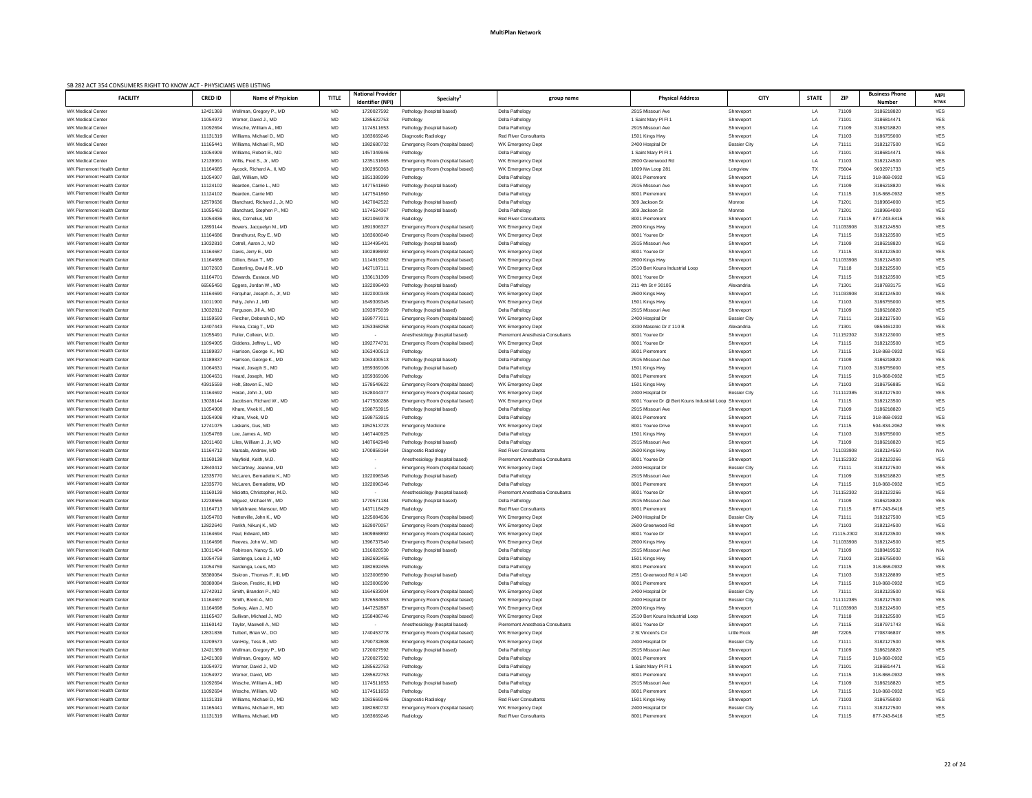| SB 282 ACT 354 CONSUMERS RIGHT TO KNOW ACT - PHYSICIANS WEB LISTING |                      |                                                 |              |                                              |                                                          |                                          |                                                        |                          |              |                |                                        |                           |
|---------------------------------------------------------------------|----------------------|-------------------------------------------------|--------------|----------------------------------------------|----------------------------------------------------------|------------------------------------------|--------------------------------------------------------|--------------------------|--------------|----------------|----------------------------------------|---------------------------|
| <b>FACILITY</b>                                                     | <b>CRED ID</b>       | <b>Name of Physician</b>                        | <b>TITLE</b> | <b>National Provider</b><br>Identifier (NPI) | Specialty <sup>2</sup>                                   | group name                               | <b>Physical Address</b>                                | <b>CITY</b>              | <b>STATE</b> | <b>ZIP</b>     | <b>Business Phone</b><br><b>Number</b> | <b>MPI</b><br><b>NTWK</b> |
| <b>WK Medical Center</b>                                            |                      |                                                 | MD           |                                              |                                                          |                                          | 2915 Missouri Ave                                      | Shreveport               |              | 71109          |                                        | YES                       |
| <b>WK Medical Center</b>                                            | 12421369<br>11054972 | Wellman, Gregory P., MD<br>Werner, David J., MD | MD           | 1720027592<br>1285622753                     | Pathology (hospital based)<br>Pathology                  | Delta Pathology<br>Delta Pathology       | 1 Saint Mary PI FI 1                                   | Shreveport               | LA<br>LA     | 71101          | 3186218820<br>3186814471               | <b>YES</b>                |
| <b>WK Medical Center</b>                                            | 11092694             | Wesche, William A., MD                          | MD           | 1174511653                                   | Pathology (hospital based)                               | Delta Pathology                          | 2915 Missouri Ave                                      | Shreveport               | LA           | 71109          | 3186218820                             | <b>YES</b>                |
| <b>WK Medical Center</b>                                            | 11131319             | Williams, Michael D., MD                        | MD           | 1083669246                                   | Diagnostic Radiology                                     | <b>Red River Consultants</b>             | 1501 Kings Hwy                                         | Shreveport               | LA           | 71103          | 3186755000                             | <b>YES</b>                |
| <b>WK Medical Center</b>                                            | 11165441             | Williams, Michael R., MD                        | MD           | 1982680732                                   | Emergency Room (hospital based)                          | WK Emergency Dept                        | 2400 Hospital Dr                                       | Bossier City             | LA           | 71111          | 3182127500                             | <b>YES</b>                |
| <b>WK Medical Center</b>                                            | 11054909             | Williams, Robert B., MD                         | MD           | 1457349946                                   | Pathology                                                | Delta Pathology                          | 1 Saint Mary PI FI 1                                   | Shreveport               | LA           | 71101          | 3186814471                             | <b>YES</b>                |
| <b>WK Medical Center</b>                                            | 12139991             | Willis, Fred S., Jr., MD                        | MD           | 1235131665                                   | Emergency Room (hospital based)                          | WK Emergency Dept                        | 2600 Greenwood Rd                                      | Shreveport               | LA           | 71103          | 3182124500                             | <b>YES</b>                |
| WK Pierremont Health Center                                         | 11164685             | Aycock, Richard A., II, MD                      | MD           | 1902950363                                   | Emergency Room (hospital based)                          | WK Emergency Dept                        | 1809 Nw Loop 281                                       | Longview                 | TX           | 75604          | 9032971733                             | <b>YES</b>                |
| WK Pierremont Health Center                                         | 11054907             | Ball, William, MD                               | MD           | 1851389399                                   | Pathology                                                | Delta Pathology                          | 8001 Pierremont                                        | Shreveport               | LA           | 71115          | 318-868-0932                           | <b>YES</b>                |
| WK Pierremont Health Center                                         | 11124102             | Bearden, Carrie L., MD                          | MD           | 1477541860                                   | Pathology (hospital based)                               | Delta Pathology                          | 2915 Missouri Ave                                      | Shreveport               | LA           | 71109          | 3186218820                             | <b>YES</b>                |
| WK Pierremont Health Center                                         | 11124102             | Bearden, Carrie MD                              | MD           | 1477541860                                   | Pathology                                                | Delta Pathology                          | 8001 Pierremont                                        | Shreveport               | LA           | 71115          | 318-868-0932                           | <b>YES</b>                |
| WK Pierremont Health Center                                         | 12579636             | Blanchard, Richard J., Jr, MD                   | MD           | 1427042522                                   | Pathology (hospital based)                               | Delta Pathology                          | 309 Jackson St                                         | Monroe                   | LA           | 71201          | 3189664000                             | <b>YES</b>                |
| WK Pierremont Health Center                                         | 11055463             | Blanchard, Stephen P., MD                       | MD           | 1174524367                                   | Pathology (hospital based)                               | Delta Pathology                          | 309 Jackson St                                         | Monroe                   | LA           | 71201          | 3189664000                             | <b>YES</b>                |
| WK Pierremont Health Center                                         | 11054836             | Bos, Cornelius, MD                              | MD           | 1821069378                                   | Radiology                                                | <b>Red River Consultants</b>             | 8001 Pierremont                                        | Shreveport               | LA           | 71115          | 877-243-8416                           | <b>YES</b>                |
| WK Pierremont Health Center                                         | 12893144             | Bowers, Jacquelyn M., MD                        | MD           | 1891906327                                   | Emergency Room (hospital based)                          | WK Emergency Dept                        | 2600 Kings Hwy                                         | Shreveport               | LA           | 711033908      | 3182124550                             | <b>YES</b>                |
| WK Pierremont Health Center                                         | 11164686             | Brandhurst, Roy E., MD                          | MD           | 1083606040                                   | Emergency Room (hospital based)                          | WK Emergency Dept                        | 8001 Youree Dr                                         | Shreveport               | LA           | 71115          | 3182123500                             | <b>YES</b>                |
| WK Pierremont Health Center                                         | 13032810             | Cotrell, Aaron J., MD                           | MD           | 1134495401                                   | Pathology (hospital based)                               | Delta Pathology                          | 2915 Missouri Ave                                      | Shreveport               | LA           | 71109          | 3186218820                             | <b>YES</b>                |
| <b>WK Pierremont Health Center</b>                                  | 11164687             | Davis, Jerry E., MD                             | MD           | 1902898992                                   | Emergency Room (hospital based)                          | WK Emergency Dept                        | 8001 Youree Dr                                         | Shreveport               | LA           | 71115          | 3182123500                             | <b>YES</b>                |
| WK Pierremont Health Center                                         | 11164688             | Dillion, Brian T., MD                           | MD           | 1114919362                                   | Emergency Room (hospital based)                          | WK Emergency Dept                        | 2600 Kings Hwy                                         | Shreveport               | LA           | 711033908      | 3182124500                             | <b>YES</b>                |
| WK Pierremont Health Center                                         | 11072603             | Easterling, David R., MD                        | MD           | 142718711 <sup>-</sup>                       | Emergency Room (hospital based)                          | WK Emergency Dept                        | 2510 Bert Kouns Industrial Loop                        | Shreveport               | LA           | 71118          | 3182125500                             | <b>YES</b>                |
| WK Pierremont Health Center                                         | 11164701             | Edwards, Eustace, MD                            | MD           | 1336131309                                   | Emergency Room (hospital based)                          | WK Emergency Dept                        | 8001 Youree Dr                                         | Shreveport               | LA           | 71115          | 3182123500                             | <b>YES</b>                |
| WK Pierremont Health Center                                         | 66565450             | Eggers, Jordan W., MD                           | MD           | 1922096403                                   | Pathology (hospital based)                               | Delta Pathology                          | 211 4th St # 30105                                     | Alexandria               | LA           | 71301          | 3187693175                             | <b>YES</b>                |
| WK Pierremont Health Center                                         | 11164690             | Farquhar, Joseph A., Jr, MD                     | MD           | 1922000348                                   | Emergency Room (hospital based)                          | WK Emergency Dept                        | 2600 Kings Hwy                                         | Shreveport               | LA           | 711033908      | 3182124500                             | <b>YES</b>                |
| WK Pierremont Health Center                                         | 11011900             | Felty, John J., MD                              | MD           | 1649309345                                   | Emergency Room (hospital based)                          | WK Emergency Dept                        | 1501 Kings Hwy                                         | Shreveport               | LA           | 71103          | 3186755000                             | <b>YES</b>                |
| WK Pierremont Health Center                                         | 13032812             | Ferguson, Jill A., MD                           | MD           | 1093975039                                   | Pathology (hospital based)                               | Delta Pathology                          | 2915 Missouri Ave                                      | Shreveport               | LA           | 71109          | 3186218820                             | <b>YES</b>                |
| WK Pierremont Health Center                                         | 11159593             | Fletcher, Deborah D., MD                        | MD           | 169977701                                    | Emergency Room (hospital based)                          | WK Emergency Dept                        | 2400 Hospital Dr                                       | Bossier City             | LA           | 71111          | 3182127500                             | <b>YES</b>                |
| WK Pierremont Health Center                                         | 12407443             | Florea, Craig T., MD                            | MD           | 1053368258                                   | Emergency Room (hospital based)                          | WK Emergency Dept                        | 3330 Masonic Dr # 110 B                                | Alexandria               | LA           | 71301          | 9854461200                             | <b>YES</b>                |
| WK Pierremont Health Center                                         | 11055491             | Fuller, Colleen, M.D.                           | MD           |                                              | Anesthesiology (hospital based)                          | <b>Pierremont Anesthesia Consultants</b> | 8001 Youree Dr                                         | Shreveport               | LA           | 711152302      | 3182123000                             | <b>YES</b>                |
| WK Pierremont Health Center<br>WK Pierremont Health Center          | 11094905             | Giddens, Jeffrey L., MD                         | <b>MD</b>    | 1992774731                                   | Emergency Room (hospital based)                          | WK Emergency Dept                        | 8001 Youree Dr                                         | Shreveport               | LA           | 71115          | 3182123500                             | <b>YES</b>                |
| WK Pierremont Health Center                                         | 11189837<br>11189837 | Harrison, George K., MD                         | MD<br>MD     | 1063400513<br>1063400513                     | Pathology                                                | Delta Pathology<br>Delta Pathology       | 8001 Pierremont<br>2915 Missouri Ave                   | Shreveport<br>Shreveport | LA           | 71115<br>71109 | 318-868-0932<br>3186218820             | <b>YES</b><br><b>YES</b>  |
| WK Pierremont Health Center                                         | 11064631             | Harrison, George K., MD<br>Heard, Joseph S., MD | MD           | 1659369106                                   | Pathology (hospital based)<br>Pathology (hospital based) | Delta Pathology                          | 1501 Kings Hwy                                         | Shreveport               | LA<br>LA     | 71103          | 3186755000                             | <b>YES</b>                |
| WK Pierremont Health Center                                         | 11064631             | Heard, Joseph, MD                               | MD           | 1659369106                                   | Pathology                                                | Delta Pathology                          | 8001 Pierremont                                        | Shreveport               | LA           | 71115          | 318-868-0932                           | <b>YES</b>                |
| WK Pierremont Health Center                                         | 43915559             | Holt, Steven E., MD                             | MD           | 1578549622                                   | Emergency Room (hospital based)                          | WK Emergency Dept                        | 1501 Kings Hwy                                         | Shreveport               | LA           | 71103          | 3186756885                             | <b>YES</b>                |
| WK Pierremont Health Center                                         | 11164692             | Horan, John J., MD                              | MD           | 1528044377                                   | Emergency Room (hospital based)                          | WK Emergency Dept                        | 2400 Hospital Dr                                       | Bossier City             | LA           | 711112385      | 3182127500                             | <b>YES</b>                |
| WK Pierremont Health Center                                         | 13038144             | Jacobson, Richard W., MD                        | MD           | 1477500288                                   | Emergency Room (hospital based)                          | WK Emergency Dept                        | 8001 Youree Dr @ Bert Kouns Industrial Loop Shreveport |                          | LA           | 71115          | 3182123500                             | <b>YES</b>                |
| WK Pierremont Health Center                                         | 11054908             | Khare, Vivek K., MD                             | MD           | 159875391                                    | Pathology (hospital based)                               | Delta Pathology                          | 2915 Missouri Ave                                      | Shreveport               | LA           | 71109          | 3186218820                             | <b>YES</b>                |
| WK Pierremont Health Center                                         | 11054908             | Khare, Vivek, MD                                | MD           | 159875391                                    | Pathology                                                | Delta Pathology                          | 8001 Pierremont                                        | Shreveport               | LA           | 71115          | 318-868-0932                           | <b>YES</b>                |
| WK Pierremont Health Center                                         | 12741075             | Laskaris, Gus, MD                               | MD           | 1952513723                                   | Emergency Medicine                                       | WK Emergency Dept                        | 8001 Youree Drive                                      | Shreveport               | LA           | 71115          | 504-834-2062                           | <b>YES</b>                |
| WK Pierremont Health Center                                         | 11054769             | Lee, James A., MD                               | MD           | 1467440925                                   | Pathology                                                | Delta Pathology                          | 1501 Kings Hwy                                         | Shreveport               | LA           | 71103          | 3186755000                             | <b>YES</b>                |
| WK Pierremont Health Center                                         | 12011460             | Liles, William J., Jr, MD                       | MD           | 1487642948                                   | Pathology (hospital based)                               | Delta Pathology                          | 2915 Missouri Ave                                      | Shreveport               | LA           | 71109          | 3186218820                             | <b>YES</b>                |
| WK Pierremont Health Center                                         | 11164712             | Marsala, Andrew, MD                             | MD           | 1700858164                                   | Diagnostic Radiology                                     | <b>Red River Consultants</b>             | 2600 Kings Hwy                                         | Shreveport               | LA           | 711033908      | 3182124550                             | N/A                       |
| WK Pierremont Health Center                                         | 11160138             | Mayfield, Keith, M.D                            | MD           |                                              | Anesthesiology (hospital based)                          | Pierremont Anesthesia Consultants        | 8001 Youree Dr                                         | Shreveport               | LA           | 711152302      | 3182123266                             | YES                       |
| WK Pierremont Health Center                                         | 12840412             | McCartney, Jeannie, MD                          | MD           |                                              | Emergency Room (hospital based)                          | WK Emergency Dept                        | 2400 Hospital Dr                                       | <b>Bossier City</b>      | LA           | 71111          | 3182127500                             | <b>YES</b>                |
| WK Pierremont Health Center                                         | 12335770             | McLaren, Bernadette K., MD                      | MD           | 1922096346                                   | Pathology (hospital based)                               | Delta Pathology                          | 2915 Missouri Ave                                      | Shreveport               | LA           | 71109          | 3186218820                             | <b>YES</b>                |
| WK Pierremont Health Center                                         | 12335770             | McLaren, Bernadette, MD                         | MD           | 1922096346                                   | Pathology                                                | Delta Pathology                          | 8001 Pierremont                                        | Shreveport               | LA           | 71115          | 318-868-0932                           | <b>YES</b>                |
| WK Pierremont Health Center                                         | 11160139             | Miciotto, Christopher, M.D                      | MD           |                                              | Anesthesiology (hospital based)                          | Pierremont Anesthesia Consultants        | 8001 Youree Dr                                         | Shreveport               | LA           | 711152302      | 3182123266                             | <b>YES</b>                |
| WK Pierremont Health Center                                         | 12238566             | Miguez, Michael W., MD                          | MD           | 1770571184                                   | Pathology (hospital based)                               | Delta Pathology                          | 2915 Missouri Ave                                      | Shreveport               | LA           | 71109          | 3186218820                             | <b>YES</b>                |
| WK Pierremont Health Center                                         | 11164713             | Mirfakhraee, Mansour, MD                        | MD           | 1437118429                                   | Radiology                                                | <b>Red River Consultants</b>             | 8001 Pierremont                                        | Shreveport               | LA           | 71115          | 877-243-8416                           | <b>YES</b>                |
| WK Pierremont Health Center                                         | 11054783             | Netterville, John K., MD                        | MD           | 1225084536                                   | Emergency Room (hospital based)                          | WK Emergency Dept                        | 2400 Hospital Dr                                       | Bossier City             | LA           | 71111          | 3182127500                             | <b>YES</b>                |
| WK Pierremont Health Center                                         | 12822640             | Parikh, Nikunj K., MD                           | MD           | 1629070057                                   | Emergency Room (hospital based)                          | WK Emergency Dept                        | 2600 Greenwood Rd                                      | Shreveport               | LA           | 71103          | 3182124500                             | <b>YES</b>                |
| WK Pierremont Health Center                                         | 11164694             | Paul, Edward, MD                                | MD           | 1609868892                                   | Emergency Room (hospital based)                          | WK Emergency Dept                        | 8001 Youree Dr                                         | Shreveport               | LA           | 71115-2302     | 3182123500                             | <b>YES</b>                |
| <b>WK Pierremont Health Center</b>                                  | 11164696             | Reeves, John W., MD                             | MD           | 1396737540                                   | Emergency Room (hospital based)                          | WK Emergency Dept                        | 2600 Kings Hwy                                         | Shreveport               | LA           | 711033908      | 3182124500                             | <b>YES</b>                |
| WK Pierremont Health Center                                         | 13011404             | Robinson, Nancy S., MD                          | MD           | 1316020530                                   | Pathology (hospital based)                               | Delta Pathology                          | 2915 Missouri Ave                                      | Shreveport               | LA           | 71109          | 3188419532                             | N/A                       |
| WK Pierremont Health Center                                         | 11054759             | Sardenga, Louis J., MD                          | MD           | 1982692455                                   | Pathology                                                | Delta Pathology                          | 1501 Kings Hwy                                         | Shreveport               | LA           | 71103          | 3186755000                             | <b>YES</b>                |
| WK Pierremont Health Center                                         | 11054759             | Sardenga, Louis, MD                             | MD           | 1982692455                                   | Pathology                                                | Delta Pathology                          | 8001 Pierremont                                        | Shreveport               | LA           | 71115          | 318-868-0932                           | <b>YES</b>                |
| WK Pierremont Health Center                                         | 38380084             | Siskron, Thomas F., III, MD                     | MD           | 1023006590                                   | Pathology (hospital based)                               | Delta Pathology                          | 2551 Greenwood Rd # 140                                | Shreveport               | LA           | 71103          | 3182128899                             | <b>YES</b>                |
| WK Pierremont Health Center                                         | 38380084             | Siskron, Fredric, III, MD                       | MD           | 1023006590                                   | Pathology                                                | Delta Pathology                          | 8001 Pierremont                                        | Shreveport               | LA           | 71115          | 318-868-0932                           | <b>YES</b>                |
| WK Pierremont Health Center                                         | 12742912             | Smith, Brandon P., MD                           | MD           | 1164633004                                   | Emergency Room (hospital based)                          | WK Emergency Dept                        | 2400 Hospital Dr                                       | Bossier City             | LA           | 71111          | 3182123500                             | <b>YES</b>                |
| WK Pierremont Health Center                                         | 11164697             | Smith, Brent A., MD                             | MD           | 1376584953                                   | Emergency Room (hospital based)                          | WK Emergency Dept                        | 2400 Hospital Dr                                       | Bossier City             | LA           | 711112385      | 3182127500                             | <b>YES</b>                |
| WK Pierremont Health Center                                         | 11164698             | Sorkev, Alan J., MD                             | MD.          | 1447252887                                   | Emergency Room (hospital based)                          | WK Emergency Dept                        | 2600 Kings Hwy                                         | Shreveport               | LA           | 711033908      | 3182124500                             |                           |
| WK Pierremont Health Center                                         | 11165437             | Sullivan, Michael J., MD                        | MD           | 1558486746                                   | Emergency Room (hospital based)                          | WK Emergency Dept                        | 2510 Bert Kouns Industrial Loop                        | Shreveport               | LA           | 71118          | 3182125500                             | <b>YES</b>                |
| WK Pierremont Health Center                                         | 11160142             | Taylor, Maxwell A., MD                          | MD           |                                              | Anesthesiology (hospital based)                          | <b>Pierremont Anesthesia Consultants</b> | 8001 Youree Dr                                         | Shreveport               | LA           | 71115          | 3187971743                             | <b>YES</b>                |
| WK Pierremont Health Center                                         | 12831836             | Tulbert, Brian W., DO                           | MD           | 1740453778                                   | Emergency Room (hospital based)                          | WK Emergency Dept                        | 2 St Vincent's Cir                                     | <b>Little Rock</b>       | AR           | 72205          | 7708746807                             | <b>YES</b>                |
| WK Pierremont Health Center                                         | 11209573             | VanHoy, Tess B., MD                             | MD           | 1790732808                                   | Emergency Room (hospital based)                          | WK Emergency Dept                        | 2400 Hospital Dr                                       | <b>Bossier City</b>      | LA           | 71111          | 3182127500                             | <b>YES</b>                |
| WK Pierremont Health Center<br>WK Pierremont Health Center          | 12421369             | Wellman, Gregory P., MD                         | MD           | 1720027592<br>1720027592                     | Pathology (hospital based)                               | Delta Pathology<br>Delta Pathology       | 2915 Missouri Ave<br>8001 Pierremont                   | Shreveport               | LA           | 71109<br>71115 | 3186218820<br>318-868-0932             | <b>YES</b><br><b>YES</b>  |
| WK Pierremont Health Center                                         | 12421369<br>11054972 | Wellman, Gregory, MD<br>Werner, David J., MD    | MD<br>MD     | 1285622753                                   | Pathology<br>Pathology                                   | Delta Pathology                          | 1 Saint Mary PI FI 1                                   | Shreveport<br>Shreveport | LA<br>LA     | 71101          | 3186814471                             | YES                       |
| WK Pierremont Health Center                                         | 11054972             | Werner, David, MD                               | MD           | 1285622753                                   | Pathology                                                | Delta Pathology                          | 8001 Pierremont                                        | Shreveport               | LA           | 71115          | 318-868-0932                           | <b>YES</b>                |
| WK Pierremont Health Center                                         | 11092694             | Wesche, William A., MD                          | MD           | 1174511653                                   | Pathology (hospital based)                               | Delta Pathology                          | 2915 Missouri Ave                                      | Shreveport               | LA           | 71109          | 3186218820                             | YES                       |
| WK Pierremont Health Center                                         | 11092694             | Wesche, William, MD                             | MD           | 1174511653                                   | Pathology                                                | Delta Pathology                          | 8001 Pierremont                                        | Shreveport               | LA           | 71115          | 318-868-0932                           | YES                       |
| WK Pierremont Health Center                                         | 11131319             | Williams, Michael D., MD                        | MD           | 1083669246                                   | Diagnostic Radiology                                     | <b>Red River Consultants</b>             | 1501 Kings Hwy                                         | Shreveport               | LA           | 71103          | 3186755000                             | YES                       |
| WK Pierremont Health Center                                         | 11165441             | Williams, Michael R., MD                        | MD           | 1982680732                                   | Emergency Room (hospital based)                          | WK Emergency Dept                        | 2400 Hospital Dr                                       | <b>Bossier City</b>      | LA           | 71111          | 3182127500                             | YES                       |
| WK Pierremont Health Center                                         | 11131319             | Williams, Michael, MD                           | MD           | 1083669246                                   | Radiology                                                | <b>Red River Consultants</b>             | 8001 Pierremont                                        | Shreveport               | LA           | 71115          | 877-243-8416                           | <b>YES</b>                |
|                                                                     |                      |                                                 |              |                                              |                                                          |                                          |                                                        |                          |              |                |                                        |                           |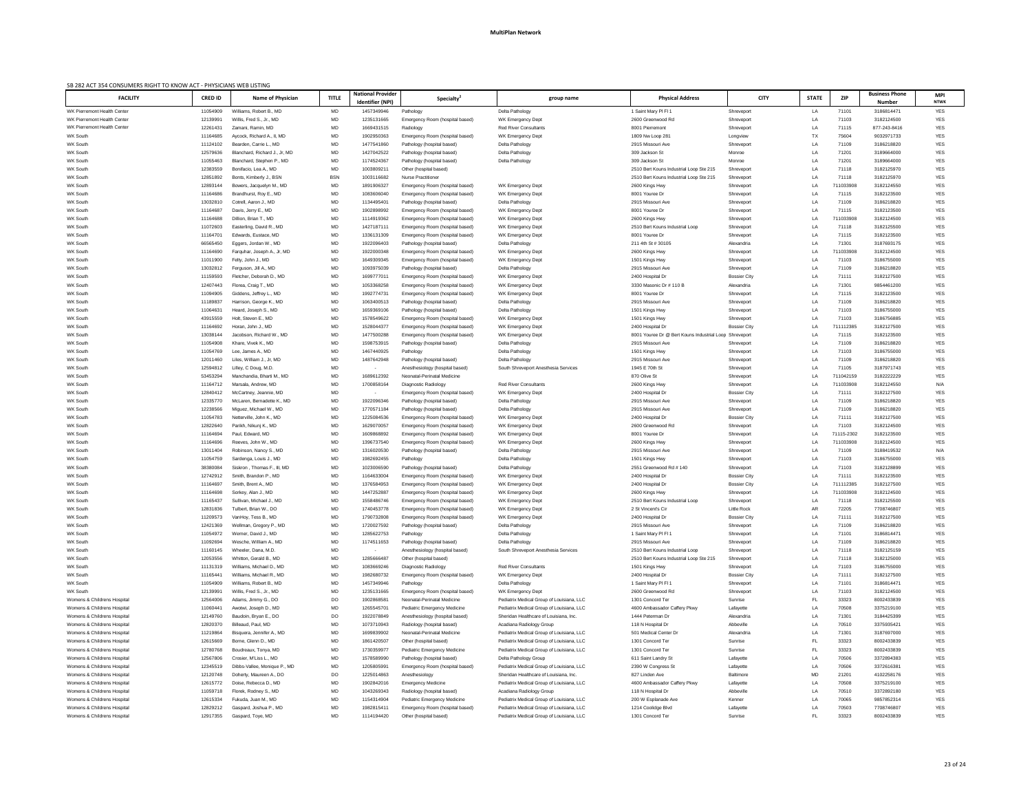| SB 282 ACT 354 CONSUMERS RIGHT TO KNOW ACT - PHYSICIANS WEB LISTING |                      |                                                      |              |                                              |                                                               |                                                                                     |                                                   |                                   |              |                    |                                        |                           |
|---------------------------------------------------------------------|----------------------|------------------------------------------------------|--------------|----------------------------------------------|---------------------------------------------------------------|-------------------------------------------------------------------------------------|---------------------------------------------------|-----------------------------------|--------------|--------------------|----------------------------------------|---------------------------|
| <b>FACILITY</b>                                                     | <b>CRED ID</b>       | <b>Name of Physician</b>                             | <b>TITLE</b> | <b>National Provider</b><br>Identifier (NPI) | Specialty <sup>2</sup>                                        | group name                                                                          | <b>Physical Address</b>                           | <b>CITY</b>                       | <b>STATE</b> | <b>ZIP</b>         | <b>Business Phone</b><br><b>Number</b> | <b>MPI</b><br><b>NTWK</b> |
| WK Pierremont Health Center                                         | 11054909             | Williams, Robert B., MD                              | MD           | 1457349946                                   |                                                               |                                                                                     | 1 Saint Mary PI FI 1                              | Shreveport                        |              | 71101              |                                        | <b>YES</b>                |
| <b>WK Pierremont Health Center</b>                                  | 12139991             | Willis, Fred S., Jr., MD                             | MD           | 1235131665                                   | Pathology<br>Emergency Room (hospital based)                  | Delta Pathology<br>WK Emergency Dept                                                | 2600 Greenwood Rd                                 | Shreveport                        | LA<br>LA     | 71103              | 3186814471<br>3182124500               | <b>YES</b>                |
| WK Pierremont Health Center                                         | 12261431             | Zamani, Ramin, MD                                    | MD           | 1669431515                                   | Radiology                                                     | <b>Red River Consultants</b>                                                        | 8001 Pierremont                                   | Shreveport                        | LA           | 71115              | 877-243-8416                           | <b>YES</b>                |
| WK South                                                            | 11164685             | Aycock, Richard A., II, MD                           | MD           | 1902950363                                   | Emergency Room (hospital based)                               | WK Emergency Dept                                                                   | 1809 Nw Loop 281                                  | Longview                          | TX           | 75604              | 9032971733                             | <b>YES</b>                |
| WK South                                                            | 11124102             | Bearden, Carrie L., MD                               | MD           | 1477541860                                   | Pathology (hospital based)                                    | Delta Pathology                                                                     | 2915 Missouri Ave                                 | Shreveport                        | LA           | 71109              | 3186218820                             | YES                       |
| WK South                                                            | 12579636             | Blanchard, Richard J., Jr, MD                        | MD           | 1427042522                                   | Pathology (hospital based)                                    | Delta Pathology                                                                     | 309 Jackson St                                    | Monroe                            | LA           | 71201              | 3189664000                             | YES                       |
| WK South                                                            | 11055463             | Blanchard, Stephen P., MD                            | MD           | 1174524367                                   | Pathology (hospital based)                                    | Delta Pathology                                                                     | 309 Jackson St                                    | Monroe                            | LA           | 71201              | 3189664000                             | <b>YES</b>                |
| WK South                                                            | 12383559             | Bonifacio, Lea A., MD                                | MD           | 100380921                                    | Other (hospital based)                                        |                                                                                     | 2510 Bert Kouns Industrial Loop Ste 215           | Shreveport                        | LA           | 71118              | 3182125970                             | YES                       |
| WK South                                                            | 12851892             | Bonts, Kimberly J., BSN                              | <b>BSN</b>   | 1003116682                                   | <b>Nurse Practitioner</b>                                     |                                                                                     | 2510 Bert Kouns Industrial Loop Ste 215           | Shreveport                        | LA           | 71118              | 3182125970                             | <b>YES</b>                |
| WK South                                                            | 12893144             | Bowers, Jacquelyn M., MD                             | MD           | 1891906327                                   | Emergency Room (hospital based)                               | WK Emergency Dept                                                                   | 2600 Kings Hwy                                    | Shreveport                        | LA           | 711033908          | 3182124550                             | <b>YES</b>                |
| WK South                                                            | 11164686             | Brandhurst, Roy E., MD                               | MD           | 1083606040                                   | Emergency Room (hospital based)                               | WK Emergency Dept                                                                   | 8001 Youree Dr                                    | Shreveport                        | LA           | 71115              | 3182123500                             | YES                       |
| WK South                                                            | 13032810             | Cotrell, Aaron J., MD                                | MD           | 113449540                                    | Pathology (hospital based)                                    | Delta Pathology                                                                     | 2915 Missouri Ave                                 | Shreveport                        | LA           | 71109              | 3186218820                             | <b>YES</b>                |
| WK South                                                            | 11164687             | Davis, Jerry E., MD                                  | MD           | 1902898992                                   | Emergency Room (hospital based)                               | WK Emergency Dept                                                                   | 8001 Youree Dr                                    | Shreveport                        | LA           | 71115              | 3182123500                             | <b>YES</b>                |
| WK South                                                            | 11164688             | Dillion, Brian T., MD                                | MD           | 1114919362                                   | Emergency Room (hospital based)                               | WK Emergency Dept                                                                   | 2600 Kings Hwy                                    | Shreveport                        | LA           | 711033908          | 3182124500                             | <b>YES</b>                |
| WK South                                                            | 11072603             | Easterling, David R., MD                             | MD           | 1427187111                                   | Emergency Room (hospital based)                               | WK Emergency Dept                                                                   | 2510 Bert Kouns Industrial Loop                   | Shreveport                        | LA           | 71118              | 3182125500                             | <b>YES</b>                |
| WK South                                                            | 11164701             | Edwards, Eustace, MD                                 | MD           | 1336131309                                   | Emergency Room (hospital based)                               | WK Emergency Dept                                                                   | 8001 Youree Dr                                    | Shreveport                        | LA           | 71115              | 3182123500                             | <b>YES</b>                |
| WK South<br>WK South                                                | 66565450<br>11164690 | Eggers, Jordan W., MD<br>Farguhar, Joseph A., Jr, MD | MD<br>MD     | 1922096403<br>1922000348                     | Pathology (hospital based)<br>Emergency Room (hospital based) | Delta Pathology<br>WK Emergency Dept                                                | 211 4th St # 30105                                | Alexandria<br>Shreveport          | LA<br>LA     | 71301<br>711033908 | 3187693175<br>3182124500               | <b>YES</b><br><b>YES</b>  |
| WK South                                                            | 11011900             | Felty, John J., MD                                   | MD           | 1649309345                                   | Emergency Room (hospital based)                               | WK Emergency Dept                                                                   | 2600 Kings Hwy<br>1501 Kings Hwy                  | Shreveport                        | LA           | 71103              | 3186755000                             | <b>YES</b>                |
| WK South                                                            | 13032812             | Ferguson, Jill A., MD                                | MD           | 1093975039                                   | Pathology (hospital based)                                    | Delta Pathology                                                                     | 2915 Missouri Ave                                 | Shreveport                        | LA           | 71109              | 3186218820                             | <b>YES</b>                |
| WK South                                                            | 11159593             | Fletcher, Deborah D., MD                             | MD           | 169977701                                    | Emergency Room (hospital based)                               | WK Emergency Dept                                                                   | 2400 Hospital Dr                                  | <b>Bossier City</b>               | LA           | 71111              | 3182127500                             | <b>YES</b>                |
| WK South                                                            | 12407443             | Florea, Craig T., MD                                 | MD           | 1053368258                                   | Emergency Room (hospital based)                               | WK Emergency Dept                                                                   | 3330 Masonic Dr # 110 B                           | Alexandria                        | LA           | 71301              | 9854461200                             | <b>YES</b>                |
| WK South                                                            | 11094905             | Giddens, Jeffrey L., MD                              | MD           | 199277473                                    | Emergency Room (hospital based)                               | WK Emergency Dept                                                                   | 8001 Youree Dr                                    | Shreveport                        | LA           | 71115              | 3182123500                             | <b>YES</b>                |
| WK South                                                            | 11189837             | Harrison, George K., MD                              | MD           | 1063400513                                   | Pathology (hospital based)                                    | Delta Pathology                                                                     | 2915 Missouri Ave                                 | Shreveport                        | LA           | 71109              | 3186218820                             | <b>YES</b>                |
| WK South                                                            | 11064631             | Heard, Joseph S., MD                                 | MD           | 1659369106                                   | Pathology (hospital based)                                    | Delta Pathology                                                                     | 1501 Kings Hwy                                    | Shreveport                        | LA           | 71103              | 3186755000                             | <b>YES</b>                |
| WK South                                                            | 43915559             | Holt, Steven E., MD                                  | MD           | 1578549622                                   | Emergency Room (hospital based)                               | WK Emergency Dept                                                                   | 1501 Kings Hwy                                    | Shreveport                        | LA           | 71103              | 3186756885                             | <b>YES</b>                |
| WK South                                                            | 11164692             | Horan, John J., MD                                   | MD           | 1528044377                                   | Emergency Room (hospital based)                               | WK Emergency Dept                                                                   | 2400 Hospital Dr                                  | <b>Bossier City</b>               | LA           | 711112385          | 3182127500                             | <b>YES</b>                |
| WK South                                                            | 13038144             | Jacobson, Richard W., MD                             | MD           | 1477500288                                   | Emergency Room (hospital based)                               | WK Emergency Dept                                                                   | 8001 Youree Dr @ Bert Kouns Industrial Loop       | Shreveport                        | LA           | 71115              | 3182123500                             | <b>YES</b>                |
| WK South                                                            | 11054908             | Khare, Vivek K., MD                                  | <b>MD</b>    | 1598753915                                   | Pathology (hospital based)                                    | Delta Pathology                                                                     | 2915 Missouri Ave                                 | Shreveport                        | LA           | 71109              | 3186218820                             | <b>YES</b>                |
| WK South                                                            | 11054769             | Lee, James A., MD                                    | MD           | 1467440925                                   | Pathology                                                     | Delta Pathology                                                                     | 1501 Kings Hwy                                    | Shreveport                        | LA           | 71103              | 3186755000                             | <b>YES</b>                |
| <b>WK South</b>                                                     | 12011460             | Liles. William J., Jr, MD                            | MD           | 1487642948                                   | Pathology (hospital based)                                    | Delta Pathology                                                                     | 2915 Missouri Ave                                 | Shreveport                        | LA           | 71109              | 3186218820                             | <b>YES</b>                |
| WK South                                                            | 12594812             | Lilley, C Doug, M.D.                                 | MD           |                                              | Anesthesiology (hospital based)                               | South Shreveport Anesthesia Services                                                | 1945 E 70th St                                    | Shreveport                        | LA           | 71105              | 3187971743                             | <b>YES</b>                |
| WK South                                                            | 53453294             | Manchandia, Bharti M., MD                            | MD           | 1689612392                                   | Neonatal-Perinatal Medicine                                   |                                                                                     | 870 Olive St                                      | Shreveport                        | LA           | 711042159          | 3182222229                             | <b>YES</b>                |
| WK South                                                            | 11164712             | Marsala, Andrew, MD                                  | MD           | 1700858164                                   | Diagnostic Radiology                                          | <b>Red River Consultants</b>                                                        | 2600 Kings Hwy                                    | Shreveport                        | LA           | 711033908          | 3182124550                             | N/A                       |
| WK South<br>WK South                                                | 12840412<br>12335770 | McCartney, Jeannie, MD<br>McLaren, Bernadette K., MD | MD<br>MD     | 1922096346                                   | Emergency Room (hospital based)<br>Pathology (hospital based) | WK Emergency Dept<br>Delta Pathology                                                | 2400 Hospital Dr<br>2915 Missouri Ave             | <b>Bossier City</b><br>Shreveport | LA<br>LA     | 71111<br>71109     | 3182127500<br>3186218820               | <b>YES</b><br><b>YES</b>  |
| WK South                                                            | 12238566             | Miguez, Michael W., MD                               | MD           | 1770571184                                   | Pathology (hospital based)                                    | Delta Pathology                                                                     | 2915 Missouri Ave                                 | Shreveport                        | LA           | 71109              | 3186218820                             | <b>YES</b>                |
| WK South                                                            | 11054783             | Netterville, John K., MD                             | MD           | 1225084536                                   | Emergency Room (hospital based)                               | WK Emergency Dept                                                                   | 2400 Hospital Dr                                  | <b>Bossier City</b>               | LA           | 71111              | 3182127500                             | <b>YES</b>                |
| WK South                                                            | 12822640             | Parikh, Nikunj K., MD                                | MD           | 1629070057                                   | Emergency Room (hospital based)                               | WK Emergency Dept                                                                   | 2600 Greenwood Rd                                 | Shreveport                        | LA           | 71103              | 3182124500                             | <b>YES</b>                |
| WK South                                                            | 11164694             | Paul, Edward, MD                                     | MD           | 1609868892                                   | Emergency Room (hospital based)                               | WK Emergency Dept                                                                   | 8001 Youree Dr                                    | Shreveport                        | LA           | 71115-2302         | 3182123500                             | <b>YES</b>                |
| WK South                                                            | 11164696             | Reeves, John W., MD                                  | MD           | 1396737540                                   | Emergency Room (hospital based)                               | WK Emergency Dept                                                                   | 2600 Kings Hwy                                    | Shreveport                        | LA           | 711033908          | 3182124500                             | <b>YES</b>                |
| <b>WK South</b>                                                     | 13011404             | Robinson, Nancy S., MD                               | MD           | 1316020530                                   | Pathology (hospital based)                                    | Delta Pathology                                                                     | 2915 Missouri Ave                                 | Shreveport                        | LA           | 71109              | 3188419532                             | N/A                       |
| WK South                                                            | 11054759             | Sardenga, Louis J., MD                               | MD           | 1982692455                                   | Pathology                                                     | Delta Pathology                                                                     | 1501 Kings Hwy                                    | Shreveport                        | LA           | 71103              | 3186755000                             | <b>YES</b>                |
| WK South                                                            | 38380084             | Siskron, Thomas F., III, MD                          | MD           | 1023006590                                   | Pathology (hospital based)                                    | Delta Pathology                                                                     | 2551 Greenwood Rd # 140                           | Shreveport                        | LA           | 71103              | 3182128899                             | <b>YES</b>                |
| <b>WK South</b>                                                     | 12742912             | Smith, Brandon P., MD                                | MD           | 1164633004                                   | Emergency Room (hospital based)                               | WK Emergency Dept                                                                   | 2400 Hospital Dr                                  | <b>Bossier City</b>               | LA           | 71111              | 3182123500                             | <b>YES</b>                |
| WK South                                                            | 11164697             | Smith, Brent A., MD                                  | MD           | 1376584953                                   | Emergency Room (hospital based)                               | WK Emergency Dept                                                                   | 2400 Hospital Dr                                  | <b>Bossier City</b>               | LA           | 711112385          | 3182127500                             | <b>YES</b>                |
| <b>WK South</b>                                                     | 11164698             | Sorkey, Alan J., MD                                  | MD           | 1447252887                                   | Emergency Room (hospital based)                               | WK Emergency Dept                                                                   | 2600 Kings Hwy                                    | Shreveport                        | LA           | 711033908          | 3182124500                             | <b>YES</b>                |
| <b>WK South</b>                                                     | 11165437             | Sullivan, Michael J., MD                             | MD           | 1558486746                                   | Emergency Room (hospital based)                               | WK Emergency Dept                                                                   | 2510 Bert Kouns Industrial Loop                   | Shreveport                        | LA           | 71118              | 3182125500                             | <b>YES</b>                |
| <b>WK South</b>                                                     | 12831836             | Tulbert, Brian W., DO                                | MD           | 1740453778                                   | Emergency Room (hospital based)                               | WK Emergency Dept                                                                   | 2 St Vincent's Cir                                | Little Rock                       | AR           | 72205              | 7708746807                             | <b>YES</b>                |
| WK South                                                            | 11209573             | VanHoy, Tess B., MD                                  | MD           | 1790732808                                   | Emergency Room (hospital based)                               | WK Emergency Dept                                                                   | 2400 Hospital Dr                                  | <b>Bossier City</b>               | LA           | 71111              | 3182127500                             | <b>YES</b>                |
| <b>WK South</b><br><b>WK South</b>                                  | 12421369<br>11054972 | Wellman, Gregory P., MD<br>Werner, David J., MD      | MD<br>MD     | 1720027592<br>1285622753                     | Pathology (hospital based)<br>Pathology                       | Delta Pathology<br>Delta Pathology                                                  | 2915 Missouri Ave<br>1 Saint Mary PI FI 1         | Shreveport<br>Shreveport          | LA<br>LA     | 71109<br>71101     | 3186218820<br>3186814471               | <b>YES</b><br><b>YES</b>  |
| WK South                                                            | 11092694             | Wesche, William A., MD                               | MD           | 1174511653                                   | Pathology (hospital based)                                    | Delta Pathology                                                                     | 2915 Missouri Ave                                 | Shreveport                        | LA           | 71109              | 3186218820                             | <b>YES</b>                |
| <b>WK South</b>                                                     | 11160145             | Wheeler, Dana, M.D.                                  | MD           |                                              | Anesthesiology (hospital based)                               | South Shreveport Anesthesia Services                                                | 2510 Bert Kouns Industrial Loop                   | Shreveport                        | LA           | 71118              | 3182125159                             | <b>YES</b>                |
| <b>WK South</b>                                                     | 12053556             | Whitton, Gerald B., MD                               | MD           | 1285666487                                   | Other (hospital based)                                        |                                                                                     | 2510 Bert Kouns Industrial Loop Ste 215           | Shreveport                        | LA           | 71118              | 3182125000                             | <b>YES</b>                |
| <b>WK South</b>                                                     | 11131319             | Williams, Michael D., MD                             | MD           | 1083669246                                   | Diagnostic Radiology                                          | <b>Red River Consultants</b>                                                        | 1501 Kings Hwy                                    | Shreveport                        | LA           | 71103              | 3186755000                             | <b>YES</b>                |
| <b>WK South</b>                                                     | 11165441             | Williams, Michael R., MD                             | MD           | 1982680732                                   | Emergency Room (hospital based)                               | WK Emergency Dept                                                                   | 2400 Hospital Dr                                  | <b>Bossier City</b>               | LA           | 71111              | 3182127500                             | <b>YES</b>                |
| WK South                                                            | 11054909             | Williams, Robert B., MD                              | MD           | 1457349946                                   | Pathology                                                     | Delta Pathology                                                                     | 1 Saint Mary PI FI 1                              | Shreveport                        | LA.          | 71101              | 3186814471                             | <b>YES</b>                |
| WK South                                                            | 12139991             | Willis, Fred S., Jr., MD                             | MD           | 1235131665                                   | Emergency Room (hospital based)                               | WK Emergency Dept                                                                   | 2600 Greenwood Rd                                 | Shreveport                        | LA           | 71103              | 3182124500                             | <b>YES</b>                |
| Womens & Childrens Hospital                                         | 12564006             | Adams, Jimmy G., DO                                  | DO           | 190286858                                    | Neonatal-Perinatal Medicine                                   | Pediatrix Medical Group of Louisiana, LLC                                           | 1301 Concord Ter                                  | Sunrise                           | FL           | 33323              | 8002433839                             | <b>YES</b>                |
| Womens & Childrens Hospital                                         | 11060441             | Awotwi, Joseph D., MD                                | MD           | 126554570                                    | Pediatric Emergency Medicine                                  | Pediatrix Medical Group of Louisiana, LLC                                           | 4600 Ambassador Caffery Pkwy                      | Lafavette                         | ΙA           | 70508              | 3375219100                             | <b>YES</b>                |
| Womens & Childrens Hospital                                         | 12149760             | Baudoin, Bryan E., DO                                | DO           | 1922078849                                   | Anesthesiology (hospital based)                               | Sheridan Healthcare of Louisiana, Inc.                                              | 1444 Peterman Dr                                  | Alexandria                        | LA           | 71301              | 3184425399                             | YES                       |
| Womens & Childrens Hospital                                         | 12820370             | Billeaud, Paul, MD                                   | MD           | 1073710943                                   | Radiology (hospital based)                                    | Acadiana Radiology Group                                                            | 118 N Hospital Dr                                 | Abbeville                         | LA           | 70510              | 3375935421                             | YES                       |
| Womens & Childrens Hospital                                         | 11219864             | Bisquera, Jennifer A., MD                            | MD           | 1699839902                                   | Neonatal-Perinatal Medicine                                   | Pediatrix Medical Group of Louisiana, LLC                                           | 501 Medical Center Dr                             | Alexandria                        | LA           | 71301              | 3187697000                             | <b>YES</b>                |
| Womens & Childrens Hospital                                         | 12615669             | Borne, Glenn D., MD                                  | MD           | 1861420507                                   | Other (hospital based)                                        | Pediatrix Medical Group of Louisiana, LLC                                           | 1301 Concord Ter                                  | Sunrise                           | FL           | 33323              | 8002433839                             | YES                       |
| Womens & Childrens Hospital                                         | 12780768             | Boudreaux, Tonya, MD                                 | MD           | 1730359977                                   | Pediatric Emergency Medicine                                  | Pediatrix Medical Group of Louisiana, LLC                                           | 1301 Concord Ter                                  | Sunrise                           | -FL          | 33323              | 8002433839                             | <b>YES</b>                |
| Womens & Childrens Hospital                                         | 12567806             | Crosier, M'Liss L., MD                               | MD           | 1578589990                                   | Pathology (hospital based)                                    | Delta Pathology Group                                                               | 611 Saint Landry St                               | Lafayette                         | LA           | 70506              | 3372894383                             | <b>YES</b>                |
| Womens & Childrens Hospital                                         | 12345519             | Dibbs-Vallee, Monique P., MD                         | MD           | 120580599                                    | Emergency Room (hospital based)                               | Pediatrix Medical Group of Louisiana, LLC                                           | 2390 W Congress St                                | Lafayette                         | LA           | 70506              | 3372616381                             | YES                       |
| Womens & Childrens Hospital<br>Womens & Childrens Hospital          | 12120748             | Doherty, Maureen A., DO                              | DO           | 1225014863                                   | Anesthesiology                                                | Sheridan Healthcare of Louisiana, Inc.<br>Pediatrix Medical Group of Louisiana, LLC | 827 Linden Ave                                    | <b>Baltimore</b>                  | MD<br>LA     | 21201              | 4102258176                             | YES                       |
| Womens & Childrens Hospital                                         | 12615772<br>11059718 | Doise, Rebecca D., MD<br>Florek, Rodney S., MD       | MD<br>MD     | 1902842016<br>1043269343                     | <b>Emergency Medicine</b><br>Radiology (hospital based)       | Acadiana Radiology Group                                                            | 4600 Ambassador Caffery Pkwy<br>118 N Hospital Dr | Lafayette<br>Abbeville            | LA           | 70508<br>70510     | 3375219100<br>3372892180               | YES<br>YES                |
| Womens & Childrens Hospital                                         | 12615334             | Fukuda, Juan M., MD                                  | MD           | 1154314904                                   | <b>Pediatric Emergency Medicine</b>                           | Pediatrix Medical Group of Louisiana, LLC                                           | 200 W Esplanade Ave                               | Kenner                            | LA           | 70065              | 9857852314                             | YES                       |
| Womens & Childrens Hospital                                         | 12829212             | Gaspard, Joshua P., MD                               | MD           | 1982815411                                   | Emergency Room (hospital based)                               | Pediatrix Medical Group of Louisiana, LLC                                           | 1214 Coolidge Blvd                                | Lafayette                         | LA           | 70503              | 7708746807                             | YES                       |
| Womens & Childrens Hospital                                         | 12917355             | Gaspard, Toye, MD                                    | MD           | 1114194420                                   | Other (hospital based)                                        | Pediatrix Medical Group of Louisiana, LLC                                           | 1301 Concord Ter                                  | Sunrise                           | FL           | 33323              | 8002433839                             | YES                       |
|                                                                     |                      |                                                      |              |                                              |                                                               |                                                                                     |                                                   |                                   |              |                    |                                        |                           |